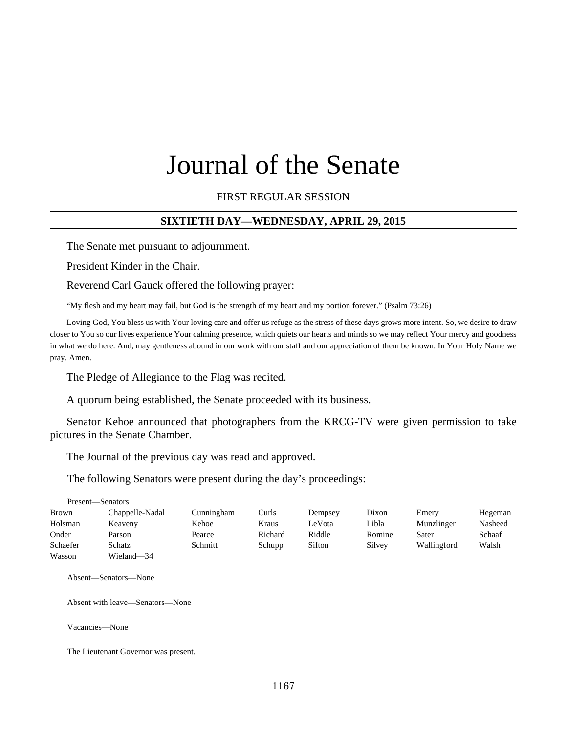# Journal of the Senate

# FIRST REGULAR SESSION

### **SIXTIETH DAY—WEDNESDAY, APRIL 29, 2015**

The Senate met pursuant to adjournment.

President Kinder in the Chair.

Reverend Carl Gauck offered the following prayer:

"My flesh and my heart may fail, but God is the strength of my heart and my portion forever." (Psalm 73:26)

Loving God, You bless us with Your loving care and offer us refuge as the stress of these days grows more intent. So, we desire to draw closer to You so our lives experience Your calming presence, which quiets our hearts and minds so we may reflect Your mercy and goodness in what we do here. And, may gentleness abound in our work with our staff and our appreciation of them be known. In Your Holy Name we pray. Amen.

The Pledge of Allegiance to the Flag was recited.

A quorum being established, the Senate proceeded with its business.

Senator Kehoe announced that photographers from the KRCG-TV were given permission to take pictures in the Senate Chamber.

The Journal of the previous day was read and approved.

The following Senators were present during the day's proceedings:

|              | Present—Senators |            |         |         |        |             |         |
|--------------|------------------|------------|---------|---------|--------|-------------|---------|
| <b>Brown</b> | Chappelle-Nadal  | Cunningham | Curls   | Dempsey | Dixon  | Emery       | Hegeman |
| Holsman      | Keaveny          | Kehoe      | Kraus   | LeVota  | Libla  | Munzlinger  | Nasheed |
| Onder        | Parson           | Pearce     | Richard | Riddle  | Romine | Sater       | Schaaf  |
| Schaefer     | Schatz           | Schmitt    | Schupp  | Sifton  | Silvey | Wallingford | Walsh   |
| Wasson       | Wieland-34       |            |         |         |        |             |         |

Absent—Senators—None

Absent with leave—Senators—None

Vacancies—None

The Lieutenant Governor was present.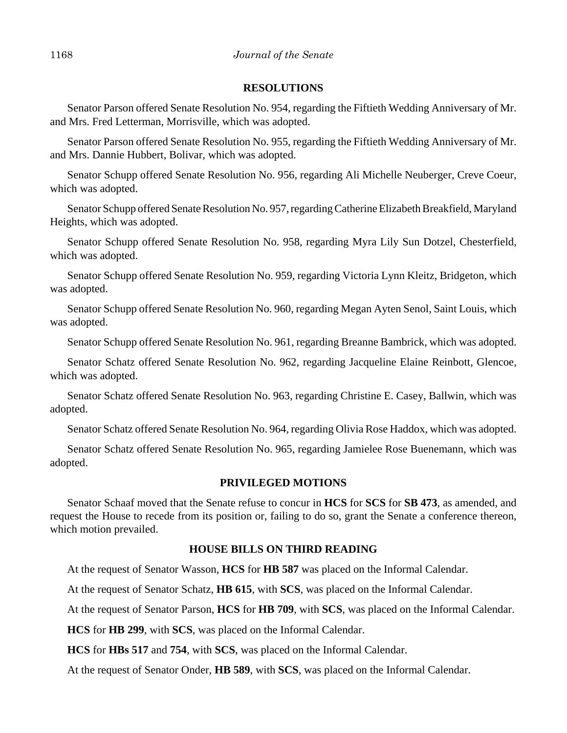#### **RESOLUTIONS**

Senator Parson offered Senate Resolution No. 954, regarding the Fiftieth Wedding Anniversary of Mr. and Mrs. Fred Letterman, Morrisville, which was adopted.

Senator Parson offered Senate Resolution No. 955, regarding the Fiftieth Wedding Anniversary of Mr. and Mrs. Dannie Hubbert, Bolivar, which was adopted.

Senator Schupp offered Senate Resolution No. 956, regarding Ali Michelle Neuberger, Creve Coeur, which was adopted.

Senator Schupp offered Senate Resolution No. 957, regarding Catherine Elizabeth Breakfield, Maryland Heights, which was adopted.

Senator Schupp offered Senate Resolution No. 958, regarding Myra Lily Sun Dotzel, Chesterfield, which was adopted.

Senator Schupp offered Senate Resolution No. 959, regarding Victoria Lynn Kleitz, Bridgeton, which was adopted.

Senator Schupp offered Senate Resolution No. 960, regarding Megan Ayten Senol, Saint Louis, which was adopted.

Senator Schupp offered Senate Resolution No. 961, regarding Breanne Bambrick, which was adopted.

Senator Schatz offered Senate Resolution No. 962, regarding Jacqueline Elaine Reinbott, Glencoe, which was adopted.

Senator Schatz offered Senate Resolution No. 963, regarding Christine E. Casey, Ballwin, which was adopted.

Senator Schatz offered Senate Resolution No. 964, regarding Olivia Rose Haddox, which was adopted.

Senator Schatz offered Senate Resolution No. 965, regarding Jamielee Rose Buenemann, which was adopted.

#### **PRIVILEGED MOTIONS**

Senator Schaaf moved that the Senate refuse to concur in **HCS** for **SCS** for **SB 473**, as amended, and request the House to recede from its position or, failing to do so, grant the Senate a conference thereon, which motion prevailed.

# **HOUSE BILLS ON THIRD READING**

At the request of Senator Wasson, **HCS** for **HB 587** was placed on the Informal Calendar.

At the request of Senator Schatz, **HB 615**, with **SCS**, was placed on the Informal Calendar.

At the request of Senator Parson, **HCS** for **HB 709**, with **SCS**, was placed on the Informal Calendar.

**HCS** for **HB 299**, with **SCS**, was placed on the Informal Calendar.

**HCS** for **HBs 517** and **754**, with **SCS**, was placed on the Informal Calendar.

At the request of Senator Onder, **HB 589**, with **SCS**, was placed on the Informal Calendar.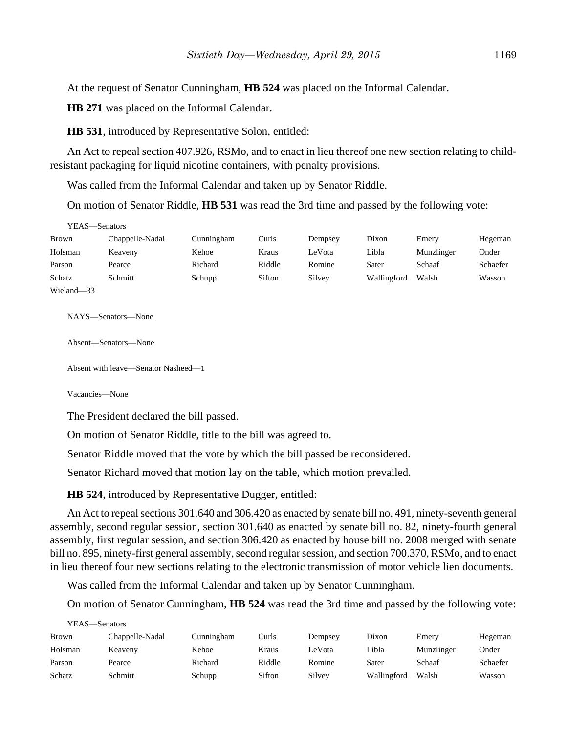At the request of Senator Cunningham, **HB 524** was placed on the Informal Calendar.

**HB 271** was placed on the Informal Calendar.

**HB 531**, introduced by Representative Solon, entitled:

An Act to repeal section 407.926, RSMo, and to enact in lieu thereof one new section relating to childresistant packaging for liquid nicotine containers, with penalty provisions.

Was called from the Informal Calendar and taken up by Senator Riddle.

On motion of Senator Riddle, **HB 531** was read the 3rd time and passed by the following vote:

| r EAS—Senators |                 |            |        |         |             |            |          |
|----------------|-----------------|------------|--------|---------|-------------|------------|----------|
| <b>Brown</b>   | Chappelle-Nadal | Cunningham | Curls  | Dempsey | Dixon       | Emery      | Hegeman  |
| Holsman        | Keaveny         | Kehoe      | Kraus  | LeVota  | Libla       | Munzlinger | Onder    |
| Parson         | Pearce          | Richard    | Riddle | Romine  | Sater       | Schaaf     | Schaefer |
| Schatz         | Schmitt         | Schupp     | Sifton | Silvey  | Wallingford | Walsh      | Wasson   |
| Wieland-33     |                 |            |        |         |             |            |          |

NAYS—Senators—None

 $YFAS = S$ 

Absent—Senators—None

Absent with leave—Senator Nasheed—1

Vacancies—None

The President declared the bill passed.

On motion of Senator Riddle, title to the bill was agreed to.

Senator Riddle moved that the vote by which the bill passed be reconsidered.

Senator Richard moved that motion lay on the table, which motion prevailed.

**HB 524**, introduced by Representative Dugger, entitled:

An Act to repeal sections 301.640 and 306.420 as enacted by senate bill no. 491, ninety-seventh general assembly, second regular session, section 301.640 as enacted by senate bill no. 82, ninety-fourth general assembly, first regular session, and section 306.420 as enacted by house bill no. 2008 merged with senate bill no. 895, ninety-first general assembly, second regular session, and section 700.370, RSMo, and to enact in lieu thereof four new sections relating to the electronic transmission of motor vehicle lien documents.

Was called from the Informal Calendar and taken up by Senator Cunningham.

On motion of Senator Cunningham, **HB 524** was read the 3rd time and passed by the following vote:

| YEAS—Senators |                 |            |        |         |             |            |          |
|---------------|-----------------|------------|--------|---------|-------------|------------|----------|
| Brown         | Chappelle-Nadal | Cunningham | Curls  | Dempsey | Dixon       | Emery      | Hegeman  |
| Holsman       | Keaveny         | Kehoe      | Kraus  | LeVota  | Libla       | Munzlinger | Onder    |
| Parson        | Pearce          | Richard    | Riddle | Romine  | Sater       | Schaaf     | Schaefer |
| Schatz        | Schmitt         | Schupp     | Sifton | Silvey  | Wallingford | Walsh      | Wasson   |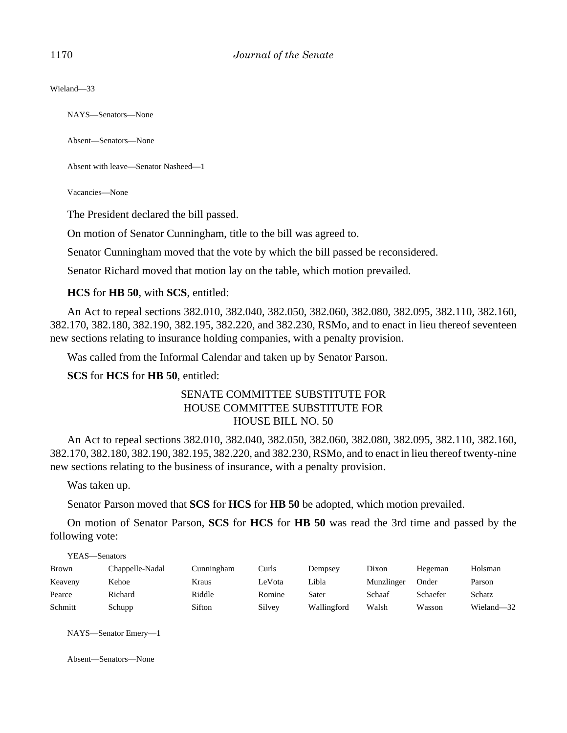Wieland—33

NAYS—Senators—None

Absent—Senators—None

Absent with leave—Senator Nasheed—1

Vacancies—None

The President declared the bill passed.

On motion of Senator Cunningham, title to the bill was agreed to.

Senator Cunningham moved that the vote by which the bill passed be reconsidered.

Senator Richard moved that motion lay on the table, which motion prevailed.

# **HCS** for **HB 50**, with **SCS**, entitled:

An Act to repeal sections 382.010, 382.040, 382.050, 382.060, 382.080, 382.095, 382.110, 382.160, 382.170, 382.180, 382.190, 382.195, 382.220, and 382.230, RSMo, and to enact in lieu thereof seventeen new sections relating to insurance holding companies, with a penalty provision.

Was called from the Informal Calendar and taken up by Senator Parson.

**SCS** for **HCS** for **HB 50**, entitled:

# SENATE COMMITTEE SUBSTITUTE FOR HOUSE COMMITTEE SUBSTITUTE FOR HOUSE BILL NO. 50

An Act to repeal sections 382.010, 382.040, 382.050, 382.060, 382.080, 382.095, 382.110, 382.160, 382.170, 382.180, 382.190, 382.195, 382.220, and 382.230, RSMo, and to enact in lieu thereof twenty-nine new sections relating to the business of insurance, with a penalty provision.

Was taken up.

Senator Parson moved that **SCS** for **HCS** for **HB 50** be adopted, which motion prevailed.

On motion of Senator Parson, **SCS** for **HCS** for **HB 50** was read the 3rd time and passed by the following vote:

| YEAS—Senators |                 |            |        |             |            |          |            |
|---------------|-----------------|------------|--------|-------------|------------|----------|------------|
| Brown         | Chappelle-Nadal | Cunningham | Curls  | Dempsey     | Dixon      | Hegeman  | Holsman    |
| Keaveny       | Kehoe           | Kraus      | LeVota | Libla       | Munzlinger | Onder    | Parson     |
| Pearce        | Richard         | Riddle     | Romine | Sater       | Schaaf     | Schaefer | Schatz     |
| Schmitt       | Schupp          | Sifton     | Silvey | Wallingford | Walsh      | Wasson   | Wieland-32 |

NAYS—Senator Emery—1

Absent—Senators—None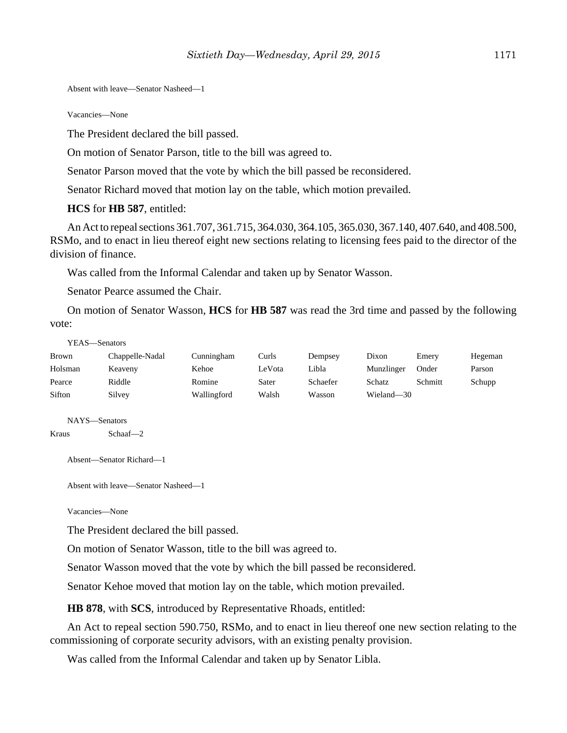Absent with leave—Senator Nasheed—1

Vacancies—None

The President declared the bill passed.

On motion of Senator Parson, title to the bill was agreed to.

Senator Parson moved that the vote by which the bill passed be reconsidered.

Senator Richard moved that motion lay on the table, which motion prevailed.

**HCS** for **HB 587**, entitled:

An Act to repeal sections 361.707, 361.715, 364.030, 364.105, 365.030, 367.140, 407.640, and 408.500, RSMo, and to enact in lieu thereof eight new sections relating to licensing fees paid to the director of the division of finance.

Was called from the Informal Calendar and taken up by Senator Wasson.

Senator Pearce assumed the Chair.

On motion of Senator Wasson, **HCS** for **HB 587** was read the 3rd time and passed by the following vote:

#### YEAS—Senators

| Brown   | Chappelle-Nadal | Cunningham  | Curls  | Dempsey  | Dixon      | Emery   | Hegeman |
|---------|-----------------|-------------|--------|----------|------------|---------|---------|
| Holsman | Keaveny         | Kehoe       | LeVota | Libla    | Munzlinger | Onder   | Parson  |
| Pearce  | Riddle          | Romine      | Sater  | Schaefer | Schatz     | Schmitt | Schupp  |
| Sifton  | Silvey          | Wallingford | Walsh  | Wasson   | Wieland—30 |         |         |

NAYS—Senators

Kraus Schaaf—2

Absent—Senator Richard—1

Absent with leave—Senator Nasheed—1

Vacancies—None

The President declared the bill passed.

On motion of Senator Wasson, title to the bill was agreed to.

Senator Wasson moved that the vote by which the bill passed be reconsidered.

Senator Kehoe moved that motion lay on the table, which motion prevailed.

**HB 878**, with **SCS**, introduced by Representative Rhoads, entitled:

An Act to repeal section 590.750, RSMo, and to enact in lieu thereof one new section relating to the commissioning of corporate security advisors, with an existing penalty provision.

Was called from the Informal Calendar and taken up by Senator Libla.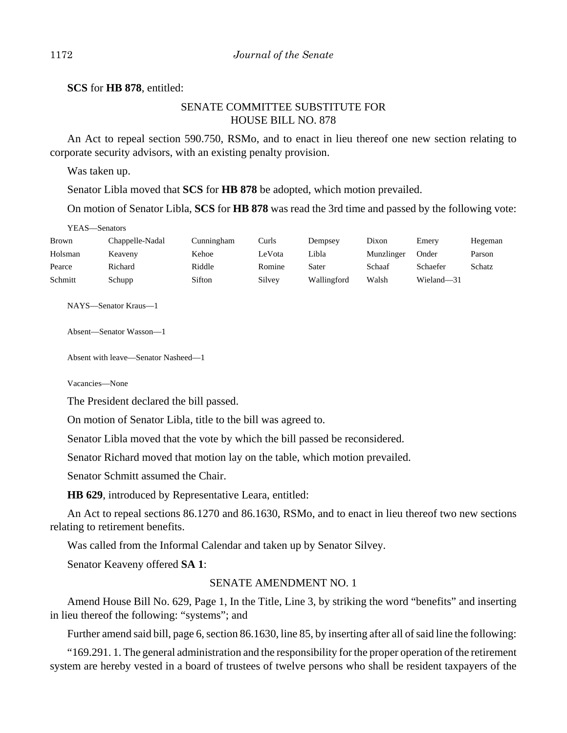**SCS** for **HB 878**, entitled:

# SENATE COMMITTEE SUBSTITUTE FOR HOUSE BILL NO. 878

An Act to repeal section 590.750, RSMo, and to enact in lieu thereof one new section relating to corporate security advisors, with an existing penalty provision.

Was taken up.

Senator Libla moved that **SCS** for **HB 878** be adopted, which motion prevailed.

On motion of Senator Libla, **SCS** for **HB 878** was read the 3rd time and passed by the following vote:

YEAS—Senators

| Brown   | Chappelle-Nadal | Cunningham | Curls  | Dempsey     | Dixon      | Emery      | Hegeman |
|---------|-----------------|------------|--------|-------------|------------|------------|---------|
| Holsman | Keaveny         | Kehoe      | LeVota | Libla       | Munzlinger | Onder      | Parson  |
| Pearce  | Richard         | Riddle     | Romine | Sater       | Schaaf     | Schaefer   | Schatz  |
| Schmitt | Schupp          | Sifton     | Silvey | Wallingford | Walsh      | Wieland—31 |         |

NAYS—Senator Kraus—1

Absent—Senator Wasson—1

Absent with leave—Senator Nasheed—1

Vacancies—None

The President declared the bill passed.

On motion of Senator Libla, title to the bill was agreed to.

Senator Libla moved that the vote by which the bill passed be reconsidered.

Senator Richard moved that motion lay on the table, which motion prevailed.

Senator Schmitt assumed the Chair.

**HB 629**, introduced by Representative Leara, entitled:

An Act to repeal sections 86.1270 and 86.1630, RSMo, and to enact in lieu thereof two new sections relating to retirement benefits.

Was called from the Informal Calendar and taken up by Senator Silvey.

Senator Keaveny offered **SA 1**:

#### SENATE AMENDMENT NO. 1

Amend House Bill No. 629, Page 1, In the Title, Line 3, by striking the word "benefits" and inserting in lieu thereof the following: "systems"; and

Further amend said bill, page 6, section 86.1630, line 85, by inserting after all of said line the following:

"169.291. 1. The general administration and the responsibility for the proper operation of the retirement system are hereby vested in a board of trustees of twelve persons who shall be resident taxpayers of the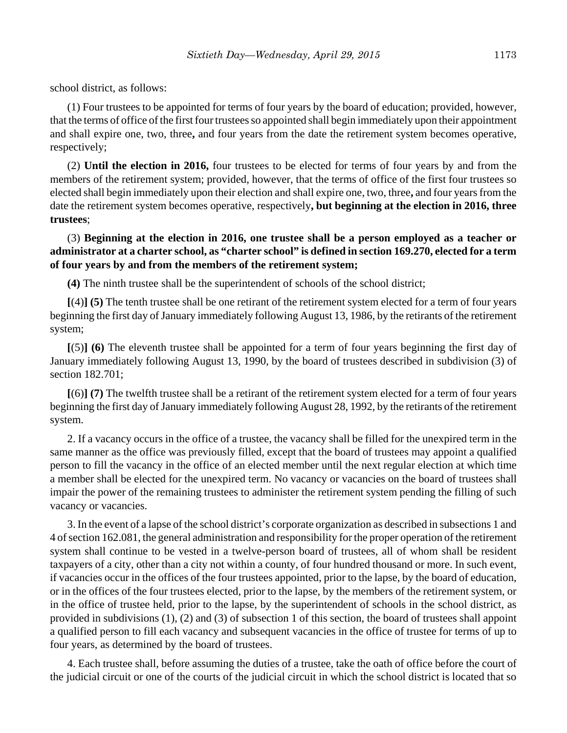school district, as follows:

(1) Four trustees to be appointed for terms of four years by the board of education; provided, however, that the terms of office of the first four trustees so appointed shall begin immediately upon their appointment and shall expire one, two, three**,** and four years from the date the retirement system becomes operative, respectively;

(2) **Until the election in 2016,** four trustees to be elected for terms of four years by and from the members of the retirement system; provided, however, that the terms of office of the first four trustees so elected shall begin immediately upon their election and shall expire one, two, three**,** and four years from the date the retirement system becomes operative, respectively**, but beginning at the election in 2016, three trustees**;

# (3) **Beginning at the election in 2016, one trustee shall be a person employed as a teacher or administrator at a charter school, as "charter school" is defined in section 169.270, elected for a term of four years by and from the members of the retirement system;**

**(4)** The ninth trustee shall be the superintendent of schools of the school district;

**[**(4)**] (5)** The tenth trustee shall be one retirant of the retirement system elected for a term of four years beginning the first day of January immediately following August 13, 1986, by the retirants of the retirement system;

**[**(5)**] (6)** The eleventh trustee shall be appointed for a term of four years beginning the first day of January immediately following August 13, 1990, by the board of trustees described in subdivision (3) of section 182.701;

**[**(6)**] (7)** The twelfth trustee shall be a retirant of the retirement system elected for a term of four years beginning the first day of January immediately following August 28, 1992, by the retirants of the retirement system.

2. If a vacancy occurs in the office of a trustee, the vacancy shall be filled for the unexpired term in the same manner as the office was previously filled, except that the board of trustees may appoint a qualified person to fill the vacancy in the office of an elected member until the next regular election at which time a member shall be elected for the unexpired term. No vacancy or vacancies on the board of trustees shall impair the power of the remaining trustees to administer the retirement system pending the filling of such vacancy or vacancies.

3. In the event of a lapse of the school district's corporate organization as described in subsections 1 and 4 of section 162.081, the general administration and responsibility for the proper operation of the retirement system shall continue to be vested in a twelve-person board of trustees, all of whom shall be resident taxpayers of a city, other than a city not within a county, of four hundred thousand or more. In such event, if vacancies occur in the offices of the four trustees appointed, prior to the lapse, by the board of education, or in the offices of the four trustees elected, prior to the lapse, by the members of the retirement system, or in the office of trustee held, prior to the lapse, by the superintendent of schools in the school district, as provided in subdivisions (1), (2) and (3) of subsection 1 of this section, the board of trustees shall appoint a qualified person to fill each vacancy and subsequent vacancies in the office of trustee for terms of up to four years, as determined by the board of trustees.

4. Each trustee shall, before assuming the duties of a trustee, take the oath of office before the court of the judicial circuit or one of the courts of the judicial circuit in which the school district is located that so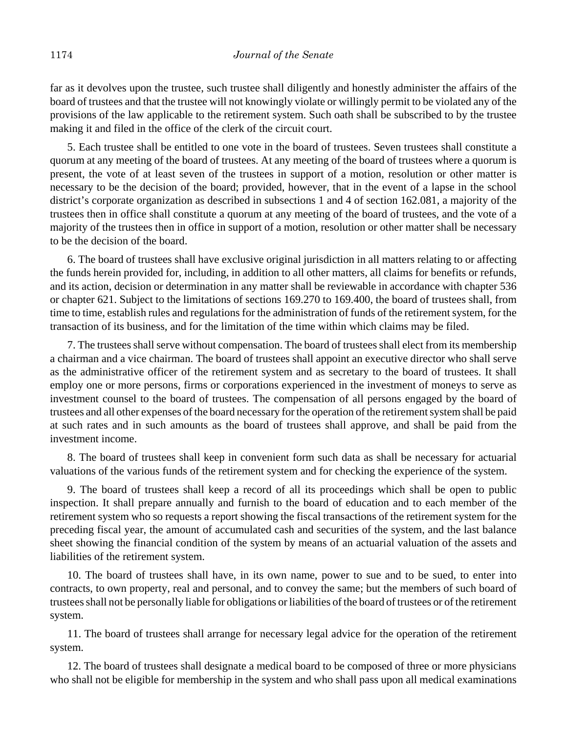far as it devolves upon the trustee, such trustee shall diligently and honestly administer the affairs of the board of trustees and that the trustee will not knowingly violate or willingly permit to be violated any of the provisions of the law applicable to the retirement system. Such oath shall be subscribed to by the trustee making it and filed in the office of the clerk of the circuit court.

5. Each trustee shall be entitled to one vote in the board of trustees. Seven trustees shall constitute a quorum at any meeting of the board of trustees. At any meeting of the board of trustees where a quorum is present, the vote of at least seven of the trustees in support of a motion, resolution or other matter is necessary to be the decision of the board; provided, however, that in the event of a lapse in the school district's corporate organization as described in subsections 1 and 4 of section 162.081, a majority of the trustees then in office shall constitute a quorum at any meeting of the board of trustees, and the vote of a majority of the trustees then in office in support of a motion, resolution or other matter shall be necessary to be the decision of the board.

6. The board of trustees shall have exclusive original jurisdiction in all matters relating to or affecting the funds herein provided for, including, in addition to all other matters, all claims for benefits or refunds, and its action, decision or determination in any matter shall be reviewable in accordance with chapter 536 or chapter 621. Subject to the limitations of sections 169.270 to 169.400, the board of trustees shall, from time to time, establish rules and regulations for the administration of funds of the retirement system, for the transaction of its business, and for the limitation of the time within which claims may be filed.

7. The trustees shall serve without compensation. The board of trustees shall elect from its membership a chairman and a vice chairman. The board of trustees shall appoint an executive director who shall serve as the administrative officer of the retirement system and as secretary to the board of trustees. It shall employ one or more persons, firms or corporations experienced in the investment of moneys to serve as investment counsel to the board of trustees. The compensation of all persons engaged by the board of trustees and all other expenses of the board necessary for the operation of the retirement system shall be paid at such rates and in such amounts as the board of trustees shall approve, and shall be paid from the investment income.

8. The board of trustees shall keep in convenient form such data as shall be necessary for actuarial valuations of the various funds of the retirement system and for checking the experience of the system.

9. The board of trustees shall keep a record of all its proceedings which shall be open to public inspection. It shall prepare annually and furnish to the board of education and to each member of the retirement system who so requests a report showing the fiscal transactions of the retirement system for the preceding fiscal year, the amount of accumulated cash and securities of the system, and the last balance sheet showing the financial condition of the system by means of an actuarial valuation of the assets and liabilities of the retirement system.

10. The board of trustees shall have, in its own name, power to sue and to be sued, to enter into contracts, to own property, real and personal, and to convey the same; but the members of such board of trustees shall not be personally liable for obligations or liabilities of the board of trustees or of the retirement system.

11. The board of trustees shall arrange for necessary legal advice for the operation of the retirement system.

12. The board of trustees shall designate a medical board to be composed of three or more physicians who shall not be eligible for membership in the system and who shall pass upon all medical examinations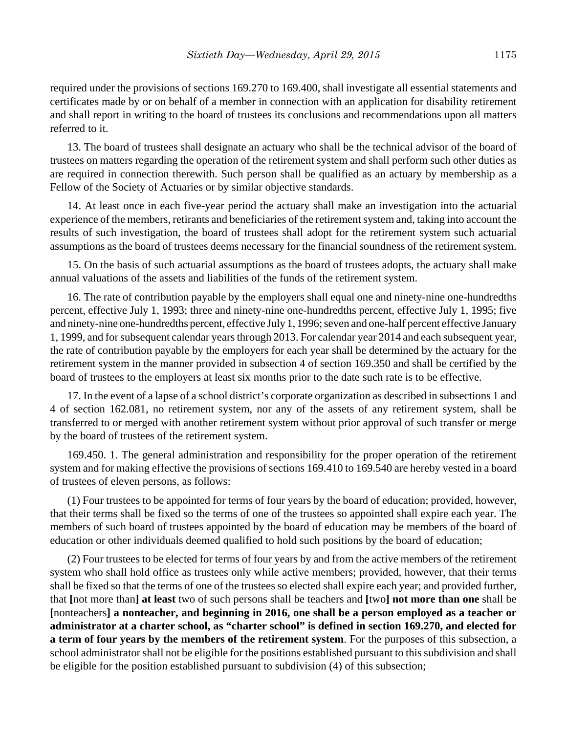required under the provisions of sections 169.270 to 169.400, shall investigate all essential statements and certificates made by or on behalf of a member in connection with an application for disability retirement and shall report in writing to the board of trustees its conclusions and recommendations upon all matters referred to it.

13. The board of trustees shall designate an actuary who shall be the technical advisor of the board of trustees on matters regarding the operation of the retirement system and shall perform such other duties as are required in connection therewith. Such person shall be qualified as an actuary by membership as a Fellow of the Society of Actuaries or by similar objective standards.

14. At least once in each five-year period the actuary shall make an investigation into the actuarial experience of the members, retirants and beneficiaries of the retirement system and, taking into account the results of such investigation, the board of trustees shall adopt for the retirement system such actuarial assumptions as the board of trustees deems necessary for the financial soundness of the retirement system.

15. On the basis of such actuarial assumptions as the board of trustees adopts, the actuary shall make annual valuations of the assets and liabilities of the funds of the retirement system.

16. The rate of contribution payable by the employers shall equal one and ninety-nine one-hundredths percent, effective July 1, 1993; three and ninety-nine one-hundredths percent, effective July 1, 1995; five and ninety-nine one-hundredths percent, effective July 1, 1996; seven and one-half percent effective January 1, 1999, and for subsequent calendar years through 2013. For calendar year 2014 and each subsequent year, the rate of contribution payable by the employers for each year shall be determined by the actuary for the retirement system in the manner provided in subsection 4 of section 169.350 and shall be certified by the board of trustees to the employers at least six months prior to the date such rate is to be effective.

17. In the event of a lapse of a school district's corporate organization as described in subsections 1 and 4 of section 162.081, no retirement system, nor any of the assets of any retirement system, shall be transferred to or merged with another retirement system without prior approval of such transfer or merge by the board of trustees of the retirement system.

169.450. 1. The general administration and responsibility for the proper operation of the retirement system and for making effective the provisions of sections 169.410 to 169.540 are hereby vested in a board of trustees of eleven persons, as follows:

(1) Four trustees to be appointed for terms of four years by the board of education; provided, however, that their terms shall be fixed so the terms of one of the trustees so appointed shall expire each year. The members of such board of trustees appointed by the board of education may be members of the board of education or other individuals deemed qualified to hold such positions by the board of education;

(2) Four trustees to be elected for terms of four years by and from the active members of the retirement system who shall hold office as trustees only while active members; provided, however, that their terms shall be fixed so that the terms of one of the trustees so elected shall expire each year; and provided further, that **[**not more than**] at least** two of such persons shall be teachers and **[**two**] not more than one** shall be **[**nonteachers**] a nonteacher, and beginning in 2016, one shall be a person employed as a teacher or administrator at a charter school, as "charter school" is defined in section 169.270, and elected for a term of four years by the members of the retirement system**. For the purposes of this subsection, a school administrator shall not be eligible for the positions established pursuant to this subdivision and shall be eligible for the position established pursuant to subdivision (4) of this subsection;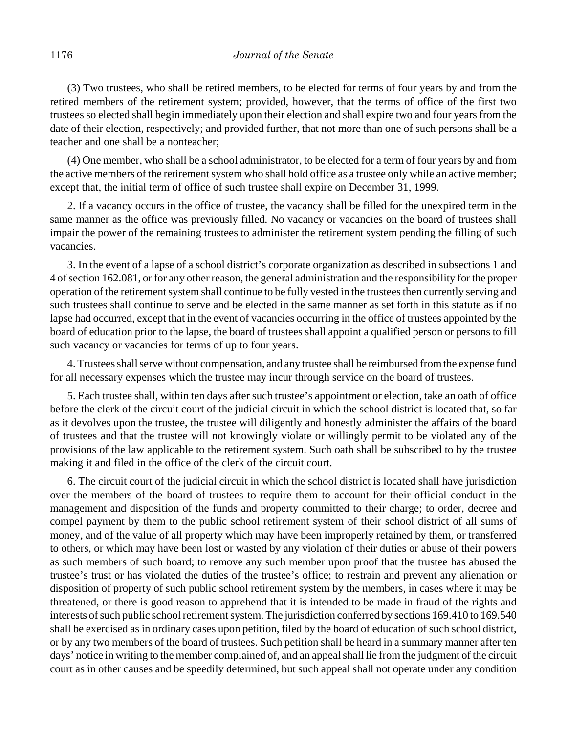(3) Two trustees, who shall be retired members, to be elected for terms of four years by and from the retired members of the retirement system; provided, however, that the terms of office of the first two trustees so elected shall begin immediately upon their election and shall expire two and four years from the date of their election, respectively; and provided further, that not more than one of such persons shall be a teacher and one shall be a nonteacher;

(4) One member, who shall be a school administrator, to be elected for a term of four years by and from the active members of the retirement system who shall hold office as a trustee only while an active member; except that, the initial term of office of such trustee shall expire on December 31, 1999.

2. If a vacancy occurs in the office of trustee, the vacancy shall be filled for the unexpired term in the same manner as the office was previously filled. No vacancy or vacancies on the board of trustees shall impair the power of the remaining trustees to administer the retirement system pending the filling of such vacancies.

3. In the event of a lapse of a school district's corporate organization as described in subsections 1 and 4 of section 162.081, or for any other reason, the general administration and the responsibility for the proper operation of the retirement system shall continue to be fully vested in the trustees then currently serving and such trustees shall continue to serve and be elected in the same manner as set forth in this statute as if no lapse had occurred, except that in the event of vacancies occurring in the office of trustees appointed by the board of education prior to the lapse, the board of trustees shall appoint a qualified person or persons to fill such vacancy or vacancies for terms of up to four years.

4. Trustees shall serve without compensation, and any trustee shall be reimbursed from the expense fund for all necessary expenses which the trustee may incur through service on the board of trustees.

5. Each trustee shall, within ten days after such trustee's appointment or election, take an oath of office before the clerk of the circuit court of the judicial circuit in which the school district is located that, so far as it devolves upon the trustee, the trustee will diligently and honestly administer the affairs of the board of trustees and that the trustee will not knowingly violate or willingly permit to be violated any of the provisions of the law applicable to the retirement system. Such oath shall be subscribed to by the trustee making it and filed in the office of the clerk of the circuit court.

6. The circuit court of the judicial circuit in which the school district is located shall have jurisdiction over the members of the board of trustees to require them to account for their official conduct in the management and disposition of the funds and property committed to their charge; to order, decree and compel payment by them to the public school retirement system of their school district of all sums of money, and of the value of all property which may have been improperly retained by them, or transferred to others, or which may have been lost or wasted by any violation of their duties or abuse of their powers as such members of such board; to remove any such member upon proof that the trustee has abused the trustee's trust or has violated the duties of the trustee's office; to restrain and prevent any alienation or disposition of property of such public school retirement system by the members, in cases where it may be threatened, or there is good reason to apprehend that it is intended to be made in fraud of the rights and interests of such public school retirement system. The jurisdiction conferred by sections 169.410 to 169.540 shall be exercised as in ordinary cases upon petition, filed by the board of education of such school district, or by any two members of the board of trustees. Such petition shall be heard in a summary manner after ten days' notice in writing to the member complained of, and an appeal shall lie from the judgment of the circuit court as in other causes and be speedily determined, but such appeal shall not operate under any condition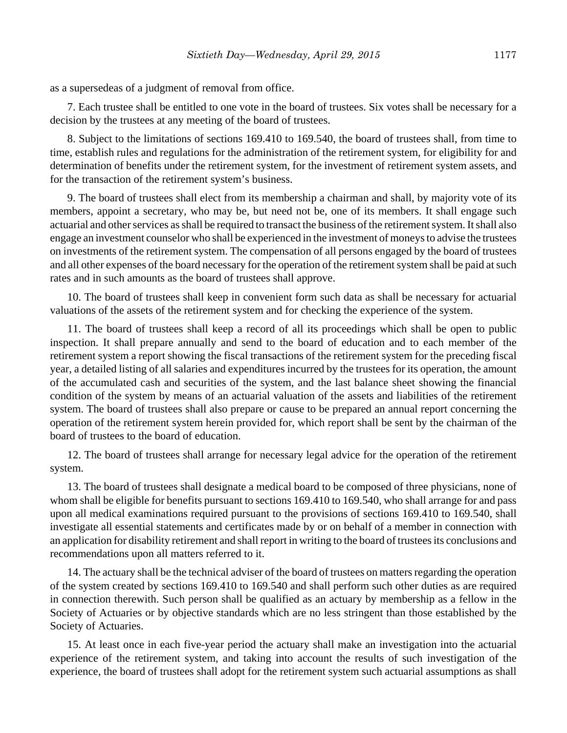as a supersedeas of a judgment of removal from office.

7. Each trustee shall be entitled to one vote in the board of trustees. Six votes shall be necessary for a decision by the trustees at any meeting of the board of trustees.

8. Subject to the limitations of sections 169.410 to 169.540, the board of trustees shall, from time to time, establish rules and regulations for the administration of the retirement system, for eligibility for and determination of benefits under the retirement system, for the investment of retirement system assets, and for the transaction of the retirement system's business.

9. The board of trustees shall elect from its membership a chairman and shall, by majority vote of its members, appoint a secretary, who may be, but need not be, one of its members. It shall engage such actuarial and other services as shall be required to transact the business of the retirement system. It shall also engage an investment counselor who shall be experienced in the investment of moneys to advise the trustees on investments of the retirement system. The compensation of all persons engaged by the board of trustees and all other expenses of the board necessary for the operation of the retirement system shall be paid at such rates and in such amounts as the board of trustees shall approve.

10. The board of trustees shall keep in convenient form such data as shall be necessary for actuarial valuations of the assets of the retirement system and for checking the experience of the system.

11. The board of trustees shall keep a record of all its proceedings which shall be open to public inspection. It shall prepare annually and send to the board of education and to each member of the retirement system a report showing the fiscal transactions of the retirement system for the preceding fiscal year, a detailed listing of all salaries and expenditures incurred by the trustees for its operation, the amount of the accumulated cash and securities of the system, and the last balance sheet showing the financial condition of the system by means of an actuarial valuation of the assets and liabilities of the retirement system. The board of trustees shall also prepare or cause to be prepared an annual report concerning the operation of the retirement system herein provided for, which report shall be sent by the chairman of the board of trustees to the board of education.

12. The board of trustees shall arrange for necessary legal advice for the operation of the retirement system.

13. The board of trustees shall designate a medical board to be composed of three physicians, none of whom shall be eligible for benefits pursuant to sections 169.410 to 169.540, who shall arrange for and pass upon all medical examinations required pursuant to the provisions of sections 169.410 to 169.540, shall investigate all essential statements and certificates made by or on behalf of a member in connection with an application for disability retirement and shall report in writing to the board of trustees its conclusions and recommendations upon all matters referred to it.

14. The actuary shall be the technical adviser of the board of trustees on matters regarding the operation of the system created by sections 169.410 to 169.540 and shall perform such other duties as are required in connection therewith. Such person shall be qualified as an actuary by membership as a fellow in the Society of Actuaries or by objective standards which are no less stringent than those established by the Society of Actuaries.

15. At least once in each five-year period the actuary shall make an investigation into the actuarial experience of the retirement system, and taking into account the results of such investigation of the experience, the board of trustees shall adopt for the retirement system such actuarial assumptions as shall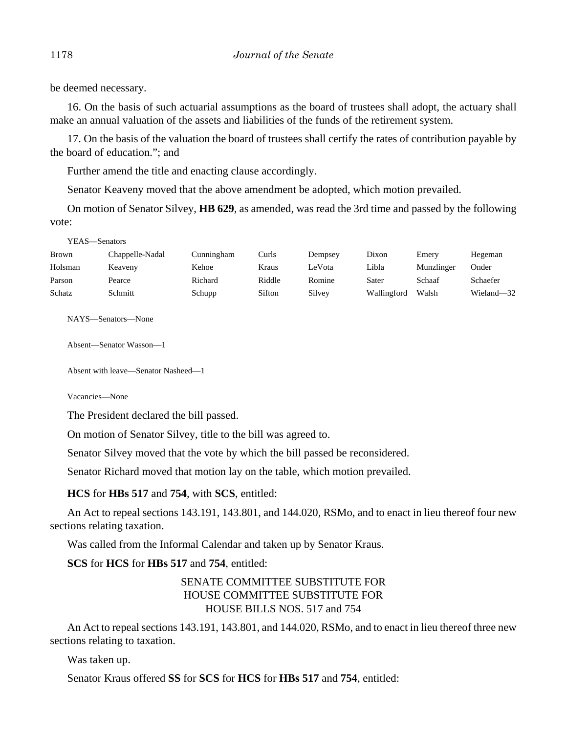be deemed necessary.

16. On the basis of such actuarial assumptions as the board of trustees shall adopt, the actuary shall make an annual valuation of the assets and liabilities of the funds of the retirement system.

17. On the basis of the valuation the board of trustees shall certify the rates of contribution payable by the board of education."; and

Further amend the title and enacting clause accordingly.

Senator Keaveny moved that the above amendment be adopted, which motion prevailed.

On motion of Senator Silvey, **HB 629**, as amended, was read the 3rd time and passed by the following vote:

YEAS—Senators

| Brown   | Chappelle-Nadal | Cunningham | Curls  | Dempsey | Dixon       | Emery      | Hegeman    |
|---------|-----------------|------------|--------|---------|-------------|------------|------------|
| Holsman | Keaveny         | Kehoe      | Kraus  | ∟eVota  | Libla       | Munzlinger | Onder      |
| Parson  | Pearce          | Richard    | Riddle | Romine  | Sater       | Schaaf     | Schaefer   |
| Schatz  | Schmitt         | Schupp     | Sifton | Silvey  | Wallingford | Walsh      | Wieland-32 |

NAYS—Senators—None

Absent—Senator Wasson—1

Absent with leave—Senator Nasheed—1

Vacancies—None

The President declared the bill passed.

On motion of Senator Silvey, title to the bill was agreed to.

Senator Silvey moved that the vote by which the bill passed be reconsidered.

Senator Richard moved that motion lay on the table, which motion prevailed.

# **HCS** for **HBs 517** and **754**, with **SCS**, entitled:

An Act to repeal sections 143.191, 143.801, and 144.020, RSMo, and to enact in lieu thereof four new sections relating taxation.

Was called from the Informal Calendar and taken up by Senator Kraus.

# **SCS** for **HCS** for **HBs 517** and **754**, entitled:

# SENATE COMMITTEE SUBSTITUTE FOR HOUSE COMMITTEE SUBSTITUTE FOR HOUSE BILLS NOS. 517 and 754

An Act to repeal sections 143.191, 143.801, and 144.020, RSMo, and to enact in lieu thereof three new sections relating to taxation.

Was taken up.

Senator Kraus offered **SS** for **SCS** for **HCS** for **HBs 517** and **754**, entitled: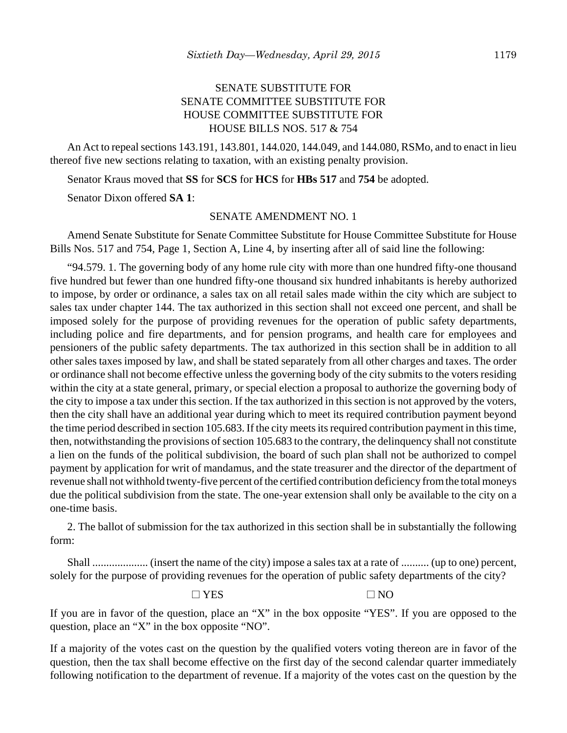# SENATE SUBSTITUTE FOR SENATE COMMITTEE SUBSTITUTE FOR HOUSE COMMITTEE SUBSTITUTE FOR HOUSE BILLS NOS. 517 & 754

An Act to repeal sections 143.191, 143.801, 144.020, 144.049, and 144.080, RSMo, and to enact in lieu thereof five new sections relating to taxation, with an existing penalty provision.

Senator Kraus moved that **SS** for **SCS** for **HCS** for **HBs 517** and **754** be adopted.

Senator Dixon offered **SA 1**:

#### SENATE AMENDMENT NO. 1

Amend Senate Substitute for Senate Committee Substitute for House Committee Substitute for House Bills Nos. 517 and 754, Page 1, Section A, Line 4, by inserting after all of said line the following:

"94.579. 1. The governing body of any home rule city with more than one hundred fifty-one thousand five hundred but fewer than one hundred fifty-one thousand six hundred inhabitants is hereby authorized to impose, by order or ordinance, a sales tax on all retail sales made within the city which are subject to sales tax under chapter 144. The tax authorized in this section shall not exceed one percent, and shall be imposed solely for the purpose of providing revenues for the operation of public safety departments, including police and fire departments, and for pension programs, and health care for employees and pensioners of the public safety departments. The tax authorized in this section shall be in addition to all other sales taxes imposed by law, and shall be stated separately from all other charges and taxes. The order or ordinance shall not become effective unless the governing body of the city submits to the voters residing within the city at a state general, primary, or special election a proposal to authorize the governing body of the city to impose a tax under this section. If the tax authorized in this section is not approved by the voters, then the city shall have an additional year during which to meet its required contribution payment beyond the time period described in section 105.683. If the city meets its required contribution payment in this time, then, notwithstanding the provisions of section 105.683 to the contrary, the delinquency shall not constitute a lien on the funds of the political subdivision, the board of such plan shall not be authorized to compel payment by application for writ of mandamus, and the state treasurer and the director of the department of revenue shall not withhold twenty-five percent of the certified contribution deficiency from the total moneys due the political subdivision from the state. The one-year extension shall only be available to the city on a one-time basis.

2. The ballot of submission for the tax authorized in this section shall be in substantially the following form:

Shall .................... (insert the name of the city) impose a sales tax at a rate of .......... (up to one) percent, solely for the purpose of providing revenues for the operation of public safety departments of the city?

 $\Box$  YES  $\Box$  NO

If you are in favor of the question, place an "X" in the box opposite "YES". If you are opposed to the question, place an "X" in the box opposite "NO".

If a majority of the votes cast on the question by the qualified voters voting thereon are in favor of the question, then the tax shall become effective on the first day of the second calendar quarter immediately following notification to the department of revenue. If a majority of the votes cast on the question by the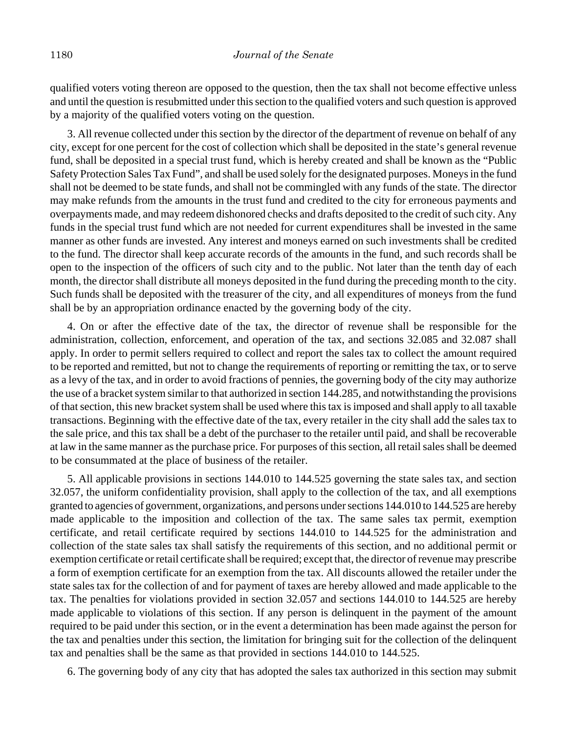qualified voters voting thereon are opposed to the question, then the tax shall not become effective unless and until the question is resubmitted under this section to the qualified voters and such question is approved by a majority of the qualified voters voting on the question.

3. All revenue collected under this section by the director of the department of revenue on behalf of any city, except for one percent for the cost of collection which shall be deposited in the state's general revenue fund, shall be deposited in a special trust fund, which is hereby created and shall be known as the "Public Safety Protection Sales Tax Fund", and shall be used solely for the designated purposes. Moneys in the fund shall not be deemed to be state funds, and shall not be commingled with any funds of the state. The director may make refunds from the amounts in the trust fund and credited to the city for erroneous payments and overpayments made, and may redeem dishonored checks and drafts deposited to the credit of such city. Any funds in the special trust fund which are not needed for current expenditures shall be invested in the same manner as other funds are invested. Any interest and moneys earned on such investments shall be credited to the fund. The director shall keep accurate records of the amounts in the fund, and such records shall be open to the inspection of the officers of such city and to the public. Not later than the tenth day of each month, the director shall distribute all moneys deposited in the fund during the preceding month to the city. Such funds shall be deposited with the treasurer of the city, and all expenditures of moneys from the fund shall be by an appropriation ordinance enacted by the governing body of the city.

4. On or after the effective date of the tax, the director of revenue shall be responsible for the administration, collection, enforcement, and operation of the tax, and sections 32.085 and 32.087 shall apply. In order to permit sellers required to collect and report the sales tax to collect the amount required to be reported and remitted, but not to change the requirements of reporting or remitting the tax, or to serve as a levy of the tax, and in order to avoid fractions of pennies, the governing body of the city may authorize the use of a bracket system similar to that authorized in section 144.285, and notwithstanding the provisions of that section, this new bracket system shall be used where this tax is imposed and shall apply to all taxable transactions. Beginning with the effective date of the tax, every retailer in the city shall add the sales tax to the sale price, and this tax shall be a debt of the purchaser to the retailer until paid, and shall be recoverable at law in the same manner as the purchase price. For purposes of this section, all retail sales shall be deemed to be consummated at the place of business of the retailer.

5. All applicable provisions in sections 144.010 to 144.525 governing the state sales tax, and section 32.057, the uniform confidentiality provision, shall apply to the collection of the tax, and all exemptions granted to agencies of government, organizations, and persons under sections 144.010 to 144.525 are hereby made applicable to the imposition and collection of the tax. The same sales tax permit, exemption certificate, and retail certificate required by sections 144.010 to 144.525 for the administration and collection of the state sales tax shall satisfy the requirements of this section, and no additional permit or exemption certificate or retail certificate shall be required; except that, the director of revenue may prescribe a form of exemption certificate for an exemption from the tax. All discounts allowed the retailer under the state sales tax for the collection of and for payment of taxes are hereby allowed and made applicable to the tax. The penalties for violations provided in section 32.057 and sections 144.010 to 144.525 are hereby made applicable to violations of this section. If any person is delinquent in the payment of the amount required to be paid under this section, or in the event a determination has been made against the person for the tax and penalties under this section, the limitation for bringing suit for the collection of the delinquent tax and penalties shall be the same as that provided in sections 144.010 to 144.525.

6. The governing body of any city that has adopted the sales tax authorized in this section may submit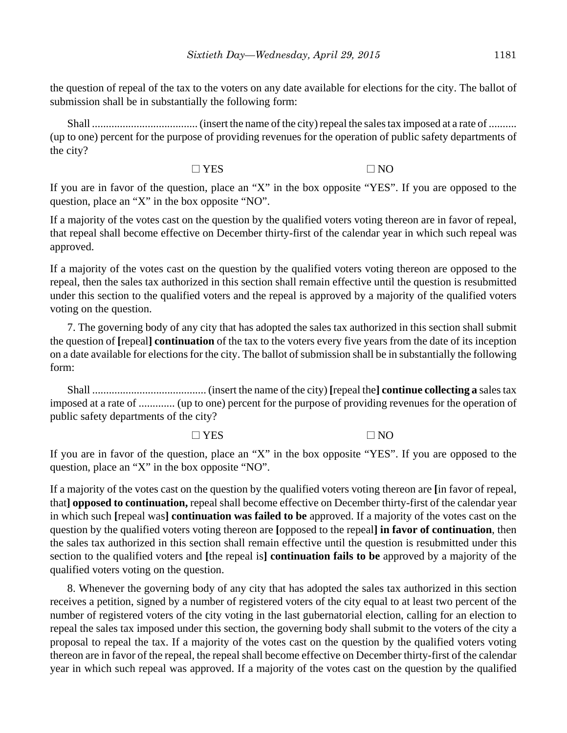the question of repeal of the tax to the voters on any date available for elections for the city. The ballot of submission shall be in substantially the following form:

Shall ...................................... (insert the name of the city) repeal the sales tax imposed at a rate of .......... (up to one) percent for the purpose of providing revenues for the operation of public safety departments of the city?

### $\Box$  YES  $\Box$  NO

If you are in favor of the question, place an "X" in the box opposite "YES". If you are opposed to the question, place an "X" in the box opposite "NO".

If a majority of the votes cast on the question by the qualified voters voting thereon are in favor of repeal, that repeal shall become effective on December thirty-first of the calendar year in which such repeal was approved.

If a majority of the votes cast on the question by the qualified voters voting thereon are opposed to the repeal, then the sales tax authorized in this section shall remain effective until the question is resubmitted under this section to the qualified voters and the repeal is approved by a majority of the qualified voters voting on the question.

7. The governing body of any city that has adopted the sales tax authorized in this section shall submit the question of **[**repeal**] continuation** of the tax to the voters every five years from the date of its inception on a date available for elections for the city. The ballot of submission shall be in substantially the following form:

Shall ......................................... (insert the name of the city) **[**repeal the**] continue collecting a** sales tax imposed at a rate of ............. (up to one) percent for the purpose of providing revenues for the operation of public safety departments of the city?

 $\Box$  YES  $\Box$  NO

If you are in favor of the question, place an "X" in the box opposite "YES". If you are opposed to the question, place an "X" in the box opposite "NO".

If a majority of the votes cast on the question by the qualified voters voting thereon are **[**in favor of repeal, that**] opposed to continuation,** repeal shall become effective on December thirty-first of the calendar year in which such **[**repeal was**] continuation was failed to be** approved. If a majority of the votes cast on the question by the qualified voters voting thereon are **[**opposed to the repeal**] in favor of continuation**, then the sales tax authorized in this section shall remain effective until the question is resubmitted under this section to the qualified voters and **[**the repeal is**] continuation fails to be** approved by a majority of the qualified voters voting on the question.

8. Whenever the governing body of any city that has adopted the sales tax authorized in this section receives a petition, signed by a number of registered voters of the city equal to at least two percent of the number of registered voters of the city voting in the last gubernatorial election, calling for an election to repeal the sales tax imposed under this section, the governing body shall submit to the voters of the city a proposal to repeal the tax. If a majority of the votes cast on the question by the qualified voters voting thereon are in favor of the repeal, the repeal shall become effective on December thirty-first of the calendar year in which such repeal was approved. If a majority of the votes cast on the question by the qualified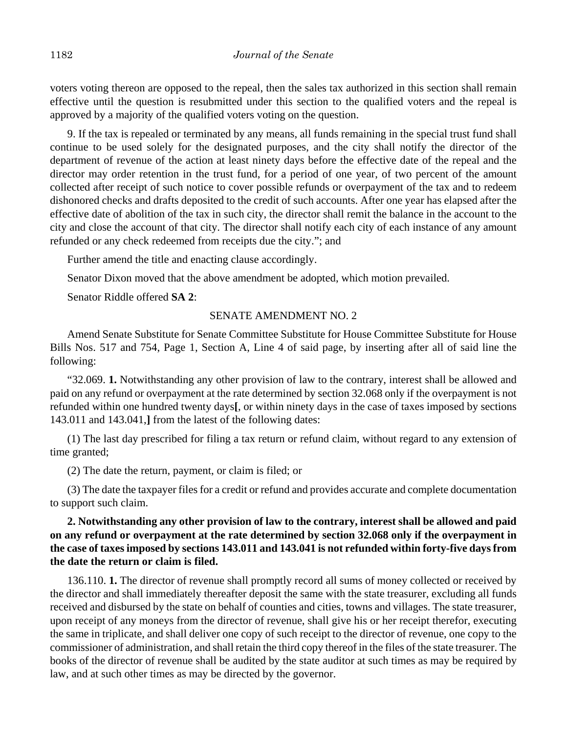voters voting thereon are opposed to the repeal, then the sales tax authorized in this section shall remain effective until the question is resubmitted under this section to the qualified voters and the repeal is approved by a majority of the qualified voters voting on the question.

9. If the tax is repealed or terminated by any means, all funds remaining in the special trust fund shall continue to be used solely for the designated purposes, and the city shall notify the director of the department of revenue of the action at least ninety days before the effective date of the repeal and the director may order retention in the trust fund, for a period of one year, of two percent of the amount collected after receipt of such notice to cover possible refunds or overpayment of the tax and to redeem dishonored checks and drafts deposited to the credit of such accounts. After one year has elapsed after the effective date of abolition of the tax in such city, the director shall remit the balance in the account to the city and close the account of that city. The director shall notify each city of each instance of any amount refunded or any check redeemed from receipts due the city."; and

Further amend the title and enacting clause accordingly.

Senator Dixon moved that the above amendment be adopted, which motion prevailed.

Senator Riddle offered **SA 2**:

### SENATE AMENDMENT NO. 2

Amend Senate Substitute for Senate Committee Substitute for House Committee Substitute for House Bills Nos. 517 and 754, Page 1, Section A, Line 4 of said page, by inserting after all of said line the following:

"32.069. **1.** Notwithstanding any other provision of law to the contrary, interest shall be allowed and paid on any refund or overpayment at the rate determined by section 32.068 only if the overpayment is not refunded within one hundred twenty days**[**, or within ninety days in the case of taxes imposed by sections 143.011 and 143.041,**]** from the latest of the following dates:

(1) The last day prescribed for filing a tax return or refund claim, without regard to any extension of time granted;

(2) The date the return, payment, or claim is filed; or

(3) The date the taxpayer files for a credit or refund and provides accurate and complete documentation to support such claim.

# **2. Notwithstanding any other provision of law to the contrary, interest shall be allowed and paid on any refund or overpayment at the rate determined by section 32.068 only if the overpayment in the case of taxes imposed by sections 143.011 and 143.041 is not refunded within forty-five days from the date the return or claim is filed.**

136.110. **1.** The director of revenue shall promptly record all sums of money collected or received by the director and shall immediately thereafter deposit the same with the state treasurer, excluding all funds received and disbursed by the state on behalf of counties and cities, towns and villages. The state treasurer, upon receipt of any moneys from the director of revenue, shall give his or her receipt therefor, executing the same in triplicate, and shall deliver one copy of such receipt to the director of revenue, one copy to the commissioner of administration, and shall retain the third copy thereof in the files of the state treasurer. The books of the director of revenue shall be audited by the state auditor at such times as may be required by law, and at such other times as may be directed by the governor.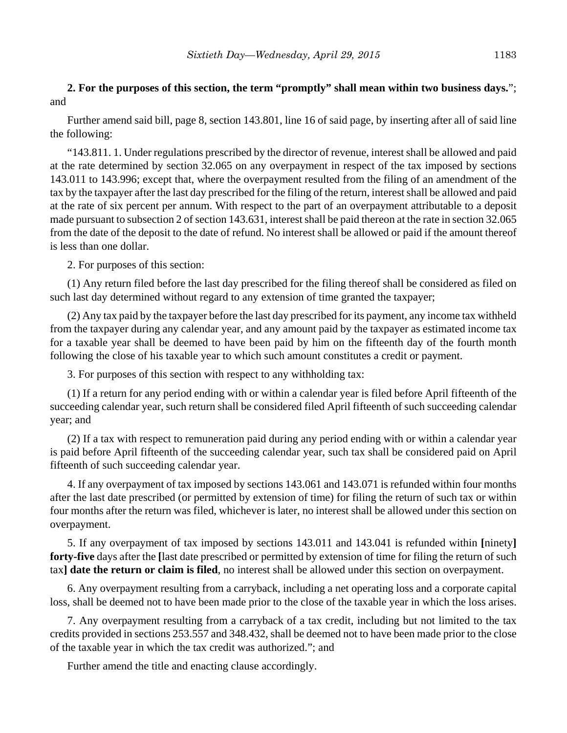# **2. For the purposes of this section, the term "promptly" shall mean within two business days.**"; and

Further amend said bill, page 8, section 143.801, line 16 of said page, by inserting after all of said line the following:

"143.811. 1. Under regulations prescribed by the director of revenue, interest shall be allowed and paid at the rate determined by section 32.065 on any overpayment in respect of the tax imposed by sections 143.011 to 143.996; except that, where the overpayment resulted from the filing of an amendment of the tax by the taxpayer after the last day prescribed for the filing of the return, interest shall be allowed and paid at the rate of six percent per annum. With respect to the part of an overpayment attributable to a deposit made pursuant to subsection 2 of section 143.631, interest shall be paid thereon at the rate in section 32.065 from the date of the deposit to the date of refund. No interest shall be allowed or paid if the amount thereof is less than one dollar.

2. For purposes of this section:

(1) Any return filed before the last day prescribed for the filing thereof shall be considered as filed on such last day determined without regard to any extension of time granted the taxpayer;

(2) Any tax paid by the taxpayer before the last day prescribed for its payment, any income tax withheld from the taxpayer during any calendar year, and any amount paid by the taxpayer as estimated income tax for a taxable year shall be deemed to have been paid by him on the fifteenth day of the fourth month following the close of his taxable year to which such amount constitutes a credit or payment.

3. For purposes of this section with respect to any withholding tax:

(1) If a return for any period ending with or within a calendar year is filed before April fifteenth of the succeeding calendar year, such return shall be considered filed April fifteenth of such succeeding calendar year; and

(2) If a tax with respect to remuneration paid during any period ending with or within a calendar year is paid before April fifteenth of the succeeding calendar year, such tax shall be considered paid on April fifteenth of such succeeding calendar year.

4. If any overpayment of tax imposed by sections 143.061 and 143.071 is refunded within four months after the last date prescribed (or permitted by extension of time) for filing the return of such tax or within four months after the return was filed, whichever is later, no interest shall be allowed under this section on overpayment.

5. If any overpayment of tax imposed by sections 143.011 and 143.041 is refunded within **[**ninety**] forty-five** days after the **[**last date prescribed or permitted by extension of time for filing the return of such tax**] date the return or claim is filed**, no interest shall be allowed under this section on overpayment.

6. Any overpayment resulting from a carryback, including a net operating loss and a corporate capital loss, shall be deemed not to have been made prior to the close of the taxable year in which the loss arises.

7. Any overpayment resulting from a carryback of a tax credit, including but not limited to the tax credits provided in sections 253.557 and 348.432, shall be deemed not to have been made prior to the close of the taxable year in which the tax credit was authorized."; and

Further amend the title and enacting clause accordingly.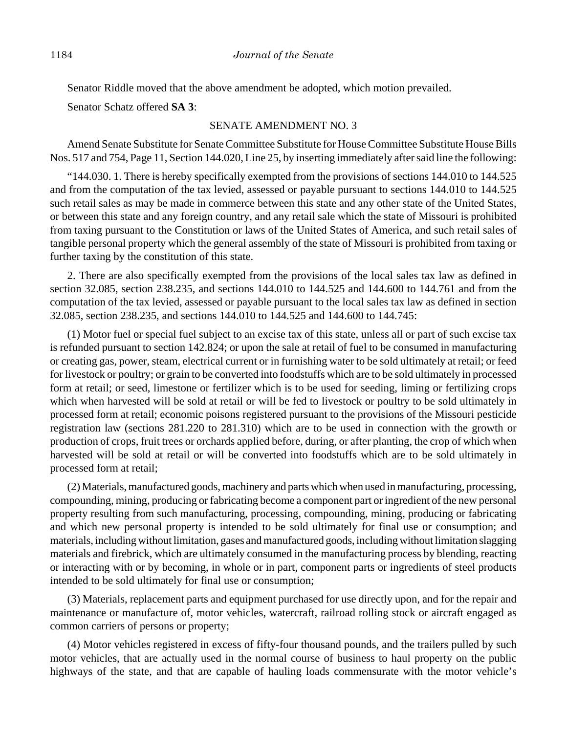Senator Riddle moved that the above amendment be adopted, which motion prevailed.

Senator Schatz offered **SA 3**:

#### SENATE AMENDMENT NO. 3

Amend Senate Substitute for Senate Committee Substitute for House Committee Substitute House Bills Nos. 517 and 754, Page 11, Section 144.020, Line 25, by inserting immediately after said line the following:

"144.030. 1. There is hereby specifically exempted from the provisions of sections 144.010 to 144.525 and from the computation of the tax levied, assessed or payable pursuant to sections 144.010 to 144.525 such retail sales as may be made in commerce between this state and any other state of the United States, or between this state and any foreign country, and any retail sale which the state of Missouri is prohibited from taxing pursuant to the Constitution or laws of the United States of America, and such retail sales of tangible personal property which the general assembly of the state of Missouri is prohibited from taxing or further taxing by the constitution of this state.

2. There are also specifically exempted from the provisions of the local sales tax law as defined in section 32.085, section 238.235, and sections 144.010 to 144.525 and 144.600 to 144.761 and from the computation of the tax levied, assessed or payable pursuant to the local sales tax law as defined in section 32.085, section 238.235, and sections 144.010 to 144.525 and 144.600 to 144.745:

(1) Motor fuel or special fuel subject to an excise tax of this state, unless all or part of such excise tax is refunded pursuant to section 142.824; or upon the sale at retail of fuel to be consumed in manufacturing or creating gas, power, steam, electrical current or in furnishing water to be sold ultimately at retail; or feed for livestock or poultry; or grain to be converted into foodstuffs which are to be sold ultimately in processed form at retail; or seed, limestone or fertilizer which is to be used for seeding, liming or fertilizing crops which when harvested will be sold at retail or will be fed to livestock or poultry to be sold ultimately in processed form at retail; economic poisons registered pursuant to the provisions of the Missouri pesticide registration law (sections 281.220 to 281.310) which are to be used in connection with the growth or production of crops, fruit trees or orchards applied before, during, or after planting, the crop of which when harvested will be sold at retail or will be converted into foodstuffs which are to be sold ultimately in processed form at retail;

(2) Materials, manufactured goods, machinery and parts which when used in manufacturing, processing, compounding, mining, producing or fabricating become a component part or ingredient of the new personal property resulting from such manufacturing, processing, compounding, mining, producing or fabricating and which new personal property is intended to be sold ultimately for final use or consumption; and materials, including without limitation, gases and manufactured goods, including without limitation slagging materials and firebrick, which are ultimately consumed in the manufacturing process by blending, reacting or interacting with or by becoming, in whole or in part, component parts or ingredients of steel products intended to be sold ultimately for final use or consumption;

(3) Materials, replacement parts and equipment purchased for use directly upon, and for the repair and maintenance or manufacture of, motor vehicles, watercraft, railroad rolling stock or aircraft engaged as common carriers of persons or property;

(4) Motor vehicles registered in excess of fifty-four thousand pounds, and the trailers pulled by such motor vehicles, that are actually used in the normal course of business to haul property on the public highways of the state, and that are capable of hauling loads commensurate with the motor vehicle's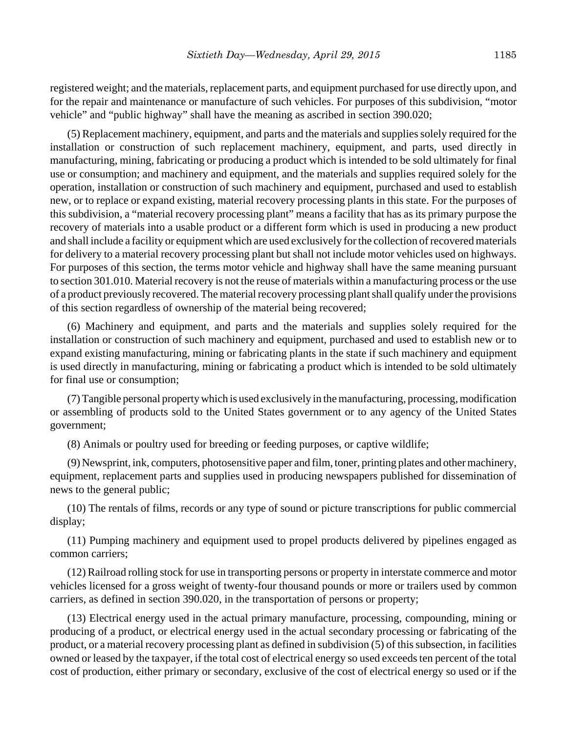registered weight; and the materials, replacement parts, and equipment purchased for use directly upon, and for the repair and maintenance or manufacture of such vehicles. For purposes of this subdivision, "motor vehicle" and "public highway" shall have the meaning as ascribed in section 390.020;

(5) Replacement machinery, equipment, and parts and the materials and supplies solely required for the installation or construction of such replacement machinery, equipment, and parts, used directly in manufacturing, mining, fabricating or producing a product which is intended to be sold ultimately for final use or consumption; and machinery and equipment, and the materials and supplies required solely for the operation, installation or construction of such machinery and equipment, purchased and used to establish new, or to replace or expand existing, material recovery processing plants in this state. For the purposes of this subdivision, a "material recovery processing plant" means a facility that has as its primary purpose the recovery of materials into a usable product or a different form which is used in producing a new product and shall include a facility or equipment which are used exclusively for the collection of recovered materials for delivery to a material recovery processing plant but shall not include motor vehicles used on highways. For purposes of this section, the terms motor vehicle and highway shall have the same meaning pursuant to section 301.010. Material recovery is not the reuse of materials within a manufacturing process or the use of a product previously recovered. The material recovery processing plant shall qualify under the provisions of this section regardless of ownership of the material being recovered;

(6) Machinery and equipment, and parts and the materials and supplies solely required for the installation or construction of such machinery and equipment, purchased and used to establish new or to expand existing manufacturing, mining or fabricating plants in the state if such machinery and equipment is used directly in manufacturing, mining or fabricating a product which is intended to be sold ultimately for final use or consumption;

(7) Tangible personal property which is used exclusively in the manufacturing, processing, modification or assembling of products sold to the United States government or to any agency of the United States government;

(8) Animals or poultry used for breeding or feeding purposes, or captive wildlife;

(9) Newsprint, ink, computers, photosensitive paper and film, toner, printing plates and other machinery, equipment, replacement parts and supplies used in producing newspapers published for dissemination of news to the general public;

(10) The rentals of films, records or any type of sound or picture transcriptions for public commercial display;

(11) Pumping machinery and equipment used to propel products delivered by pipelines engaged as common carriers;

(12) Railroad rolling stock for use in transporting persons or property in interstate commerce and motor vehicles licensed for a gross weight of twenty-four thousand pounds or more or trailers used by common carriers, as defined in section 390.020, in the transportation of persons or property;

(13) Electrical energy used in the actual primary manufacture, processing, compounding, mining or producing of a product, or electrical energy used in the actual secondary processing or fabricating of the product, or a material recovery processing plant as defined in subdivision (5) of this subsection, in facilities owned or leased by the taxpayer, if the total cost of electrical energy so used exceeds ten percent of the total cost of production, either primary or secondary, exclusive of the cost of electrical energy so used or if the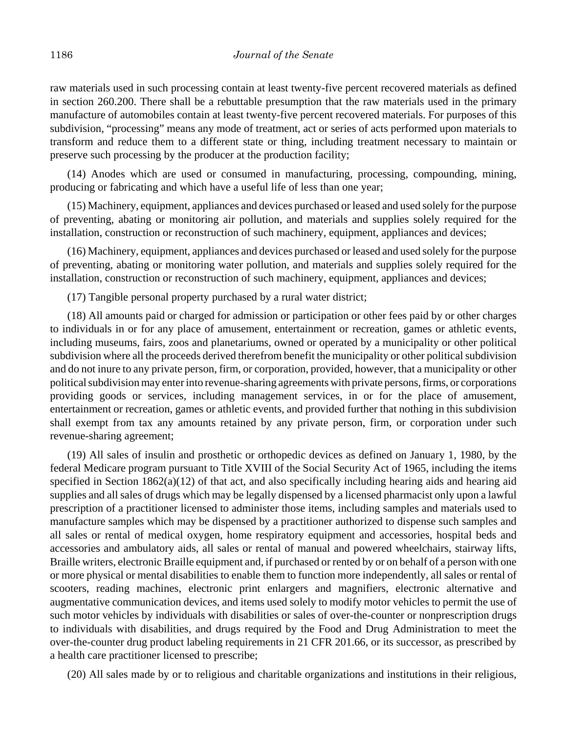raw materials used in such processing contain at least twenty-five percent recovered materials as defined in section 260.200. There shall be a rebuttable presumption that the raw materials used in the primary manufacture of automobiles contain at least twenty-five percent recovered materials. For purposes of this subdivision, "processing" means any mode of treatment, act or series of acts performed upon materials to transform and reduce them to a different state or thing, including treatment necessary to maintain or preserve such processing by the producer at the production facility;

(14) Anodes which are used or consumed in manufacturing, processing, compounding, mining, producing or fabricating and which have a useful life of less than one year;

(15) Machinery, equipment, appliances and devices purchased or leased and used solely for the purpose of preventing, abating or monitoring air pollution, and materials and supplies solely required for the installation, construction or reconstruction of such machinery, equipment, appliances and devices;

(16) Machinery, equipment, appliances and devices purchased or leased and used solely for the purpose of preventing, abating or monitoring water pollution, and materials and supplies solely required for the installation, construction or reconstruction of such machinery, equipment, appliances and devices;

(17) Tangible personal property purchased by a rural water district;

(18) All amounts paid or charged for admission or participation or other fees paid by or other charges to individuals in or for any place of amusement, entertainment or recreation, games or athletic events, including museums, fairs, zoos and planetariums, owned or operated by a municipality or other political subdivision where all the proceeds derived therefrom benefit the municipality or other political subdivision and do not inure to any private person, firm, or corporation, provided, however, that a municipality or other political subdivision may enter into revenue-sharing agreements with private persons, firms, or corporations providing goods or services, including management services, in or for the place of amusement, entertainment or recreation, games or athletic events, and provided further that nothing in this subdivision shall exempt from tax any amounts retained by any private person, firm, or corporation under such revenue-sharing agreement;

(19) All sales of insulin and prosthetic or orthopedic devices as defined on January 1, 1980, by the federal Medicare program pursuant to Title XVIII of the Social Security Act of 1965, including the items specified in Section 1862(a)(12) of that act, and also specifically including hearing aids and hearing aid supplies and all sales of drugs which may be legally dispensed by a licensed pharmacist only upon a lawful prescription of a practitioner licensed to administer those items, including samples and materials used to manufacture samples which may be dispensed by a practitioner authorized to dispense such samples and all sales or rental of medical oxygen, home respiratory equipment and accessories, hospital beds and accessories and ambulatory aids, all sales or rental of manual and powered wheelchairs, stairway lifts, Braille writers, electronic Braille equipment and, if purchased or rented by or on behalf of a person with one or more physical or mental disabilities to enable them to function more independently, all sales or rental of scooters, reading machines, electronic print enlargers and magnifiers, electronic alternative and augmentative communication devices, and items used solely to modify motor vehicles to permit the use of such motor vehicles by individuals with disabilities or sales of over-the-counter or nonprescription drugs to individuals with disabilities, and drugs required by the Food and Drug Administration to meet the over-the-counter drug product labeling requirements in 21 CFR 201.66, or its successor, as prescribed by a health care practitioner licensed to prescribe;

(20) All sales made by or to religious and charitable organizations and institutions in their religious,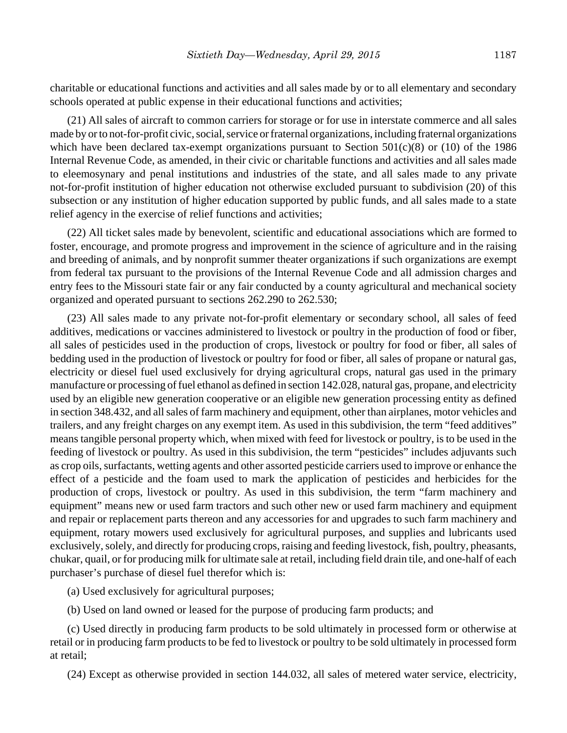charitable or educational functions and activities and all sales made by or to all elementary and secondary schools operated at public expense in their educational functions and activities;

(21) All sales of aircraft to common carriers for storage or for use in interstate commerce and all sales made by or to not-for-profit civic, social, service or fraternal organizations, including fraternal organizations which have been declared tax-exempt organizations pursuant to Section 501(c)(8) or (10) of the 1986 Internal Revenue Code, as amended, in their civic or charitable functions and activities and all sales made to eleemosynary and penal institutions and industries of the state, and all sales made to any private not-for-profit institution of higher education not otherwise excluded pursuant to subdivision (20) of this subsection or any institution of higher education supported by public funds, and all sales made to a state relief agency in the exercise of relief functions and activities;

(22) All ticket sales made by benevolent, scientific and educational associations which are formed to foster, encourage, and promote progress and improvement in the science of agriculture and in the raising and breeding of animals, and by nonprofit summer theater organizations if such organizations are exempt from federal tax pursuant to the provisions of the Internal Revenue Code and all admission charges and entry fees to the Missouri state fair or any fair conducted by a county agricultural and mechanical society organized and operated pursuant to sections 262.290 to 262.530;

(23) All sales made to any private not-for-profit elementary or secondary school, all sales of feed additives, medications or vaccines administered to livestock or poultry in the production of food or fiber, all sales of pesticides used in the production of crops, livestock or poultry for food or fiber, all sales of bedding used in the production of livestock or poultry for food or fiber, all sales of propane or natural gas, electricity or diesel fuel used exclusively for drying agricultural crops, natural gas used in the primary manufacture or processing of fuel ethanol as defined in section 142.028, natural gas, propane, and electricity used by an eligible new generation cooperative or an eligible new generation processing entity as defined in section 348.432, and all sales of farm machinery and equipment, other than airplanes, motor vehicles and trailers, and any freight charges on any exempt item. As used in this subdivision, the term "feed additives" means tangible personal property which, when mixed with feed for livestock or poultry, is to be used in the feeding of livestock or poultry. As used in this subdivision, the term "pesticides" includes adjuvants such as crop oils, surfactants, wetting agents and other assorted pesticide carriers used to improve or enhance the effect of a pesticide and the foam used to mark the application of pesticides and herbicides for the production of crops, livestock or poultry. As used in this subdivision, the term "farm machinery and equipment" means new or used farm tractors and such other new or used farm machinery and equipment and repair or replacement parts thereon and any accessories for and upgrades to such farm machinery and equipment, rotary mowers used exclusively for agricultural purposes, and supplies and lubricants used exclusively, solely, and directly for producing crops, raising and feeding livestock, fish, poultry, pheasants, chukar, quail, or for producing milk for ultimate sale at retail, including field drain tile, and one-half of each purchaser's purchase of diesel fuel therefor which is:

(a) Used exclusively for agricultural purposes;

(b) Used on land owned or leased for the purpose of producing farm products; and

(c) Used directly in producing farm products to be sold ultimately in processed form or otherwise at retail or in producing farm products to be fed to livestock or poultry to be sold ultimately in processed form at retail;

(24) Except as otherwise provided in section 144.032, all sales of metered water service, electricity,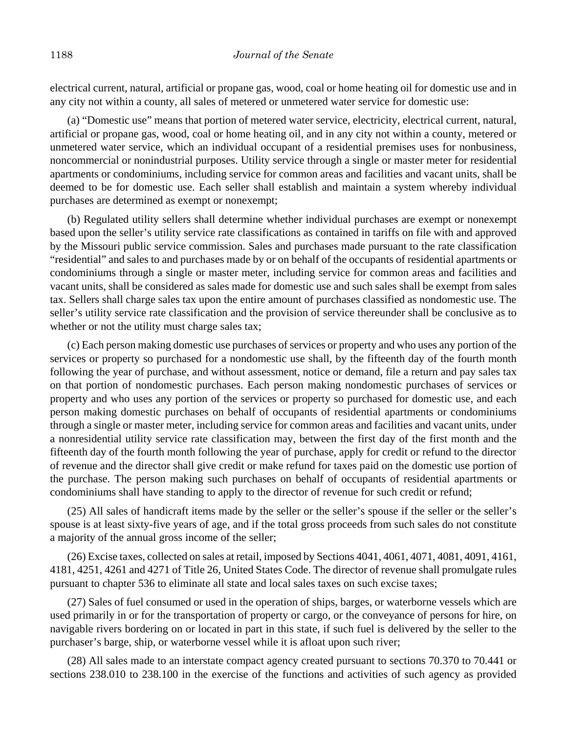electrical current, natural, artificial or propane gas, wood, coal or home heating oil for domestic use and in any city not within a county, all sales of metered or unmetered water service for domestic use:

(a) "Domestic use" means that portion of metered water service, electricity, electrical current, natural, artificial or propane gas, wood, coal or home heating oil, and in any city not within a county, metered or unmetered water service, which an individual occupant of a residential premises uses for nonbusiness, noncommercial or nonindustrial purposes. Utility service through a single or master meter for residential apartments or condominiums, including service for common areas and facilities and vacant units, shall be deemed to be for domestic use. Each seller shall establish and maintain a system whereby individual purchases are determined as exempt or nonexempt;

(b) Regulated utility sellers shall determine whether individual purchases are exempt or nonexempt based upon the seller's utility service rate classifications as contained in tariffs on file with and approved by the Missouri public service commission. Sales and purchases made pursuant to the rate classification "residential" and sales to and purchases made by or on behalf of the occupants of residential apartments or condominiums through a single or master meter, including service for common areas and facilities and vacant units, shall be considered as sales made for domestic use and such sales shall be exempt from sales tax. Sellers shall charge sales tax upon the entire amount of purchases classified as nondomestic use. The seller's utility service rate classification and the provision of service thereunder shall be conclusive as to whether or not the utility must charge sales tax;

(c) Each person making domestic use purchases of services or property and who uses any portion of the services or property so purchased for a nondomestic use shall, by the fifteenth day of the fourth month following the year of purchase, and without assessment, notice or demand, file a return and pay sales tax on that portion of nondomestic purchases. Each person making nondomestic purchases of services or property and who uses any portion of the services or property so purchased for domestic use, and each person making domestic purchases on behalf of occupants of residential apartments or condominiums through a single or master meter, including service for common areas and facilities and vacant units, under a nonresidential utility service rate classification may, between the first day of the first month and the fifteenth day of the fourth month following the year of purchase, apply for credit or refund to the director of revenue and the director shall give credit or make refund for taxes paid on the domestic use portion of the purchase. The person making such purchases on behalf of occupants of residential apartments or condominiums shall have standing to apply to the director of revenue for such credit or refund;

(25) All sales of handicraft items made by the seller or the seller's spouse if the seller or the seller's spouse is at least sixty-five years of age, and if the total gross proceeds from such sales do not constitute a majority of the annual gross income of the seller;

(26) Excise taxes, collected on sales at retail, imposed by Sections 4041, 4061, 4071, 4081, 4091, 4161, 4181, 4251, 4261 and 4271 of Title 26, United States Code. The director of revenue shall promulgate rules pursuant to chapter 536 to eliminate all state and local sales taxes on such excise taxes;

(27) Sales of fuel consumed or used in the operation of ships, barges, or waterborne vessels which are used primarily in or for the transportation of property or cargo, or the conveyance of persons for hire, on navigable rivers bordering on or located in part in this state, if such fuel is delivered by the seller to the purchaser's barge, ship, or waterborne vessel while it is afloat upon such river;

(28) All sales made to an interstate compact agency created pursuant to sections 70.370 to 70.441 or sections 238.010 to 238.100 in the exercise of the functions and activities of such agency as provided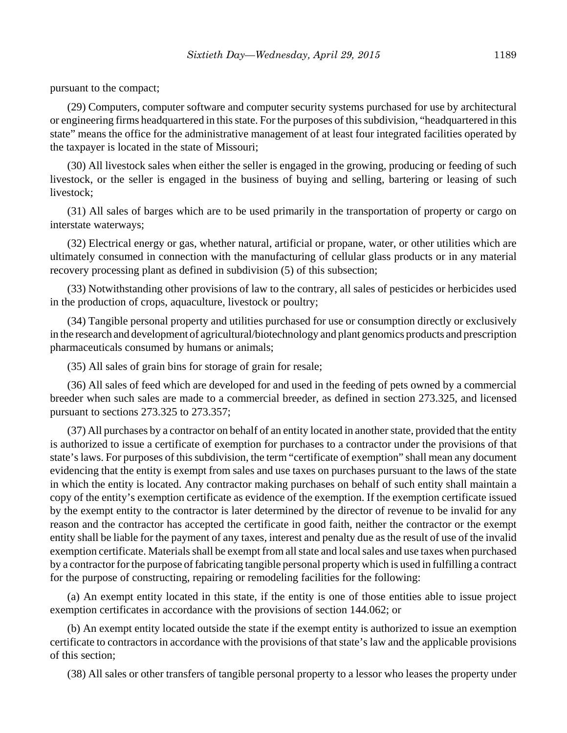pursuant to the compact;

(29) Computers, computer software and computer security systems purchased for use by architectural or engineering firms headquartered in this state. For the purposes of this subdivision, "headquartered in this state" means the office for the administrative management of at least four integrated facilities operated by the taxpayer is located in the state of Missouri;

(30) All livestock sales when either the seller is engaged in the growing, producing or feeding of such livestock, or the seller is engaged in the business of buying and selling, bartering or leasing of such livestock;

(31) All sales of barges which are to be used primarily in the transportation of property or cargo on interstate waterways;

(32) Electrical energy or gas, whether natural, artificial or propane, water, or other utilities which are ultimately consumed in connection with the manufacturing of cellular glass products or in any material recovery processing plant as defined in subdivision (5) of this subsection;

(33) Notwithstanding other provisions of law to the contrary, all sales of pesticides or herbicides used in the production of crops, aquaculture, livestock or poultry;

(34) Tangible personal property and utilities purchased for use or consumption directly or exclusively in the research and development of agricultural/biotechnology and plant genomics products and prescription pharmaceuticals consumed by humans or animals;

(35) All sales of grain bins for storage of grain for resale;

(36) All sales of feed which are developed for and used in the feeding of pets owned by a commercial breeder when such sales are made to a commercial breeder, as defined in section 273.325, and licensed pursuant to sections 273.325 to 273.357;

(37) All purchases by a contractor on behalf of an entity located in another state, provided that the entity is authorized to issue a certificate of exemption for purchases to a contractor under the provisions of that state's laws. For purposes of this subdivision, the term "certificate of exemption" shall mean any document evidencing that the entity is exempt from sales and use taxes on purchases pursuant to the laws of the state in which the entity is located. Any contractor making purchases on behalf of such entity shall maintain a copy of the entity's exemption certificate as evidence of the exemption. If the exemption certificate issued by the exempt entity to the contractor is later determined by the director of revenue to be invalid for any reason and the contractor has accepted the certificate in good faith, neither the contractor or the exempt entity shall be liable for the payment of any taxes, interest and penalty due as the result of use of the invalid exemption certificate. Materials shall be exempt from all state and local sales and use taxes when purchased by a contractor for the purpose of fabricating tangible personal property which is used in fulfilling a contract for the purpose of constructing, repairing or remodeling facilities for the following:

(a) An exempt entity located in this state, if the entity is one of those entities able to issue project exemption certificates in accordance with the provisions of section 144.062; or

(b) An exempt entity located outside the state if the exempt entity is authorized to issue an exemption certificate to contractors in accordance with the provisions of that state's law and the applicable provisions of this section;

(38) All sales or other transfers of tangible personal property to a lessor who leases the property under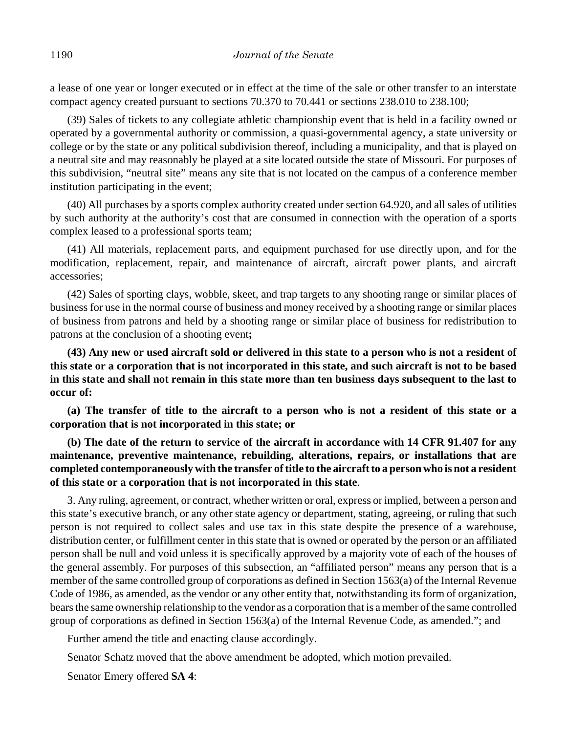a lease of one year or longer executed or in effect at the time of the sale or other transfer to an interstate compact agency created pursuant to sections 70.370 to 70.441 or sections 238.010 to 238.100;

(39) Sales of tickets to any collegiate athletic championship event that is held in a facility owned or operated by a governmental authority or commission, a quasi-governmental agency, a state university or college or by the state or any political subdivision thereof, including a municipality, and that is played on a neutral site and may reasonably be played at a site located outside the state of Missouri. For purposes of this subdivision, "neutral site" means any site that is not located on the campus of a conference member institution participating in the event;

(40) All purchases by a sports complex authority created under section 64.920, and all sales of utilities by such authority at the authority's cost that are consumed in connection with the operation of a sports complex leased to a professional sports team;

(41) All materials, replacement parts, and equipment purchased for use directly upon, and for the modification, replacement, repair, and maintenance of aircraft, aircraft power plants, and aircraft accessories;

(42) Sales of sporting clays, wobble, skeet, and trap targets to any shooting range or similar places of business for use in the normal course of business and money received by a shooting range or similar places of business from patrons and held by a shooting range or similar place of business for redistribution to patrons at the conclusion of a shooting event**;**

**(43) Any new or used aircraft sold or delivered in this state to a person who is not a resident of this state or a corporation that is not incorporated in this state, and such aircraft is not to be based in this state and shall not remain in this state more than ten business days subsequent to the last to occur of:**

**(a) The transfer of title to the aircraft to a person who is not a resident of this state or a corporation that is not incorporated in this state; or**

**(b) The date of the return to service of the aircraft in accordance with 14 CFR 91.407 for any maintenance, preventive maintenance, rebuilding, alterations, repairs, or installations that are completed contemporaneously with the transfer of title to the aircraft to a person who is not a resident of this state or a corporation that is not incorporated in this state**.

3. Any ruling, agreement, or contract, whether written or oral, express or implied, between a person and this state's executive branch, or any other state agency or department, stating, agreeing, or ruling that such person is not required to collect sales and use tax in this state despite the presence of a warehouse, distribution center, or fulfillment center in this state that is owned or operated by the person or an affiliated person shall be null and void unless it is specifically approved by a majority vote of each of the houses of the general assembly. For purposes of this subsection, an "affiliated person" means any person that is a member of the same controlled group of corporations as defined in Section 1563(a) of the Internal Revenue Code of 1986, as amended, as the vendor or any other entity that, notwithstanding its form of organization, bears the same ownership relationship to the vendor as a corporation that is a member of the same controlled group of corporations as defined in Section 1563(a) of the Internal Revenue Code, as amended."; and

Further amend the title and enacting clause accordingly.

Senator Schatz moved that the above amendment be adopted, which motion prevailed.

Senator Emery offered **SA 4**: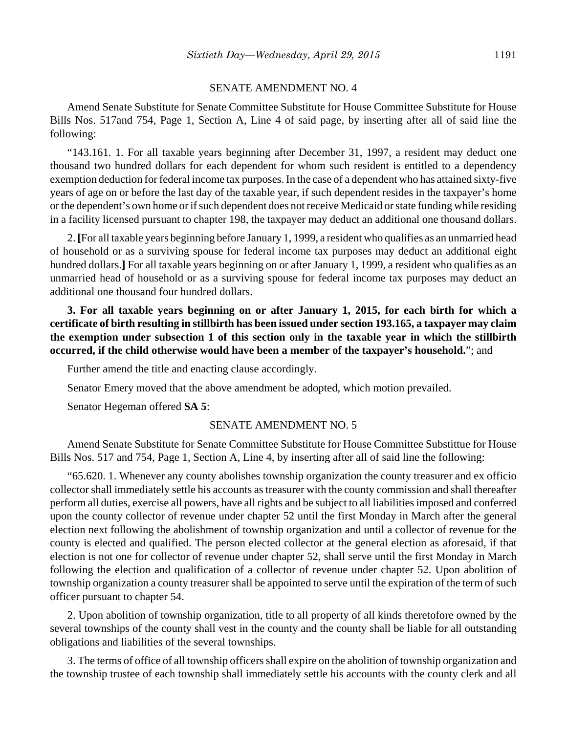#### SENATE AMENDMENT NO. 4

Amend Senate Substitute for Senate Committee Substitute for House Committee Substitute for House Bills Nos. 517and 754, Page 1, Section A, Line 4 of said page, by inserting after all of said line the following:

"143.161. 1. For all taxable years beginning after December 31, 1997, a resident may deduct one thousand two hundred dollars for each dependent for whom such resident is entitled to a dependency exemption deduction for federal income tax purposes. In the case of a dependent who has attained sixty-five years of age on or before the last day of the taxable year, if such dependent resides in the taxpayer's home or the dependent's own home or if such dependent does not receive Medicaid or state funding while residing in a facility licensed pursuant to chapter 198, the taxpayer may deduct an additional one thousand dollars.

2. **[**For all taxable years beginning before January 1, 1999, a resident who qualifies as an unmarried head of household or as a surviving spouse for federal income tax purposes may deduct an additional eight hundred dollars.**]** For all taxable years beginning on or after January 1, 1999, a resident who qualifies as an unmarried head of household or as a surviving spouse for federal income tax purposes may deduct an additional one thousand four hundred dollars.

**3. For all taxable years beginning on or after January 1, 2015, for each birth for which a certificate of birth resulting in stillbirth has been issued under section 193.165, a taxpayer may claim the exemption under subsection 1 of this section only in the taxable year in which the stillbirth occurred, if the child otherwise would have been a member of the taxpayer's household.**"; and

Further amend the title and enacting clause accordingly.

Senator Emery moved that the above amendment be adopted, which motion prevailed.

Senator Hegeman offered **SA 5**:

#### SENATE AMENDMENT NO. 5

Amend Senate Substitute for Senate Committee Substitute for House Committee Substittue for House Bills Nos. 517 and 754, Page 1, Section A, Line 4, by inserting after all of said line the following:

"65.620. 1. Whenever any county abolishes township organization the county treasurer and ex officio collector shall immediately settle his accounts as treasurer with the county commission and shall thereafter perform all duties, exercise all powers, have all rights and be subject to all liabilities imposed and conferred upon the county collector of revenue under chapter 52 until the first Monday in March after the general election next following the abolishment of township organization and until a collector of revenue for the county is elected and qualified. The person elected collector at the general election as aforesaid, if that election is not one for collector of revenue under chapter 52, shall serve until the first Monday in March following the election and qualification of a collector of revenue under chapter 52. Upon abolition of township organization a county treasurer shall be appointed to serve until the expiration of the term of such officer pursuant to chapter 54.

2. Upon abolition of township organization, title to all property of all kinds theretofore owned by the several townships of the county shall vest in the county and the county shall be liable for all outstanding obligations and liabilities of the several townships.

3. The terms of office of all township officers shall expire on the abolition of township organization and the township trustee of each township shall immediately settle his accounts with the county clerk and all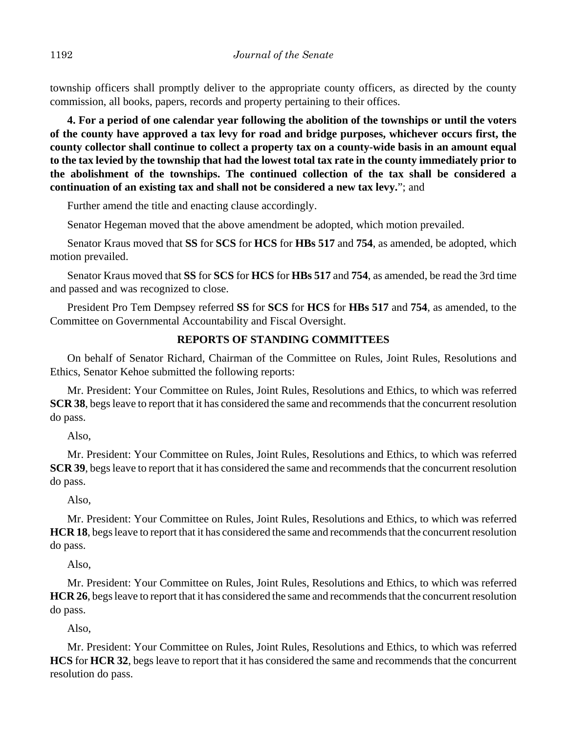township officers shall promptly deliver to the appropriate county officers, as directed by the county commission, all books, papers, records and property pertaining to their offices.

**4. For a period of one calendar year following the abolition of the townships or until the voters of the county have approved a tax levy for road and bridge purposes, whichever occurs first, the county collector shall continue to collect a property tax on a county-wide basis in an amount equal to the tax levied by the township that had the lowest total tax rate in the county immediately prior to the abolishment of the townships. The continued collection of the tax shall be considered a continuation of an existing tax and shall not be considered a new tax levy.**"; and

Further amend the title and enacting clause accordingly.

Senator Hegeman moved that the above amendment be adopted, which motion prevailed.

Senator Kraus moved that **SS** for **SCS** for **HCS** for **HBs 517** and **754**, as amended, be adopted, which motion prevailed.

Senator Kraus moved that **SS** for **SCS** for **HCS** for **HBs 517** and **754**, as amended, be read the 3rd time and passed and was recognized to close.

President Pro Tem Dempsey referred **SS** for **SCS** for **HCS** for **HBs 517** and **754**, as amended, to the Committee on Governmental Accountability and Fiscal Oversight.

# **REPORTS OF STANDING COMMITTEES**

On behalf of Senator Richard, Chairman of the Committee on Rules, Joint Rules, Resolutions and Ethics, Senator Kehoe submitted the following reports:

Mr. President: Your Committee on Rules, Joint Rules, Resolutions and Ethics, to which was referred **SCR 38**, begs leave to report that it has considered the same and recommends that the concurrent resolution do pass.

Also,

Mr. President: Your Committee on Rules, Joint Rules, Resolutions and Ethics, to which was referred **SCR 39**, begs leave to report that it has considered the same and recommends that the concurrent resolution do pass.

Also,

Mr. President: Your Committee on Rules, Joint Rules, Resolutions and Ethics, to which was referred **HCR 18**, begs leave to report that it has considered the same and recommends that the concurrent resolution do pass.

Also,

Mr. President: Your Committee on Rules, Joint Rules, Resolutions and Ethics, to which was referred **HCR 26**, begs leave to report that it has considered the same and recommends that the concurrent resolution do pass.

Also,

Mr. President: Your Committee on Rules, Joint Rules, Resolutions and Ethics, to which was referred **HCS** for **HCR 32**, begs leave to report that it has considered the same and recommends that the concurrent resolution do pass.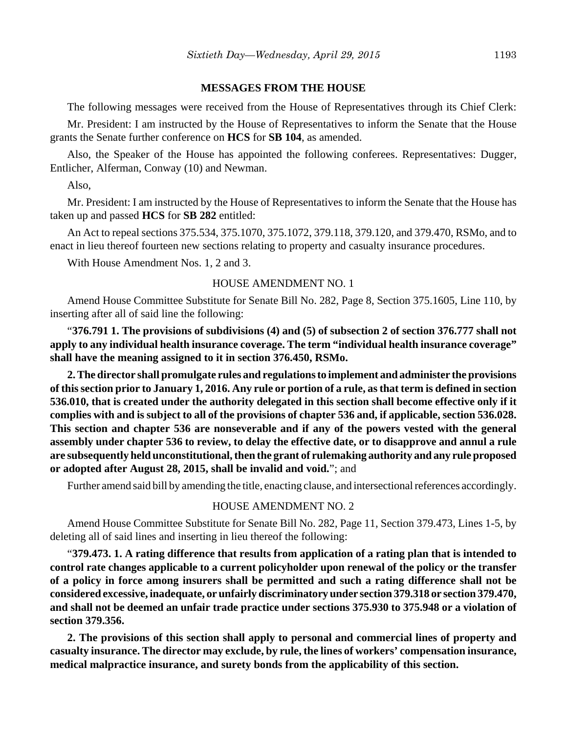#### **MESSAGES FROM THE HOUSE**

The following messages were received from the House of Representatives through its Chief Clerk:

Mr. President: I am instructed by the House of Representatives to inform the Senate that the House grants the Senate further conference on **HCS** for **SB 104**, as amended.

Also, the Speaker of the House has appointed the following conferees. Representatives: Dugger, Entlicher, Alferman, Conway (10) and Newman.

Also,

Mr. President: I am instructed by the House of Representatives to inform the Senate that the House has taken up and passed **HCS** for **SB 282** entitled:

An Act to repeal sections 375.534, 375.1070, 375.1072, 379.118, 379.120, and 379.470, RSMo, and to enact in lieu thereof fourteen new sections relating to property and casualty insurance procedures.

With House Amendment Nos. 1, 2 and 3.

#### HOUSE AMENDMENT NO. 1

Amend House Committee Substitute for Senate Bill No. 282, Page 8, Section 375.1605, Line 110, by inserting after all of said line the following:

"**376.791 1. The provisions of subdivisions (4) and (5) of subsection 2 of section 376.777 shall not apply to any individual health insurance coverage. The term "individual health insurance coverage" shall have the meaning assigned to it in section 376.450, RSMo.**

**2. The director shall promulgate rules and regulations to implement and administer the provisions of this section prior to January 1, 2016. Any rule or portion of a rule, as that term is defined in section 536.010, that is created under the authority delegated in this section shall become effective only if it complies with and is subject to all of the provisions of chapter 536 and, if applicable, section 536.028. This section and chapter 536 are nonseverable and if any of the powers vested with the general assembly under chapter 536 to review, to delay the effective date, or to disapprove and annul a rule are subsequently held unconstitutional, then the grant of rulemaking authority and any rule proposed or adopted after August 28, 2015, shall be invalid and void.**"; and

Further amend said bill by amending the title, enacting clause, and intersectional references accordingly.

#### HOUSE AMENDMENT NO. 2

Amend House Committee Substitute for Senate Bill No. 282, Page 11, Section 379.473, Lines 1-5, by deleting all of said lines and inserting in lieu thereof the following:

"**379.473. 1. A rating difference that results from application of a rating plan that is intended to control rate changes applicable to a current policyholder upon renewal of the policy or the transfer of a policy in force among insurers shall be permitted and such a rating difference shall not be considered excessive, inadequate, or unfairly discriminatory under section 379.318 or section 379.470, and shall not be deemed an unfair trade practice under sections 375.930 to 375.948 or a violation of section 379.356.**

**2. The provisions of this section shall apply to personal and commercial lines of property and casualty insurance. The director may exclude, by rule, the lines of workers' compensation insurance, medical malpractice insurance, and surety bonds from the applicability of this section.**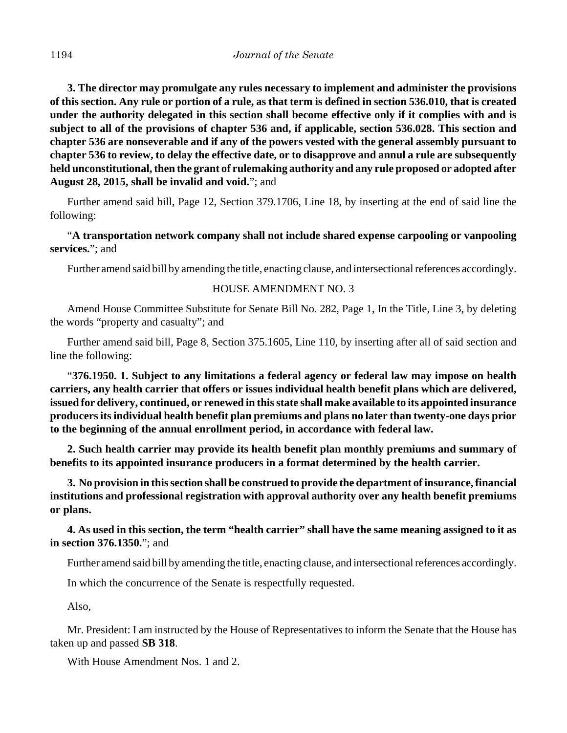**3. The director may promulgate any rules necessary to implement and administer the provisions of this section. Any rule or portion of a rule, as that term is defined in section 536.010, that is created under the authority delegated in this section shall become effective only if it complies with and is subject to all of the provisions of chapter 536 and, if applicable, section 536.028. This section and chapter 536 are nonseverable and if any of the powers vested with the general assembly pursuant to chapter 536 to review, to delay the effective date, or to disapprove and annul a rule are subsequently held unconstitutional, then the grant of rulemaking authority and any rule proposed or adopted after August 28, 2015, shall be invalid and void.**"; and

Further amend said bill, Page 12, Section 379.1706, Line 18, by inserting at the end of said line the following:

"**A transportation network company shall not include shared expense carpooling or vanpooling services.**"; and

Further amend said bill by amending the title, enacting clause, and intersectional references accordingly.

#### HOUSE AMENDMENT NO. 3

Amend House Committee Substitute for Senate Bill No. 282, Page 1, In the Title, Line 3, by deleting the words "property and casualty"; and

Further amend said bill, Page 8, Section 375.1605, Line 110, by inserting after all of said section and line the following:

"**376.1950. 1. Subject to any limitations a federal agency or federal law may impose on health carriers, any health carrier that offers or issues individual health benefit plans which are delivered, issued for delivery, continued, or renewed in this state shall make available to its appointed insurance producers its individual health benefit plan premiums and plans no later than twenty-one days prior to the beginning of the annual enrollment period, in accordance with federal law.**

**2. Such health carrier may provide its health benefit plan monthly premiums and summary of benefits to its appointed insurance producers in a format determined by the health carrier.**

**3. No provision in this section shall be construed to provide the department of insurance, financial institutions and professional registration with approval authority over any health benefit premiums or plans.**

**4. As used in this section, the term "health carrier" shall have the same meaning assigned to it as in section 376.1350.**"; and

Further amend said bill by amending the title, enacting clause, and intersectional references accordingly.

In which the concurrence of the Senate is respectfully requested.

Also,

Mr. President: I am instructed by the House of Representatives to inform the Senate that the House has taken up and passed **SB 318**.

With House Amendment Nos. 1 and 2.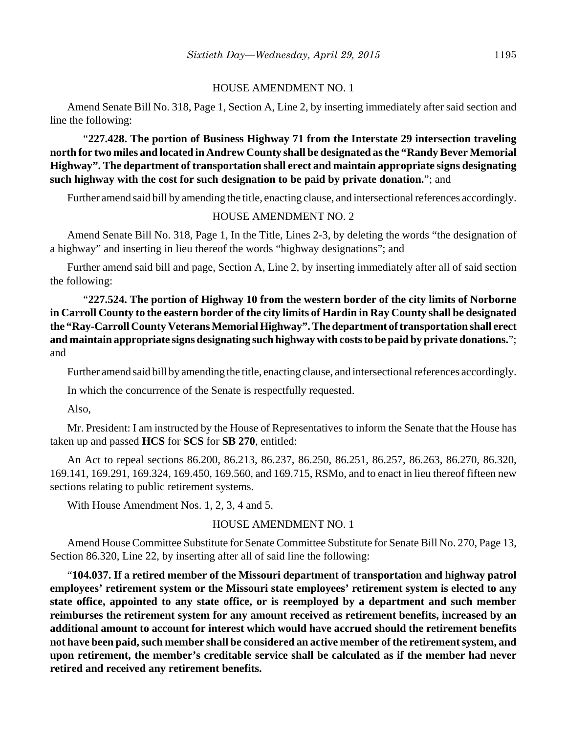#### HOUSE AMENDMENT NO. 1

Amend Senate Bill No. 318, Page 1, Section A, Line 2, by inserting immediately after said section and line the following:

"**227.428. The portion of Business Highway 71 from the Interstate 29 intersection traveling north for two miles and located in Andrew County shall be designated as the "Randy Bever Memorial Highway". The department of transportation shall erect and maintain appropriate signs designating such highway with the cost for such designation to be paid by private donation.**"; and

Further amend said bill by amending the title, enacting clause, and intersectional references accordingly.

#### HOUSE AMENDMENT NO. 2

Amend Senate Bill No. 318, Page 1, In the Title, Lines 2-3, by deleting the words "the designation of a highway" and inserting in lieu thereof the words "highway designations"; and

Further amend said bill and page, Section A, Line 2, by inserting immediately after all of said section the following:

"**227.524. The portion of Highway 10 from the western border of the city limits of Norborne in Carroll County to the eastern border of the city limits of Hardin in Ray County shall be designated the "Ray-Carroll County Veterans Memorial Highway". The department of transportation shall erect and maintain appropriate signs designating such highway with costs to be paid by private donations.**"; and

Further amend said bill by amending the title, enacting clause, and intersectional references accordingly.

In which the concurrence of the Senate is respectfully requested.

Also,

Mr. President: I am instructed by the House of Representatives to inform the Senate that the House has taken up and passed **HCS** for **SCS** for **SB 270**, entitled:

An Act to repeal sections 86.200, 86.213, 86.237, 86.250, 86.251, 86.257, 86.263, 86.270, 86.320, 169.141, 169.291, 169.324, 169.450, 169.560, and 169.715, RSMo, and to enact in lieu thereof fifteen new sections relating to public retirement systems.

With House Amendment Nos. 1, 2, 3, 4 and 5.

#### HOUSE AMENDMENT NO. 1

Amend House Committee Substitute for Senate Committee Substitute for Senate Bill No. 270, Page 13, Section 86.320, Line 22, by inserting after all of said line the following:

"**104.037. If a retired member of the Missouri department of transportation and highway patrol employees' retirement system or the Missouri state employees' retirement system is elected to any state office, appointed to any state office, or is reemployed by a department and such member reimburses the retirement system for any amount received as retirement benefits, increased by an additional amount to account for interest which would have accrued should the retirement benefits not have been paid, such member shall be considered an active member of the retirement system, and upon retirement, the member's creditable service shall be calculated as if the member had never retired and received any retirement benefits.**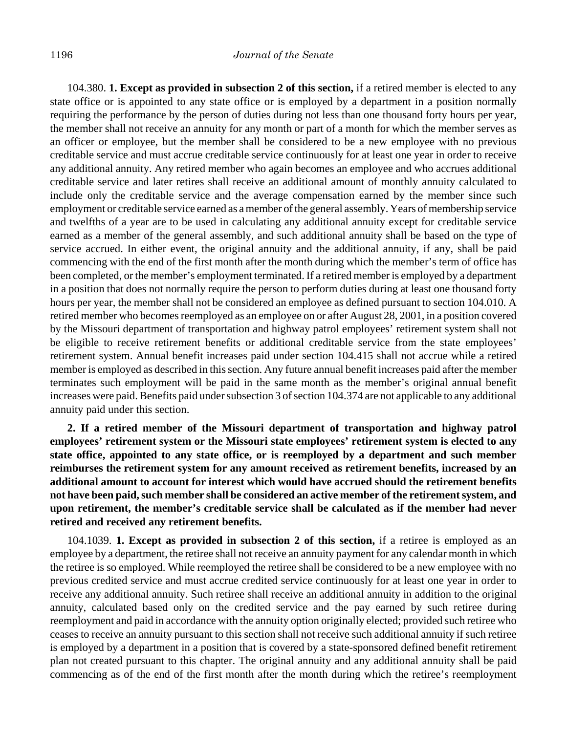#### 1196 *Journal of the Senate*

104.380. **1. Except as provided in subsection 2 of this section,** if a retired member is elected to any state office or is appointed to any state office or is employed by a department in a position normally requiring the performance by the person of duties during not less than one thousand forty hours per year, the member shall not receive an annuity for any month or part of a month for which the member serves as an officer or employee, but the member shall be considered to be a new employee with no previous creditable service and must accrue creditable service continuously for at least one year in order to receive any additional annuity. Any retired member who again becomes an employee and who accrues additional creditable service and later retires shall receive an additional amount of monthly annuity calculated to include only the creditable service and the average compensation earned by the member since such employment or creditable service earned as a member of the general assembly. Years of membership service and twelfths of a year are to be used in calculating any additional annuity except for creditable service earned as a member of the general assembly, and such additional annuity shall be based on the type of service accrued. In either event, the original annuity and the additional annuity, if any, shall be paid commencing with the end of the first month after the month during which the member's term of office has been completed, or the member's employment terminated. If a retired member is employed by a department in a position that does not normally require the person to perform duties during at least one thousand forty hours per year, the member shall not be considered an employee as defined pursuant to section 104.010. A retired member who becomes reemployed as an employee on or after August 28, 2001, in a position covered by the Missouri department of transportation and highway patrol employees' retirement system shall not be eligible to receive retirement benefits or additional creditable service from the state employees' retirement system. Annual benefit increases paid under section 104.415 shall not accrue while a retired member is employed as described in this section. Any future annual benefit increases paid after the member terminates such employment will be paid in the same month as the member's original annual benefit increases were paid. Benefits paid under subsection 3 of section 104.374 are not applicable to any additional annuity paid under this section.

**2. If a retired member of the Missouri department of transportation and highway patrol employees' retirement system or the Missouri state employees' retirement system is elected to any state office, appointed to any state office, or is reemployed by a department and such member reimburses the retirement system for any amount received as retirement benefits, increased by an additional amount to account for interest which would have accrued should the retirement benefits not have been paid, such member shall be considered an active member of the retirement system, and upon retirement, the member's creditable service shall be calculated as if the member had never retired and received any retirement benefits.**

104.1039. **1. Except as provided in subsection 2 of this section,** if a retiree is employed as an employee by a department, the retiree shall not receive an annuity payment for any calendar month in which the retiree is so employed. While reemployed the retiree shall be considered to be a new employee with no previous credited service and must accrue credited service continuously for at least one year in order to receive any additional annuity. Such retiree shall receive an additional annuity in addition to the original annuity, calculated based only on the credited service and the pay earned by such retiree during reemployment and paid in accordance with the annuity option originally elected; provided such retiree who ceases to receive an annuity pursuant to this section shall not receive such additional annuity if such retiree is employed by a department in a position that is covered by a state-sponsored defined benefit retirement plan not created pursuant to this chapter. The original annuity and any additional annuity shall be paid commencing as of the end of the first month after the month during which the retiree's reemployment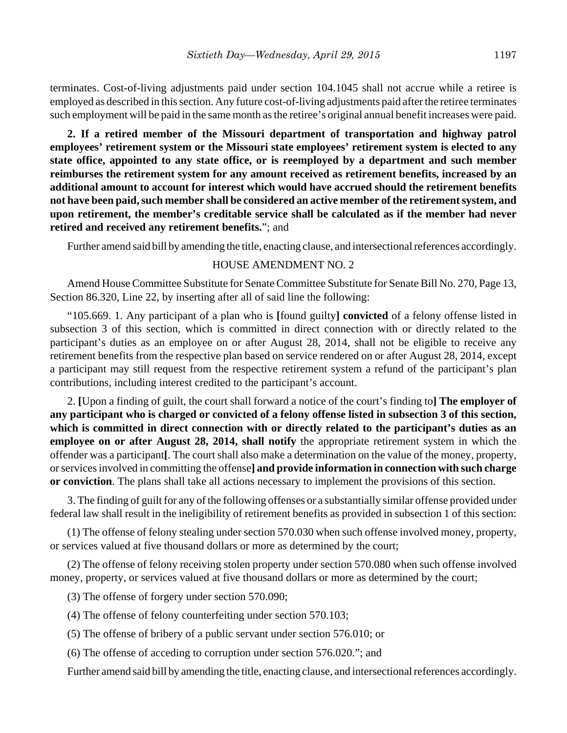terminates. Cost-of-living adjustments paid under section 104.1045 shall not accrue while a retiree is employed as described in this section. Any future cost-of-living adjustments paid after the retiree terminates such employment will be paid in the same month as the retiree's original annual benefit increases were paid.

**2. If a retired member of the Missouri department of transportation and highway patrol employees' retirement system or the Missouri state employees' retirement system is elected to any state office, appointed to any state office, or is reemployed by a department and such member reimburses the retirement system for any amount received as retirement benefits, increased by an additional amount to account for interest which would have accrued should the retirement benefits not have been paid, such member shall be considered an active member of the retirement system, and upon retirement, the member's creditable service shall be calculated as if the member had never retired and received any retirement benefits.**"; and

Further amend said bill by amending the title, enacting clause, and intersectional references accordingly.

# HOUSE AMENDMENT NO. 2

Amend House Committee Substitute for Senate Committee Substitute for Senate Bill No. 270, Page 13, Section 86.320, Line 22, by inserting after all of said line the following:

"105.669. 1. Any participant of a plan who is **[**found guilty**] convicted** of a felony offense listed in subsection 3 of this section, which is committed in direct connection with or directly related to the participant's duties as an employee on or after August 28, 2014, shall not be eligible to receive any retirement benefits from the respective plan based on service rendered on or after August 28, 2014, except a participant may still request from the respective retirement system a refund of the participant's plan contributions, including interest credited to the participant's account.

2. **[**Upon a finding of guilt, the court shall forward a notice of the court's finding to**] The employer of any participant who is charged or convicted of a felony offense listed in subsection 3 of this section, which is committed in direct connection with or directly related to the participant's duties as an employee on or after August 28, 2014, shall notify** the appropriate retirement system in which the offender was a participant**[**. The court shall also make a determination on the value of the money, property, or services involved in committing the offense**] and provide information in connection with such charge or conviction**. The plans shall take all actions necessary to implement the provisions of this section.

3. The finding of guilt for any of the following offenses or a substantially similar offense provided under federal law shall result in the ineligibility of retirement benefits as provided in subsection 1 of this section:

(1) The offense of felony stealing under section 570.030 when such offense involved money, property, or services valued at five thousand dollars or more as determined by the court;

(2) The offense of felony receiving stolen property under section 570.080 when such offense involved money, property, or services valued at five thousand dollars or more as determined by the court;

(3) The offense of forgery under section 570.090;

(4) The offense of felony counterfeiting under section 570.103;

(5) The offense of bribery of a public servant under section 576.010; or

(6) The offense of acceding to corruption under section 576.020."; and

Further amend said bill by amending the title, enacting clause, and intersectional references accordingly.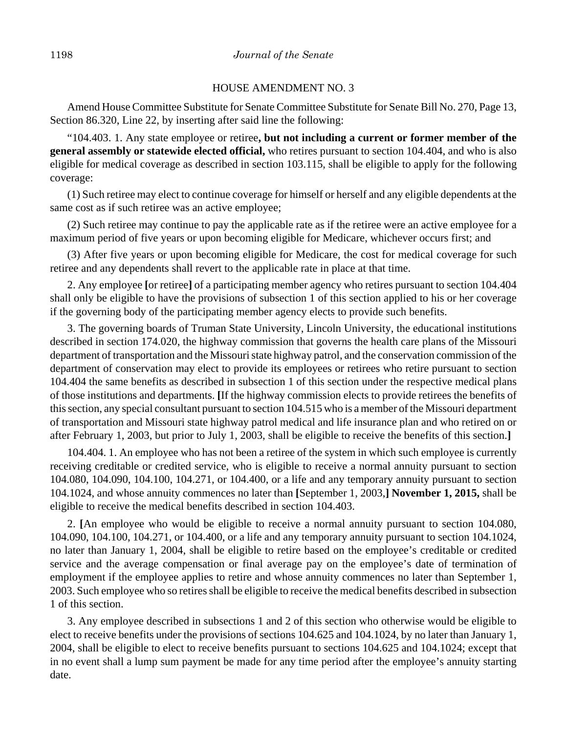#### HOUSE AMENDMENT NO. 3

Amend House Committee Substitute for Senate Committee Substitute for Senate Bill No. 270, Page 13, Section 86.320, Line 22, by inserting after said line the following:

"104.403. 1. Any state employee or retiree**, but not including a current or former member of the general assembly or statewide elected official,** who retires pursuant to section 104.404, and who is also eligible for medical coverage as described in section 103.115, shall be eligible to apply for the following coverage:

(1) Such retiree may elect to continue coverage for himself or herself and any eligible dependents at the same cost as if such retiree was an active employee;

(2) Such retiree may continue to pay the applicable rate as if the retiree were an active employee for a maximum period of five years or upon becoming eligible for Medicare, whichever occurs first; and

(3) After five years or upon becoming eligible for Medicare, the cost for medical coverage for such retiree and any dependents shall revert to the applicable rate in place at that time.

2. Any employee **[**or retiree**]** of a participating member agency who retires pursuant to section 104.404 shall only be eligible to have the provisions of subsection 1 of this section applied to his or her coverage if the governing body of the participating member agency elects to provide such benefits.

3. The governing boards of Truman State University, Lincoln University, the educational institutions described in section 174.020, the highway commission that governs the health care plans of the Missouri department of transportation and the Missouri state highway patrol, and the conservation commission of the department of conservation may elect to provide its employees or retirees who retire pursuant to section 104.404 the same benefits as described in subsection 1 of this section under the respective medical plans of those institutions and departments. **[**If the highway commission elects to provide retirees the benefits of this section, any special consultant pursuant to section 104.515 who is a member of the Missouri department of transportation and Missouri state highway patrol medical and life insurance plan and who retired on or after February 1, 2003, but prior to July 1, 2003, shall be eligible to receive the benefits of this section.**]**

104.404. 1. An employee who has not been a retiree of the system in which such employee is currently receiving creditable or credited service, who is eligible to receive a normal annuity pursuant to section 104.080, 104.090, 104.100, 104.271, or 104.400, or a life and any temporary annuity pursuant to section 104.1024, and whose annuity commences no later than **[**September 1, 2003,**] November 1, 2015,** shall be eligible to receive the medical benefits described in section 104.403.

2. **[**An employee who would be eligible to receive a normal annuity pursuant to section 104.080, 104.090, 104.100, 104.271, or 104.400, or a life and any temporary annuity pursuant to section 104.1024, no later than January 1, 2004, shall be eligible to retire based on the employee's creditable or credited service and the average compensation or final average pay on the employee's date of termination of employment if the employee applies to retire and whose annuity commences no later than September 1, 2003. Such employee who so retires shall be eligible to receive the medical benefits described in subsection 1 of this section.

3. Any employee described in subsections 1 and 2 of this section who otherwise would be eligible to elect to receive benefits under the provisions of sections 104.625 and 104.1024, by no later than January 1, 2004, shall be eligible to elect to receive benefits pursuant to sections 104.625 and 104.1024; except that in no event shall a lump sum payment be made for any time period after the employee's annuity starting date.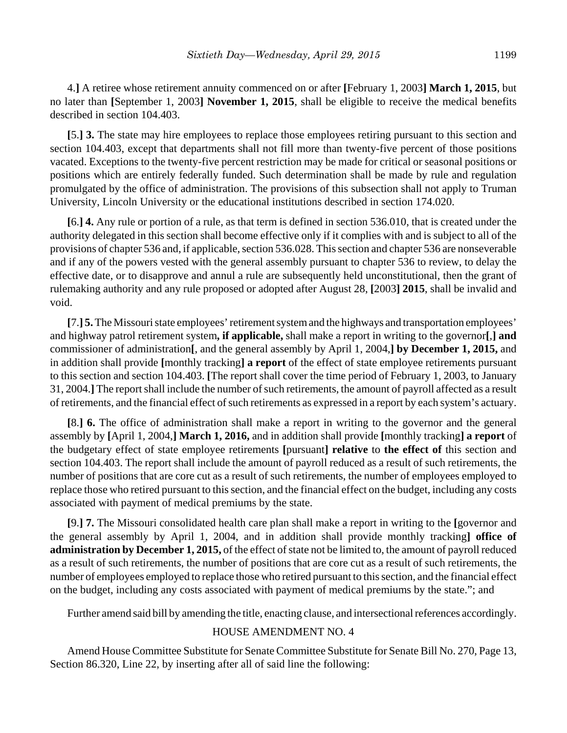4.**]** A retiree whose retirement annuity commenced on or after **[**February 1, 2003**] March 1, 2015**, but no later than **[**September 1, 2003**] November 1, 2015**, shall be eligible to receive the medical benefits described in section 104.403.

**[**5.**] 3.** The state may hire employees to replace those employees retiring pursuant to this section and section 104.403, except that departments shall not fill more than twenty-five percent of those positions vacated. Exceptions to the twenty-five percent restriction may be made for critical or seasonal positions or positions which are entirely federally funded. Such determination shall be made by rule and regulation promulgated by the office of administration. The provisions of this subsection shall not apply to Truman University, Lincoln University or the educational institutions described in section 174.020.

**[**6.**] 4.** Any rule or portion of a rule, as that term is defined in section 536.010, that is created under the authority delegated in this section shall become effective only if it complies with and is subject to all of the provisions of chapter 536 and, if applicable, section 536.028. This section and chapter 536 are nonseverable and if any of the powers vested with the general assembly pursuant to chapter 536 to review, to delay the effective date, or to disapprove and annul a rule are subsequently held unconstitutional, then the grant of rulemaking authority and any rule proposed or adopted after August 28, **[**2003**] 2015**, shall be invalid and void.

**[**7.**] 5.** The Missouri state employees' retirement system and the highways and transportation employees' and highway patrol retirement system**, if applicable,** shall make a report in writing to the governor**[**,**] and** commissioner of administration**[**, and the general assembly by April 1, 2004,**] by December 1, 2015,** and in addition shall provide **[**monthly tracking**] a report** of the effect of state employee retirements pursuant to this section and section 104.403. **[**The report shall cover the time period of February 1, 2003, to January 31, 2004.**]** The report shall include the number of such retirements, the amount of payroll affected as a result of retirements, and the financial effect of such retirements as expressed in a report by each system's actuary.

**[**8.**] 6.** The office of administration shall make a report in writing to the governor and the general assembly by **[**April 1, 2004,**] March 1, 2016,** and in addition shall provide **[**monthly tracking**] a report** of the budgetary effect of state employee retirements **[**pursuant**] relative** to **the effect of** this section and section 104.403. The report shall include the amount of payroll reduced as a result of such retirements, the number of positions that are core cut as a result of such retirements, the number of employees employed to replace those who retired pursuant to this section, and the financial effect on the budget, including any costs associated with payment of medical premiums by the state.

**[**9.**] 7.** The Missouri consolidated health care plan shall make a report in writing to the **[**governor and the general assembly by April 1, 2004, and in addition shall provide monthly tracking**] office of administration by December 1, 2015,** of the effect of state not be limited to, the amount of payroll reduced as a result of such retirements, the number of positions that are core cut as a result of such retirements, the number of employees employed to replace those who retired pursuant to this section, and the financial effect on the budget, including any costs associated with payment of medical premiums by the state."; and

Further amend said bill by amending the title, enacting clause, and intersectional references accordingly.

# HOUSE AMENDMENT NO. 4

Amend House Committee Substitute for Senate Committee Substitute for Senate Bill No. 270, Page 13, Section 86.320, Line 22, by inserting after all of said line the following: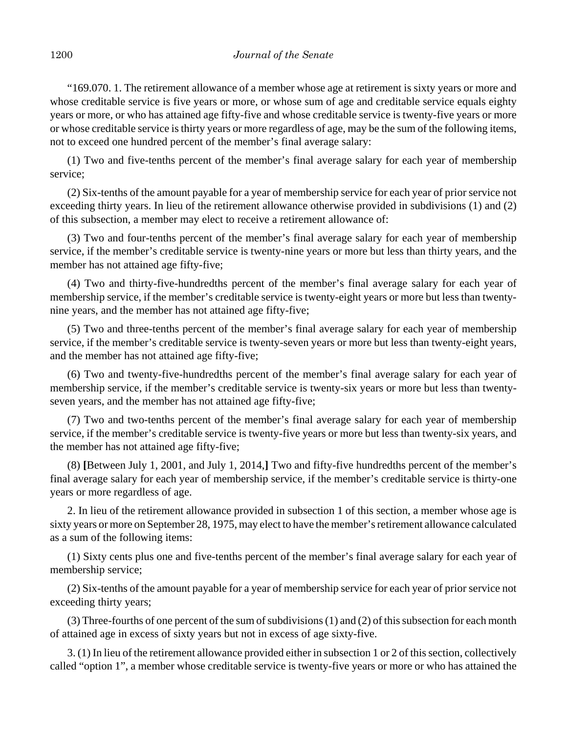"169.070. 1. The retirement allowance of a member whose age at retirement is sixty years or more and whose creditable service is five years or more, or whose sum of age and creditable service equals eighty years or more, or who has attained age fifty-five and whose creditable service is twenty-five years or more or whose creditable service is thirty years or more regardless of age, may be the sum of the following items, not to exceed one hundred percent of the member's final average salary:

(1) Two and five-tenths percent of the member's final average salary for each year of membership service;

(2) Six-tenths of the amount payable for a year of membership service for each year of prior service not exceeding thirty years. In lieu of the retirement allowance otherwise provided in subdivisions (1) and (2) of this subsection, a member may elect to receive a retirement allowance of:

(3) Two and four-tenths percent of the member's final average salary for each year of membership service, if the member's creditable service is twenty-nine years or more but less than thirty years, and the member has not attained age fifty-five;

(4) Two and thirty-five-hundredths percent of the member's final average salary for each year of membership service, if the member's creditable service is twenty-eight years or more but less than twentynine years, and the member has not attained age fifty-five;

(5) Two and three-tenths percent of the member's final average salary for each year of membership service, if the member's creditable service is twenty-seven years or more but less than twenty-eight years, and the member has not attained age fifty-five;

(6) Two and twenty-five-hundredths percent of the member's final average salary for each year of membership service, if the member's creditable service is twenty-six years or more but less than twentyseven years, and the member has not attained age fifty-five;

(7) Two and two-tenths percent of the member's final average salary for each year of membership service, if the member's creditable service is twenty-five years or more but less than twenty-six years, and the member has not attained age fifty-five;

(8) **[**Between July 1, 2001, and July 1, 2014,**]** Two and fifty-five hundredths percent of the member's final average salary for each year of membership service, if the member's creditable service is thirty-one years or more regardless of age.

2. In lieu of the retirement allowance provided in subsection 1 of this section, a member whose age is sixty years or more on September 28, 1975, may elect to have the member's retirement allowance calculated as a sum of the following items:

(1) Sixty cents plus one and five-tenths percent of the member's final average salary for each year of membership service;

(2) Six-tenths of the amount payable for a year of membership service for each year of prior service not exceeding thirty years;

(3) Three-fourths of one percent of the sum of subdivisions (1) and (2) of this subsection for each month of attained age in excess of sixty years but not in excess of age sixty-five.

3. (1) In lieu of the retirement allowance provided either in subsection 1 or 2 of this section, collectively called "option 1", a member whose creditable service is twenty-five years or more or who has attained the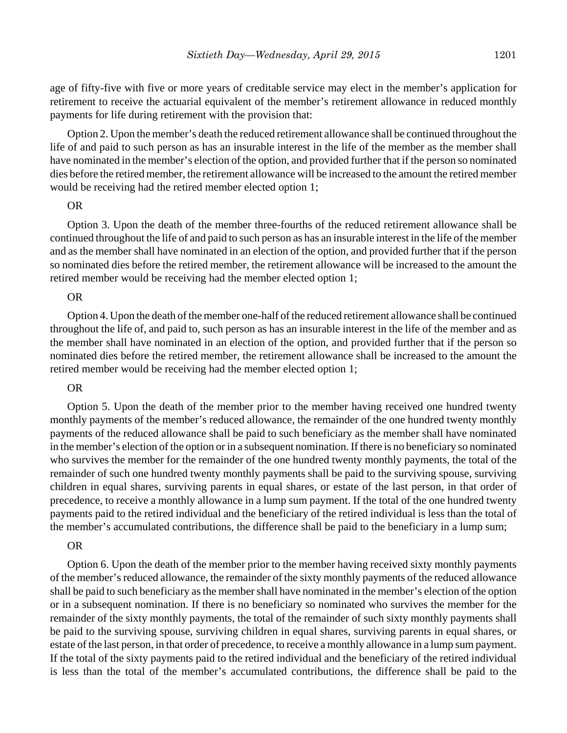age of fifty-five with five or more years of creditable service may elect in the member's application for retirement to receive the actuarial equivalent of the member's retirement allowance in reduced monthly payments for life during retirement with the provision that:

Option 2. Upon the member's death the reduced retirement allowance shall be continued throughout the life of and paid to such person as has an insurable interest in the life of the member as the member shall have nominated in the member's election of the option, and provided further that if the person so nominated dies before the retired member, the retirement allowance will be increased to the amount the retired member would be receiving had the retired member elected option 1;

#### OR

Option 3. Upon the death of the member three-fourths of the reduced retirement allowance shall be continued throughout the life of and paid to such person as has an insurable interest in the life of the member and as the member shall have nominated in an election of the option, and provided further that if the person so nominated dies before the retired member, the retirement allowance will be increased to the amount the retired member would be receiving had the member elected option 1;

#### OR

Option 4. Upon the death of the member one-half of the reduced retirement allowance shall be continued throughout the life of, and paid to, such person as has an insurable interest in the life of the member and as the member shall have nominated in an election of the option, and provided further that if the person so nominated dies before the retired member, the retirement allowance shall be increased to the amount the retired member would be receiving had the member elected option 1;

#### OR

Option 5. Upon the death of the member prior to the member having received one hundred twenty monthly payments of the member's reduced allowance, the remainder of the one hundred twenty monthly payments of the reduced allowance shall be paid to such beneficiary as the member shall have nominated in the member's election of the option or in a subsequent nomination. If there is no beneficiary so nominated who survives the member for the remainder of the one hundred twenty monthly payments, the total of the remainder of such one hundred twenty monthly payments shall be paid to the surviving spouse, surviving children in equal shares, surviving parents in equal shares, or estate of the last person, in that order of precedence, to receive a monthly allowance in a lump sum payment. If the total of the one hundred twenty payments paid to the retired individual and the beneficiary of the retired individual is less than the total of the member's accumulated contributions, the difference shall be paid to the beneficiary in a lump sum;

#### OR

Option 6. Upon the death of the member prior to the member having received sixty monthly payments of the member's reduced allowance, the remainder of the sixty monthly payments of the reduced allowance shall be paid to such beneficiary as the member shall have nominated in the member's election of the option or in a subsequent nomination. If there is no beneficiary so nominated who survives the member for the remainder of the sixty monthly payments, the total of the remainder of such sixty monthly payments shall be paid to the surviving spouse, surviving children in equal shares, surviving parents in equal shares, or estate of the last person, in that order of precedence, to receive a monthly allowance in a lump sum payment. If the total of the sixty payments paid to the retired individual and the beneficiary of the retired individual is less than the total of the member's accumulated contributions, the difference shall be paid to the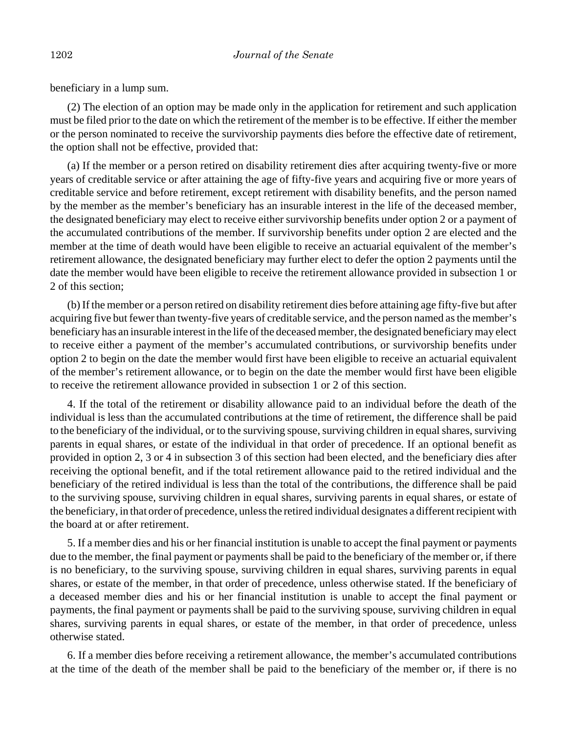beneficiary in a lump sum.

(2) The election of an option may be made only in the application for retirement and such application must be filed prior to the date on which the retirement of the member is to be effective. If either the member or the person nominated to receive the survivorship payments dies before the effective date of retirement, the option shall not be effective, provided that:

(a) If the member or a person retired on disability retirement dies after acquiring twenty-five or more years of creditable service or after attaining the age of fifty-five years and acquiring five or more years of creditable service and before retirement, except retirement with disability benefits, and the person named by the member as the member's beneficiary has an insurable interest in the life of the deceased member, the designated beneficiary may elect to receive either survivorship benefits under option 2 or a payment of the accumulated contributions of the member. If survivorship benefits under option 2 are elected and the member at the time of death would have been eligible to receive an actuarial equivalent of the member's retirement allowance, the designated beneficiary may further elect to defer the option 2 payments until the date the member would have been eligible to receive the retirement allowance provided in subsection 1 or 2 of this section;

(b) If the member or a person retired on disability retirement dies before attaining age fifty-five but after acquiring five but fewer than twenty-five years of creditable service, and the person named as the member's beneficiary has an insurable interest in the life of the deceased member, the designated beneficiary may elect to receive either a payment of the member's accumulated contributions, or survivorship benefits under option 2 to begin on the date the member would first have been eligible to receive an actuarial equivalent of the member's retirement allowance, or to begin on the date the member would first have been eligible to receive the retirement allowance provided in subsection 1 or 2 of this section.

4. If the total of the retirement or disability allowance paid to an individual before the death of the individual is less than the accumulated contributions at the time of retirement, the difference shall be paid to the beneficiary of the individual, or to the surviving spouse, surviving children in equal shares, surviving parents in equal shares, or estate of the individual in that order of precedence. If an optional benefit as provided in option 2, 3 or 4 in subsection 3 of this section had been elected, and the beneficiary dies after receiving the optional benefit, and if the total retirement allowance paid to the retired individual and the beneficiary of the retired individual is less than the total of the contributions, the difference shall be paid to the surviving spouse, surviving children in equal shares, surviving parents in equal shares, or estate of the beneficiary, in that order of precedence, unless the retired individual designates a different recipient with the board at or after retirement.

5. If a member dies and his or her financial institution is unable to accept the final payment or payments due to the member, the final payment or payments shall be paid to the beneficiary of the member or, if there is no beneficiary, to the surviving spouse, surviving children in equal shares, surviving parents in equal shares, or estate of the member, in that order of precedence, unless otherwise stated. If the beneficiary of a deceased member dies and his or her financial institution is unable to accept the final payment or payments, the final payment or payments shall be paid to the surviving spouse, surviving children in equal shares, surviving parents in equal shares, or estate of the member, in that order of precedence, unless otherwise stated.

6. If a member dies before receiving a retirement allowance, the member's accumulated contributions at the time of the death of the member shall be paid to the beneficiary of the member or, if there is no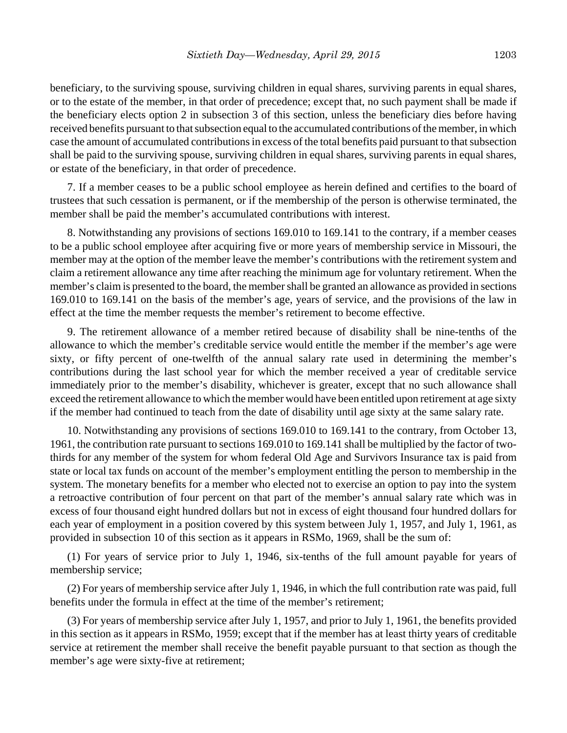beneficiary, to the surviving spouse, surviving children in equal shares, surviving parents in equal shares, or to the estate of the member, in that order of precedence; except that, no such payment shall be made if the beneficiary elects option 2 in subsection 3 of this section, unless the beneficiary dies before having received benefits pursuant to that subsection equal to the accumulated contributions of the member, in which case the amount of accumulated contributions in excess of the total benefits paid pursuant to that subsection shall be paid to the surviving spouse, surviving children in equal shares, surviving parents in equal shares, or estate of the beneficiary, in that order of precedence.

7. If a member ceases to be a public school employee as herein defined and certifies to the board of trustees that such cessation is permanent, or if the membership of the person is otherwise terminated, the member shall be paid the member's accumulated contributions with interest.

8. Notwithstanding any provisions of sections 169.010 to 169.141 to the contrary, if a member ceases to be a public school employee after acquiring five or more years of membership service in Missouri, the member may at the option of the member leave the member's contributions with the retirement system and claim a retirement allowance any time after reaching the minimum age for voluntary retirement. When the member's claim is presented to the board, the member shall be granted an allowance as provided in sections 169.010 to 169.141 on the basis of the member's age, years of service, and the provisions of the law in effect at the time the member requests the member's retirement to become effective.

9. The retirement allowance of a member retired because of disability shall be nine-tenths of the allowance to which the member's creditable service would entitle the member if the member's age were sixty, or fifty percent of one-twelfth of the annual salary rate used in determining the member's contributions during the last school year for which the member received a year of creditable service immediately prior to the member's disability, whichever is greater, except that no such allowance shall exceed the retirement allowance to which the member would have been entitled upon retirement at age sixty if the member had continued to teach from the date of disability until age sixty at the same salary rate.

10. Notwithstanding any provisions of sections 169.010 to 169.141 to the contrary, from October 13, 1961, the contribution rate pursuant to sections 169.010 to 169.141 shall be multiplied by the factor of twothirds for any member of the system for whom federal Old Age and Survivors Insurance tax is paid from state or local tax funds on account of the member's employment entitling the person to membership in the system. The monetary benefits for a member who elected not to exercise an option to pay into the system a retroactive contribution of four percent on that part of the member's annual salary rate which was in excess of four thousand eight hundred dollars but not in excess of eight thousand four hundred dollars for each year of employment in a position covered by this system between July 1, 1957, and July 1, 1961, as provided in subsection 10 of this section as it appears in RSMo, 1969, shall be the sum of:

(1) For years of service prior to July 1, 1946, six-tenths of the full amount payable for years of membership service;

(2) For years of membership service after July 1, 1946, in which the full contribution rate was paid, full benefits under the formula in effect at the time of the member's retirement;

(3) For years of membership service after July 1, 1957, and prior to July 1, 1961, the benefits provided in this section as it appears in RSMo, 1959; except that if the member has at least thirty years of creditable service at retirement the member shall receive the benefit payable pursuant to that section as though the member's age were sixty-five at retirement;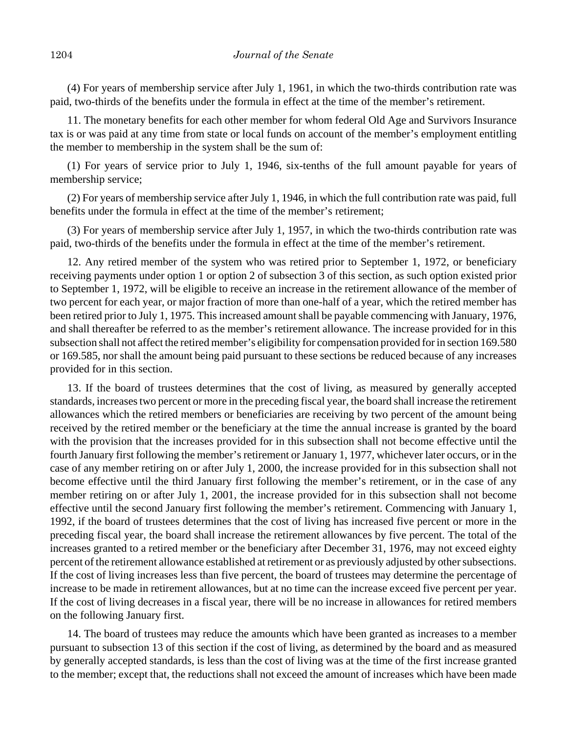(4) For years of membership service after July 1, 1961, in which the two-thirds contribution rate was paid, two-thirds of the benefits under the formula in effect at the time of the member's retirement.

11. The monetary benefits for each other member for whom federal Old Age and Survivors Insurance tax is or was paid at any time from state or local funds on account of the member's employment entitling the member to membership in the system shall be the sum of:

(1) For years of service prior to July 1, 1946, six-tenths of the full amount payable for years of membership service;

(2) For years of membership service after July 1, 1946, in which the full contribution rate was paid, full benefits under the formula in effect at the time of the member's retirement;

(3) For years of membership service after July 1, 1957, in which the two-thirds contribution rate was paid, two-thirds of the benefits under the formula in effect at the time of the member's retirement.

12. Any retired member of the system who was retired prior to September 1, 1972, or beneficiary receiving payments under option 1 or option 2 of subsection 3 of this section, as such option existed prior to September 1, 1972, will be eligible to receive an increase in the retirement allowance of the member of two percent for each year, or major fraction of more than one-half of a year, which the retired member has been retired prior to July 1, 1975. This increased amount shall be payable commencing with January, 1976, and shall thereafter be referred to as the member's retirement allowance. The increase provided for in this subsection shall not affect the retired member's eligibility for compensation provided for in section 169.580 or 169.585, nor shall the amount being paid pursuant to these sections be reduced because of any increases provided for in this section.

13. If the board of trustees determines that the cost of living, as measured by generally accepted standards, increases two percent or more in the preceding fiscal year, the board shall increase the retirement allowances which the retired members or beneficiaries are receiving by two percent of the amount being received by the retired member or the beneficiary at the time the annual increase is granted by the board with the provision that the increases provided for in this subsection shall not become effective until the fourth January first following the member's retirement or January 1, 1977, whichever later occurs, or in the case of any member retiring on or after July 1, 2000, the increase provided for in this subsection shall not become effective until the third January first following the member's retirement, or in the case of any member retiring on or after July 1, 2001, the increase provided for in this subsection shall not become effective until the second January first following the member's retirement. Commencing with January 1, 1992, if the board of trustees determines that the cost of living has increased five percent or more in the preceding fiscal year, the board shall increase the retirement allowances by five percent. The total of the increases granted to a retired member or the beneficiary after December 31, 1976, may not exceed eighty percent of the retirement allowance established at retirement or as previously adjusted by other subsections. If the cost of living increases less than five percent, the board of trustees may determine the percentage of increase to be made in retirement allowances, but at no time can the increase exceed five percent per year. If the cost of living decreases in a fiscal year, there will be no increase in allowances for retired members on the following January first.

14. The board of trustees may reduce the amounts which have been granted as increases to a member pursuant to subsection 13 of this section if the cost of living, as determined by the board and as measured by generally accepted standards, is less than the cost of living was at the time of the first increase granted to the member; except that, the reductions shall not exceed the amount of increases which have been made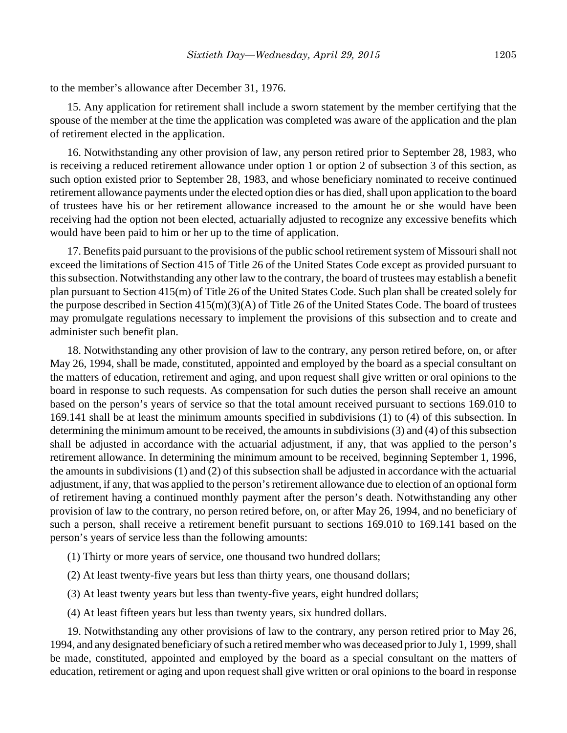to the member's allowance after December 31, 1976.

15. Any application for retirement shall include a sworn statement by the member certifying that the spouse of the member at the time the application was completed was aware of the application and the plan of retirement elected in the application.

16. Notwithstanding any other provision of law, any person retired prior to September 28, 1983, who is receiving a reduced retirement allowance under option 1 or option 2 of subsection 3 of this section, as such option existed prior to September 28, 1983, and whose beneficiary nominated to receive continued retirement allowance payments under the elected option dies or has died, shall upon application to the board of trustees have his or her retirement allowance increased to the amount he or she would have been receiving had the option not been elected, actuarially adjusted to recognize any excessive benefits which would have been paid to him or her up to the time of application.

17. Benefits paid pursuant to the provisions of the public school retirement system of Missouri shall not exceed the limitations of Section 415 of Title 26 of the United States Code except as provided pursuant to this subsection. Notwithstanding any other law to the contrary, the board of trustees may establish a benefit plan pursuant to Section 415(m) of Title 26 of the United States Code. Such plan shall be created solely for the purpose described in Section 415(m)(3)(A) of Title 26 of the United States Code. The board of trustees may promulgate regulations necessary to implement the provisions of this subsection and to create and administer such benefit plan.

18. Notwithstanding any other provision of law to the contrary, any person retired before, on, or after May 26, 1994, shall be made, constituted, appointed and employed by the board as a special consultant on the matters of education, retirement and aging, and upon request shall give written or oral opinions to the board in response to such requests. As compensation for such duties the person shall receive an amount based on the person's years of service so that the total amount received pursuant to sections 169.010 to 169.141 shall be at least the minimum amounts specified in subdivisions (1) to (4) of this subsection. In determining the minimum amount to be received, the amounts in subdivisions (3) and (4) of this subsection shall be adjusted in accordance with the actuarial adjustment, if any, that was applied to the person's retirement allowance. In determining the minimum amount to be received, beginning September 1, 1996, the amounts in subdivisions (1) and (2) of this subsection shall be adjusted in accordance with the actuarial adjustment, if any, that was applied to the person's retirement allowance due to election of an optional form of retirement having a continued monthly payment after the person's death. Notwithstanding any other provision of law to the contrary, no person retired before, on, or after May 26, 1994, and no beneficiary of such a person, shall receive a retirement benefit pursuant to sections 169.010 to 169.141 based on the person's years of service less than the following amounts:

(1) Thirty or more years of service, one thousand two hundred dollars;

- (2) At least twenty-five years but less than thirty years, one thousand dollars;
- (3) At least twenty years but less than twenty-five years, eight hundred dollars;
- (4) At least fifteen years but less than twenty years, six hundred dollars.

19. Notwithstanding any other provisions of law to the contrary, any person retired prior to May 26, 1994, and any designated beneficiary of such a retired member who was deceased prior to July 1, 1999, shall be made, constituted, appointed and employed by the board as a special consultant on the matters of education, retirement or aging and upon request shall give written or oral opinions to the board in response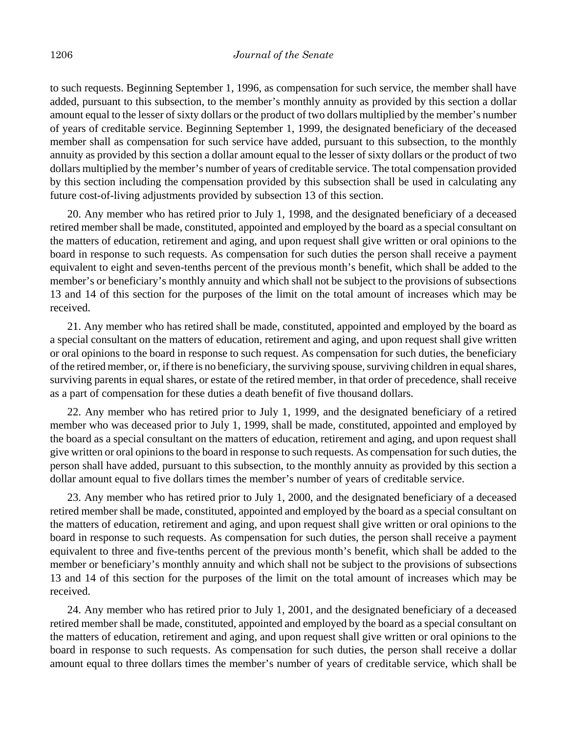to such requests. Beginning September 1, 1996, as compensation for such service, the member shall have added, pursuant to this subsection, to the member's monthly annuity as provided by this section a dollar amount equal to the lesser of sixty dollars or the product of two dollars multiplied by the member's number of years of creditable service. Beginning September 1, 1999, the designated beneficiary of the deceased member shall as compensation for such service have added, pursuant to this subsection, to the monthly annuity as provided by this section a dollar amount equal to the lesser of sixty dollars or the product of two dollars multiplied by the member's number of years of creditable service. The total compensation provided by this section including the compensation provided by this subsection shall be used in calculating any future cost-of-living adjustments provided by subsection 13 of this section.

20. Any member who has retired prior to July 1, 1998, and the designated beneficiary of a deceased retired member shall be made, constituted, appointed and employed by the board as a special consultant on the matters of education, retirement and aging, and upon request shall give written or oral opinions to the board in response to such requests. As compensation for such duties the person shall receive a payment equivalent to eight and seven-tenths percent of the previous month's benefit, which shall be added to the member's or beneficiary's monthly annuity and which shall not be subject to the provisions of subsections 13 and 14 of this section for the purposes of the limit on the total amount of increases which may be received.

21. Any member who has retired shall be made, constituted, appointed and employed by the board as a special consultant on the matters of education, retirement and aging, and upon request shall give written or oral opinions to the board in response to such request. As compensation for such duties, the beneficiary of the retired member, or, if there is no beneficiary, the surviving spouse, surviving children in equal shares, surviving parents in equal shares, or estate of the retired member, in that order of precedence, shall receive as a part of compensation for these duties a death benefit of five thousand dollars.

22. Any member who has retired prior to July 1, 1999, and the designated beneficiary of a retired member who was deceased prior to July 1, 1999, shall be made, constituted, appointed and employed by the board as a special consultant on the matters of education, retirement and aging, and upon request shall give written or oral opinions to the board in response to such requests. As compensation for such duties, the person shall have added, pursuant to this subsection, to the monthly annuity as provided by this section a dollar amount equal to five dollars times the member's number of years of creditable service.

23. Any member who has retired prior to July 1, 2000, and the designated beneficiary of a deceased retired member shall be made, constituted, appointed and employed by the board as a special consultant on the matters of education, retirement and aging, and upon request shall give written or oral opinions to the board in response to such requests. As compensation for such duties, the person shall receive a payment equivalent to three and five-tenths percent of the previous month's benefit, which shall be added to the member or beneficiary's monthly annuity and which shall not be subject to the provisions of subsections 13 and 14 of this section for the purposes of the limit on the total amount of increases which may be received.

24. Any member who has retired prior to July 1, 2001, and the designated beneficiary of a deceased retired member shall be made, constituted, appointed and employed by the board as a special consultant on the matters of education, retirement and aging, and upon request shall give written or oral opinions to the board in response to such requests. As compensation for such duties, the person shall receive a dollar amount equal to three dollars times the member's number of years of creditable service, which shall be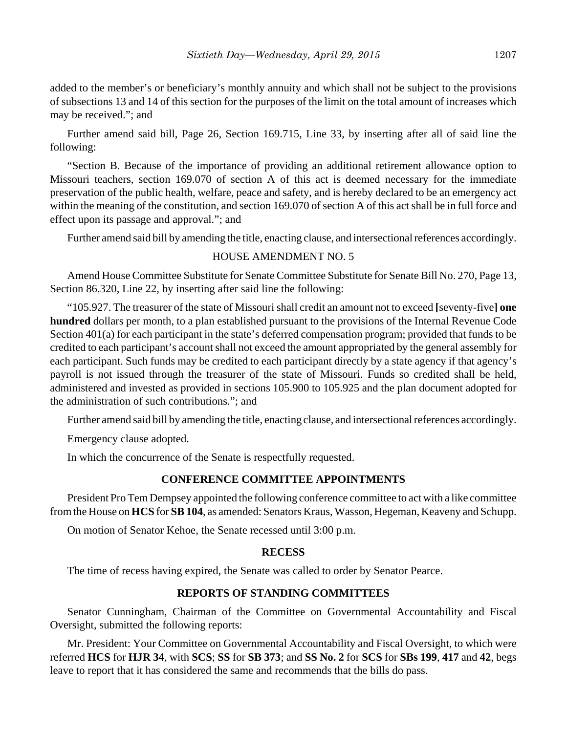added to the member's or beneficiary's monthly annuity and which shall not be subject to the provisions of subsections 13 and 14 of this section for the purposes of the limit on the total amount of increases which may be received."; and

Further amend said bill, Page 26, Section 169.715, Line 33, by inserting after all of said line the following:

"Section B. Because of the importance of providing an additional retirement allowance option to Missouri teachers, section 169.070 of section A of this act is deemed necessary for the immediate preservation of the public health, welfare, peace and safety, and is hereby declared to be an emergency act within the meaning of the constitution, and section 169.070 of section A of this act shall be in full force and effect upon its passage and approval."; and

Further amend said bill by amending the title, enacting clause, and intersectional references accordingly.

### HOUSE AMENDMENT NO. 5

Amend House Committee Substitute for Senate Committee Substitute for Senate Bill No. 270, Page 13, Section 86.320, Line 22, by inserting after said line the following:

"105.927. The treasurer of the state of Missouri shall credit an amount not to exceed **[**seventy-five**] one hundred** dollars per month, to a plan established pursuant to the provisions of the Internal Revenue Code Section 401(a) for each participant in the state's deferred compensation program; provided that funds to be credited to each participant's account shall not exceed the amount appropriated by the general assembly for each participant. Such funds may be credited to each participant directly by a state agency if that agency's payroll is not issued through the treasurer of the state of Missouri. Funds so credited shall be held, administered and invested as provided in sections 105.900 to 105.925 and the plan document adopted for the administration of such contributions."; and

Further amend said bill by amending the title, enacting clause, and intersectional references accordingly.

Emergency clause adopted.

In which the concurrence of the Senate is respectfully requested.

## **CONFERENCE COMMITTEE APPOINTMENTS**

President Pro Tem Dempsey appointed the following conference committee to act with a like committee from the House on **HCS** for **SB 104**, as amended: Senators Kraus, Wasson, Hegeman, Keaveny and Schupp.

On motion of Senator Kehoe, the Senate recessed until 3:00 p.m.

#### **RECESS**

The time of recess having expired, the Senate was called to order by Senator Pearce.

### **REPORTS OF STANDING COMMITTEES**

Senator Cunningham, Chairman of the Committee on Governmental Accountability and Fiscal Oversight, submitted the following reports:

Mr. President: Your Committee on Governmental Accountability and Fiscal Oversight, to which were referred **HCS** for **HJR 34**, with **SCS**; **SS** for **SB 373**; and **SS No. 2** for **SCS** for **SBs 199**, **417** and **42**, begs leave to report that it has considered the same and recommends that the bills do pass.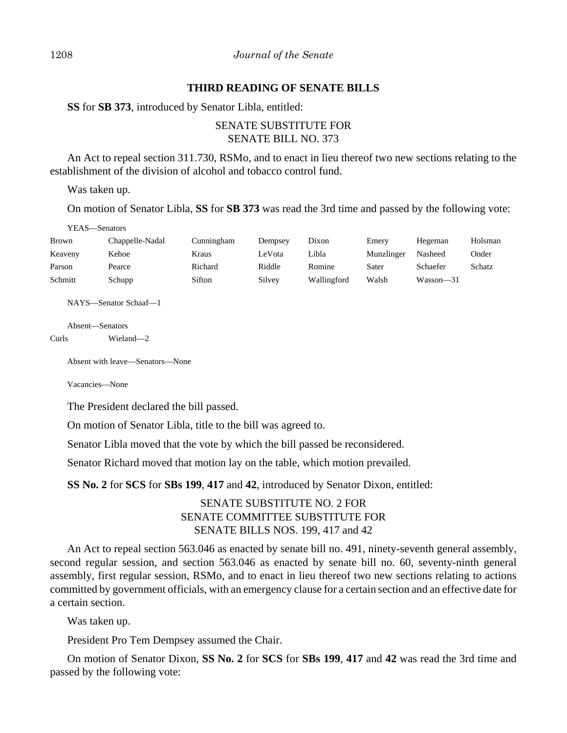### **THIRD READING OF SENATE BILLS**

**SS** for **SB 373**, introduced by Senator Libla, entitled:

# SENATE SUBSTITUTE FOR SENATE BILL NO. 373

An Act to repeal section 311.730, RSMo, and to enact in lieu thereof two new sections relating to the establishment of the division of alcohol and tobacco control fund.

Was taken up.

On motion of Senator Libla, **SS** for **SB 373** was read the 3rd time and passed by the following vote:

YEAS—Senators

| Brown   | Chappelle-Nadal | Cunningham | Dempsey | Dixon       | Emery      | Hegeman       | Holsman |
|---------|-----------------|------------|---------|-------------|------------|---------------|---------|
| Keaveny | Kehoe           | Kraus      | LeVota  | Libla       | Munzlinger | Nasheed       | Onder   |
| Parson  | Pearce          | Richard    | Riddle  | Romine      | Sater      | Schaefer      | Schatz  |
| Schmitt | Schupp          | Sifton     | Silvey  | Wallingford | Walsh      | $Wasson - 31$ |         |

NAYS—Senator Schaaf—1

Absent—Senators Curls Wieland—2

Absent with leave—Senators—None

Vacancies—None

The President declared the bill passed.

On motion of Senator Libla, title to the bill was agreed to.

Senator Libla moved that the vote by which the bill passed be reconsidered.

Senator Richard moved that motion lay on the table, which motion prevailed.

**SS No. 2** for **SCS** for **SBs 199**, **417** and **42**, introduced by Senator Dixon, entitled:

SENATE SUBSTITUTE NO. 2 FOR SENATE COMMITTEE SUBSTITUTE FOR SENATE BILLS NOS. 199, 417 and 42

An Act to repeal section 563.046 as enacted by senate bill no. 491, ninety-seventh general assembly, second regular session, and section 563.046 as enacted by senate bill no. 60, seventy-ninth general assembly, first regular session, RSMo, and to enact in lieu thereof two new sections relating to actions committed by government officials, with an emergency clause for a certain section and an effective date for a certain section.

Was taken up.

President Pro Tem Dempsey assumed the Chair.

On motion of Senator Dixon, **SS No. 2** for **SCS** for **SBs 199**, **417** and **42** was read the 3rd time and passed by the following vote: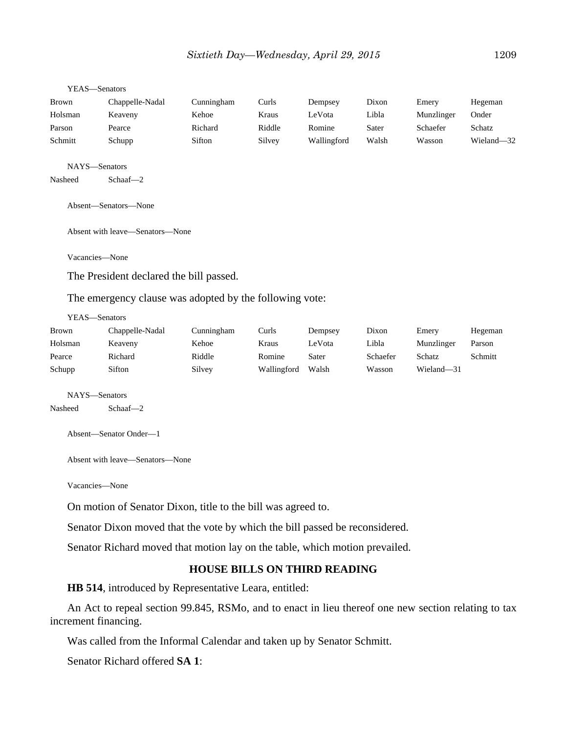| YEAS-Senators                            |                 |            |        |             |       |            |            |  |
|------------------------------------------|-----------------|------------|--------|-------------|-------|------------|------------|--|
| Brown                                    | Chappelle-Nadal | Cunningham | Curls  | Dempsey     | Dixon | Emery      | Hegeman    |  |
| Holsman                                  | Keaveny         | Kehoe      | Kraus  | LeVota      | Libla | Munzlinger | Onder      |  |
| Parson                                   | Pearce          | Richard    | Riddle | Romine      | Sater | Schaefer   | Schatz     |  |
| Schmitt                                  | Schupp          | Sifton     | Silvey | Wallingford | Walsh | Wasson     | Wieland-32 |  |
| NAYS-Senators<br>$Schaaf - 2$<br>Nasheed |                 |            |        |             |       |            |            |  |
| Absent—Senators—None                     |                 |            |        |             |       |            |            |  |

Absent with leave—Senators—None

Vacancies—None

The President declared the bill passed.

The emergency clause was adopted by the following vote:

YEAS—Senators

| Brown   | Chappelle-Nadal | Cunningham | Curls       | Dempsey | Dixon    | Emery      | Hegeman |
|---------|-----------------|------------|-------------|---------|----------|------------|---------|
| Holsman | Keaveny         | Kehoe      | Kraus       | LeVota  | Libla    | Munzlinger | Parson  |
| Pearce  | Richard         | Riddle     | Romine      | Sater   | Schaefer | Schatz     | Schmitt |
| Schupp  | Sifton          | Silvey     | Wallingford | Walsh   | Wasson   | Wieland—31 |         |

NAYS—Senators Nasheed Schaaf—2

Absent—Senator Onder—1

Absent with leave—Senators—None

Vacancies—None

On motion of Senator Dixon, title to the bill was agreed to.

Senator Dixon moved that the vote by which the bill passed be reconsidered.

Senator Richard moved that motion lay on the table, which motion prevailed.

### **HOUSE BILLS ON THIRD READING**

**HB 514**, introduced by Representative Leara, entitled:

An Act to repeal section 99.845, RSMo, and to enact in lieu thereof one new section relating to tax increment financing.

Was called from the Informal Calendar and taken up by Senator Schmitt.

Senator Richard offered **SA 1**: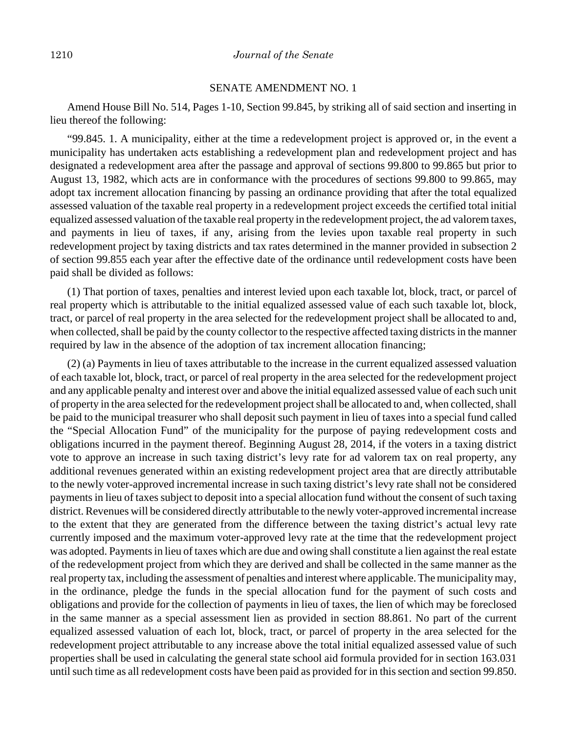#### 1210 *Journal of the Senate*

#### SENATE AMENDMENT NO. 1

Amend House Bill No. 514, Pages 1-10, Section 99.845, by striking all of said section and inserting in lieu thereof the following:

"99.845. 1. A municipality, either at the time a redevelopment project is approved or, in the event a municipality has undertaken acts establishing a redevelopment plan and redevelopment project and has designated a redevelopment area after the passage and approval of sections 99.800 to 99.865 but prior to August 13, 1982, which acts are in conformance with the procedures of sections 99.800 to 99.865, may adopt tax increment allocation financing by passing an ordinance providing that after the total equalized assessed valuation of the taxable real property in a redevelopment project exceeds the certified total initial equalized assessed valuation of the taxable real property in the redevelopment project, the ad valorem taxes, and payments in lieu of taxes, if any, arising from the levies upon taxable real property in such redevelopment project by taxing districts and tax rates determined in the manner provided in subsection 2 of section 99.855 each year after the effective date of the ordinance until redevelopment costs have been paid shall be divided as follows:

(1) That portion of taxes, penalties and interest levied upon each taxable lot, block, tract, or parcel of real property which is attributable to the initial equalized assessed value of each such taxable lot, block, tract, or parcel of real property in the area selected for the redevelopment project shall be allocated to and, when collected, shall be paid by the county collector to the respective affected taxing districts in the manner required by law in the absence of the adoption of tax increment allocation financing;

(2) (a) Payments in lieu of taxes attributable to the increase in the current equalized assessed valuation of each taxable lot, block, tract, or parcel of real property in the area selected for the redevelopment project and any applicable penalty and interest over and above the initial equalized assessed value of each such unit of property in the area selected for the redevelopment project shall be allocated to and, when collected, shall be paid to the municipal treasurer who shall deposit such payment in lieu of taxes into a special fund called the "Special Allocation Fund" of the municipality for the purpose of paying redevelopment costs and obligations incurred in the payment thereof. Beginning August 28, 2014, if the voters in a taxing district vote to approve an increase in such taxing district's levy rate for ad valorem tax on real property, any additional revenues generated within an existing redevelopment project area that are directly attributable to the newly voter-approved incremental increase in such taxing district's levy rate shall not be considered payments in lieu of taxes subject to deposit into a special allocation fund without the consent of such taxing district. Revenues will be considered directly attributable to the newly voter-approved incremental increase to the extent that they are generated from the difference between the taxing district's actual levy rate currently imposed and the maximum voter-approved levy rate at the time that the redevelopment project was adopted. Payments in lieu of taxes which are due and owing shall constitute a lien against the real estate of the redevelopment project from which they are derived and shall be collected in the same manner as the real property tax, including the assessment of penalties and interest where applicable. The municipality may, in the ordinance, pledge the funds in the special allocation fund for the payment of such costs and obligations and provide for the collection of payments in lieu of taxes, the lien of which may be foreclosed in the same manner as a special assessment lien as provided in section 88.861. No part of the current equalized assessed valuation of each lot, block, tract, or parcel of property in the area selected for the redevelopment project attributable to any increase above the total initial equalized assessed value of such properties shall be used in calculating the general state school aid formula provided for in section 163.031 until such time as all redevelopment costs have been paid as provided for in this section and section 99.850.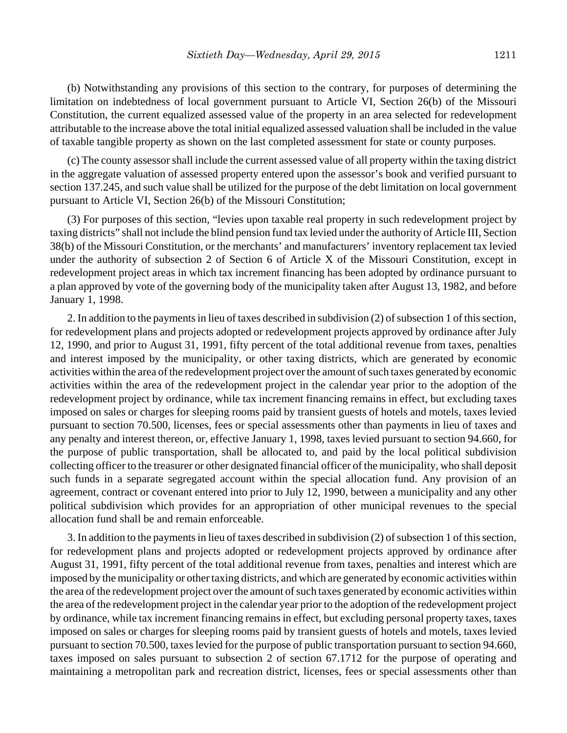(b) Notwithstanding any provisions of this section to the contrary, for purposes of determining the limitation on indebtedness of local government pursuant to Article VI, Section 26(b) of the Missouri Constitution, the current equalized assessed value of the property in an area selected for redevelopment attributable to the increase above the total initial equalized assessed valuation shall be included in the value of taxable tangible property as shown on the last completed assessment for state or county purposes.

(c) The county assessor shall include the current assessed value of all property within the taxing district in the aggregate valuation of assessed property entered upon the assessor's book and verified pursuant to section 137.245, and such value shall be utilized for the purpose of the debt limitation on local government pursuant to Article VI, Section 26(b) of the Missouri Constitution;

(3) For purposes of this section, "levies upon taxable real property in such redevelopment project by taxing districts" shall not include the blind pension fund tax levied under the authority of Article III, Section 38(b) of the Missouri Constitution, or the merchants' and manufacturers' inventory replacement tax levied under the authority of subsection 2 of Section 6 of Article X of the Missouri Constitution, except in redevelopment project areas in which tax increment financing has been adopted by ordinance pursuant to a plan approved by vote of the governing body of the municipality taken after August 13, 1982, and before January 1, 1998.

2. In addition to the payments in lieu of taxes described in subdivision (2) of subsection 1 of this section, for redevelopment plans and projects adopted or redevelopment projects approved by ordinance after July 12, 1990, and prior to August 31, 1991, fifty percent of the total additional revenue from taxes, penalties and interest imposed by the municipality, or other taxing districts, which are generated by economic activities within the area of the redevelopment project over the amount of such taxes generated by economic activities within the area of the redevelopment project in the calendar year prior to the adoption of the redevelopment project by ordinance, while tax increment financing remains in effect, but excluding taxes imposed on sales or charges for sleeping rooms paid by transient guests of hotels and motels, taxes levied pursuant to section 70.500, licenses, fees or special assessments other than payments in lieu of taxes and any penalty and interest thereon, or, effective January 1, 1998, taxes levied pursuant to section 94.660, for the purpose of public transportation, shall be allocated to, and paid by the local political subdivision collecting officer to the treasurer or other designated financial officer of the municipality, who shall deposit such funds in a separate segregated account within the special allocation fund. Any provision of an agreement, contract or covenant entered into prior to July 12, 1990, between a municipality and any other political subdivision which provides for an appropriation of other municipal revenues to the special allocation fund shall be and remain enforceable.

3. In addition to the payments in lieu of taxes described in subdivision (2) of subsection 1 of this section, for redevelopment plans and projects adopted or redevelopment projects approved by ordinance after August 31, 1991, fifty percent of the total additional revenue from taxes, penalties and interest which are imposed by the municipality or other taxing districts, and which are generated by economic activities within the area of the redevelopment project over the amount of such taxes generated by economic activities within the area of the redevelopment project in the calendar year prior to the adoption of the redevelopment project by ordinance, while tax increment financing remains in effect, but excluding personal property taxes, taxes imposed on sales or charges for sleeping rooms paid by transient guests of hotels and motels, taxes levied pursuant to section 70.500, taxes levied for the purpose of public transportation pursuant to section 94.660, taxes imposed on sales pursuant to subsection 2 of section 67.1712 for the purpose of operating and maintaining a metropolitan park and recreation district, licenses, fees or special assessments other than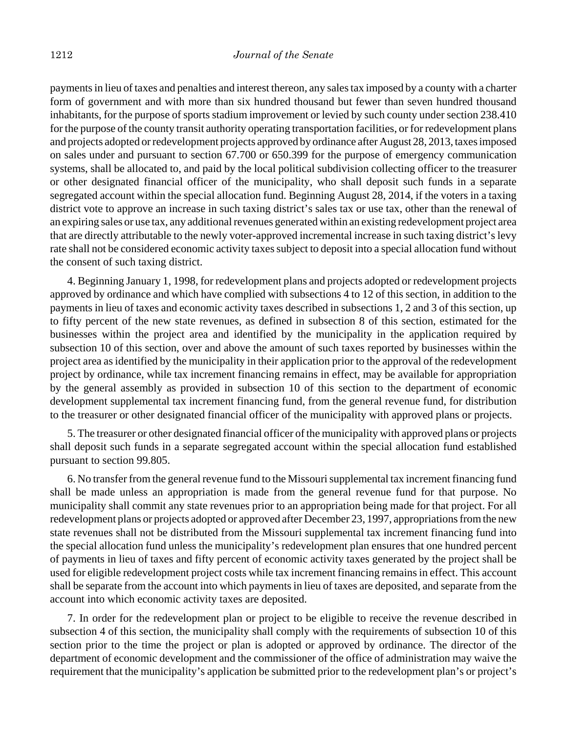payments in lieu of taxes and penalties and interest thereon, any sales tax imposed by a county with a charter form of government and with more than six hundred thousand but fewer than seven hundred thousand inhabitants, for the purpose of sports stadium improvement or levied by such county under section 238.410 for the purpose of the county transit authority operating transportation facilities, or for redevelopment plans and projects adopted or redevelopment projects approved by ordinance after August 28, 2013, taxes imposed on sales under and pursuant to section 67.700 or 650.399 for the purpose of emergency communication systems, shall be allocated to, and paid by the local political subdivision collecting officer to the treasurer or other designated financial officer of the municipality, who shall deposit such funds in a separate segregated account within the special allocation fund. Beginning August 28, 2014, if the voters in a taxing district vote to approve an increase in such taxing district's sales tax or use tax, other than the renewal of an expiring sales or use tax, any additional revenues generated within an existing redevelopment project area that are directly attributable to the newly voter-approved incremental increase in such taxing district's levy rate shall not be considered economic activity taxes subject to deposit into a special allocation fund without the consent of such taxing district.

4. Beginning January 1, 1998, for redevelopment plans and projects adopted or redevelopment projects approved by ordinance and which have complied with subsections 4 to 12 of this section, in addition to the payments in lieu of taxes and economic activity taxes described in subsections 1, 2 and 3 of this section, up to fifty percent of the new state revenues, as defined in subsection 8 of this section, estimated for the businesses within the project area and identified by the municipality in the application required by subsection 10 of this section, over and above the amount of such taxes reported by businesses within the project area as identified by the municipality in their application prior to the approval of the redevelopment project by ordinance, while tax increment financing remains in effect, may be available for appropriation by the general assembly as provided in subsection 10 of this section to the department of economic development supplemental tax increment financing fund, from the general revenue fund, for distribution to the treasurer or other designated financial officer of the municipality with approved plans or projects.

5. The treasurer or other designated financial officer of the municipality with approved plans or projects shall deposit such funds in a separate segregated account within the special allocation fund established pursuant to section 99.805.

6. No transfer from the general revenue fund to the Missouri supplemental tax increment financing fund shall be made unless an appropriation is made from the general revenue fund for that purpose. No municipality shall commit any state revenues prior to an appropriation being made for that project. For all redevelopment plans or projects adopted or approved after December 23, 1997, appropriations from the new state revenues shall not be distributed from the Missouri supplemental tax increment financing fund into the special allocation fund unless the municipality's redevelopment plan ensures that one hundred percent of payments in lieu of taxes and fifty percent of economic activity taxes generated by the project shall be used for eligible redevelopment project costs while tax increment financing remains in effect. This account shall be separate from the account into which payments in lieu of taxes are deposited, and separate from the account into which economic activity taxes are deposited.

7. In order for the redevelopment plan or project to be eligible to receive the revenue described in subsection 4 of this section, the municipality shall comply with the requirements of subsection 10 of this section prior to the time the project or plan is adopted or approved by ordinance. The director of the department of economic development and the commissioner of the office of administration may waive the requirement that the municipality's application be submitted prior to the redevelopment plan's or project's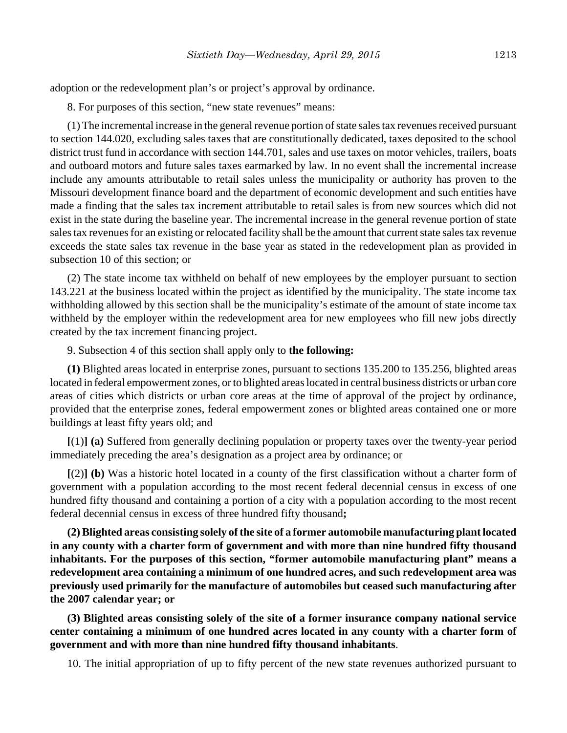adoption or the redevelopment plan's or project's approval by ordinance.

8. For purposes of this section, "new state revenues" means:

(1) The incremental increase in the general revenue portion of state sales tax revenues received pursuant to section 144.020, excluding sales taxes that are constitutionally dedicated, taxes deposited to the school district trust fund in accordance with section 144.701, sales and use taxes on motor vehicles, trailers, boats and outboard motors and future sales taxes earmarked by law. In no event shall the incremental increase include any amounts attributable to retail sales unless the municipality or authority has proven to the Missouri development finance board and the department of economic development and such entities have made a finding that the sales tax increment attributable to retail sales is from new sources which did not exist in the state during the baseline year. The incremental increase in the general revenue portion of state sales tax revenues for an existing or relocated facility shall be the amount that current state sales tax revenue exceeds the state sales tax revenue in the base year as stated in the redevelopment plan as provided in subsection 10 of this section; or

(2) The state income tax withheld on behalf of new employees by the employer pursuant to section 143.221 at the business located within the project as identified by the municipality. The state income tax withholding allowed by this section shall be the municipality's estimate of the amount of state income tax withheld by the employer within the redevelopment area for new employees who fill new jobs directly created by the tax increment financing project.

9. Subsection 4 of this section shall apply only to **the following:**

**(1)** Blighted areas located in enterprise zones, pursuant to sections 135.200 to 135.256, blighted areas located in federal empowerment zones, or to blighted areas located in central business districts or urban core areas of cities which districts or urban core areas at the time of approval of the project by ordinance, provided that the enterprise zones, federal empowerment zones or blighted areas contained one or more buildings at least fifty years old; and

**[**(1)**] (a)** Suffered from generally declining population or property taxes over the twenty-year period immediately preceding the area's designation as a project area by ordinance; or

**[**(2)**] (b)** Was a historic hotel located in a county of the first classification without a charter form of government with a population according to the most recent federal decennial census in excess of one hundred fifty thousand and containing a portion of a city with a population according to the most recent federal decennial census in excess of three hundred fifty thousand**;**

**(2) Blighted areas consisting solely of the site of a former automobile manufacturing plant located in any county with a charter form of government and with more than nine hundred fifty thousand inhabitants. For the purposes of this section, "former automobile manufacturing plant" means a redevelopment area containing a minimum of one hundred acres, and such redevelopment area was previously used primarily for the manufacture of automobiles but ceased such manufacturing after the 2007 calendar year; or**

**(3) Blighted areas consisting solely of the site of a former insurance company national service center containing a minimum of one hundred acres located in any county with a charter form of government and with more than nine hundred fifty thousand inhabitants**.

10. The initial appropriation of up to fifty percent of the new state revenues authorized pursuant to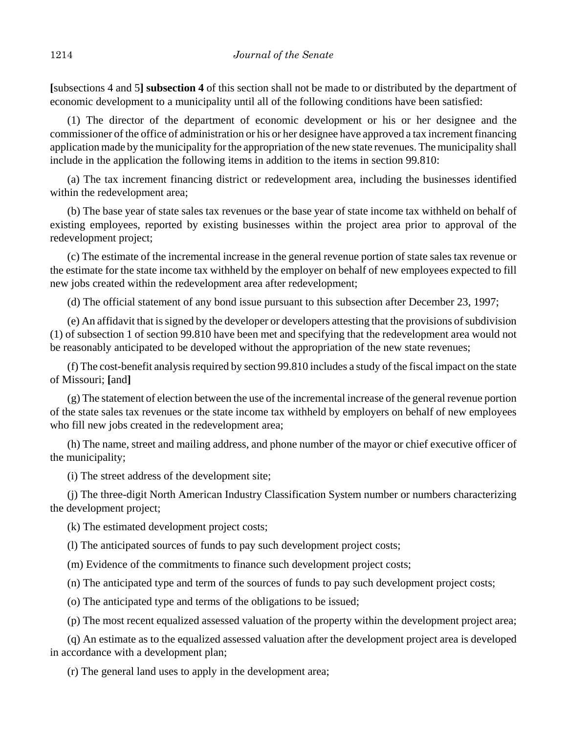**[**subsections 4 and 5**] subsection 4** of this section shall not be made to or distributed by the department of economic development to a municipality until all of the following conditions have been satisfied:

(1) The director of the department of economic development or his or her designee and the commissioner of the office of administration or his or her designee have approved a tax increment financing application made by the municipality for the appropriation of the new state revenues. The municipality shall include in the application the following items in addition to the items in section 99.810:

(a) The tax increment financing district or redevelopment area, including the businesses identified within the redevelopment area;

(b) The base year of state sales tax revenues or the base year of state income tax withheld on behalf of existing employees, reported by existing businesses within the project area prior to approval of the redevelopment project;

(c) The estimate of the incremental increase in the general revenue portion of state sales tax revenue or the estimate for the state income tax withheld by the employer on behalf of new employees expected to fill new jobs created within the redevelopment area after redevelopment;

(d) The official statement of any bond issue pursuant to this subsection after December 23, 1997;

(e) An affidavit that is signed by the developer or developers attesting that the provisions of subdivision (1) of subsection 1 of section 99.810 have been met and specifying that the redevelopment area would not be reasonably anticipated to be developed without the appropriation of the new state revenues;

(f) The cost-benefit analysis required by section 99.810 includes a study of the fiscal impact on the state of Missouri; **[**and**]**

(g) The statement of election between the use of the incremental increase of the general revenue portion of the state sales tax revenues or the state income tax withheld by employers on behalf of new employees who fill new jobs created in the redevelopment area;

(h) The name, street and mailing address, and phone number of the mayor or chief executive officer of the municipality;

(i) The street address of the development site;

(j) The three-digit North American Industry Classification System number or numbers characterizing the development project;

(k) The estimated development project costs;

(l) The anticipated sources of funds to pay such development project costs;

(m) Evidence of the commitments to finance such development project costs;

(n) The anticipated type and term of the sources of funds to pay such development project costs;

(o) The anticipated type and terms of the obligations to be issued;

(p) The most recent equalized assessed valuation of the property within the development project area;

(q) An estimate as to the equalized assessed valuation after the development project area is developed in accordance with a development plan;

(r) The general land uses to apply in the development area;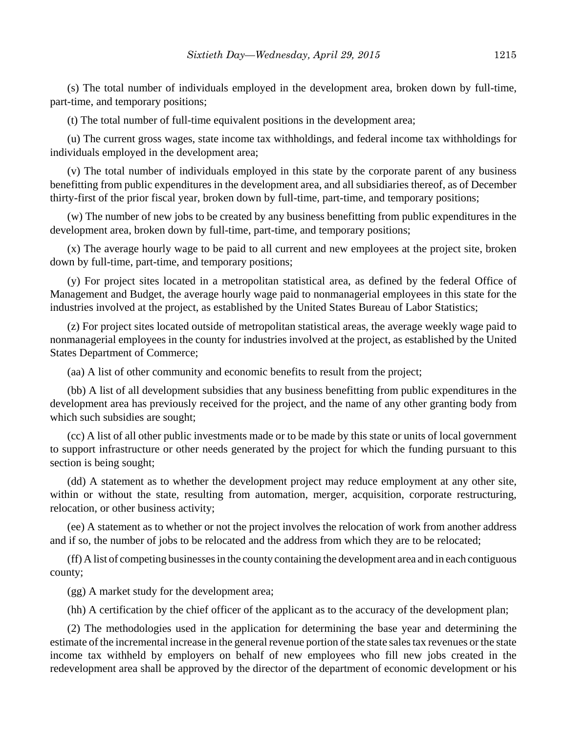(s) The total number of individuals employed in the development area, broken down by full-time, part-time, and temporary positions;

(t) The total number of full-time equivalent positions in the development area;

(u) The current gross wages, state income tax withholdings, and federal income tax withholdings for individuals employed in the development area;

(v) The total number of individuals employed in this state by the corporate parent of any business benefitting from public expenditures in the development area, and all subsidiaries thereof, as of December thirty-first of the prior fiscal year, broken down by full-time, part-time, and temporary positions;

(w) The number of new jobs to be created by any business benefitting from public expenditures in the development area, broken down by full-time, part-time, and temporary positions;

(x) The average hourly wage to be paid to all current and new employees at the project site, broken down by full-time, part-time, and temporary positions;

(y) For project sites located in a metropolitan statistical area, as defined by the federal Office of Management and Budget, the average hourly wage paid to nonmanagerial employees in this state for the industries involved at the project, as established by the United States Bureau of Labor Statistics;

(z) For project sites located outside of metropolitan statistical areas, the average weekly wage paid to nonmanagerial employees in the county for industries involved at the project, as established by the United States Department of Commerce;

(aa) A list of other community and economic benefits to result from the project;

(bb) A list of all development subsidies that any business benefitting from public expenditures in the development area has previously received for the project, and the name of any other granting body from which such subsidies are sought;

(cc) A list of all other public investments made or to be made by this state or units of local government to support infrastructure or other needs generated by the project for which the funding pursuant to this section is being sought;

(dd) A statement as to whether the development project may reduce employment at any other site, within or without the state, resulting from automation, merger, acquisition, corporate restructuring, relocation, or other business activity;

(ee) A statement as to whether or not the project involves the relocation of work from another address and if so, the number of jobs to be relocated and the address from which they are to be relocated;

(ff) A list of competing businesses in the county containing the development area and in each contiguous county;

(gg) A market study for the development area;

(hh) A certification by the chief officer of the applicant as to the accuracy of the development plan;

(2) The methodologies used in the application for determining the base year and determining the estimate of the incremental increase in the general revenue portion of the state sales tax revenues or the state income tax withheld by employers on behalf of new employees who fill new jobs created in the redevelopment area shall be approved by the director of the department of economic development or his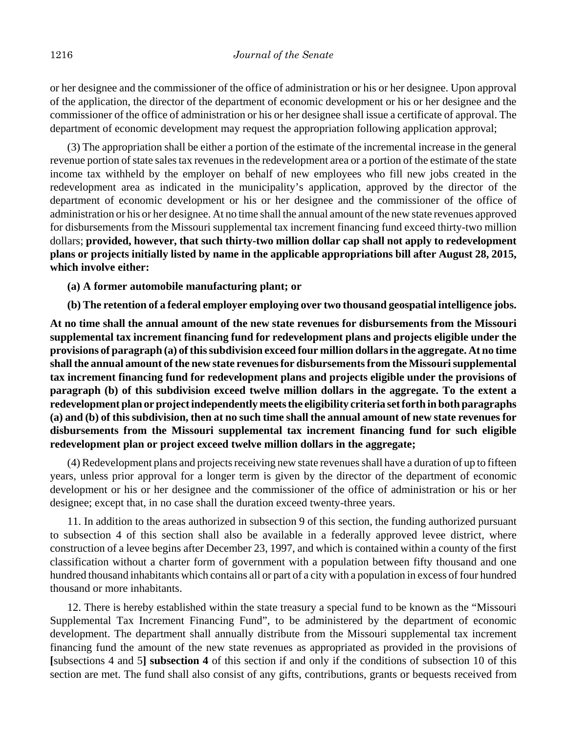or her designee and the commissioner of the office of administration or his or her designee. Upon approval of the application, the director of the department of economic development or his or her designee and the commissioner of the office of administration or his or her designee shall issue a certificate of approval. The department of economic development may request the appropriation following application approval;

(3) The appropriation shall be either a portion of the estimate of the incremental increase in the general revenue portion of state sales tax revenues in the redevelopment area or a portion of the estimate of the state income tax withheld by the employer on behalf of new employees who fill new jobs created in the redevelopment area as indicated in the municipality's application, approved by the director of the department of economic development or his or her designee and the commissioner of the office of administration or his or her designee. At no time shall the annual amount of the new state revenues approved for disbursements from the Missouri supplemental tax increment financing fund exceed thirty-two million dollars; **provided, however, that such thirty-two million dollar cap shall not apply to redevelopment plans or projects initially listed by name in the applicable appropriations bill after August 28, 2015, which involve either:**

- **(a) A former automobile manufacturing plant; or**
- **(b) The retention of a federal employer employing over two thousand geospatial intelligence jobs.**

**At no time shall the annual amount of the new state revenues for disbursements from the Missouri supplemental tax increment financing fund for redevelopment plans and projects eligible under the provisions of paragraph (a) of this subdivision exceed four million dollars in the aggregate. At no time shall the annual amount of the new state revenues for disbursements from the Missouri supplemental tax increment financing fund for redevelopment plans and projects eligible under the provisions of paragraph (b) of this subdivision exceed twelve million dollars in the aggregate. To the extent a redevelopment plan or project independently meets the eligibility criteria set forth in both paragraphs (a) and (b) of this subdivision, then at no such time shall the annual amount of new state revenues for disbursements from the Missouri supplemental tax increment financing fund for such eligible redevelopment plan or project exceed twelve million dollars in the aggregate;**

(4) Redevelopment plans and projects receiving new state revenues shall have a duration of up to fifteen years, unless prior approval for a longer term is given by the director of the department of economic development or his or her designee and the commissioner of the office of administration or his or her designee; except that, in no case shall the duration exceed twenty-three years.

11. In addition to the areas authorized in subsection 9 of this section, the funding authorized pursuant to subsection 4 of this section shall also be available in a federally approved levee district, where construction of a levee begins after December 23, 1997, and which is contained within a county of the first classification without a charter form of government with a population between fifty thousand and one hundred thousand inhabitants which contains all or part of a city with a population in excess of four hundred thousand or more inhabitants.

12. There is hereby established within the state treasury a special fund to be known as the "Missouri Supplemental Tax Increment Financing Fund", to be administered by the department of economic development. The department shall annually distribute from the Missouri supplemental tax increment financing fund the amount of the new state revenues as appropriated as provided in the provisions of **[**subsections 4 and 5**] subsection 4** of this section if and only if the conditions of subsection 10 of this section are met. The fund shall also consist of any gifts, contributions, grants or bequests received from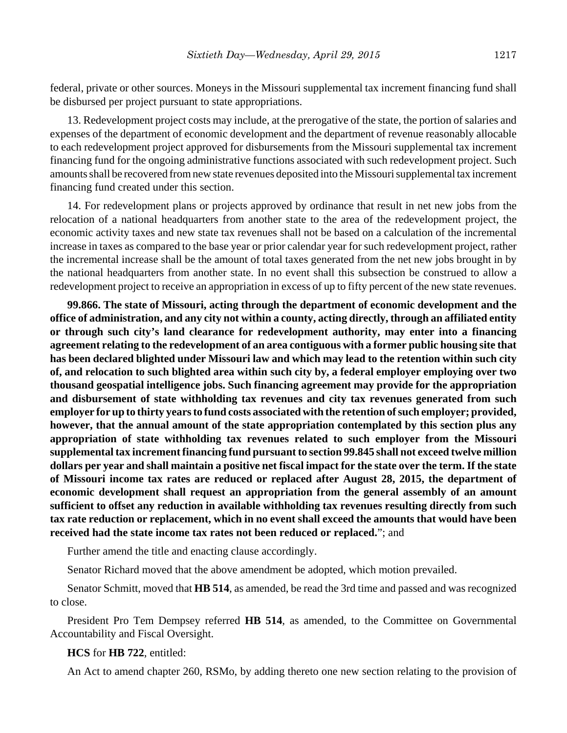federal, private or other sources. Moneys in the Missouri supplemental tax increment financing fund shall be disbursed per project pursuant to state appropriations.

13. Redevelopment project costs may include, at the prerogative of the state, the portion of salaries and expenses of the department of economic development and the department of revenue reasonably allocable to each redevelopment project approved for disbursements from the Missouri supplemental tax increment financing fund for the ongoing administrative functions associated with such redevelopment project. Such amounts shall be recovered from new state revenues deposited into the Missouri supplemental tax increment financing fund created under this section.

14. For redevelopment plans or projects approved by ordinance that result in net new jobs from the relocation of a national headquarters from another state to the area of the redevelopment project, the economic activity taxes and new state tax revenues shall not be based on a calculation of the incremental increase in taxes as compared to the base year or prior calendar year for such redevelopment project, rather the incremental increase shall be the amount of total taxes generated from the net new jobs brought in by the national headquarters from another state. In no event shall this subsection be construed to allow a redevelopment project to receive an appropriation in excess of up to fifty percent of the new state revenues.

**99.866. The state of Missouri, acting through the department of economic development and the office of administration, and any city not within a county, acting directly, through an affiliated entity or through such city's land clearance for redevelopment authority, may enter into a financing agreement relating to the redevelopment of an area contiguous with a former public housing site that has been declared blighted under Missouri law and which may lead to the retention within such city of, and relocation to such blighted area within such city by, a federal employer employing over two thousand geospatial intelligence jobs. Such financing agreement may provide for the appropriation and disbursement of state withholding tax revenues and city tax revenues generated from such employer for up to thirty years to fund costs associated with the retention of such employer; provided, however, that the annual amount of the state appropriation contemplated by this section plus any appropriation of state withholding tax revenues related to such employer from the Missouri supplemental tax increment financing fund pursuant to section 99.845 shall not exceed twelve million dollars per year and shall maintain a positive net fiscal impact for the state over the term. If the state of Missouri income tax rates are reduced or replaced after August 28, 2015, the department of economic development shall request an appropriation from the general assembly of an amount sufficient to offset any reduction in available withholding tax revenues resulting directly from such tax rate reduction or replacement, which in no event shall exceed the amounts that would have been received had the state income tax rates not been reduced or replaced.**"; and

Further amend the title and enacting clause accordingly.

Senator Richard moved that the above amendment be adopted, which motion prevailed.

Senator Schmitt, moved that **HB 514**, as amended, be read the 3rd time and passed and was recognized to close.

President Pro Tem Dempsey referred **HB 514**, as amended, to the Committee on Governmental Accountability and Fiscal Oversight.

#### **HCS** for **HB 722**, entitled:

An Act to amend chapter 260, RSMo, by adding thereto one new section relating to the provision of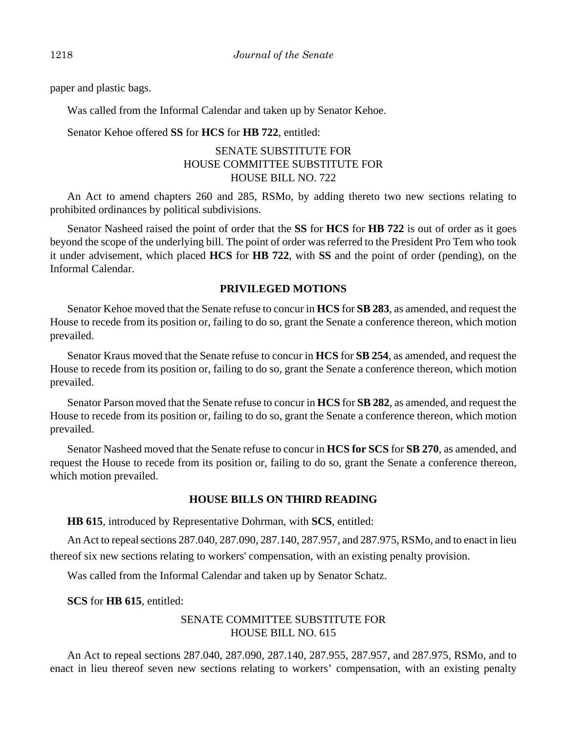paper and plastic bags.

Was called from the Informal Calendar and taken up by Senator Kehoe.

Senator Kehoe offered **SS** for **HCS** for **HB 722**, entitled:

# SENATE SUBSTITUTE FOR HOUSE COMMITTEE SUBSTITUTE FOR HOUSE BILL NO. 722

An Act to amend chapters 260 and 285, RSMo, by adding thereto two new sections relating to prohibited ordinances by political subdivisions.

Senator Nasheed raised the point of order that the **SS** for **HCS** for **HB 722** is out of order as it goes beyond the scope of the underlying bill. The point of order was referred to the President Pro Tem who took it under advisement, which placed **HCS** for **HB 722**, with **SS** and the point of order (pending), on the Informal Calendar.

### **PRIVILEGED MOTIONS**

Senator Kehoe moved that the Senate refuse to concur in **HCS** for **SB 283**, as amended, and request the House to recede from its position or, failing to do so, grant the Senate a conference thereon, which motion prevailed.

Senator Kraus moved that the Senate refuse to concur in **HCS** for **SB 254**, as amended, and request the House to recede from its position or, failing to do so, grant the Senate a conference thereon, which motion prevailed.

Senator Parson moved that the Senate refuse to concur in **HCS** for **SB 282**, as amended, and request the House to recede from its position or, failing to do so, grant the Senate a conference thereon, which motion prevailed.

Senator Nasheed moved that the Senate refuse to concur in **HCS for SCS** for **SB 270**, as amended, and request the House to recede from its position or, failing to do so, grant the Senate a conference thereon, which motion prevailed.

### **HOUSE BILLS ON THIRD READING**

**HB 615**, introduced by Representative Dohrman, with **SCS**, entitled:

An Act to repeal sections 287.040, 287.090, 287.140, 287.957, and 287.975, RSMo, and to enact in lieu thereof six new sections relating to workers' compensation, with an existing penalty provision.

Was called from the Informal Calendar and taken up by Senator Schatz.

**SCS** for **HB 615**, entitled:

# SENATE COMMITTEE SUBSTITUTE FOR HOUSE BILL NO. 615

An Act to repeal sections 287.040, 287.090, 287.140, 287.955, 287.957, and 287.975, RSMo, and to enact in lieu thereof seven new sections relating to workers' compensation, with an existing penalty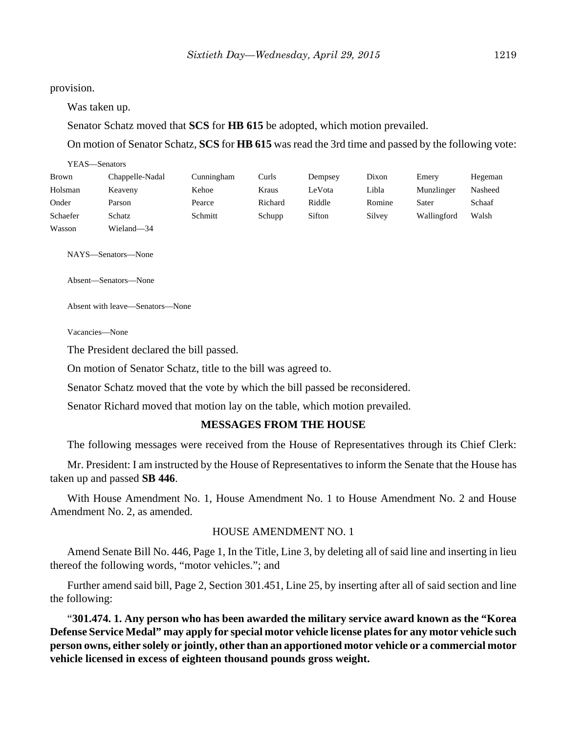#### provision.

Was taken up.

Senator Schatz moved that **SCS** for **HB 615** be adopted, which motion prevailed.

On motion of Senator Schatz, **SCS** for **HB 615** was read the 3rd time and passed by the following vote:

#### YEAS—Senators

| Brown    | Chappelle-Nadal | Cunningham | Curls   | Dempsey | Dixon  | Emery       | Hegeman |
|----------|-----------------|------------|---------|---------|--------|-------------|---------|
| Holsman  | Keaveny         | Kehoe      | Kraus   | LeVota  | Libla  | Munzlinger  | Nasheed |
| Onder    | Parson          | Pearce     | Richard | Riddle  | Romine | Sater       | Schaaf  |
| Schaefer | Schatz          | Schmitt    | Schupp  | Sifton  | Silvey | Wallingford | Walsh   |
| Wasson   | Wieland-34      |            |         |         |        |             |         |

NAYS—Senators—None

Absent—Senators—None

Absent with leave—Senators—None

Vacancies—None

The President declared the bill passed.

On motion of Senator Schatz, title to the bill was agreed to.

Senator Schatz moved that the vote by which the bill passed be reconsidered.

Senator Richard moved that motion lay on the table, which motion prevailed.

### **MESSAGES FROM THE HOUSE**

The following messages were received from the House of Representatives through its Chief Clerk:

Mr. President: I am instructed by the House of Representatives to inform the Senate that the House has taken up and passed **SB 446**.

With House Amendment No. 1, House Amendment No. 1 to House Amendment No. 2 and House Amendment No. 2, as amended.

#### HOUSE AMENDMENT NO. 1

Amend Senate Bill No. 446, Page 1, In the Title, Line 3, by deleting all of said line and inserting in lieu thereof the following words, "motor vehicles."; and

Further amend said bill, Page 2, Section 301.451, Line 25, by inserting after all of said section and line the following:

"**301.474. 1. Any person who has been awarded the military service award known as the "Korea Defense Service Medal" may apply for special motor vehicle license plates for any motor vehicle such person owns, either solely or jointly, other than an apportioned motor vehicle or a commercial motor vehicle licensed in excess of eighteen thousand pounds gross weight.**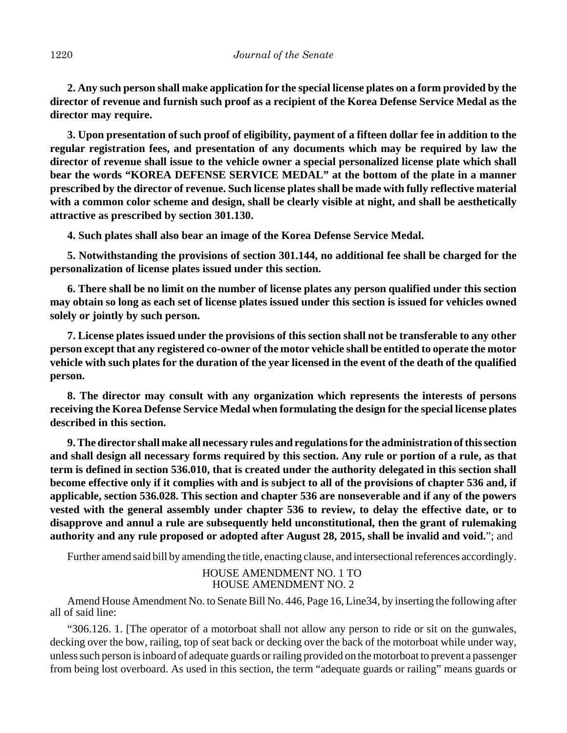**2. Any such person shall make application for the special license plates on a form provided by the director of revenue and furnish such proof as a recipient of the Korea Defense Service Medal as the director may require.**

**3. Upon presentation of such proof of eligibility, payment of a fifteen dollar fee in addition to the regular registration fees, and presentation of any documents which may be required by law the director of revenue shall issue to the vehicle owner a special personalized license plate which shall bear the words "KOREA DEFENSE SERVICE MEDAL" at the bottom of the plate in a manner prescribed by the director of revenue. Such license plates shall be made with fully reflective material with a common color scheme and design, shall be clearly visible at night, and shall be aesthetically attractive as prescribed by section 301.130.**

**4. Such plates shall also bear an image of the Korea Defense Service Medal.**

**5. Notwithstanding the provisions of section 301.144, no additional fee shall be charged for the personalization of license plates issued under this section.**

**6. There shall be no limit on the number of license plates any person qualified under this section may obtain so long as each set of license plates issued under this section is issued for vehicles owned solely or jointly by such person.**

**7. License plates issued under the provisions of this section shall not be transferable to any other person except that any registered co-owner of the motor vehicle shall be entitled to operate the motor vehicle with such plates for the duration of the year licensed in the event of the death of the qualified person.**

**8. The director may consult with any organization which represents the interests of persons receiving the Korea Defense Service Medal when formulating the design for the special license plates described in this section.**

**9. The director shall make all necessary rules and regulations for the administration of this section and shall design all necessary forms required by this section. Any rule or portion of a rule, as that term is defined in section 536.010, that is created under the authority delegated in this section shall become effective only if it complies with and is subject to all of the provisions of chapter 536 and, if applicable, section 536.028. This section and chapter 536 are nonseverable and if any of the powers vested with the general assembly under chapter 536 to review, to delay the effective date, or to disapprove and annul a rule are subsequently held unconstitutional, then the grant of rulemaking authority and any rule proposed or adopted after August 28, 2015, shall be invalid and void.**"; and

Further amend said bill by amending the title, enacting clause, and intersectional references accordingly.

HOUSE AMENDMENT NO. 1 TO HOUSE AMENDMENT NO. 2

Amend House Amendment No. to Senate Bill No. 446, Page 16, Line34, by inserting the following after all of said line:

"306.126. 1. [The operator of a motorboat shall not allow any person to ride or sit on the gunwales, decking over the bow, railing, top of seat back or decking over the back of the motorboat while under way, unless such person is inboard of adequate guards or railing provided on the motorboat to prevent a passenger from being lost overboard. As used in this section, the term "adequate guards or railing" means guards or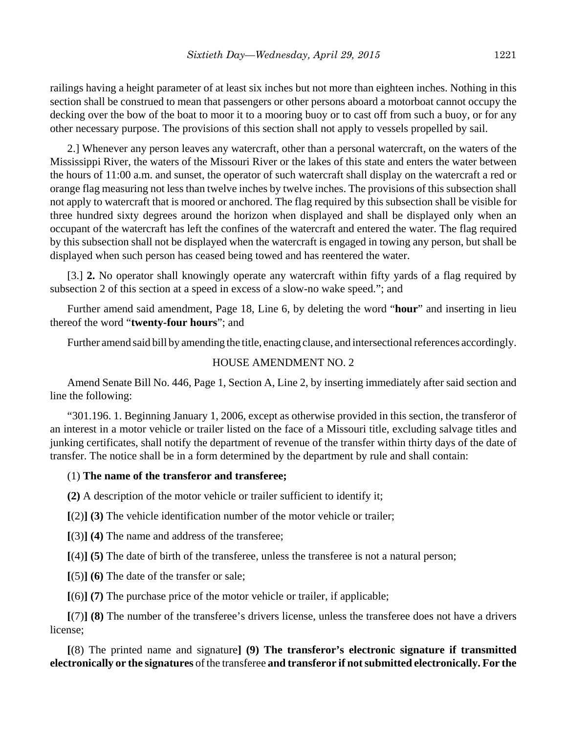railings having a height parameter of at least six inches but not more than eighteen inches. Nothing in this section shall be construed to mean that passengers or other persons aboard a motorboat cannot occupy the decking over the bow of the boat to moor it to a mooring buoy or to cast off from such a buoy, or for any other necessary purpose. The provisions of this section shall not apply to vessels propelled by sail.

2.] Whenever any person leaves any watercraft, other than a personal watercraft, on the waters of the Mississippi River, the waters of the Missouri River or the lakes of this state and enters the water between the hours of 11:00 a.m. and sunset, the operator of such watercraft shall display on the watercraft a red or orange flag measuring not less than twelve inches by twelve inches. The provisions of this subsection shall not apply to watercraft that is moored or anchored. The flag required by this subsection shall be visible for three hundred sixty degrees around the horizon when displayed and shall be displayed only when an occupant of the watercraft has left the confines of the watercraft and entered the water. The flag required by this subsection shall not be displayed when the watercraft is engaged in towing any person, but shall be displayed when such person has ceased being towed and has reentered the water.

[3.] **2.** No operator shall knowingly operate any watercraft within fifty yards of a flag required by subsection 2 of this section at a speed in excess of a slow-no wake speed."; and

Further amend said amendment, Page 18, Line 6, by deleting the word "**hour**" and inserting in lieu thereof the word "**twenty-four hours**"; and

Further amend said bill by amending the title, enacting clause, and intersectional references accordingly.

### HOUSE AMENDMENT NO. 2

Amend Senate Bill No. 446, Page 1, Section A, Line 2, by inserting immediately after said section and line the following:

"301.196. 1. Beginning January 1, 2006, except as otherwise provided in this section, the transferor of an interest in a motor vehicle or trailer listed on the face of a Missouri title, excluding salvage titles and junking certificates, shall notify the department of revenue of the transfer within thirty days of the date of transfer. The notice shall be in a form determined by the department by rule and shall contain:

#### (1) **The name of the transferor and transferee;**

**(2)** A description of the motor vehicle or trailer sufficient to identify it;

**[**(2)**] (3)** The vehicle identification number of the motor vehicle or trailer;

**[**(3)**] (4)** The name and address of the transferee;

**[**(4)**] (5)** The date of birth of the transferee, unless the transferee is not a natural person;

- **[**(5)**] (6)** The date of the transfer or sale;
- **[**(6)**] (7)** The purchase price of the motor vehicle or trailer, if applicable;

**[**(7)**] (8)** The number of the transferee's drivers license, unless the transferee does not have a drivers license;

**[**(8) The printed name and signature**] (9) The transferor's electronic signature if transmitted electronically or the signatures** of the transferee **and transferor if not submitted electronically. For the**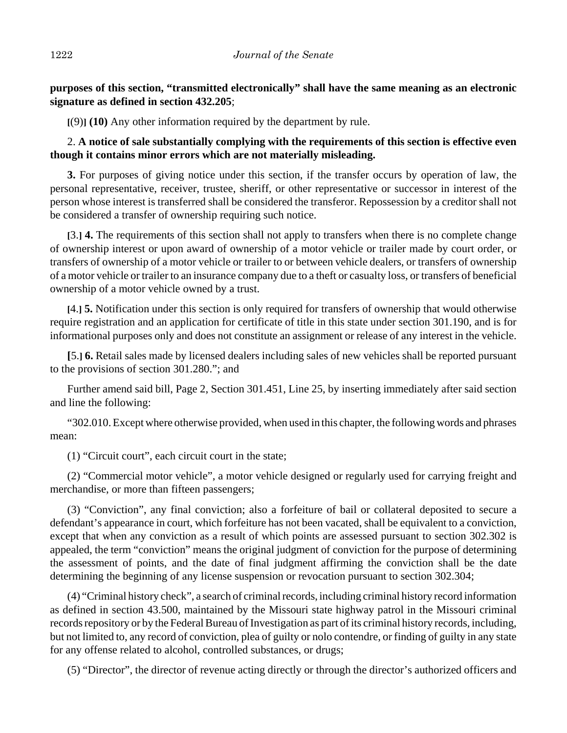**purposes of this section, "transmitted electronically" shall have the same meaning as an electronic signature as defined in section 432.205**;

**[**(9)**] (10)** Any other information required by the department by rule.

# 2. **A notice of sale substantially complying with the requirements of this section is effective even though it contains minor errors which are not materially misleading.**

**3.** For purposes of giving notice under this section, if the transfer occurs by operation of law, the personal representative, receiver, trustee, sheriff, or other representative or successor in interest of the person whose interest is transferred shall be considered the transferor. Repossession by a creditor shall not be considered a transfer of ownership requiring such notice.

**[**3.**] 4.** The requirements of this section shall not apply to transfers when there is no complete change of ownership interest or upon award of ownership of a motor vehicle or trailer made by court order, or transfers of ownership of a motor vehicle or trailer to or between vehicle dealers, or transfers of ownership of a motor vehicle or trailer to an insurance company due to a theft or casualty loss, or transfers of beneficial ownership of a motor vehicle owned by a trust.

**[**4.**] 5.** Notification under this section is only required for transfers of ownership that would otherwise require registration and an application for certificate of title in this state under section 301.190, and is for informational purposes only and does not constitute an assignment or release of any interest in the vehicle.

**[**5.**] 6.** Retail sales made by licensed dealers including sales of new vehicles shall be reported pursuant to the provisions of section 301.280."; and

Further amend said bill, Page 2, Section 301.451, Line 25, by inserting immediately after said section and line the following:

"302.010. Except where otherwise provided, when used in this chapter, the following words and phrases mean:

(1) "Circuit court", each circuit court in the state;

(2) "Commercial motor vehicle", a motor vehicle designed or regularly used for carrying freight and merchandise, or more than fifteen passengers;

(3) "Conviction", any final conviction; also a forfeiture of bail or collateral deposited to secure a defendant's appearance in court, which forfeiture has not been vacated, shall be equivalent to a conviction, except that when any conviction as a result of which points are assessed pursuant to section 302.302 is appealed, the term "conviction" means the original judgment of conviction for the purpose of determining the assessment of points, and the date of final judgment affirming the conviction shall be the date determining the beginning of any license suspension or revocation pursuant to section 302.304;

(4) "Criminal history check", a search of criminal records, including criminal history record information as defined in section 43.500, maintained by the Missouri state highway patrol in the Missouri criminal records repository or by the Federal Bureau of Investigation as part of its criminal history records, including, but not limited to, any record of conviction, plea of guilty or nolo contendre, or finding of guilty in any state for any offense related to alcohol, controlled substances, or drugs;

(5) "Director", the director of revenue acting directly or through the director's authorized officers and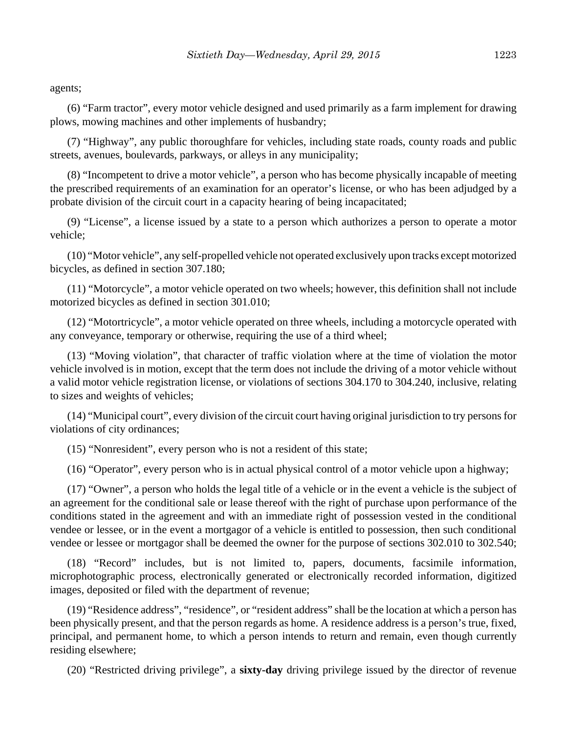agents;

(6) "Farm tractor", every motor vehicle designed and used primarily as a farm implement for drawing plows, mowing machines and other implements of husbandry;

(7) "Highway", any public thoroughfare for vehicles, including state roads, county roads and public streets, avenues, boulevards, parkways, or alleys in any municipality;

(8) "Incompetent to drive a motor vehicle", a person who has become physically incapable of meeting the prescribed requirements of an examination for an operator's license, or who has been adjudged by a probate division of the circuit court in a capacity hearing of being incapacitated;

(9) "License", a license issued by a state to a person which authorizes a person to operate a motor vehicle;

(10) "Motor vehicle", any self-propelled vehicle not operated exclusively upon tracks except motorized bicycles, as defined in section 307.180;

(11) "Motorcycle", a motor vehicle operated on two wheels; however, this definition shall not include motorized bicycles as defined in section 301.010;

(12) "Motortricycle", a motor vehicle operated on three wheels, including a motorcycle operated with any conveyance, temporary or otherwise, requiring the use of a third wheel;

(13) "Moving violation", that character of traffic violation where at the time of violation the motor vehicle involved is in motion, except that the term does not include the driving of a motor vehicle without a valid motor vehicle registration license, or violations of sections 304.170 to 304.240, inclusive, relating to sizes and weights of vehicles;

(14) "Municipal court", every division of the circuit court having original jurisdiction to try persons for violations of city ordinances;

(15) "Nonresident", every person who is not a resident of this state;

(16) "Operator", every person who is in actual physical control of a motor vehicle upon a highway;

(17) "Owner", a person who holds the legal title of a vehicle or in the event a vehicle is the subject of an agreement for the conditional sale or lease thereof with the right of purchase upon performance of the conditions stated in the agreement and with an immediate right of possession vested in the conditional vendee or lessee, or in the event a mortgagor of a vehicle is entitled to possession, then such conditional vendee or lessee or mortgagor shall be deemed the owner for the purpose of sections 302.010 to 302.540;

(18) "Record" includes, but is not limited to, papers, documents, facsimile information, microphotographic process, electronically generated or electronically recorded information, digitized images, deposited or filed with the department of revenue;

(19) "Residence address", "residence", or "resident address" shall be the location at which a person has been physically present, and that the person regards as home. A residence address is a person's true, fixed, principal, and permanent home, to which a person intends to return and remain, even though currently residing elsewhere;

(20) "Restricted driving privilege", a **sixty-day** driving privilege issued by the director of revenue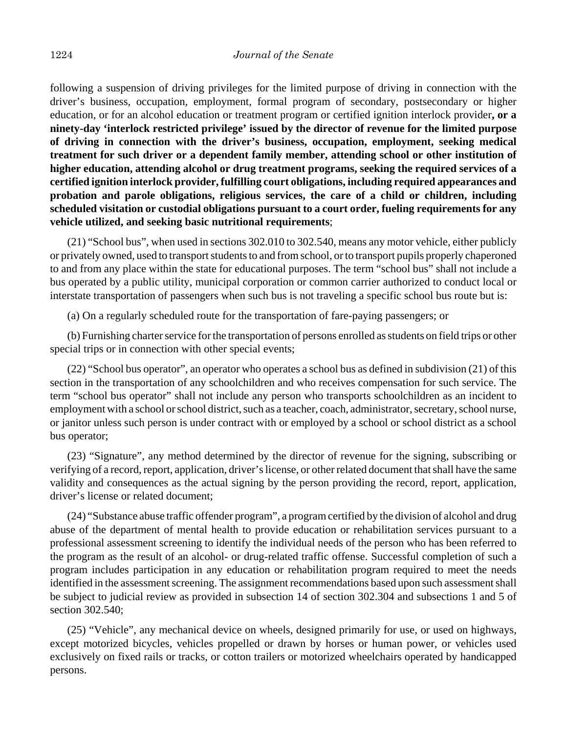following a suspension of driving privileges for the limited purpose of driving in connection with the driver's business, occupation, employment, formal program of secondary, postsecondary or higher education, or for an alcohol education or treatment program or certified ignition interlock provider**, or a ninety-day 'interlock restricted privilege' issued by the director of revenue for the limited purpose of driving in connection with the driver's business, occupation, employment, seeking medical treatment for such driver or a dependent family member, attending school or other institution of higher education, attending alcohol or drug treatment programs, seeking the required services of a certified ignition interlock provider, fulfilling court obligations, including required appearances and probation and parole obligations, religious services, the care of a child or children, including scheduled visitation or custodial obligations pursuant to a court order, fueling requirements for any vehicle utilized, and seeking basic nutritional requirements**;

(21) "School bus", when used in sections 302.010 to 302.540, means any motor vehicle, either publicly or privately owned, used to transport students to and from school, or to transport pupils properly chaperoned to and from any place within the state for educational purposes. The term "school bus" shall not include a bus operated by a public utility, municipal corporation or common carrier authorized to conduct local or interstate transportation of passengers when such bus is not traveling a specific school bus route but is:

(a) On a regularly scheduled route for the transportation of fare-paying passengers; or

(b) Furnishing charter service for the transportation of persons enrolled as students on field trips or other special trips or in connection with other special events;

(22) "School bus operator", an operator who operates a school bus as defined in subdivision (21) of this section in the transportation of any schoolchildren and who receives compensation for such service. The term "school bus operator" shall not include any person who transports schoolchildren as an incident to employment with a school or school district, such as a teacher, coach, administrator, secretary, school nurse, or janitor unless such person is under contract with or employed by a school or school district as a school bus operator;

(23) "Signature", any method determined by the director of revenue for the signing, subscribing or verifying of a record, report, application, driver's license, or other related document that shall have the same validity and consequences as the actual signing by the person providing the record, report, application, driver's license or related document;

(24) "Substance abuse traffic offender program", a program certified by the division of alcohol and drug abuse of the department of mental health to provide education or rehabilitation services pursuant to a professional assessment screening to identify the individual needs of the person who has been referred to the program as the result of an alcohol- or drug-related traffic offense. Successful completion of such a program includes participation in any education or rehabilitation program required to meet the needs identified in the assessment screening. The assignment recommendations based upon such assessment shall be subject to judicial review as provided in subsection 14 of section 302.304 and subsections 1 and 5 of section 302.540;

(25) "Vehicle", any mechanical device on wheels, designed primarily for use, or used on highways, except motorized bicycles, vehicles propelled or drawn by horses or human power, or vehicles used exclusively on fixed rails or tracks, or cotton trailers or motorized wheelchairs operated by handicapped persons.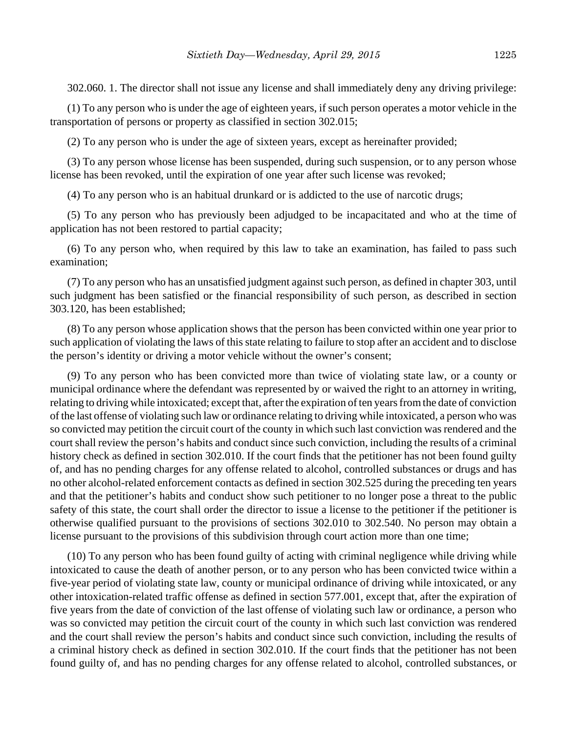302.060. 1. The director shall not issue any license and shall immediately deny any driving privilege:

(1) To any person who is under the age of eighteen years, if such person operates a motor vehicle in the transportation of persons or property as classified in section 302.015;

(2) To any person who is under the age of sixteen years, except as hereinafter provided;

(3) To any person whose license has been suspended, during such suspension, or to any person whose license has been revoked, until the expiration of one year after such license was revoked;

(4) To any person who is an habitual drunkard or is addicted to the use of narcotic drugs;

(5) To any person who has previously been adjudged to be incapacitated and who at the time of application has not been restored to partial capacity;

(6) To any person who, when required by this law to take an examination, has failed to pass such examination;

(7) To any person who has an unsatisfied judgment against such person, as defined in chapter 303, until such judgment has been satisfied or the financial responsibility of such person, as described in section 303.120, has been established;

(8) To any person whose application shows that the person has been convicted within one year prior to such application of violating the laws of this state relating to failure to stop after an accident and to disclose the person's identity or driving a motor vehicle without the owner's consent;

(9) To any person who has been convicted more than twice of violating state law, or a county or municipal ordinance where the defendant was represented by or waived the right to an attorney in writing, relating to driving while intoxicated; except that, after the expiration of ten years from the date of conviction of the last offense of violating such law or ordinance relating to driving while intoxicated, a person who was so convicted may petition the circuit court of the county in which such last conviction was rendered and the court shall review the person's habits and conduct since such conviction, including the results of a criminal history check as defined in section 302.010. If the court finds that the petitioner has not been found guilty of, and has no pending charges for any offense related to alcohol, controlled substances or drugs and has no other alcohol-related enforcement contacts as defined in section 302.525 during the preceding ten years and that the petitioner's habits and conduct show such petitioner to no longer pose a threat to the public safety of this state, the court shall order the director to issue a license to the petitioner if the petitioner is otherwise qualified pursuant to the provisions of sections 302.010 to 302.540. No person may obtain a license pursuant to the provisions of this subdivision through court action more than one time;

(10) To any person who has been found guilty of acting with criminal negligence while driving while intoxicated to cause the death of another person, or to any person who has been convicted twice within a five-year period of violating state law, county or municipal ordinance of driving while intoxicated, or any other intoxication-related traffic offense as defined in section 577.001, except that, after the expiration of five years from the date of conviction of the last offense of violating such law or ordinance, a person who was so convicted may petition the circuit court of the county in which such last conviction was rendered and the court shall review the person's habits and conduct since such conviction, including the results of a criminal history check as defined in section 302.010. If the court finds that the petitioner has not been found guilty of, and has no pending charges for any offense related to alcohol, controlled substances, or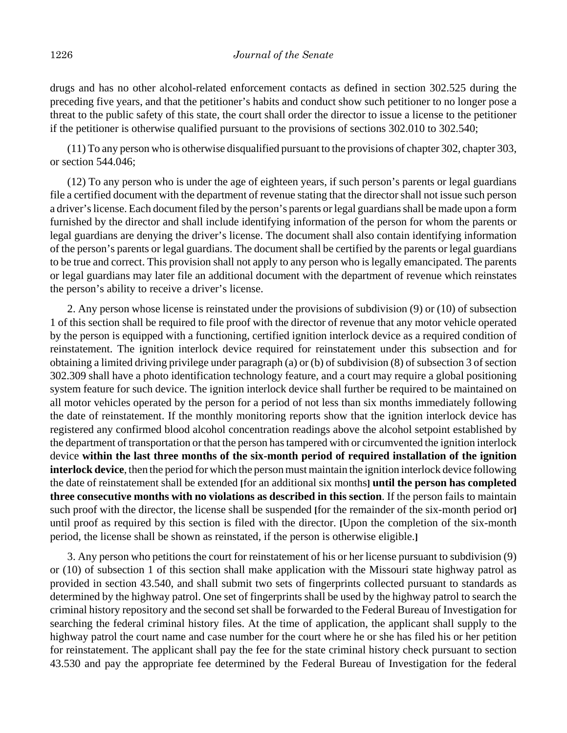drugs and has no other alcohol-related enforcement contacts as defined in section 302.525 during the preceding five years, and that the petitioner's habits and conduct show such petitioner to no longer pose a threat to the public safety of this state, the court shall order the director to issue a license to the petitioner if the petitioner is otherwise qualified pursuant to the provisions of sections 302.010 to 302.540;

(11) To any person who is otherwise disqualified pursuant to the provisions of chapter 302, chapter 303, or section 544.046;

(12) To any person who is under the age of eighteen years, if such person's parents or legal guardians file a certified document with the department of revenue stating that the director shall not issue such person a driver's license. Each document filed by the person's parents or legal guardians shall be made upon a form furnished by the director and shall include identifying information of the person for whom the parents or legal guardians are denying the driver's license. The document shall also contain identifying information of the person's parents or legal guardians. The document shall be certified by the parents or legal guardians to be true and correct. This provision shall not apply to any person who is legally emancipated. The parents or legal guardians may later file an additional document with the department of revenue which reinstates the person's ability to receive a driver's license.

2. Any person whose license is reinstated under the provisions of subdivision (9) or (10) of subsection 1 of this section shall be required to file proof with the director of revenue that any motor vehicle operated by the person is equipped with a functioning, certified ignition interlock device as a required condition of reinstatement. The ignition interlock device required for reinstatement under this subsection and for obtaining a limited driving privilege under paragraph (a) or (b) of subdivision (8) of subsection 3 of section 302.309 shall have a photo identification technology feature, and a court may require a global positioning system feature for such device. The ignition interlock device shall further be required to be maintained on all motor vehicles operated by the person for a period of not less than six months immediately following the date of reinstatement. If the monthly monitoring reports show that the ignition interlock device has registered any confirmed blood alcohol concentration readings above the alcohol setpoint established by the department of transportation or that the person has tampered with or circumvented the ignition interlock device **within the last three months of the six-month period of required installation of the ignition interlock device**, then the period for which the person must maintain the ignition interlock device following the date of reinstatement shall be extended **[**for an additional six months**] until the person has completed three consecutive months with no violations as described in this section**. If the person fails to maintain such proof with the director, the license shall be suspended **[**for the remainder of the six-month period or**]** until proof as required by this section is filed with the director. **[**Upon the completion of the six-month period, the license shall be shown as reinstated, if the person is otherwise eligible.**]**

3. Any person who petitions the court for reinstatement of his or her license pursuant to subdivision (9) or (10) of subsection 1 of this section shall make application with the Missouri state highway patrol as provided in section 43.540, and shall submit two sets of fingerprints collected pursuant to standards as determined by the highway patrol. One set of fingerprints shall be used by the highway patrol to search the criminal history repository and the second set shall be forwarded to the Federal Bureau of Investigation for searching the federal criminal history files. At the time of application, the applicant shall supply to the highway patrol the court name and case number for the court where he or she has filed his or her petition for reinstatement. The applicant shall pay the fee for the state criminal history check pursuant to section 43.530 and pay the appropriate fee determined by the Federal Bureau of Investigation for the federal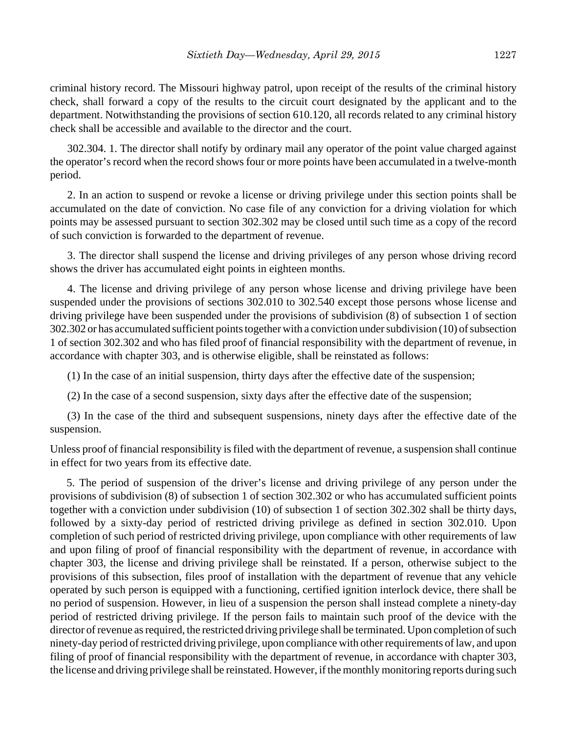criminal history record. The Missouri highway patrol, upon receipt of the results of the criminal history check, shall forward a copy of the results to the circuit court designated by the applicant and to the department. Notwithstanding the provisions of section 610.120, all records related to any criminal history check shall be accessible and available to the director and the court.

302.304. 1. The director shall notify by ordinary mail any operator of the point value charged against the operator's record when the record shows four or more points have been accumulated in a twelve-month period.

2. In an action to suspend or revoke a license or driving privilege under this section points shall be accumulated on the date of conviction. No case file of any conviction for a driving violation for which points may be assessed pursuant to section 302.302 may be closed until such time as a copy of the record of such conviction is forwarded to the department of revenue.

3. The director shall suspend the license and driving privileges of any person whose driving record shows the driver has accumulated eight points in eighteen months.

4. The license and driving privilege of any person whose license and driving privilege have been suspended under the provisions of sections 302.010 to 302.540 except those persons whose license and driving privilege have been suspended under the provisions of subdivision (8) of subsection 1 of section 302.302 or has accumulated sufficient points together with a conviction under subdivision (10) of subsection 1 of section 302.302 and who has filed proof of financial responsibility with the department of revenue, in accordance with chapter 303, and is otherwise eligible, shall be reinstated as follows:

(1) In the case of an initial suspension, thirty days after the effective date of the suspension;

(2) In the case of a second suspension, sixty days after the effective date of the suspension;

(3) In the case of the third and subsequent suspensions, ninety days after the effective date of the suspension.

Unless proof of financial responsibility is filed with the department of revenue, a suspension shall continue in effect for two years from its effective date.

5. The period of suspension of the driver's license and driving privilege of any person under the provisions of subdivision (8) of subsection 1 of section 302.302 or who has accumulated sufficient points together with a conviction under subdivision (10) of subsection 1 of section 302.302 shall be thirty days, followed by a sixty-day period of restricted driving privilege as defined in section 302.010. Upon completion of such period of restricted driving privilege, upon compliance with other requirements of law and upon filing of proof of financial responsibility with the department of revenue, in accordance with chapter 303, the license and driving privilege shall be reinstated. If a person, otherwise subject to the provisions of this subsection, files proof of installation with the department of revenue that any vehicle operated by such person is equipped with a functioning, certified ignition interlock device, there shall be no period of suspension. However, in lieu of a suspension the person shall instead complete a ninety-day period of restricted driving privilege. If the person fails to maintain such proof of the device with the director of revenue as required, the restricted driving privilege shall be terminated. Upon completion of such ninety-day period of restricted driving privilege, upon compliance with other requirements of law, and upon filing of proof of financial responsibility with the department of revenue, in accordance with chapter 303, the license and driving privilege shall be reinstated. However, if the monthly monitoring reports during such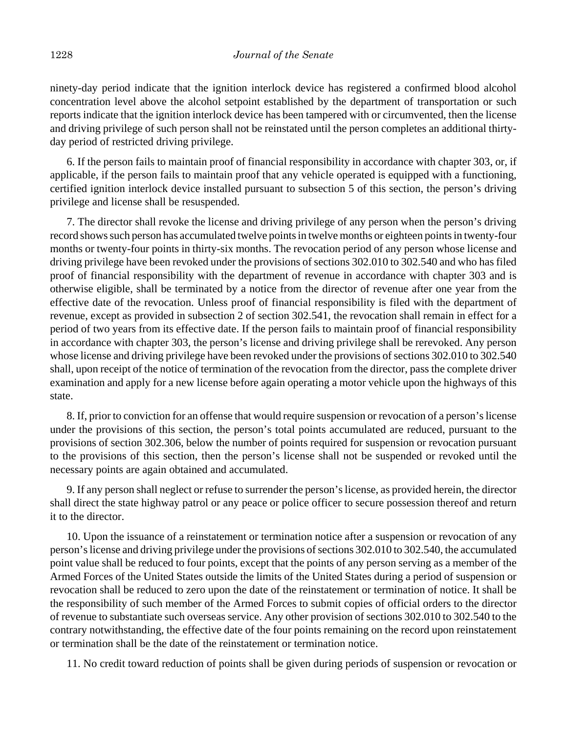ninety-day period indicate that the ignition interlock device has registered a confirmed blood alcohol concentration level above the alcohol setpoint established by the department of transportation or such reports indicate that the ignition interlock device has been tampered with or circumvented, then the license and driving privilege of such person shall not be reinstated until the person completes an additional thirtyday period of restricted driving privilege.

6. If the person fails to maintain proof of financial responsibility in accordance with chapter 303, or, if applicable, if the person fails to maintain proof that any vehicle operated is equipped with a functioning, certified ignition interlock device installed pursuant to subsection 5 of this section, the person's driving privilege and license shall be resuspended.

7. The director shall revoke the license and driving privilege of any person when the person's driving record shows such person has accumulated twelve points in twelve months or eighteen points in twenty-four months or twenty-four points in thirty-six months. The revocation period of any person whose license and driving privilege have been revoked under the provisions of sections 302.010 to 302.540 and who has filed proof of financial responsibility with the department of revenue in accordance with chapter 303 and is otherwise eligible, shall be terminated by a notice from the director of revenue after one year from the effective date of the revocation. Unless proof of financial responsibility is filed with the department of revenue, except as provided in subsection 2 of section 302.541, the revocation shall remain in effect for a period of two years from its effective date. If the person fails to maintain proof of financial responsibility in accordance with chapter 303, the person's license and driving privilege shall be rerevoked. Any person whose license and driving privilege have been revoked under the provisions of sections 302.010 to 302.540 shall, upon receipt of the notice of termination of the revocation from the director, pass the complete driver examination and apply for a new license before again operating a motor vehicle upon the highways of this state.

8. If, prior to conviction for an offense that would require suspension or revocation of a person's license under the provisions of this section, the person's total points accumulated are reduced, pursuant to the provisions of section 302.306, below the number of points required for suspension or revocation pursuant to the provisions of this section, then the person's license shall not be suspended or revoked until the necessary points are again obtained and accumulated.

9. If any person shall neglect or refuse to surrender the person's license, as provided herein, the director shall direct the state highway patrol or any peace or police officer to secure possession thereof and return it to the director.

10. Upon the issuance of a reinstatement or termination notice after a suspension or revocation of any person's license and driving privilege under the provisions of sections 302.010 to 302.540, the accumulated point value shall be reduced to four points, except that the points of any person serving as a member of the Armed Forces of the United States outside the limits of the United States during a period of suspension or revocation shall be reduced to zero upon the date of the reinstatement or termination of notice. It shall be the responsibility of such member of the Armed Forces to submit copies of official orders to the director of revenue to substantiate such overseas service. Any other provision of sections 302.010 to 302.540 to the contrary notwithstanding, the effective date of the four points remaining on the record upon reinstatement or termination shall be the date of the reinstatement or termination notice.

11. No credit toward reduction of points shall be given during periods of suspension or revocation or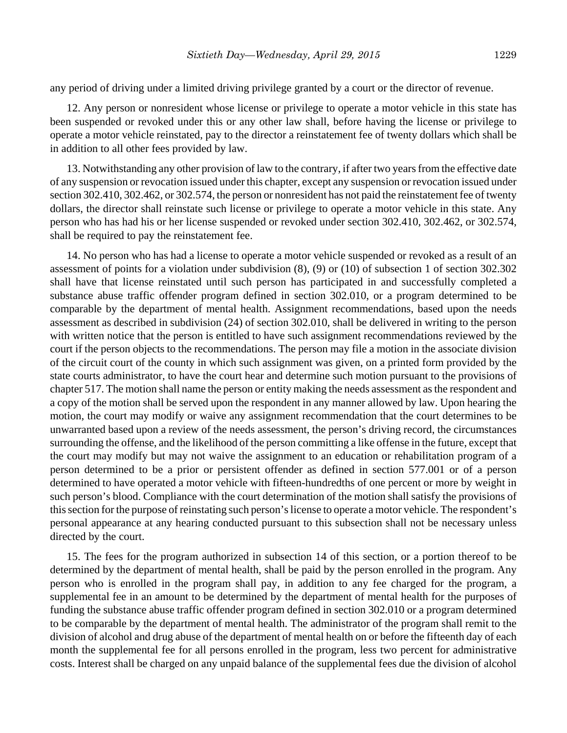any period of driving under a limited driving privilege granted by a court or the director of revenue.

12. Any person or nonresident whose license or privilege to operate a motor vehicle in this state has been suspended or revoked under this or any other law shall, before having the license or privilege to operate a motor vehicle reinstated, pay to the director a reinstatement fee of twenty dollars which shall be in addition to all other fees provided by law.

13. Notwithstanding any other provision of law to the contrary, if after two years from the effective date of any suspension or revocation issued under this chapter, except any suspension or revocation issued under section 302.410, 302.462, or 302.574, the person or nonresident has not paid the reinstatement fee of twenty dollars, the director shall reinstate such license or privilege to operate a motor vehicle in this state. Any person who has had his or her license suspended or revoked under section 302.410, 302.462, or 302.574, shall be required to pay the reinstatement fee.

14. No person who has had a license to operate a motor vehicle suspended or revoked as a result of an assessment of points for a violation under subdivision (8), (9) or (10) of subsection 1 of section 302.302 shall have that license reinstated until such person has participated in and successfully completed a substance abuse traffic offender program defined in section 302.010, or a program determined to be comparable by the department of mental health. Assignment recommendations, based upon the needs assessment as described in subdivision (24) of section 302.010, shall be delivered in writing to the person with written notice that the person is entitled to have such assignment recommendations reviewed by the court if the person objects to the recommendations. The person may file a motion in the associate division of the circuit court of the county in which such assignment was given, on a printed form provided by the state courts administrator, to have the court hear and determine such motion pursuant to the provisions of chapter 517. The motion shall name the person or entity making the needs assessment as the respondent and a copy of the motion shall be served upon the respondent in any manner allowed by law. Upon hearing the motion, the court may modify or waive any assignment recommendation that the court determines to be unwarranted based upon a review of the needs assessment, the person's driving record, the circumstances surrounding the offense, and the likelihood of the person committing a like offense in the future, except that the court may modify but may not waive the assignment to an education or rehabilitation program of a person determined to be a prior or persistent offender as defined in section 577.001 or of a person determined to have operated a motor vehicle with fifteen-hundredths of one percent or more by weight in such person's blood. Compliance with the court determination of the motion shall satisfy the provisions of this section for the purpose of reinstating such person's license to operate a motor vehicle. The respondent's personal appearance at any hearing conducted pursuant to this subsection shall not be necessary unless directed by the court.

15. The fees for the program authorized in subsection 14 of this section, or a portion thereof to be determined by the department of mental health, shall be paid by the person enrolled in the program. Any person who is enrolled in the program shall pay, in addition to any fee charged for the program, a supplemental fee in an amount to be determined by the department of mental health for the purposes of funding the substance abuse traffic offender program defined in section 302.010 or a program determined to be comparable by the department of mental health. The administrator of the program shall remit to the division of alcohol and drug abuse of the department of mental health on or before the fifteenth day of each month the supplemental fee for all persons enrolled in the program, less two percent for administrative costs. Interest shall be charged on any unpaid balance of the supplemental fees due the division of alcohol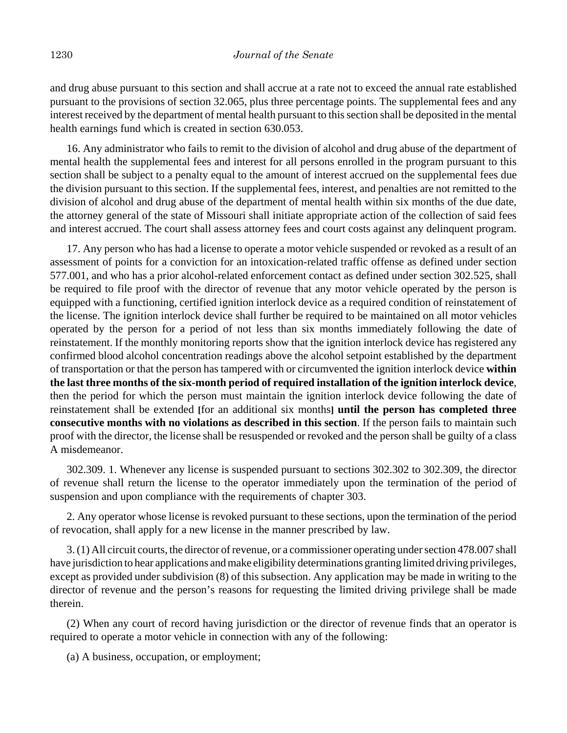and drug abuse pursuant to this section and shall accrue at a rate not to exceed the annual rate established pursuant to the provisions of section 32.065, plus three percentage points. The supplemental fees and any interest received by the department of mental health pursuant to this section shall be deposited in the mental health earnings fund which is created in section 630.053.

16. Any administrator who fails to remit to the division of alcohol and drug abuse of the department of mental health the supplemental fees and interest for all persons enrolled in the program pursuant to this section shall be subject to a penalty equal to the amount of interest accrued on the supplemental fees due the division pursuant to this section. If the supplemental fees, interest, and penalties are not remitted to the division of alcohol and drug abuse of the department of mental health within six months of the due date, the attorney general of the state of Missouri shall initiate appropriate action of the collection of said fees and interest accrued. The court shall assess attorney fees and court costs against any delinquent program.

17. Any person who has had a license to operate a motor vehicle suspended or revoked as a result of an assessment of points for a conviction for an intoxication-related traffic offense as defined under section 577.001, and who has a prior alcohol-related enforcement contact as defined under section 302.525, shall be required to file proof with the director of revenue that any motor vehicle operated by the person is equipped with a functioning, certified ignition interlock device as a required condition of reinstatement of the license. The ignition interlock device shall further be required to be maintained on all motor vehicles operated by the person for a period of not less than six months immediately following the date of reinstatement. If the monthly monitoring reports show that the ignition interlock device has registered any confirmed blood alcohol concentration readings above the alcohol setpoint established by the department of transportation or that the person has tampered with or circumvented the ignition interlock device **within the last three months of the six-month period of required installation of the ignition interlock device**, then the period for which the person must maintain the ignition interlock device following the date of reinstatement shall be extended **[**for an additional six months**] until the person has completed three consecutive months with no violations as described in this section**. If the person fails to maintain such proof with the director, the license shall be resuspended or revoked and the person shall be guilty of a class A misdemeanor.

302.309. 1. Whenever any license is suspended pursuant to sections 302.302 to 302.309, the director of revenue shall return the license to the operator immediately upon the termination of the period of suspension and upon compliance with the requirements of chapter 303.

2. Any operator whose license is revoked pursuant to these sections, upon the termination of the period of revocation, shall apply for a new license in the manner prescribed by law.

3. (1) All circuit courts, the director of revenue, or a commissioner operating under section 478.007 shall have jurisdiction to hear applications and make eligibility determinations granting limited driving privileges, except as provided under subdivision (8) of this subsection. Any application may be made in writing to the director of revenue and the person's reasons for requesting the limited driving privilege shall be made therein.

(2) When any court of record having jurisdiction or the director of revenue finds that an operator is required to operate a motor vehicle in connection with any of the following:

(a) A business, occupation, or employment;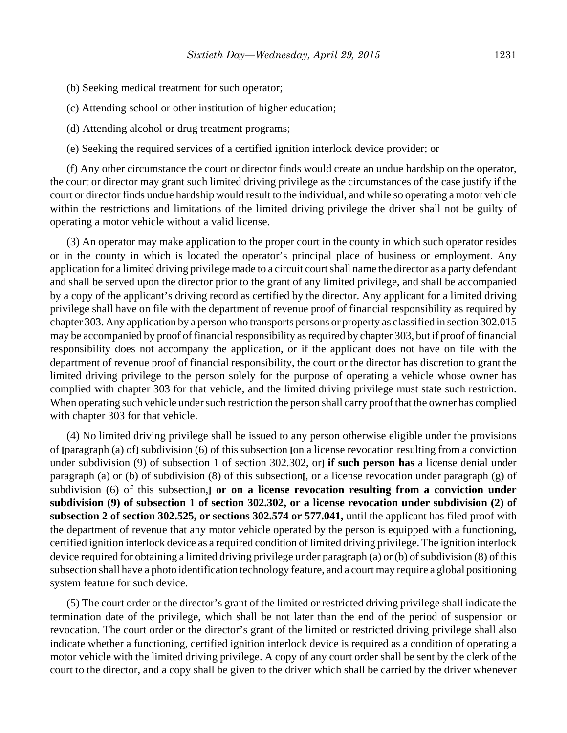- (b) Seeking medical treatment for such operator;
- (c) Attending school or other institution of higher education;
- (d) Attending alcohol or drug treatment programs;
- (e) Seeking the required services of a certified ignition interlock device provider; or

(f) Any other circumstance the court or director finds would create an undue hardship on the operator, the court or director may grant such limited driving privilege as the circumstances of the case justify if the court or director finds undue hardship would result to the individual, and while so operating a motor vehicle within the restrictions and limitations of the limited driving privilege the driver shall not be guilty of operating a motor vehicle without a valid license.

(3) An operator may make application to the proper court in the county in which such operator resides or in the county in which is located the operator's principal place of business or employment. Any application for a limited driving privilege made to a circuit court shall name the director as a party defendant and shall be served upon the director prior to the grant of any limited privilege, and shall be accompanied by a copy of the applicant's driving record as certified by the director. Any applicant for a limited driving privilege shall have on file with the department of revenue proof of financial responsibility as required by chapter 303. Any application by a person who transports persons or property as classified in section 302.015 may be accompanied by proof of financial responsibility as required by chapter 303, but if proof of financial responsibility does not accompany the application, or if the applicant does not have on file with the department of revenue proof of financial responsibility, the court or the director has discretion to grant the limited driving privilege to the person solely for the purpose of operating a vehicle whose owner has complied with chapter 303 for that vehicle, and the limited driving privilege must state such restriction. When operating such vehicle under such restriction the person shall carry proof that the owner has complied with chapter 303 for that vehicle.

(4) No limited driving privilege shall be issued to any person otherwise eligible under the provisions of **[**paragraph (a) of**]** subdivision (6) of this subsection **[**on a license revocation resulting from a conviction under subdivision (9) of subsection 1 of section 302.302, or**] if such person has** a license denial under paragraph (a) or (b) of subdivision (8) of this subsection**[**, or a license revocation under paragraph (g) of subdivision (6) of this subsection,**] or on a license revocation resulting from a conviction under subdivision (9) of subsection 1 of section 302.302, or a license revocation under subdivision (2) of subsection 2 of section 302.525, or sections 302.574 or 577.041,** until the applicant has filed proof with the department of revenue that any motor vehicle operated by the person is equipped with a functioning, certified ignition interlock device as a required condition of limited driving privilege. The ignition interlock device required for obtaining a limited driving privilege under paragraph (a) or (b) of subdivision (8) of this subsection shall have a photo identification technology feature, and a court may require a global positioning system feature for such device.

(5) The court order or the director's grant of the limited or restricted driving privilege shall indicate the termination date of the privilege, which shall be not later than the end of the period of suspension or revocation. The court order or the director's grant of the limited or restricted driving privilege shall also indicate whether a functioning, certified ignition interlock device is required as a condition of operating a motor vehicle with the limited driving privilege. A copy of any court order shall be sent by the clerk of the court to the director, and a copy shall be given to the driver which shall be carried by the driver whenever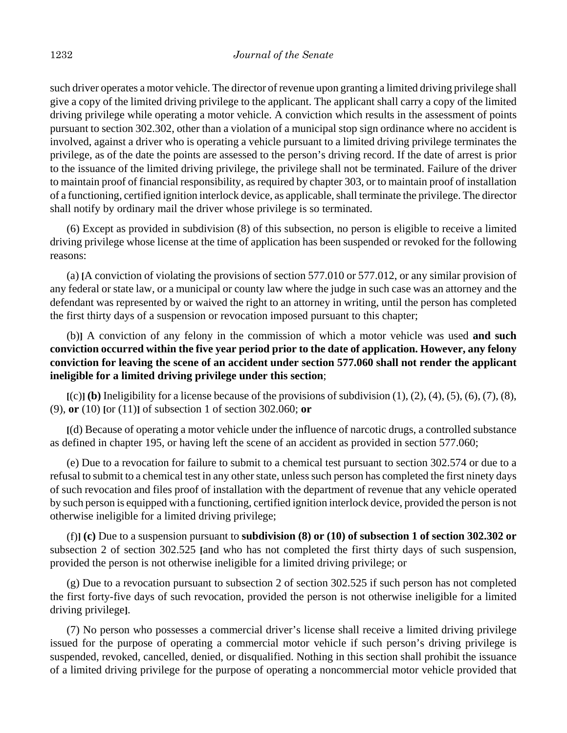such driver operates a motor vehicle. The director of revenue upon granting a limited driving privilege shall give a copy of the limited driving privilege to the applicant. The applicant shall carry a copy of the limited driving privilege while operating a motor vehicle. A conviction which results in the assessment of points pursuant to section 302.302, other than a violation of a municipal stop sign ordinance where no accident is involved, against a driver who is operating a vehicle pursuant to a limited driving privilege terminates the privilege, as of the date the points are assessed to the person's driving record. If the date of arrest is prior to the issuance of the limited driving privilege, the privilege shall not be terminated. Failure of the driver to maintain proof of financial responsibility, as required by chapter 303, or to maintain proof of installation of a functioning, certified ignition interlock device, as applicable, shall terminate the privilege. The director shall notify by ordinary mail the driver whose privilege is so terminated.

(6) Except as provided in subdivision (8) of this subsection, no person is eligible to receive a limited driving privilege whose license at the time of application has been suspended or revoked for the following reasons:

(a) **[**A conviction of violating the provisions of section 577.010 or 577.012, or any similar provision of any federal or state law, or a municipal or county law where the judge in such case was an attorney and the defendant was represented by or waived the right to an attorney in writing, until the person has completed the first thirty days of a suspension or revocation imposed pursuant to this chapter;

(b)**]** A conviction of any felony in the commission of which a motor vehicle was used **and such conviction occurred within the five year period prior to the date of application. However, any felony conviction for leaving the scene of an accident under section 577.060 shall not render the applicant ineligible for a limited driving privilege under this section**;

 $[$ (c)<sup> $]$ </sup> (b) Ineligibility for a license because of the provisions of subdivision  $(1)$ ,  $(2)$ ,  $(4)$ ,  $(5)$ ,  $(6)$ ,  $(7)$ ,  $(8)$ , (9), **or** (10) **[**or (11)**]** of subsection 1 of section 302.060; **or**

**[**(d) Because of operating a motor vehicle under the influence of narcotic drugs, a controlled substance as defined in chapter 195, or having left the scene of an accident as provided in section 577.060;

(e) Due to a revocation for failure to submit to a chemical test pursuant to section 302.574 or due to a refusal to submit to a chemical test in any other state, unless such person has completed the first ninety days of such revocation and files proof of installation with the department of revenue that any vehicle operated by such person is equipped with a functioning, certified ignition interlock device, provided the person is not otherwise ineligible for a limited driving privilege;

(f)**] (c)** Due to a suspension pursuant to **subdivision (8) or (10) of subsection 1 of section 302.302 or** subsection 2 of section 302.525 **[**and who has not completed the first thirty days of such suspension, provided the person is not otherwise ineligible for a limited driving privilege; or

(g) Due to a revocation pursuant to subsection 2 of section 302.525 if such person has not completed the first forty-five days of such revocation, provided the person is not otherwise ineligible for a limited driving privilege**]**.

(7) No person who possesses a commercial driver's license shall receive a limited driving privilege issued for the purpose of operating a commercial motor vehicle if such person's driving privilege is suspended, revoked, cancelled, denied, or disqualified. Nothing in this section shall prohibit the issuance of a limited driving privilege for the purpose of operating a noncommercial motor vehicle provided that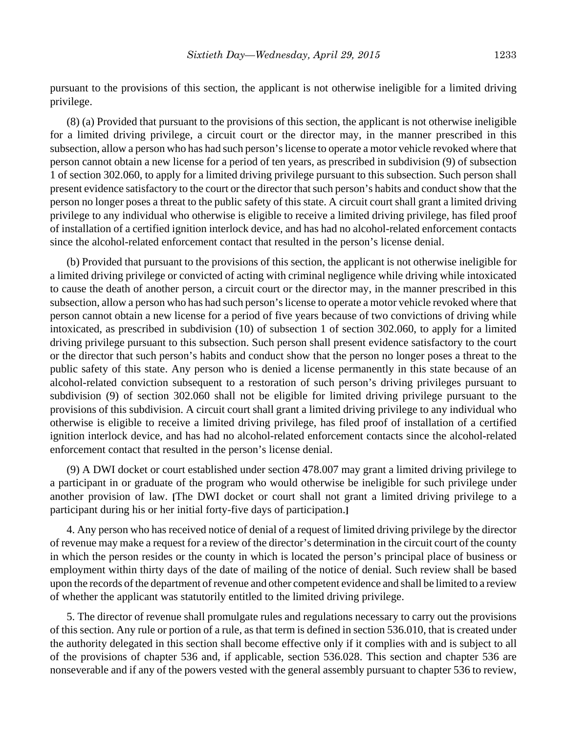pursuant to the provisions of this section, the applicant is not otherwise ineligible for a limited driving privilege.

(8) (a) Provided that pursuant to the provisions of this section, the applicant is not otherwise ineligible for a limited driving privilege, a circuit court or the director may, in the manner prescribed in this subsection, allow a person who has had such person's license to operate a motor vehicle revoked where that person cannot obtain a new license for a period of ten years, as prescribed in subdivision (9) of subsection 1 of section 302.060, to apply for a limited driving privilege pursuant to this subsection. Such person shall present evidence satisfactory to the court or the director that such person's habits and conduct show that the person no longer poses a threat to the public safety of this state. A circuit court shall grant a limited driving privilege to any individual who otherwise is eligible to receive a limited driving privilege, has filed proof of installation of a certified ignition interlock device, and has had no alcohol-related enforcement contacts since the alcohol-related enforcement contact that resulted in the person's license denial.

(b) Provided that pursuant to the provisions of this section, the applicant is not otherwise ineligible for a limited driving privilege or convicted of acting with criminal negligence while driving while intoxicated to cause the death of another person, a circuit court or the director may, in the manner prescribed in this subsection, allow a person who has had such person's license to operate a motor vehicle revoked where that person cannot obtain a new license for a period of five years because of two convictions of driving while intoxicated, as prescribed in subdivision (10) of subsection 1 of section 302.060, to apply for a limited driving privilege pursuant to this subsection. Such person shall present evidence satisfactory to the court or the director that such person's habits and conduct show that the person no longer poses a threat to the public safety of this state. Any person who is denied a license permanently in this state because of an alcohol-related conviction subsequent to a restoration of such person's driving privileges pursuant to subdivision (9) of section 302.060 shall not be eligible for limited driving privilege pursuant to the provisions of this subdivision. A circuit court shall grant a limited driving privilege to any individual who otherwise is eligible to receive a limited driving privilege, has filed proof of installation of a certified ignition interlock device, and has had no alcohol-related enforcement contacts since the alcohol-related enforcement contact that resulted in the person's license denial.

(9) A DWI docket or court established under section 478.007 may grant a limited driving privilege to a participant in or graduate of the program who would otherwise be ineligible for such privilege under another provision of law. **[**The DWI docket or court shall not grant a limited driving privilege to a participant during his or her initial forty-five days of participation.**]**

4. Any person who has received notice of denial of a request of limited driving privilege by the director of revenue may make a request for a review of the director's determination in the circuit court of the county in which the person resides or the county in which is located the person's principal place of business or employment within thirty days of the date of mailing of the notice of denial. Such review shall be based upon the records of the department of revenue and other competent evidence and shall be limited to a review of whether the applicant was statutorily entitled to the limited driving privilege.

5. The director of revenue shall promulgate rules and regulations necessary to carry out the provisions of this section. Any rule or portion of a rule, as that term is defined in section 536.010, that is created under the authority delegated in this section shall become effective only if it complies with and is subject to all of the provisions of chapter 536 and, if applicable, section 536.028. This section and chapter 536 are nonseverable and if any of the powers vested with the general assembly pursuant to chapter 536 to review,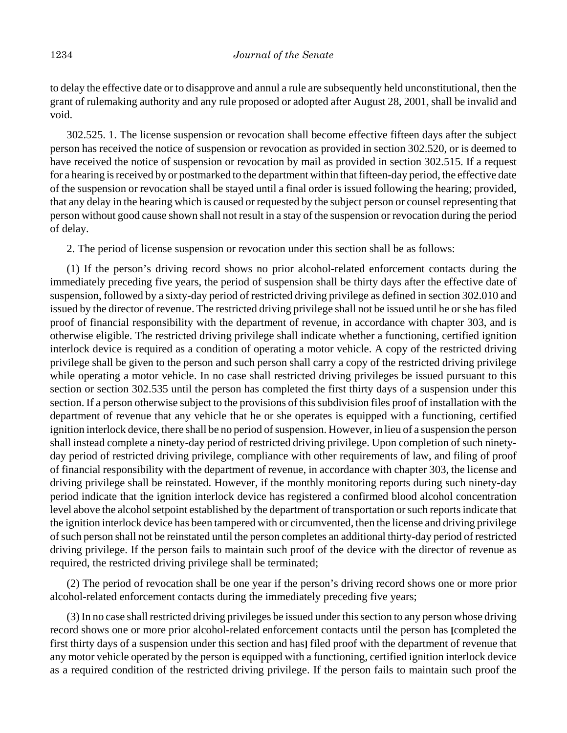to delay the effective date or to disapprove and annul a rule are subsequently held unconstitutional, then the grant of rulemaking authority and any rule proposed or adopted after August 28, 2001, shall be invalid and void.

302.525. 1. The license suspension or revocation shall become effective fifteen days after the subject person has received the notice of suspension or revocation as provided in section 302.520, or is deemed to have received the notice of suspension or revocation by mail as provided in section 302.515. If a request for a hearing is received by or postmarked to the department within that fifteen-day period, the effective date of the suspension or revocation shall be stayed until a final order is issued following the hearing; provided, that any delay in the hearing which is caused or requested by the subject person or counsel representing that person without good cause shown shall not result in a stay of the suspension or revocation during the period of delay.

2. The period of license suspension or revocation under this section shall be as follows:

(1) If the person's driving record shows no prior alcohol-related enforcement contacts during the immediately preceding five years, the period of suspension shall be thirty days after the effective date of suspension, followed by a sixty-day period of restricted driving privilege as defined in section 302.010 and issued by the director of revenue. The restricted driving privilege shall not be issued until he or she has filed proof of financial responsibility with the department of revenue, in accordance with chapter 303, and is otherwise eligible. The restricted driving privilege shall indicate whether a functioning, certified ignition interlock device is required as a condition of operating a motor vehicle. A copy of the restricted driving privilege shall be given to the person and such person shall carry a copy of the restricted driving privilege while operating a motor vehicle. In no case shall restricted driving privileges be issued pursuant to this section or section 302.535 until the person has completed the first thirty days of a suspension under this section. If a person otherwise subject to the provisions of this subdivision files proof of installation with the department of revenue that any vehicle that he or she operates is equipped with a functioning, certified ignition interlock device, there shall be no period of suspension. However, in lieu of a suspension the person shall instead complete a ninety-day period of restricted driving privilege. Upon completion of such ninetyday period of restricted driving privilege, compliance with other requirements of law, and filing of proof of financial responsibility with the department of revenue, in accordance with chapter 303, the license and driving privilege shall be reinstated. However, if the monthly monitoring reports during such ninety-day period indicate that the ignition interlock device has registered a confirmed blood alcohol concentration level above the alcohol setpoint established by the department of transportation or such reports indicate that the ignition interlock device has been tampered with or circumvented, then the license and driving privilege of such person shall not be reinstated until the person completes an additional thirty-day period of restricted driving privilege. If the person fails to maintain such proof of the device with the director of revenue as required, the restricted driving privilege shall be terminated;

(2) The period of revocation shall be one year if the person's driving record shows one or more prior alcohol-related enforcement contacts during the immediately preceding five years;

(3) In no case shall restricted driving privileges be issued under this section to any person whose driving record shows one or more prior alcohol-related enforcement contacts until the person has **[**completed the first thirty days of a suspension under this section and has**]** filed proof with the department of revenue that any motor vehicle operated by the person is equipped with a functioning, certified ignition interlock device as a required condition of the restricted driving privilege. If the person fails to maintain such proof the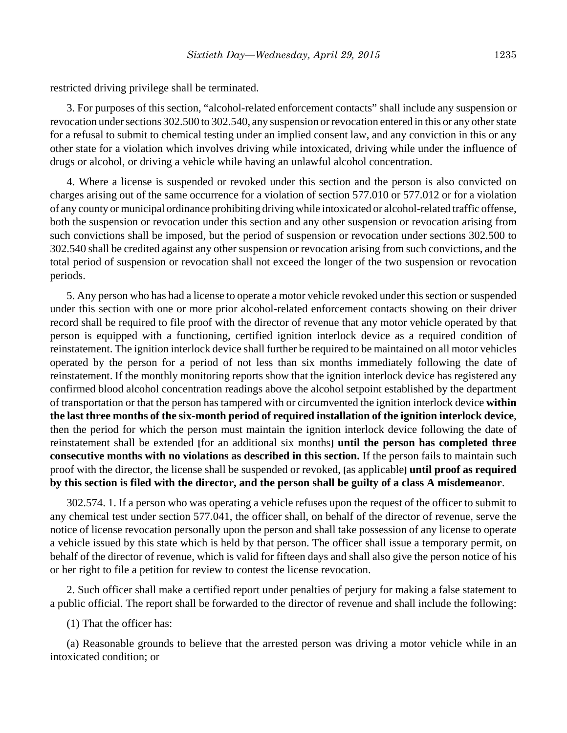restricted driving privilege shall be terminated.

3. For purposes of this section, "alcohol-related enforcement contacts" shall include any suspension or revocation under sections 302.500 to 302.540, any suspension or revocation entered in this or any other state for a refusal to submit to chemical testing under an implied consent law, and any conviction in this or any other state for a violation which involves driving while intoxicated, driving while under the influence of drugs or alcohol, or driving a vehicle while having an unlawful alcohol concentration.

4. Where a license is suspended or revoked under this section and the person is also convicted on charges arising out of the same occurrence for a violation of section 577.010 or 577.012 or for a violation of any county or municipal ordinance prohibiting driving while intoxicated or alcohol-related traffic offense, both the suspension or revocation under this section and any other suspension or revocation arising from such convictions shall be imposed, but the period of suspension or revocation under sections 302.500 to 302.540 shall be credited against any other suspension or revocation arising from such convictions, and the total period of suspension or revocation shall not exceed the longer of the two suspension or revocation periods.

5. Any person who has had a license to operate a motor vehicle revoked under this section or suspended under this section with one or more prior alcohol-related enforcement contacts showing on their driver record shall be required to file proof with the director of revenue that any motor vehicle operated by that person is equipped with a functioning, certified ignition interlock device as a required condition of reinstatement. The ignition interlock device shall further be required to be maintained on all motor vehicles operated by the person for a period of not less than six months immediately following the date of reinstatement. If the monthly monitoring reports show that the ignition interlock device has registered any confirmed blood alcohol concentration readings above the alcohol setpoint established by the department of transportation or that the person has tampered with or circumvented the ignition interlock device **within the last three months of the six-month period of required installation of the ignition interlock device**, then the period for which the person must maintain the ignition interlock device following the date of reinstatement shall be extended **[**for an additional six months**] until the person has completed three consecutive months with no violations as described in this section.** If the person fails to maintain such proof with the director, the license shall be suspended or revoked, **[**as applicable**] until proof as required by this section is filed with the director, and the person shall be guilty of a class A misdemeanor**.

302.574. 1. If a person who was operating a vehicle refuses upon the request of the officer to submit to any chemical test under section 577.041, the officer shall, on behalf of the director of revenue, serve the notice of license revocation personally upon the person and shall take possession of any license to operate a vehicle issued by this state which is held by that person. The officer shall issue a temporary permit, on behalf of the director of revenue, which is valid for fifteen days and shall also give the person notice of his or her right to file a petition for review to contest the license revocation.

2. Such officer shall make a certified report under penalties of perjury for making a false statement to a public official. The report shall be forwarded to the director of revenue and shall include the following:

(1) That the officer has:

(a) Reasonable grounds to believe that the arrested person was driving a motor vehicle while in an intoxicated condition; or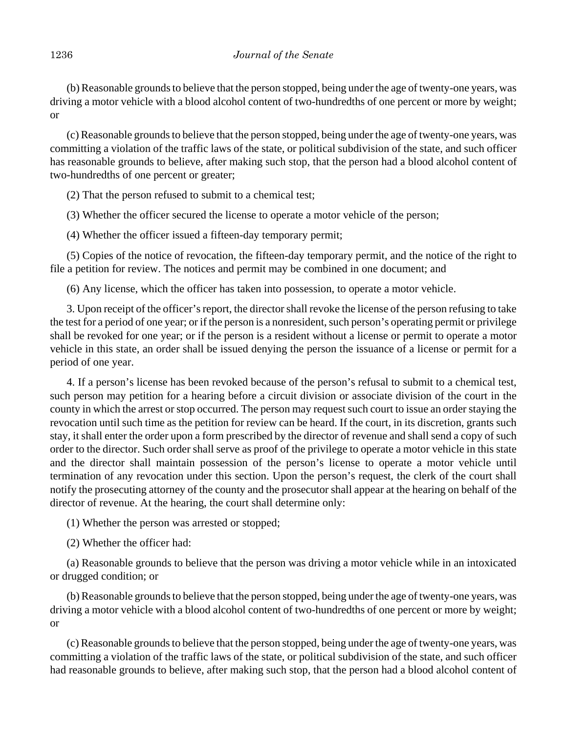(b) Reasonable grounds to believe that the person stopped, being under the age of twenty-one years, was driving a motor vehicle with a blood alcohol content of two-hundredths of one percent or more by weight; or

(c) Reasonable grounds to believe that the person stopped, being under the age of twenty-one years, was committing a violation of the traffic laws of the state, or political subdivision of the state, and such officer has reasonable grounds to believe, after making such stop, that the person had a blood alcohol content of two-hundredths of one percent or greater;

(2) That the person refused to submit to a chemical test;

(3) Whether the officer secured the license to operate a motor vehicle of the person;

(4) Whether the officer issued a fifteen-day temporary permit;

(5) Copies of the notice of revocation, the fifteen-day temporary permit, and the notice of the right to file a petition for review. The notices and permit may be combined in one document; and

(6) Any license, which the officer has taken into possession, to operate a motor vehicle.

3. Upon receipt of the officer's report, the director shall revoke the license of the person refusing to take the test for a period of one year; or if the person is a nonresident, such person's operating permit or privilege shall be revoked for one year; or if the person is a resident without a license or permit to operate a motor vehicle in this state, an order shall be issued denying the person the issuance of a license or permit for a period of one year.

4. If a person's license has been revoked because of the person's refusal to submit to a chemical test, such person may petition for a hearing before a circuit division or associate division of the court in the county in which the arrest or stop occurred. The person may request such court to issue an order staying the revocation until such time as the petition for review can be heard. If the court, in its discretion, grants such stay, it shall enter the order upon a form prescribed by the director of revenue and shall send a copy of such order to the director. Such order shall serve as proof of the privilege to operate a motor vehicle in this state and the director shall maintain possession of the person's license to operate a motor vehicle until termination of any revocation under this section. Upon the person's request, the clerk of the court shall notify the prosecuting attorney of the county and the prosecutor shall appear at the hearing on behalf of the director of revenue. At the hearing, the court shall determine only:

(1) Whether the person was arrested or stopped;

(2) Whether the officer had:

(a) Reasonable grounds to believe that the person was driving a motor vehicle while in an intoxicated or drugged condition; or

(b) Reasonable grounds to believe that the person stopped, being under the age of twenty-one years, was driving a motor vehicle with a blood alcohol content of two-hundredths of one percent or more by weight; or

(c) Reasonable grounds to believe that the person stopped, being under the age of twenty-one years, was committing a violation of the traffic laws of the state, or political subdivision of the state, and such officer had reasonable grounds to believe, after making such stop, that the person had a blood alcohol content of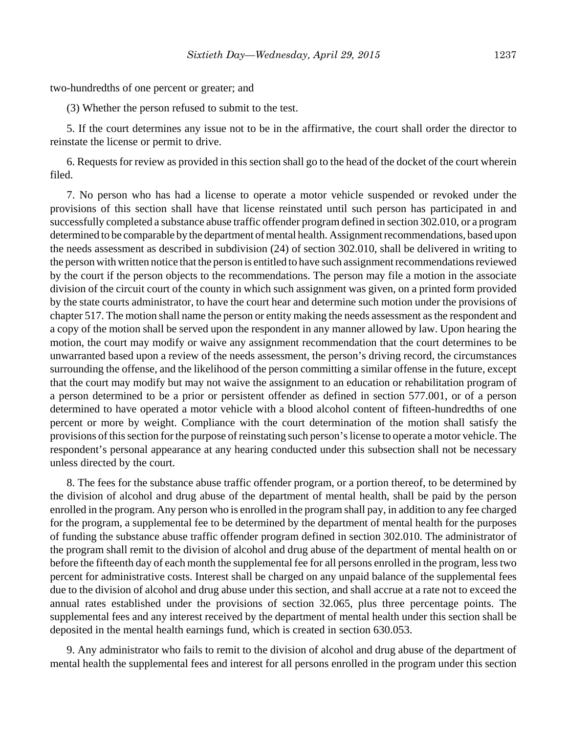two-hundredths of one percent or greater; and

(3) Whether the person refused to submit to the test.

5. If the court determines any issue not to be in the affirmative, the court shall order the director to reinstate the license or permit to drive.

6. Requests for review as provided in this section shall go to the head of the docket of the court wherein filed.

7. No person who has had a license to operate a motor vehicle suspended or revoked under the provisions of this section shall have that license reinstated until such person has participated in and successfully completed a substance abuse traffic offender program defined in section 302.010, or a program determined to be comparable by the department of mental health. Assignment recommendations, based upon the needs assessment as described in subdivision (24) of section 302.010, shall be delivered in writing to the person with written notice that the person is entitled to have such assignment recommendations reviewed by the court if the person objects to the recommendations. The person may file a motion in the associate division of the circuit court of the county in which such assignment was given, on a printed form provided by the state courts administrator, to have the court hear and determine such motion under the provisions of chapter 517. The motion shall name the person or entity making the needs assessment as the respondent and a copy of the motion shall be served upon the respondent in any manner allowed by law. Upon hearing the motion, the court may modify or waive any assignment recommendation that the court determines to be unwarranted based upon a review of the needs assessment, the person's driving record, the circumstances surrounding the offense, and the likelihood of the person committing a similar offense in the future, except that the court may modify but may not waive the assignment to an education or rehabilitation program of a person determined to be a prior or persistent offender as defined in section 577.001, or of a person determined to have operated a motor vehicle with a blood alcohol content of fifteen-hundredths of one percent or more by weight. Compliance with the court determination of the motion shall satisfy the provisions of this section for the purpose of reinstating such person's license to operate a motor vehicle. The respondent's personal appearance at any hearing conducted under this subsection shall not be necessary unless directed by the court.

8. The fees for the substance abuse traffic offender program, or a portion thereof, to be determined by the division of alcohol and drug abuse of the department of mental health, shall be paid by the person enrolled in the program. Any person who is enrolled in the program shall pay, in addition to any fee charged for the program, a supplemental fee to be determined by the department of mental health for the purposes of funding the substance abuse traffic offender program defined in section 302.010. The administrator of the program shall remit to the division of alcohol and drug abuse of the department of mental health on or before the fifteenth day of each month the supplemental fee for all persons enrolled in the program, less two percent for administrative costs. Interest shall be charged on any unpaid balance of the supplemental fees due to the division of alcohol and drug abuse under this section, and shall accrue at a rate not to exceed the annual rates established under the provisions of section 32.065, plus three percentage points. The supplemental fees and any interest received by the department of mental health under this section shall be deposited in the mental health earnings fund, which is created in section 630.053.

9. Any administrator who fails to remit to the division of alcohol and drug abuse of the department of mental health the supplemental fees and interest for all persons enrolled in the program under this section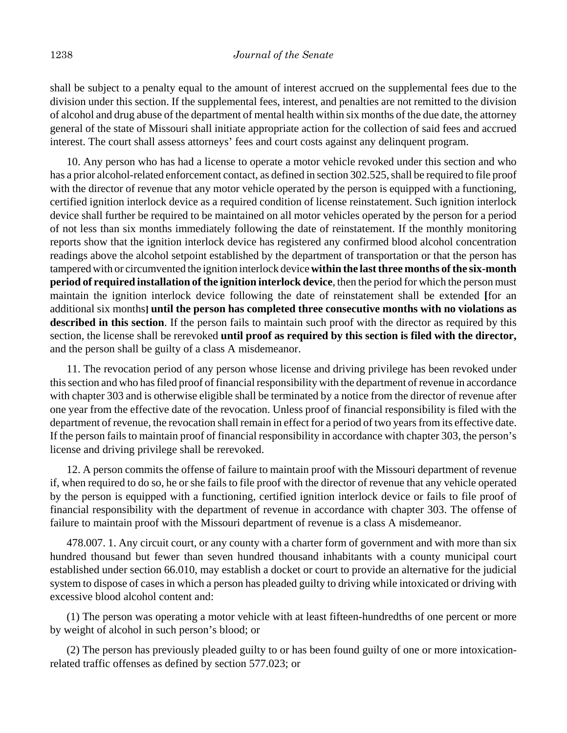shall be subject to a penalty equal to the amount of interest accrued on the supplemental fees due to the division under this section. If the supplemental fees, interest, and penalties are not remitted to the division of alcohol and drug abuse of the department of mental health within six months of the due date, the attorney general of the state of Missouri shall initiate appropriate action for the collection of said fees and accrued interest. The court shall assess attorneys' fees and court costs against any delinquent program.

10. Any person who has had a license to operate a motor vehicle revoked under this section and who has a prior alcohol-related enforcement contact, as defined in section 302.525, shall be required to file proof with the director of revenue that any motor vehicle operated by the person is equipped with a functioning, certified ignition interlock device as a required condition of license reinstatement. Such ignition interlock device shall further be required to be maintained on all motor vehicles operated by the person for a period of not less than six months immediately following the date of reinstatement. If the monthly monitoring reports show that the ignition interlock device has registered any confirmed blood alcohol concentration readings above the alcohol setpoint established by the department of transportation or that the person has tampered with or circumvented the ignition interlock device **within the last three months of the six-month period of required installation of the ignition interlock device**, then the period for which the person must maintain the ignition interlock device following the date of reinstatement shall be extended **[**for an additional six months**] until the person has completed three consecutive months with no violations as described in this section**. If the person fails to maintain such proof with the director as required by this section, the license shall be rerevoked **until proof as required by this section is filed with the director,** and the person shall be guilty of a class A misdemeanor.

11. The revocation period of any person whose license and driving privilege has been revoked under this section and who has filed proof of financial responsibility with the department of revenue in accordance with chapter 303 and is otherwise eligible shall be terminated by a notice from the director of revenue after one year from the effective date of the revocation. Unless proof of financial responsibility is filed with the department of revenue, the revocation shall remain in effect for a period of two years from its effective date. If the person fails to maintain proof of financial responsibility in accordance with chapter 303, the person's license and driving privilege shall be rerevoked.

12. A person commits the offense of failure to maintain proof with the Missouri department of revenue if, when required to do so, he or she fails to file proof with the director of revenue that any vehicle operated by the person is equipped with a functioning, certified ignition interlock device or fails to file proof of financial responsibility with the department of revenue in accordance with chapter 303. The offense of failure to maintain proof with the Missouri department of revenue is a class A misdemeanor.

478.007. 1. Any circuit court, or any county with a charter form of government and with more than six hundred thousand but fewer than seven hundred thousand inhabitants with a county municipal court established under section 66.010, may establish a docket or court to provide an alternative for the judicial system to dispose of cases in which a person has pleaded guilty to driving while intoxicated or driving with excessive blood alcohol content and:

(1) The person was operating a motor vehicle with at least fifteen-hundredths of one percent or more by weight of alcohol in such person's blood; or

(2) The person has previously pleaded guilty to or has been found guilty of one or more intoxicationrelated traffic offenses as defined by section 577.023; or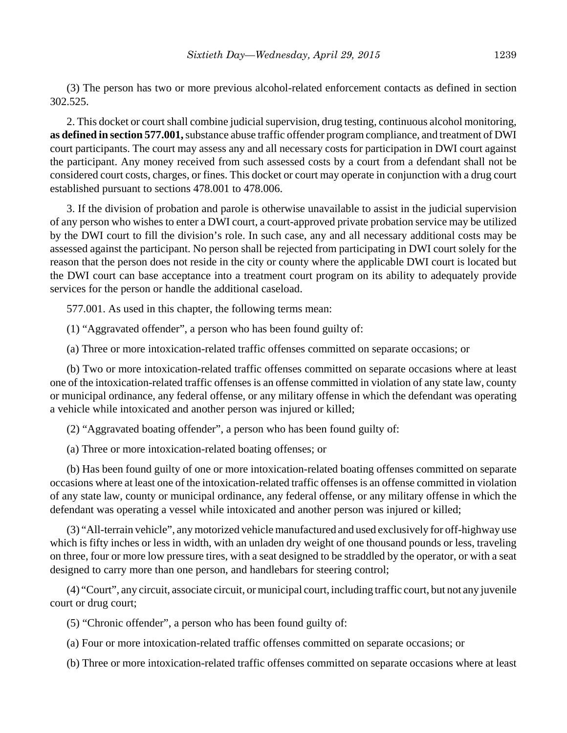(3) The person has two or more previous alcohol-related enforcement contacts as defined in section 302.525.

2. This docket or court shall combine judicial supervision, drug testing, continuous alcohol monitoring, **as defined in section 577.001,** substance abuse traffic offender program compliance, and treatment of DWI court participants. The court may assess any and all necessary costs for participation in DWI court against the participant. Any money received from such assessed costs by a court from a defendant shall not be considered court costs, charges, or fines. This docket or court may operate in conjunction with a drug court established pursuant to sections 478.001 to 478.006.

3. If the division of probation and parole is otherwise unavailable to assist in the judicial supervision of any person who wishes to enter a DWI court, a court-approved private probation service may be utilized by the DWI court to fill the division's role. In such case, any and all necessary additional costs may be assessed against the participant. No person shall be rejected from participating in DWI court solely for the reason that the person does not reside in the city or county where the applicable DWI court is located but the DWI court can base acceptance into a treatment court program on its ability to adequately provide services for the person or handle the additional caseload.

577.001. As used in this chapter, the following terms mean:

(1) "Aggravated offender", a person who has been found guilty of:

(a) Three or more intoxication-related traffic offenses committed on separate occasions; or

(b) Two or more intoxication-related traffic offenses committed on separate occasions where at least one of the intoxication-related traffic offenses is an offense committed in violation of any state law, county or municipal ordinance, any federal offense, or any military offense in which the defendant was operating a vehicle while intoxicated and another person was injured or killed;

(2) "Aggravated boating offender", a person who has been found guilty of:

(a) Three or more intoxication-related boating offenses; or

(b) Has been found guilty of one or more intoxication-related boating offenses committed on separate occasions where at least one of the intoxication-related traffic offenses is an offense committed in violation of any state law, county or municipal ordinance, any federal offense, or any military offense in which the defendant was operating a vessel while intoxicated and another person was injured or killed;

(3) "All-terrain vehicle", any motorized vehicle manufactured and used exclusively for off-highway use which is fifty inches or less in width, with an unladen dry weight of one thousand pounds or less, traveling on three, four or more low pressure tires, with a seat designed to be straddled by the operator, or with a seat designed to carry more than one person, and handlebars for steering control;

(4) "Court", any circuit, associate circuit, or municipal court, including traffic court, but not any juvenile court or drug court;

(5) "Chronic offender", a person who has been found guilty of:

(a) Four or more intoxication-related traffic offenses committed on separate occasions; or

(b) Three or more intoxication-related traffic offenses committed on separate occasions where at least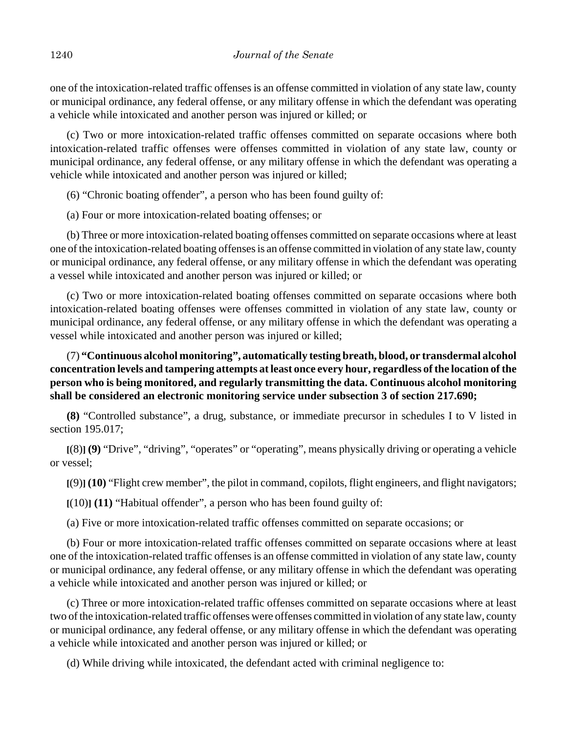one of the intoxication-related traffic offenses is an offense committed in violation of any state law, county or municipal ordinance, any federal offense, or any military offense in which the defendant was operating a vehicle while intoxicated and another person was injured or killed; or

(c) Two or more intoxication-related traffic offenses committed on separate occasions where both intoxication-related traffic offenses were offenses committed in violation of any state law, county or municipal ordinance, any federal offense, or any military offense in which the defendant was operating a vehicle while intoxicated and another person was injured or killed;

(6) "Chronic boating offender", a person who has been found guilty of:

(a) Four or more intoxication-related boating offenses; or

(b) Three or more intoxication-related boating offenses committed on separate occasions where at least one of the intoxication-related boating offenses is an offense committed in violation of any state law, county or municipal ordinance, any federal offense, or any military offense in which the defendant was operating a vessel while intoxicated and another person was injured or killed; or

(c) Two or more intoxication-related boating offenses committed on separate occasions where both intoxication-related boating offenses were offenses committed in violation of any state law, county or municipal ordinance, any federal offense, or any military offense in which the defendant was operating a vessel while intoxicated and another person was injured or killed;

## (7) **"Continuous alcohol monitoring", automatically testing breath, blood, or transdermal alcohol concentration levels and tampering attempts at least once every hour, regardless of the location of the person who is being monitored, and regularly transmitting the data. Continuous alcohol monitoring shall be considered an electronic monitoring service under subsection 3 of section 217.690;**

**(8)** "Controlled substance", a drug, substance, or immediate precursor in schedules I to V listed in section 195.017;

**[**(8)**] (9)** "Drive", "driving", "operates" or "operating", means physically driving or operating a vehicle or vessel;

**[**(9)**] (10)** "Flight crew member", the pilot in command, copilots, flight engineers, and flight navigators;

**[**(10)**] (11)** "Habitual offender", a person who has been found guilty of:

(a) Five or more intoxication-related traffic offenses committed on separate occasions; or

(b) Four or more intoxication-related traffic offenses committed on separate occasions where at least one of the intoxication-related traffic offenses is an offense committed in violation of any state law, county or municipal ordinance, any federal offense, or any military offense in which the defendant was operating a vehicle while intoxicated and another person was injured or killed; or

(c) Three or more intoxication-related traffic offenses committed on separate occasions where at least two of the intoxication-related traffic offenses were offenses committed in violation of any state law, county or municipal ordinance, any federal offense, or any military offense in which the defendant was operating a vehicle while intoxicated and another person was injured or killed; or

(d) While driving while intoxicated, the defendant acted with criminal negligence to: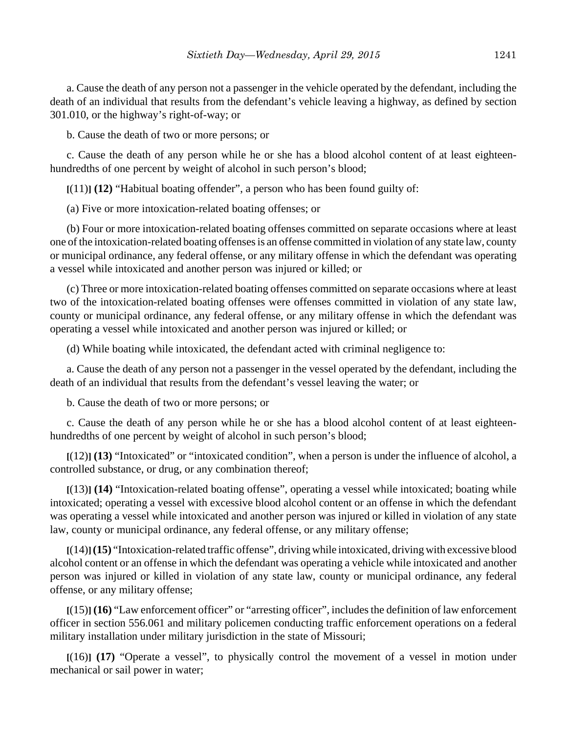a. Cause the death of any person not a passenger in the vehicle operated by the defendant, including the death of an individual that results from the defendant's vehicle leaving a highway, as defined by section 301.010, or the highway's right-of-way; or

b. Cause the death of two or more persons; or

c. Cause the death of any person while he or she has a blood alcohol content of at least eighteenhundredths of one percent by weight of alcohol in such person's blood;

**[**(11)**] (12)** "Habitual boating offender", a person who has been found guilty of:

(a) Five or more intoxication-related boating offenses; or

(b) Four or more intoxication-related boating offenses committed on separate occasions where at least one of the intoxication-related boating offenses is an offense committed in violation of any state law, county or municipal ordinance, any federal offense, or any military offense in which the defendant was operating a vessel while intoxicated and another person was injured or killed; or

(c) Three or more intoxication-related boating offenses committed on separate occasions where at least two of the intoxication-related boating offenses were offenses committed in violation of any state law, county or municipal ordinance, any federal offense, or any military offense in which the defendant was operating a vessel while intoxicated and another person was injured or killed; or

(d) While boating while intoxicated, the defendant acted with criminal negligence to:

a. Cause the death of any person not a passenger in the vessel operated by the defendant, including the death of an individual that results from the defendant's vessel leaving the water; or

b. Cause the death of two or more persons; or

c. Cause the death of any person while he or she has a blood alcohol content of at least eighteenhundredths of one percent by weight of alcohol in such person's blood;

**[**(12)**] (13)** "Intoxicated" or "intoxicated condition", when a person is under the influence of alcohol, a controlled substance, or drug, or any combination thereof;

**[**(13)**] (14)** "Intoxication-related boating offense", operating a vessel while intoxicated; boating while intoxicated; operating a vessel with excessive blood alcohol content or an offense in which the defendant was operating a vessel while intoxicated and another person was injured or killed in violation of any state law, county or municipal ordinance, any federal offense, or any military offense;

**[**(14)**] (15)** "Intoxication-related traffic offense", driving while intoxicated, driving with excessive blood alcohol content or an offense in which the defendant was operating a vehicle while intoxicated and another person was injured or killed in violation of any state law, county or municipal ordinance, any federal offense, or any military offense;

**[**(15)**] (16)** "Law enforcement officer" or "arresting officer", includes the definition of law enforcement officer in section 556.061 and military policemen conducting traffic enforcement operations on a federal military installation under military jurisdiction in the state of Missouri;

**[**(16)**] (17)** "Operate a vessel", to physically control the movement of a vessel in motion under mechanical or sail power in water;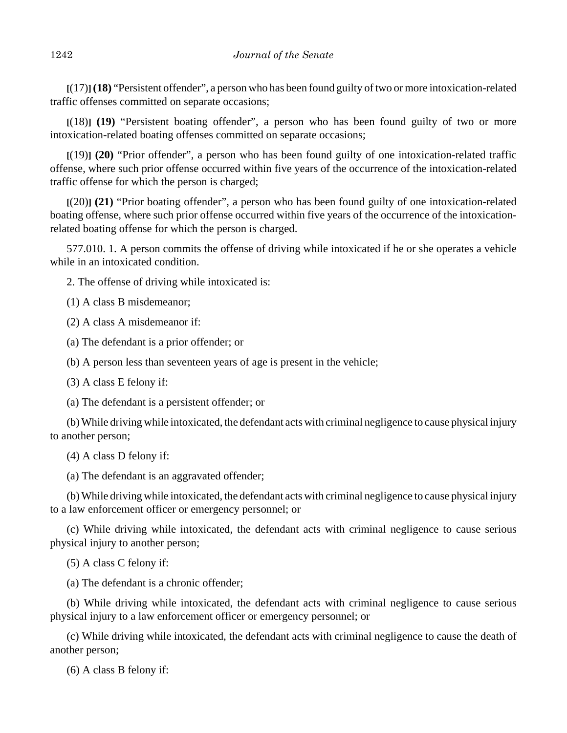**[**(17)**] (18)** "Persistent offender", a person who has been found guilty of two or more intoxication-related traffic offenses committed on separate occasions;

**[**(18)**] (19)** "Persistent boating offender", a person who has been found guilty of two or more intoxication-related boating offenses committed on separate occasions;

**[**(19)**] (20)** "Prior offender", a person who has been found guilty of one intoxication-related traffic offense, where such prior offense occurred within five years of the occurrence of the intoxication-related traffic offense for which the person is charged;

**[**(20)**] (21)** "Prior boating offender", a person who has been found guilty of one intoxication-related boating offense, where such prior offense occurred within five years of the occurrence of the intoxicationrelated boating offense for which the person is charged.

577.010. 1. A person commits the offense of driving while intoxicated if he or she operates a vehicle while in an intoxicated condition.

2. The offense of driving while intoxicated is:

(1) A class B misdemeanor;

(2) A class A misdemeanor if:

(a) The defendant is a prior offender; or

(b) A person less than seventeen years of age is present in the vehicle;

(3) A class E felony if:

(a) The defendant is a persistent offender; or

(b) While driving while intoxicated, the defendant acts with criminal negligence to cause physical injury to another person;

(4) A class D felony if:

(a) The defendant is an aggravated offender;

(b) While driving while intoxicated, the defendant acts with criminal negligence to cause physical injury to a law enforcement officer or emergency personnel; or

(c) While driving while intoxicated, the defendant acts with criminal negligence to cause serious physical injury to another person;

(5) A class C felony if:

(a) The defendant is a chronic offender;

(b) While driving while intoxicated, the defendant acts with criminal negligence to cause serious physical injury to a law enforcement officer or emergency personnel; or

(c) While driving while intoxicated, the defendant acts with criminal negligence to cause the death of another person;

(6) A class B felony if: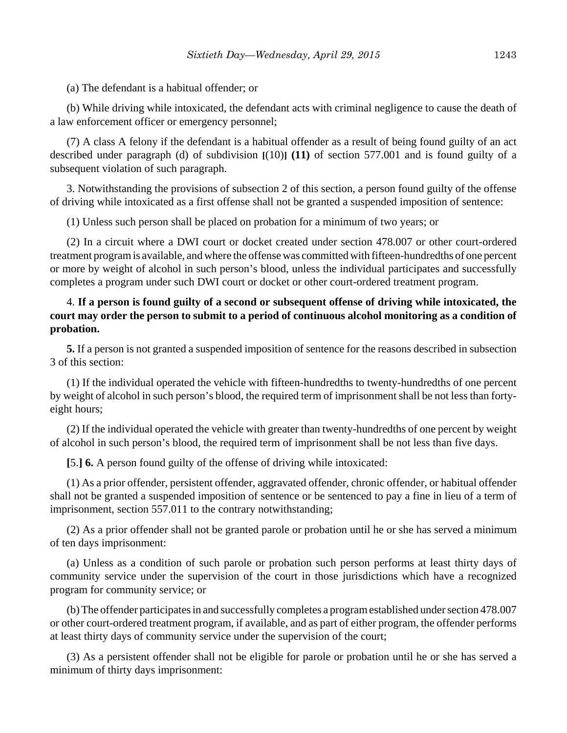(a) The defendant is a habitual offender; or

(b) While driving while intoxicated, the defendant acts with criminal negligence to cause the death of a law enforcement officer or emergency personnel;

(7) A class A felony if the defendant is a habitual offender as a result of being found guilty of an act described under paragraph (d) of subdivision **[**(10)**] (11)** of section 577.001 and is found guilty of a subsequent violation of such paragraph.

3. Notwithstanding the provisions of subsection 2 of this section, a person found guilty of the offense of driving while intoxicated as a first offense shall not be granted a suspended imposition of sentence:

(1) Unless such person shall be placed on probation for a minimum of two years; or

(2) In a circuit where a DWI court or docket created under section 478.007 or other court-ordered treatment program is available, and where the offense was committed with fifteen-hundredths of one percent or more by weight of alcohol in such person's blood, unless the individual participates and successfully completes a program under such DWI court or docket or other court-ordered treatment program.

### 4. **If a person is found guilty of a second or subsequent offense of driving while intoxicated, the court may order the person to submit to a period of continuous alcohol monitoring as a condition of probation.**

**5.** If a person is not granted a suspended imposition of sentence for the reasons described in subsection 3 of this section:

(1) If the individual operated the vehicle with fifteen-hundredths to twenty-hundredths of one percent by weight of alcohol in such person's blood, the required term of imprisonment shall be not less than fortyeight hours;

(2) If the individual operated the vehicle with greater than twenty-hundredths of one percent by weight of alcohol in such person's blood, the required term of imprisonment shall be not less than five days.

**[**5.**] 6.** A person found guilty of the offense of driving while intoxicated:

(1) As a prior offender, persistent offender, aggravated offender, chronic offender, or habitual offender shall not be granted a suspended imposition of sentence or be sentenced to pay a fine in lieu of a term of imprisonment, section 557.011 to the contrary notwithstanding;

(2) As a prior offender shall not be granted parole or probation until he or she has served a minimum of ten days imprisonment:

(a) Unless as a condition of such parole or probation such person performs at least thirty days of community service under the supervision of the court in those jurisdictions which have a recognized program for community service; or

(b) The offender participates in and successfully completes a program established under section 478.007 or other court-ordered treatment program, if available, and as part of either program, the offender performs at least thirty days of community service under the supervision of the court;

(3) As a persistent offender shall not be eligible for parole or probation until he or she has served a minimum of thirty days imprisonment: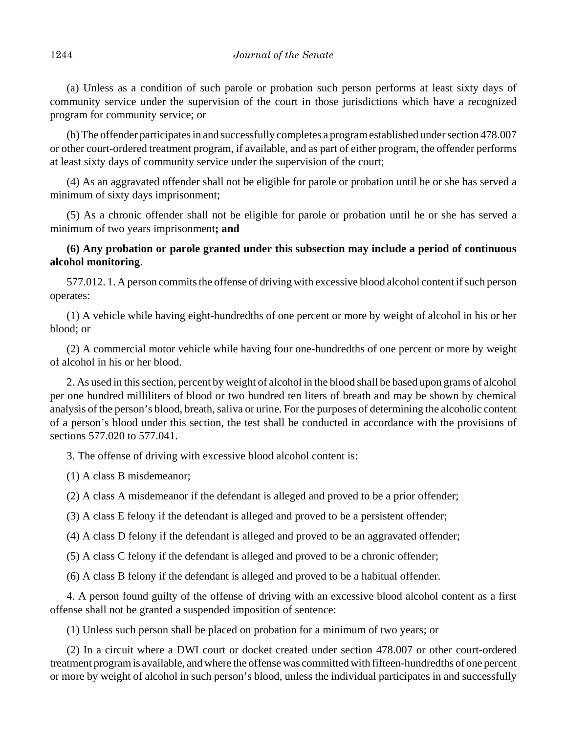(a) Unless as a condition of such parole or probation such person performs at least sixty days of community service under the supervision of the court in those jurisdictions which have a recognized program for community service; or

(b) The offender participates in and successfully completes a program established under section 478.007 or other court-ordered treatment program, if available, and as part of either program, the offender performs at least sixty days of community service under the supervision of the court;

(4) As an aggravated offender shall not be eligible for parole or probation until he or she has served a minimum of sixty days imprisonment;

(5) As a chronic offender shall not be eligible for parole or probation until he or she has served a minimum of two years imprisonment**; and**

## **(6) Any probation or parole granted under this subsection may include a period of continuous alcohol monitoring**.

577.012. 1. A person commits the offense of driving with excessive blood alcohol content if such person operates:

(1) A vehicle while having eight-hundredths of one percent or more by weight of alcohol in his or her blood; or

(2) A commercial motor vehicle while having four one-hundredths of one percent or more by weight of alcohol in his or her blood.

2. As used in this section, percent by weight of alcohol in the blood shall be based upon grams of alcohol per one hundred milliliters of blood or two hundred ten liters of breath and may be shown by chemical analysis of the person's blood, breath, saliva or urine. For the purposes of determining the alcoholic content of a person's blood under this section, the test shall be conducted in accordance with the provisions of sections 577.020 to 577.041.

3. The offense of driving with excessive blood alcohol content is:

(1) A class B misdemeanor;

(2) A class A misdemeanor if the defendant is alleged and proved to be a prior offender;

(3) A class E felony if the defendant is alleged and proved to be a persistent offender;

(4) A class D felony if the defendant is alleged and proved to be an aggravated offender;

(5) A class C felony if the defendant is alleged and proved to be a chronic offender;

(6) A class B felony if the defendant is alleged and proved to be a habitual offender.

4. A person found guilty of the offense of driving with an excessive blood alcohol content as a first offense shall not be granted a suspended imposition of sentence:

(1) Unless such person shall be placed on probation for a minimum of two years; or

(2) In a circuit where a DWI court or docket created under section 478.007 or other court-ordered treatment program is available, and where the offense was committed with fifteen-hundredths of one percent or more by weight of alcohol in such person's blood, unless the individual participates in and successfully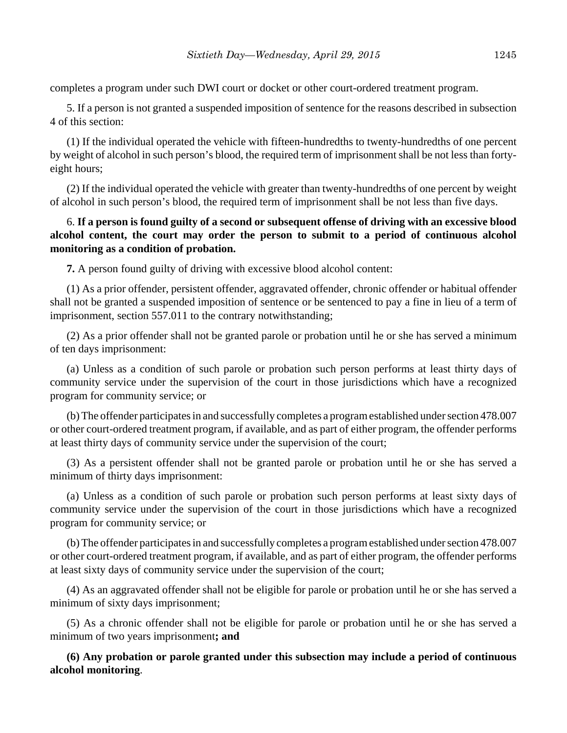completes a program under such DWI court or docket or other court-ordered treatment program.

5. If a person is not granted a suspended imposition of sentence for the reasons described in subsection 4 of this section:

(1) If the individual operated the vehicle with fifteen-hundredths to twenty-hundredths of one percent by weight of alcohol in such person's blood, the required term of imprisonment shall be not less than fortyeight hours;

(2) If the individual operated the vehicle with greater than twenty-hundredths of one percent by weight of alcohol in such person's blood, the required term of imprisonment shall be not less than five days.

## 6. **If a person is found guilty of a second or subsequent offense of driving with an excessive blood alcohol content, the court may order the person to submit to a period of continuous alcohol monitoring as a condition of probation.**

**7.** A person found guilty of driving with excessive blood alcohol content:

(1) As a prior offender, persistent offender, aggravated offender, chronic offender or habitual offender shall not be granted a suspended imposition of sentence or be sentenced to pay a fine in lieu of a term of imprisonment, section 557.011 to the contrary notwithstanding;

(2) As a prior offender shall not be granted parole or probation until he or she has served a minimum of ten days imprisonment:

(a) Unless as a condition of such parole or probation such person performs at least thirty days of community service under the supervision of the court in those jurisdictions which have a recognized program for community service; or

(b) The offender participates in and successfully completes a program established under section 478.007 or other court-ordered treatment program, if available, and as part of either program, the offender performs at least thirty days of community service under the supervision of the court;

(3) As a persistent offender shall not be granted parole or probation until he or she has served a minimum of thirty days imprisonment:

(a) Unless as a condition of such parole or probation such person performs at least sixty days of community service under the supervision of the court in those jurisdictions which have a recognized program for community service; or

(b) The offender participates in and successfully completes a program established under section 478.007 or other court-ordered treatment program, if available, and as part of either program, the offender performs at least sixty days of community service under the supervision of the court;

(4) As an aggravated offender shall not be eligible for parole or probation until he or she has served a minimum of sixty days imprisonment;

(5) As a chronic offender shall not be eligible for parole or probation until he or she has served a minimum of two years imprisonment**; and**

**(6) Any probation or parole granted under this subsection may include a period of continuous alcohol monitoring**.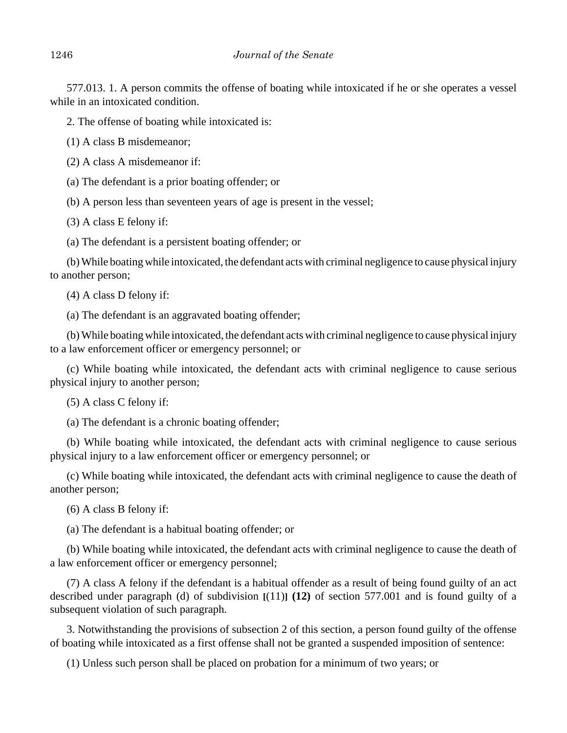577.013. 1. A person commits the offense of boating while intoxicated if he or she operates a vessel while in an intoxicated condition.

2. The offense of boating while intoxicated is:

(1) A class B misdemeanor;

(2) A class A misdemeanor if:

(a) The defendant is a prior boating offender; or

(b) A person less than seventeen years of age is present in the vessel;

(3) A class E felony if:

(a) The defendant is a persistent boating offender; or

(b) While boating while intoxicated, the defendant acts with criminal negligence to cause physical injury to another person;

(4) A class D felony if:

(a) The defendant is an aggravated boating offender;

(b) While boating while intoxicated, the defendant acts with criminal negligence to cause physical injury to a law enforcement officer or emergency personnel; or

(c) While boating while intoxicated, the defendant acts with criminal negligence to cause serious physical injury to another person;

(5) A class C felony if:

(a) The defendant is a chronic boating offender;

(b) While boating while intoxicated, the defendant acts with criminal negligence to cause serious physical injury to a law enforcement officer or emergency personnel; or

(c) While boating while intoxicated, the defendant acts with criminal negligence to cause the death of another person;

(6) A class B felony if:

(a) The defendant is a habitual boating offender; or

(b) While boating while intoxicated, the defendant acts with criminal negligence to cause the death of a law enforcement officer or emergency personnel;

(7) A class A felony if the defendant is a habitual offender as a result of being found guilty of an act described under paragraph (d) of subdivision **[**(11)**] (12)** of section 577.001 and is found guilty of a subsequent violation of such paragraph.

3. Notwithstanding the provisions of subsection 2 of this section, a person found guilty of the offense of boating while intoxicated as a first offense shall not be granted a suspended imposition of sentence:

(1) Unless such person shall be placed on probation for a minimum of two years; or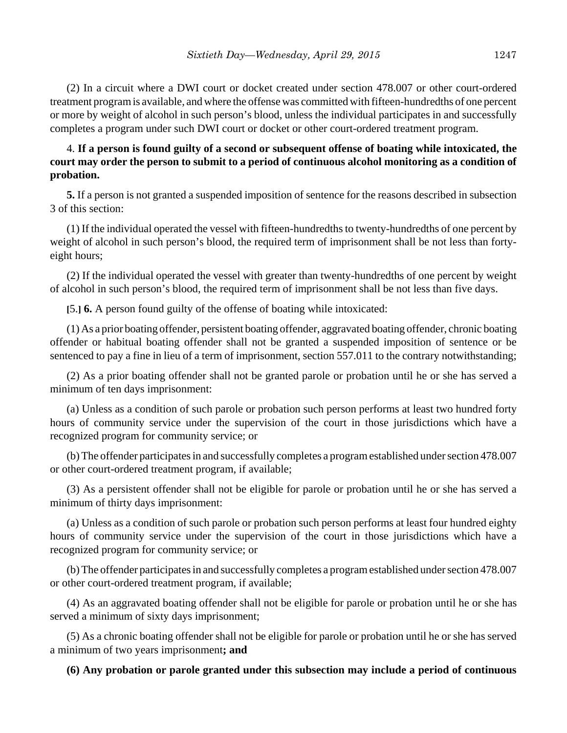(2) In a circuit where a DWI court or docket created under section 478.007 or other court-ordered treatment program is available, and where the offense was committed with fifteen-hundredths of one percent or more by weight of alcohol in such person's blood, unless the individual participates in and successfully completes a program under such DWI court or docket or other court-ordered treatment program.

## 4. **If a person is found guilty of a second or subsequent offense of boating while intoxicated, the court may order the person to submit to a period of continuous alcohol monitoring as a condition of probation.**

**5.** If a person is not granted a suspended imposition of sentence for the reasons described in subsection 3 of this section:

(1) If the individual operated the vessel with fifteen-hundredths to twenty-hundredths of one percent by weight of alcohol in such person's blood, the required term of imprisonment shall be not less than fortyeight hours;

(2) If the individual operated the vessel with greater than twenty-hundredths of one percent by weight of alcohol in such person's blood, the required term of imprisonment shall be not less than five days.

**[**5.**] 6.** A person found guilty of the offense of boating while intoxicated:

(1) As a prior boating offender, persistent boating offender, aggravated boating offender, chronic boating offender or habitual boating offender shall not be granted a suspended imposition of sentence or be sentenced to pay a fine in lieu of a term of imprisonment, section 557.011 to the contrary notwithstanding;

(2) As a prior boating offender shall not be granted parole or probation until he or she has served a minimum of ten days imprisonment:

(a) Unless as a condition of such parole or probation such person performs at least two hundred forty hours of community service under the supervision of the court in those jurisdictions which have a recognized program for community service; or

(b) The offender participates in and successfully completes a program established under section 478.007 or other court-ordered treatment program, if available;

(3) As a persistent offender shall not be eligible for parole or probation until he or she has served a minimum of thirty days imprisonment:

(a) Unless as a condition of such parole or probation such person performs at least four hundred eighty hours of community service under the supervision of the court in those jurisdictions which have a recognized program for community service; or

(b) The offender participates in and successfully completes a program established under section 478.007 or other court-ordered treatment program, if available;

(4) As an aggravated boating offender shall not be eligible for parole or probation until he or she has served a minimum of sixty days imprisonment;

(5) As a chronic boating offender shall not be eligible for parole or probation until he or she has served a minimum of two years imprisonment**; and**

# **(6) Any probation or parole granted under this subsection may include a period of continuous**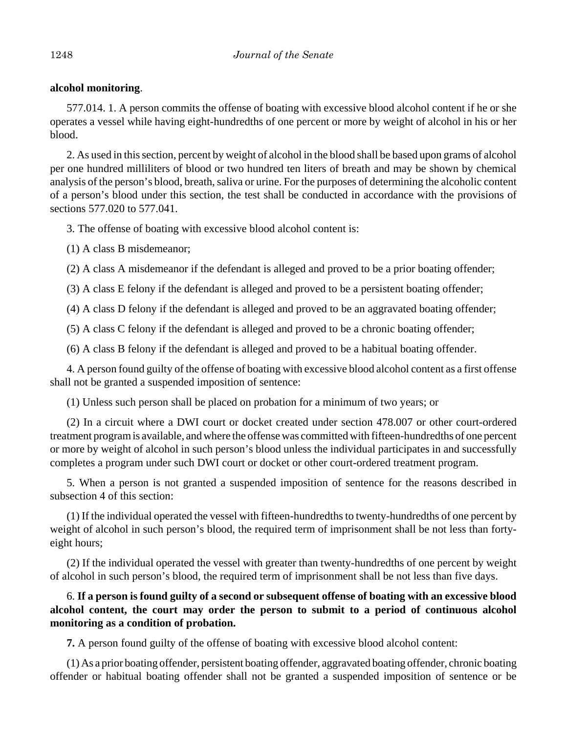### **alcohol monitoring**.

577.014. 1. A person commits the offense of boating with excessive blood alcohol content if he or she operates a vessel while having eight-hundredths of one percent or more by weight of alcohol in his or her blood.

2. As used in this section, percent by weight of alcohol in the blood shall be based upon grams of alcohol per one hundred milliliters of blood or two hundred ten liters of breath and may be shown by chemical analysis of the person's blood, breath, saliva or urine. For the purposes of determining the alcoholic content of a person's blood under this section, the test shall be conducted in accordance with the provisions of sections 577.020 to 577.041.

3. The offense of boating with excessive blood alcohol content is:

(1) A class B misdemeanor;

(2) A class A misdemeanor if the defendant is alleged and proved to be a prior boating offender;

(3) A class E felony if the defendant is alleged and proved to be a persistent boating offender;

(4) A class D felony if the defendant is alleged and proved to be an aggravated boating offender;

(5) A class C felony if the defendant is alleged and proved to be a chronic boating offender;

(6) A class B felony if the defendant is alleged and proved to be a habitual boating offender.

4. A person found guilty of the offense of boating with excessive blood alcohol content as a first offense shall not be granted a suspended imposition of sentence:

(1) Unless such person shall be placed on probation for a minimum of two years; or

(2) In a circuit where a DWI court or docket created under section 478.007 or other court-ordered treatment program is available, and where the offense was committed with fifteen-hundredths of one percent or more by weight of alcohol in such person's blood unless the individual participates in and successfully completes a program under such DWI court or docket or other court-ordered treatment program.

5. When a person is not granted a suspended imposition of sentence for the reasons described in subsection 4 of this section:

(1) If the individual operated the vessel with fifteen-hundredths to twenty-hundredths of one percent by weight of alcohol in such person's blood, the required term of imprisonment shall be not less than fortyeight hours;

(2) If the individual operated the vessel with greater than twenty-hundredths of one percent by weight of alcohol in such person's blood, the required term of imprisonment shall be not less than five days.

## 6. **If a person is found guilty of a second or subsequent offense of boating with an excessive blood alcohol content, the court may order the person to submit to a period of continuous alcohol monitoring as a condition of probation.**

**7.** A person found guilty of the offense of boating with excessive blood alcohol content:

(1) As a prior boating offender, persistent boating offender, aggravated boating offender, chronic boating offender or habitual boating offender shall not be granted a suspended imposition of sentence or be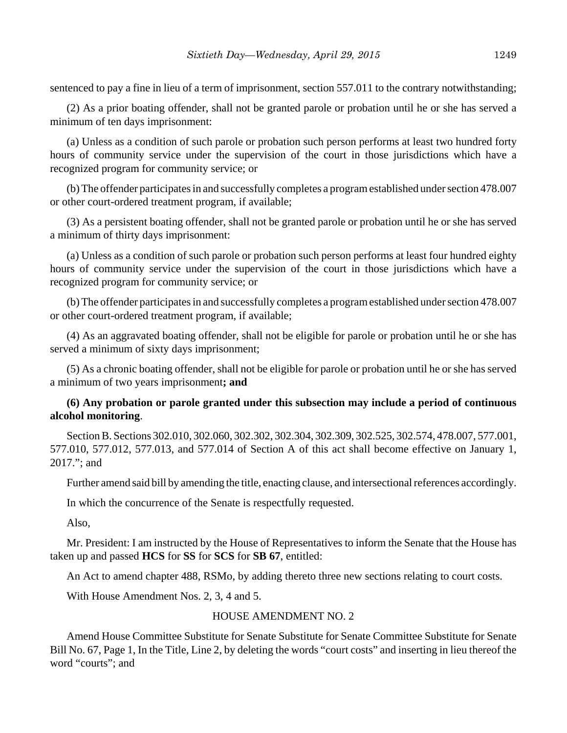sentenced to pay a fine in lieu of a term of imprisonment, section 557.011 to the contrary notwithstanding;

(2) As a prior boating offender, shall not be granted parole or probation until he or she has served a minimum of ten days imprisonment:

(a) Unless as a condition of such parole or probation such person performs at least two hundred forty hours of community service under the supervision of the court in those jurisdictions which have a recognized program for community service; or

(b) The offender participates in and successfully completes a program established under section 478.007 or other court-ordered treatment program, if available;

(3) As a persistent boating offender, shall not be granted parole or probation until he or she has served a minimum of thirty days imprisonment:

(a) Unless as a condition of such parole or probation such person performs at least four hundred eighty hours of community service under the supervision of the court in those jurisdictions which have a recognized program for community service; or

(b) The offender participates in and successfully completes a program established under section 478.007 or other court-ordered treatment program, if available;

(4) As an aggravated boating offender, shall not be eligible for parole or probation until he or she has served a minimum of sixty days imprisonment;

(5) As a chronic boating offender, shall not be eligible for parole or probation until he or she has served a minimum of two years imprisonment**; and**

## **(6) Any probation or parole granted under this subsection may include a period of continuous alcohol monitoring**.

Section B. Sections 302.010, 302.060, 302.302, 302.304, 302.309, 302.525, 302.574, 478.007, 577.001, 577.010, 577.012, 577.013, and 577.014 of Section A of this act shall become effective on January 1, 2017."; and

Further amend said bill by amending the title, enacting clause, and intersectional references accordingly.

In which the concurrence of the Senate is respectfully requested.

Also,

Mr. President: I am instructed by the House of Representatives to inform the Senate that the House has taken up and passed **HCS** for **SS** for **SCS** for **SB 67**, entitled:

An Act to amend chapter 488, RSMo, by adding thereto three new sections relating to court costs.

With House Amendment Nos. 2, 3, 4 and 5.

### HOUSE AMENDMENT NO. 2

Amend House Committee Substitute for Senate Substitute for Senate Committee Substitute for Senate Bill No. 67, Page 1, In the Title, Line 2, by deleting the words "court costs" and inserting in lieu thereof the word "courts"; and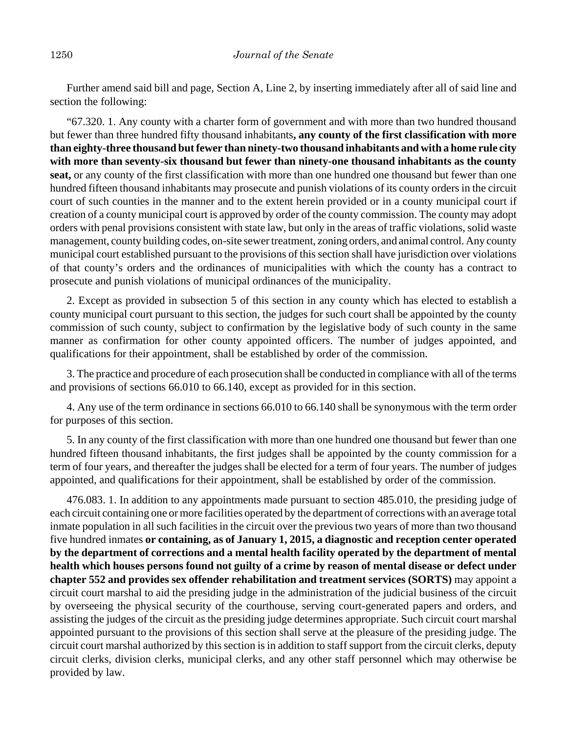Further amend said bill and page, Section A, Line 2, by inserting immediately after all of said line and section the following:

"67.320. 1. Any county with a charter form of government and with more than two hundred thousand but fewer than three hundred fifty thousand inhabitants**, any county of the first classification with more than eighty-three thousand but fewer than ninety-two thousand inhabitants and with a home rule city with more than seventy-six thousand but fewer than ninety-one thousand inhabitants as the county seat,** or any county of the first classification with more than one hundred one thousand but fewer than one hundred fifteen thousand inhabitants may prosecute and punish violations of its county orders in the circuit court of such counties in the manner and to the extent herein provided or in a county municipal court if creation of a county municipal court is approved by order of the county commission. The county may adopt orders with penal provisions consistent with state law, but only in the areas of traffic violations, solid waste management, county building codes, on-site sewer treatment, zoning orders, and animal control. Any county municipal court established pursuant to the provisions of this section shall have jurisdiction over violations of that county's orders and the ordinances of municipalities with which the county has a contract to prosecute and punish violations of municipal ordinances of the municipality.

2. Except as provided in subsection 5 of this section in any county which has elected to establish a county municipal court pursuant to this section, the judges for such court shall be appointed by the county commission of such county, subject to confirmation by the legislative body of such county in the same manner as confirmation for other county appointed officers. The number of judges appointed, and qualifications for their appointment, shall be established by order of the commission.

3. The practice and procedure of each prosecution shall be conducted in compliance with all of the terms and provisions of sections 66.010 to 66.140, except as provided for in this section.

4. Any use of the term ordinance in sections 66.010 to 66.140 shall be synonymous with the term order for purposes of this section.

5. In any county of the first classification with more than one hundred one thousand but fewer than one hundred fifteen thousand inhabitants, the first judges shall be appointed by the county commission for a term of four years, and thereafter the judges shall be elected for a term of four years. The number of judges appointed, and qualifications for their appointment, shall be established by order of the commission.

476.083. 1. In addition to any appointments made pursuant to section 485.010, the presiding judge of each circuit containing one or more facilities operated by the department of corrections with an average total inmate population in all such facilities in the circuit over the previous two years of more than two thousand five hundred inmates **or containing, as of January 1, 2015, a diagnostic and reception center operated by the department of corrections and a mental health facility operated by the department of mental health which houses persons found not guilty of a crime by reason of mental disease or defect under chapter 552 and provides sex offender rehabilitation and treatment services (SORTS)** may appoint a circuit court marshal to aid the presiding judge in the administration of the judicial business of the circuit by overseeing the physical security of the courthouse, serving court-generated papers and orders, and assisting the judges of the circuit as the presiding judge determines appropriate. Such circuit court marshal appointed pursuant to the provisions of this section shall serve at the pleasure of the presiding judge. The circuit court marshal authorized by this section is in addition to staff support from the circuit clerks, deputy circuit clerks, division clerks, municipal clerks, and any other staff personnel which may otherwise be provided by law.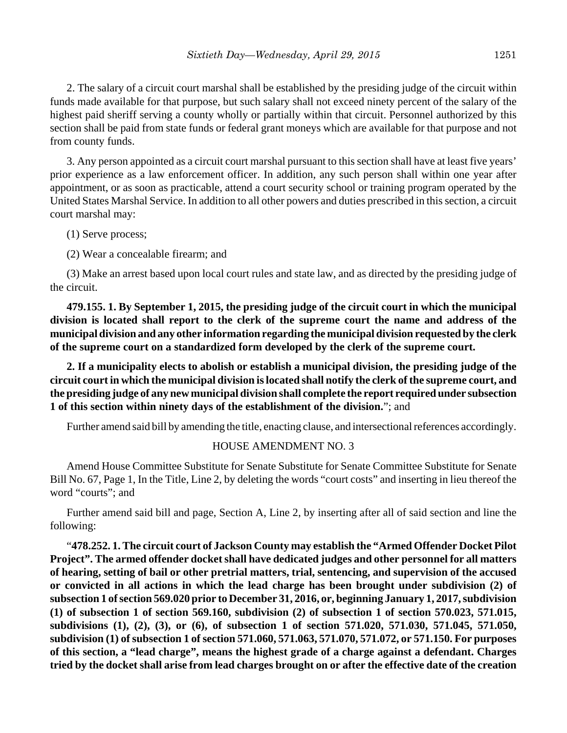2. The salary of a circuit court marshal shall be established by the presiding judge of the circuit within funds made available for that purpose, but such salary shall not exceed ninety percent of the salary of the highest paid sheriff serving a county wholly or partially within that circuit. Personnel authorized by this section shall be paid from state funds or federal grant moneys which are available for that purpose and not from county funds.

3. Any person appointed as a circuit court marshal pursuant to this section shall have at least five years' prior experience as a law enforcement officer. In addition, any such person shall within one year after appointment, or as soon as practicable, attend a court security school or training program operated by the United States Marshal Service. In addition to all other powers and duties prescribed in this section, a circuit court marshal may:

(1) Serve process;

(2) Wear a concealable firearm; and

(3) Make an arrest based upon local court rules and state law, and as directed by the presiding judge of the circuit.

**479.155. 1. By September 1, 2015, the presiding judge of the circuit court in which the municipal division is located shall report to the clerk of the supreme court the name and address of the municipal division and any other information regarding the municipal division requested by the clerk of the supreme court on a standardized form developed by the clerk of the supreme court.**

**2. If a municipality elects to abolish or establish a municipal division, the presiding judge of the circuit court in which the municipal division is located shall notify the clerk of the supreme court, and the presiding judge of any new municipal division shall complete the report required under subsection 1 of this section within ninety days of the establishment of the division.**"; and

Further amend said bill by amending the title, enacting clause, and intersectional references accordingly.

#### HOUSE AMENDMENT NO. 3

Amend House Committee Substitute for Senate Substitute for Senate Committee Substitute for Senate Bill No. 67, Page 1, In the Title, Line 2, by deleting the words "court costs" and inserting in lieu thereof the word "courts"; and

Further amend said bill and page, Section A, Line 2, by inserting after all of said section and line the following:

"**478.252. 1. The circuit court of Jackson County may establish the "Armed Offender Docket Pilot Project". The armed offender docket shall have dedicated judges and other personnel for all matters of hearing, setting of bail or other pretrial matters, trial, sentencing, and supervision of the accused or convicted in all actions in which the lead charge has been brought under subdivision (2) of subsection 1 of section 569.020 prior to December 31, 2016, or, beginning January 1, 2017, subdivision (1) of subsection 1 of section 569.160, subdivision (2) of subsection 1 of section 570.023, 571.015, subdivisions (1), (2), (3), or (6), of subsection 1 of section 571.020, 571.030, 571.045, 571.050, subdivision (1) of subsection 1 of section 571.060, 571.063, 571.070, 571.072, or 571.150. For purposes of this section, a "lead charge", means the highest grade of a charge against a defendant. Charges tried by the docket shall arise from lead charges brought on or after the effective date of the creation**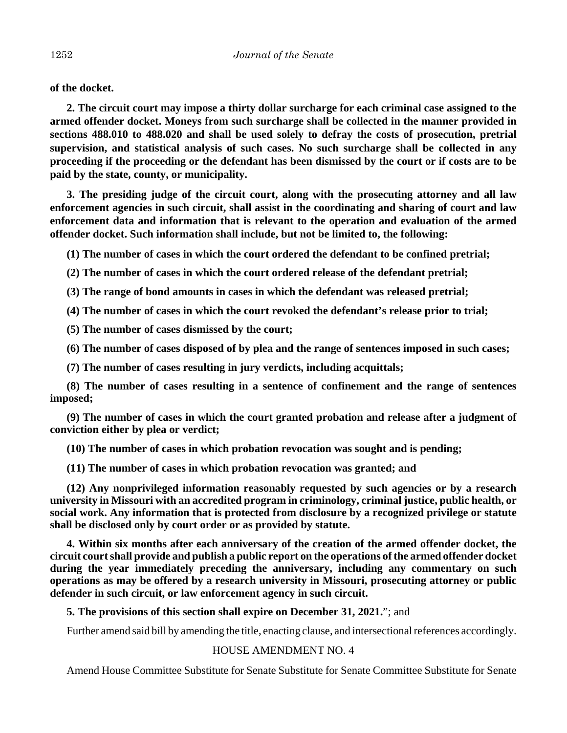**of the docket.**

**2. The circuit court may impose a thirty dollar surcharge for each criminal case assigned to the armed offender docket. Moneys from such surcharge shall be collected in the manner provided in sections 488.010 to 488.020 and shall be used solely to defray the costs of prosecution, pretrial supervision, and statistical analysis of such cases. No such surcharge shall be collected in any proceeding if the proceeding or the defendant has been dismissed by the court or if costs are to be paid by the state, county, or municipality.**

**3. The presiding judge of the circuit court, along with the prosecuting attorney and all law enforcement agencies in such circuit, shall assist in the coordinating and sharing of court and law enforcement data and information that is relevant to the operation and evaluation of the armed offender docket. Such information shall include, but not be limited to, the following:**

**(1) The number of cases in which the court ordered the defendant to be confined pretrial;**

**(2) The number of cases in which the court ordered release of the defendant pretrial;**

**(3) The range of bond amounts in cases in which the defendant was released pretrial;**

**(4) The number of cases in which the court revoked the defendant's release prior to trial;**

**(5) The number of cases dismissed by the court;**

**(6) The number of cases disposed of by plea and the range of sentences imposed in such cases;**

**(7) The number of cases resulting in jury verdicts, including acquittals;**

**(8) The number of cases resulting in a sentence of confinement and the range of sentences imposed;**

**(9) The number of cases in which the court granted probation and release after a judgment of conviction either by plea or verdict;**

**(10) The number of cases in which probation revocation was sought and is pending;**

**(11) The number of cases in which probation revocation was granted; and**

**(12) Any nonprivileged information reasonably requested by such agencies or by a research university in Missouri with an accredited program in criminology, criminal justice, public health, or social work. Any information that is protected from disclosure by a recognized privilege or statute shall be disclosed only by court order or as provided by statute.**

**4. Within six months after each anniversary of the creation of the armed offender docket, the circuit court shall provide and publish a public report on the operations of the armed offender docket during the year immediately preceding the anniversary, including any commentary on such operations as may be offered by a research university in Missouri, prosecuting attorney or public defender in such circuit, or law enforcement agency in such circuit.**

### **5. The provisions of this section shall expire on December 31, 2021.**"; and

Further amend said bill by amending the title, enacting clause, and intersectional references accordingly.

#### HOUSE AMENDMENT NO. 4

Amend House Committee Substitute for Senate Substitute for Senate Committee Substitute for Senate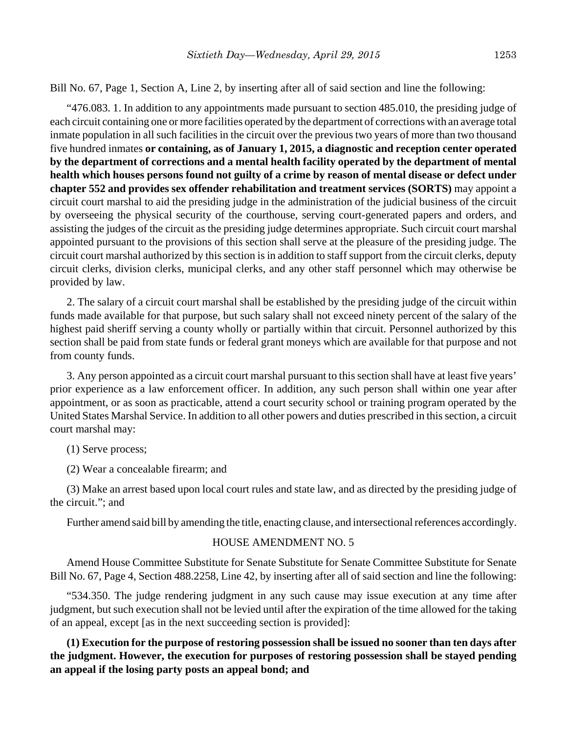Bill No. 67, Page 1, Section A, Line 2, by inserting after all of said section and line the following:

"476.083. 1. In addition to any appointments made pursuant to section 485.010, the presiding judge of each circuit containing one or more facilities operated by the department of corrections with an average total inmate population in all such facilities in the circuit over the previous two years of more than two thousand five hundred inmates **or containing, as of January 1, 2015, a diagnostic and reception center operated by the department of corrections and a mental health facility operated by the department of mental health which houses persons found not guilty of a crime by reason of mental disease or defect under chapter 552 and provides sex offender rehabilitation and treatment services (SORTS)** may appoint a circuit court marshal to aid the presiding judge in the administration of the judicial business of the circuit by overseeing the physical security of the courthouse, serving court-generated papers and orders, and assisting the judges of the circuit as the presiding judge determines appropriate. Such circuit court marshal appointed pursuant to the provisions of this section shall serve at the pleasure of the presiding judge. The circuit court marshal authorized by this section is in addition to staff support from the circuit clerks, deputy circuit clerks, division clerks, municipal clerks, and any other staff personnel which may otherwise be provided by law.

2. The salary of a circuit court marshal shall be established by the presiding judge of the circuit within funds made available for that purpose, but such salary shall not exceed ninety percent of the salary of the highest paid sheriff serving a county wholly or partially within that circuit. Personnel authorized by this section shall be paid from state funds or federal grant moneys which are available for that purpose and not from county funds.

3. Any person appointed as a circuit court marshal pursuant to this section shall have at least five years' prior experience as a law enforcement officer. In addition, any such person shall within one year after appointment, or as soon as practicable, attend a court security school or training program operated by the United States Marshal Service. In addition to all other powers and duties prescribed in this section, a circuit court marshal may:

(1) Serve process;

(2) Wear a concealable firearm; and

(3) Make an arrest based upon local court rules and state law, and as directed by the presiding judge of the circuit."; and

Further amend said bill by amending the title, enacting clause, and intersectional references accordingly.

#### HOUSE AMENDMENT NO. 5

Amend House Committee Substitute for Senate Substitute for Senate Committee Substitute for Senate Bill No. 67, Page 4, Section 488.2258, Line 42, by inserting after all of said section and line the following:

"534.350. The judge rendering judgment in any such cause may issue execution at any time after judgment, but such execution shall not be levied until after the expiration of the time allowed for the taking of an appeal, except [as in the next succeeding section is provided]:

**(1) Execution for the purpose of restoring possession shall be issued no sooner than ten days after the judgment. However, the execution for purposes of restoring possession shall be stayed pending an appeal if the losing party posts an appeal bond; and**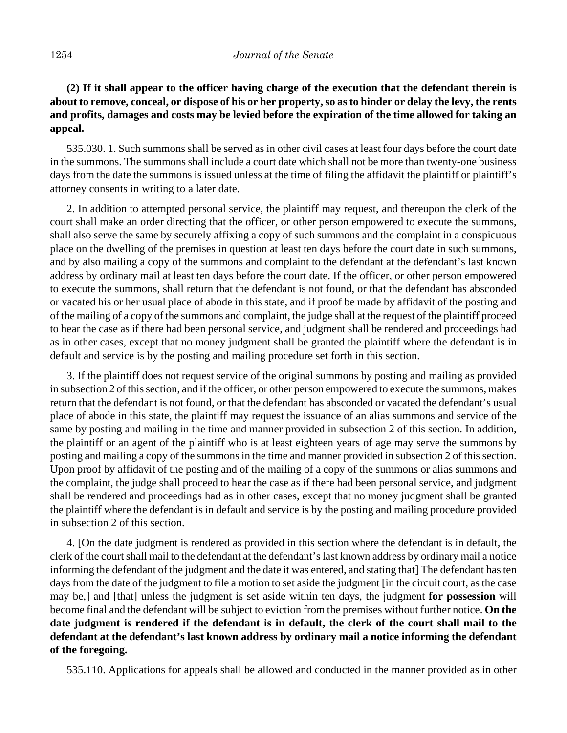**(2) If it shall appear to the officer having charge of the execution that the defendant therein is about to remove, conceal, or dispose of his or her property, so as to hinder or delay the levy, the rents and profits, damages and costs may be levied before the expiration of the time allowed for taking an appeal.** 

535.030. 1. Such summons shall be served as in other civil cases at least four days before the court date in the summons. The summons shall include a court date which shall not be more than twenty-one business days from the date the summons is issued unless at the time of filing the affidavit the plaintiff or plaintiff's attorney consents in writing to a later date.

2. In addition to attempted personal service, the plaintiff may request, and thereupon the clerk of the court shall make an order directing that the officer, or other person empowered to execute the summons, shall also serve the same by securely affixing a copy of such summons and the complaint in a conspicuous place on the dwelling of the premises in question at least ten days before the court date in such summons, and by also mailing a copy of the summons and complaint to the defendant at the defendant's last known address by ordinary mail at least ten days before the court date. If the officer, or other person empowered to execute the summons, shall return that the defendant is not found, or that the defendant has absconded or vacated his or her usual place of abode in this state, and if proof be made by affidavit of the posting and of the mailing of a copy of the summons and complaint, the judge shall at the request of the plaintiff proceed to hear the case as if there had been personal service, and judgment shall be rendered and proceedings had as in other cases, except that no money judgment shall be granted the plaintiff where the defendant is in default and service is by the posting and mailing procedure set forth in this section.

3. If the plaintiff does not request service of the original summons by posting and mailing as provided in subsection 2 of this section, and if the officer, or other person empowered to execute the summons, makes return that the defendant is not found, or that the defendant has absconded or vacated the defendant's usual place of abode in this state, the plaintiff may request the issuance of an alias summons and service of the same by posting and mailing in the time and manner provided in subsection 2 of this section. In addition, the plaintiff or an agent of the plaintiff who is at least eighteen years of age may serve the summons by posting and mailing a copy of the summons in the time and manner provided in subsection 2 of this section. Upon proof by affidavit of the posting and of the mailing of a copy of the summons or alias summons and the complaint, the judge shall proceed to hear the case as if there had been personal service, and judgment shall be rendered and proceedings had as in other cases, except that no money judgment shall be granted the plaintiff where the defendant is in default and service is by the posting and mailing procedure provided in subsection 2 of this section.

4. [On the date judgment is rendered as provided in this section where the defendant is in default, the clerk of the court shall mail to the defendant at the defendant's last known address by ordinary mail a notice informing the defendant of the judgment and the date it was entered, and stating that] The defendant has ten days from the date of the judgment to file a motion to set aside the judgment [in the circuit court, as the case may be,] and [that] unless the judgment is set aside within ten days, the judgment **for possession** will become final and the defendant will be subject to eviction from the premises without further notice. **On the date judgment is rendered if the defendant is in default, the clerk of the court shall mail to the defendant at the defendant's last known address by ordinary mail a notice informing the defendant of the foregoing.**

535.110. Applications for appeals shall be allowed and conducted in the manner provided as in other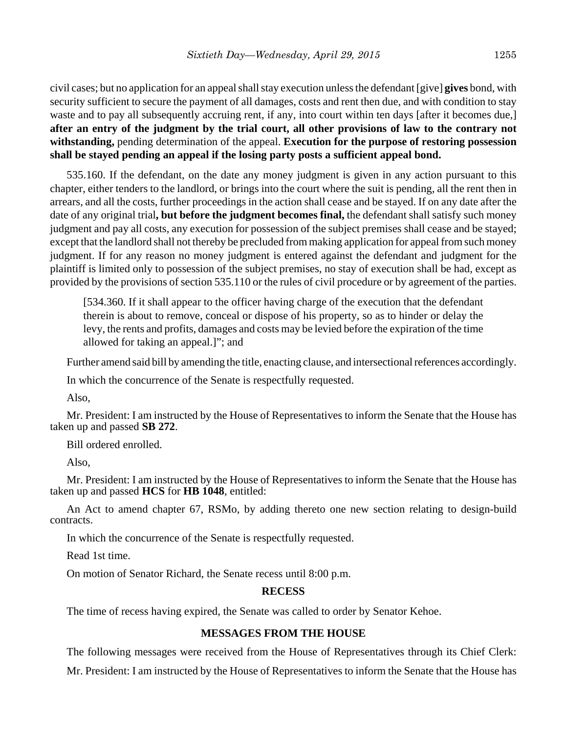civil cases; but no application for an appeal shall stay execution unless the defendant [give] **gives** bond, with security sufficient to secure the payment of all damages, costs and rent then due, and with condition to stay waste and to pay all subsequently accruing rent, if any, into court within ten days [after it becomes due,] **after an entry of the judgment by the trial court, all other provisions of law to the contrary not withstanding,** pending determination of the appeal. **Execution for the purpose of restoring possession shall be stayed pending an appeal if the losing party posts a sufficient appeal bond.**

535.160. If the defendant, on the date any money judgment is given in any action pursuant to this chapter, either tenders to the landlord, or brings into the court where the suit is pending, all the rent then in arrears, and all the costs, further proceedings in the action shall cease and be stayed. If on any date after the date of any original trial**, but before the judgment becomes final,** the defendant shall satisfy such money judgment and pay all costs, any execution for possession of the subject premises shall cease and be stayed; except that the landlord shall not thereby be precluded from making application for appeal from such money judgment. If for any reason no money judgment is entered against the defendant and judgment for the plaintiff is limited only to possession of the subject premises, no stay of execution shall be had, except as provided by the provisions of section 535.110 or the rules of civil procedure or by agreement of the parties.

[534.360. If it shall appear to the officer having charge of the execution that the defendant therein is about to remove, conceal or dispose of his property, so as to hinder or delay the levy, the rents and profits, damages and costs may be levied before the expiration of the time allowed for taking an appeal.]"; and

Further amend said bill by amending the title, enacting clause, and intersectional references accordingly.

In which the concurrence of the Senate is respectfully requested.

Also,

Mr. President: I am instructed by the House of Representatives to inform the Senate that the House has taken up and passed **SB 272**.

Bill ordered enrolled.

Also,

Mr. President: I am instructed by the House of Representatives to inform the Senate that the House has taken up and passed **HCS** for **HB 1048**, entitled:

An Act to amend chapter 67, RSMo, by adding thereto one new section relating to design-build contracts.

In which the concurrence of the Senate is respectfully requested.

Read 1st time.

On motion of Senator Richard, the Senate recess until 8:00 p.m.

#### **RECESS**

The time of recess having expired, the Senate was called to order by Senator Kehoe.

### **MESSAGES FROM THE HOUSE**

The following messages were received from the House of Representatives through its Chief Clerk:

Mr. President: I am instructed by the House of Representatives to inform the Senate that the House has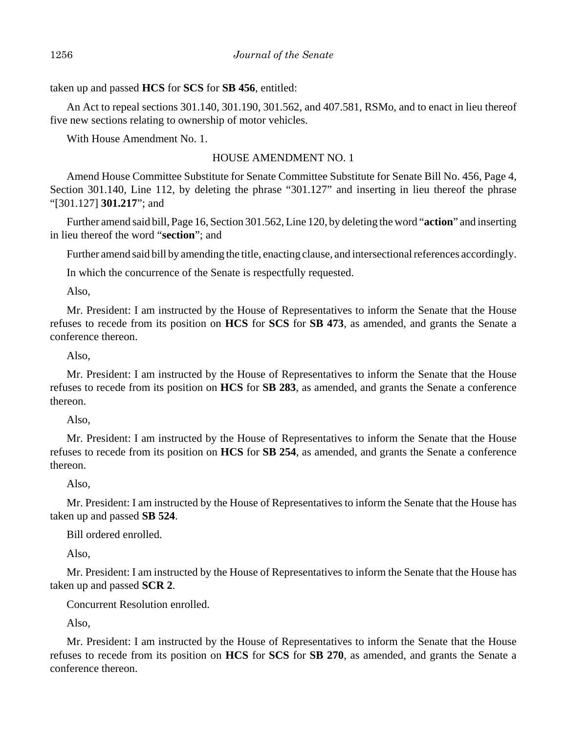taken up and passed **HCS** for **SCS** for **SB 456**, entitled:

An Act to repeal sections 301.140, 301.190, 301.562, and 407.581, RSMo, and to enact in lieu thereof five new sections relating to ownership of motor vehicles.

With House Amendment No. 1.

## HOUSE AMENDMENT NO. 1

Amend House Committee Substitute for Senate Committee Substitute for Senate Bill No. 456, Page 4, Section 301.140, Line 112, by deleting the phrase "301.127" and inserting in lieu thereof the phrase "[301.127] **301.217**"; and

Further amend said bill, Page 16, Section 301.562, Line 120, by deleting the word "**action**" and inserting in lieu thereof the word "**section**"; and

Further amend said bill by amending the title, enacting clause, and intersectional references accordingly.

In which the concurrence of the Senate is respectfully requested.

Also,

Mr. President: I am instructed by the House of Representatives to inform the Senate that the House refuses to recede from its position on **HCS** for **SCS** for **SB 473**, as amended, and grants the Senate a conference thereon.

Also,

Mr. President: I am instructed by the House of Representatives to inform the Senate that the House refuses to recede from its position on **HCS** for **SB 283**, as amended, and grants the Senate a conference thereon.

Also,

Mr. President: I am instructed by the House of Representatives to inform the Senate that the House refuses to recede from its position on **HCS** for **SB 254**, as amended, and grants the Senate a conference thereon.

Also,

Mr. President: I am instructed by the House of Representatives to inform the Senate that the House has taken up and passed **SB 524**.

Bill ordered enrolled.

Also,

Mr. President: I am instructed by the House of Representatives to inform the Senate that the House has taken up and passed **SCR 2**.

Concurrent Resolution enrolled.

Also,

Mr. President: I am instructed by the House of Representatives to inform the Senate that the House refuses to recede from its position on **HCS** for **SCS** for **SB 270**, as amended, and grants the Senate a conference thereon.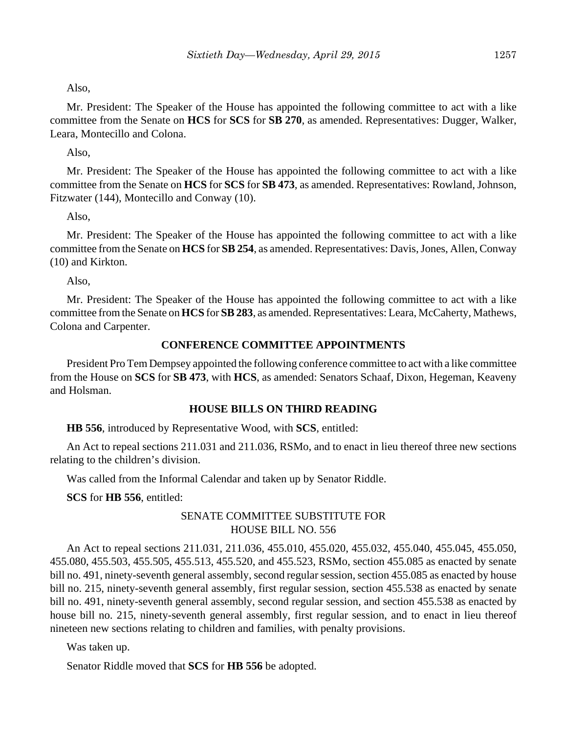Also,

Mr. President: The Speaker of the House has appointed the following committee to act with a like committee from the Senate on **HCS** for **SCS** for **SB 270**, as amended. Representatives: Dugger, Walker, Leara, Montecillo and Colona.

Also,

Mr. President: The Speaker of the House has appointed the following committee to act with a like committee from the Senate on **HCS** for **SCS** for **SB 473**, as amended. Representatives: Rowland, Johnson, Fitzwater (144), Montecillo and Conway (10).

Also,

Mr. President: The Speaker of the House has appointed the following committee to act with a like committee from the Senate on **HCS** for **SB 254**, as amended. Representatives: Davis, Jones, Allen, Conway (10) and Kirkton.

Also,

Mr. President: The Speaker of the House has appointed the following committee to act with a like committee from the Senate on **HCS** for **SB 283**, as amended. Representatives: Leara, McCaherty, Mathews, Colona and Carpenter.

### **CONFERENCE COMMITTEE APPOINTMENTS**

President Pro Tem Dempsey appointed the following conference committee to act with a like committee from the House on **SCS** for **SB 473**, with **HCS**, as amended: Senators Schaaf, Dixon, Hegeman, Keaveny and Holsman.

#### **HOUSE BILLS ON THIRD READING**

**HB 556**, introduced by Representative Wood, with **SCS**, entitled:

An Act to repeal sections 211.031 and 211.036, RSMo, and to enact in lieu thereof three new sections relating to the children's division.

Was called from the Informal Calendar and taken up by Senator Riddle.

**SCS** for **HB 556**, entitled:

### SENATE COMMITTEE SUBSTITUTE FOR HOUSE BILL NO. 556

An Act to repeal sections 211.031, 211.036, 455.010, 455.020, 455.032, 455.040, 455.045, 455.050, 455.080, 455.503, 455.505, 455.513, 455.520, and 455.523, RSMo, section 455.085 as enacted by senate bill no. 491, ninety-seventh general assembly, second regular session, section 455.085 as enacted by house bill no. 215, ninety-seventh general assembly, first regular session, section 455.538 as enacted by senate bill no. 491, ninety-seventh general assembly, second regular session, and section 455.538 as enacted by house bill no. 215, ninety-seventh general assembly, first regular session, and to enact in lieu thereof nineteen new sections relating to children and families, with penalty provisions.

Was taken up.

Senator Riddle moved that **SCS** for **HB 556** be adopted.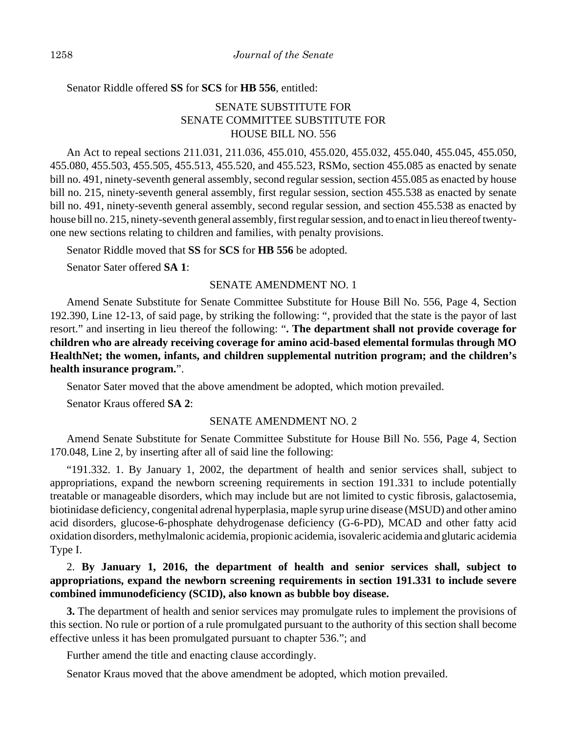Senator Riddle offered **SS** for **SCS** for **HB 556**, entitled:

## SENATE SUBSTITUTE FOR SENATE COMMITTEE SUBSTITUTE FOR HOUSE BILL NO. 556

An Act to repeal sections 211.031, 211.036, 455.010, 455.020, 455.032, 455.040, 455.045, 455.050, 455.080, 455.503, 455.505, 455.513, 455.520, and 455.523, RSMo, section 455.085 as enacted by senate bill no. 491, ninety-seventh general assembly, second regular session, section 455.085 as enacted by house bill no. 215, ninety-seventh general assembly, first regular session, section 455.538 as enacted by senate bill no. 491, ninety-seventh general assembly, second regular session, and section 455.538 as enacted by house bill no. 215, ninety-seventh general assembly, first regular session, and to enact in lieu thereof twentyone new sections relating to children and families, with penalty provisions.

Senator Riddle moved that **SS** for **SCS** for **HB 556** be adopted.

Senator Sater offered **SA 1**:

### SENATE AMENDMENT NO. 1

Amend Senate Substitute for Senate Committee Substitute for House Bill No. 556, Page 4, Section 192.390, Line 12-13, of said page, by striking the following: ", provided that the state is the payor of last resort." and inserting in lieu thereof the following: "**. The department shall not provide coverage for children who are already receiving coverage for amino acid-based elemental formulas through MO HealthNet; the women, infants, and children supplemental nutrition program; and the children's health insurance program.**".

Senator Sater moved that the above amendment be adopted, which motion prevailed.

Senator Kraus offered **SA 2**:

### SENATE AMENDMENT NO. 2

Amend Senate Substitute for Senate Committee Substitute for House Bill No. 556, Page 4, Section 170.048, Line 2, by inserting after all of said line the following:

"191.332. 1. By January 1, 2002, the department of health and senior services shall, subject to appropriations, expand the newborn screening requirements in section 191.331 to include potentially treatable or manageable disorders, which may include but are not limited to cystic fibrosis, galactosemia, biotinidase deficiency, congenital adrenal hyperplasia, maple syrup urine disease (MSUD) and other amino acid disorders, glucose-6-phosphate dehydrogenase deficiency (G-6-PD), MCAD and other fatty acid oxidation disorders, methylmalonic acidemia, propionic acidemia, isovaleric acidemia and glutaric acidemia Type I.

## 2. **By January 1, 2016, the department of health and senior services shall, subject to appropriations, expand the newborn screening requirements in section 191.331 to include severe combined immunodeficiency (SCID), also known as bubble boy disease.**

**3.** The department of health and senior services may promulgate rules to implement the provisions of this section. No rule or portion of a rule promulgated pursuant to the authority of this section shall become effective unless it has been promulgated pursuant to chapter 536."; and

Further amend the title and enacting clause accordingly.

Senator Kraus moved that the above amendment be adopted, which motion prevailed.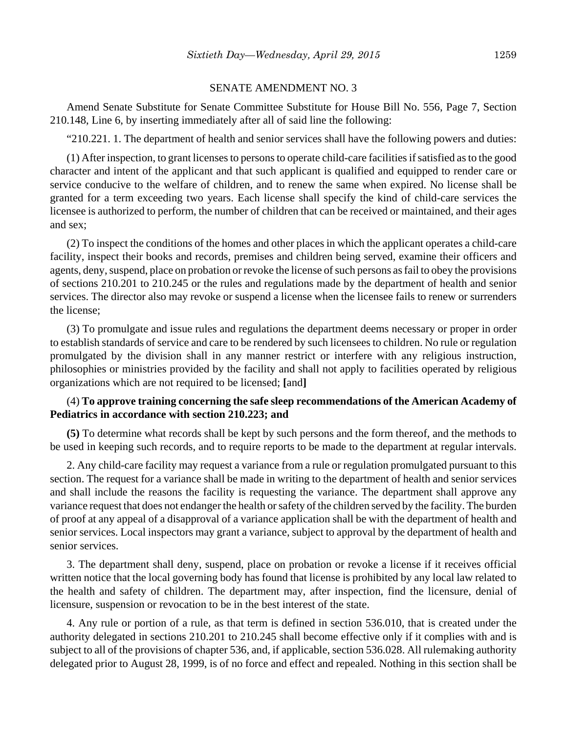#### SENATE AMENDMENT NO. 3

Amend Senate Substitute for Senate Committee Substitute for House Bill No. 556, Page 7, Section 210.148, Line 6, by inserting immediately after all of said line the following:

"210.221. 1. The department of health and senior services shall have the following powers and duties:

(1) After inspection, to grant licenses to persons to operate child-care facilities if satisfied as to the good character and intent of the applicant and that such applicant is qualified and equipped to render care or service conducive to the welfare of children, and to renew the same when expired. No license shall be granted for a term exceeding two years. Each license shall specify the kind of child-care services the licensee is authorized to perform, the number of children that can be received or maintained, and their ages and sex;

(2) To inspect the conditions of the homes and other places in which the applicant operates a child-care facility, inspect their books and records, premises and children being served, examine their officers and agents, deny, suspend, place on probation or revoke the license of such persons as fail to obey the provisions of sections 210.201 to 210.245 or the rules and regulations made by the department of health and senior services. The director also may revoke or suspend a license when the licensee fails to renew or surrenders the license;

(3) To promulgate and issue rules and regulations the department deems necessary or proper in order to establish standards of service and care to be rendered by such licensees to children. No rule or regulation promulgated by the division shall in any manner restrict or interfere with any religious instruction, philosophies or ministries provided by the facility and shall not apply to facilities operated by religious organizations which are not required to be licensed; **[**and**]**

## (4) **To approve training concerning the safe sleep recommendations of the American Academy of Pediatrics in accordance with section 210.223; and**

**(5)** To determine what records shall be kept by such persons and the form thereof, and the methods to be used in keeping such records, and to require reports to be made to the department at regular intervals.

2. Any child-care facility may request a variance from a rule or regulation promulgated pursuant to this section. The request for a variance shall be made in writing to the department of health and senior services and shall include the reasons the facility is requesting the variance. The department shall approve any variance request that does not endanger the health or safety of the children served by the facility. The burden of proof at any appeal of a disapproval of a variance application shall be with the department of health and senior services. Local inspectors may grant a variance, subject to approval by the department of health and senior services.

3. The department shall deny, suspend, place on probation or revoke a license if it receives official written notice that the local governing body has found that license is prohibited by any local law related to the health and safety of children. The department may, after inspection, find the licensure, denial of licensure, suspension or revocation to be in the best interest of the state.

4. Any rule or portion of a rule, as that term is defined in section 536.010, that is created under the authority delegated in sections 210.201 to 210.245 shall become effective only if it complies with and is subject to all of the provisions of chapter 536, and, if applicable, section 536.028. All rulemaking authority delegated prior to August 28, 1999, is of no force and effect and repealed. Nothing in this section shall be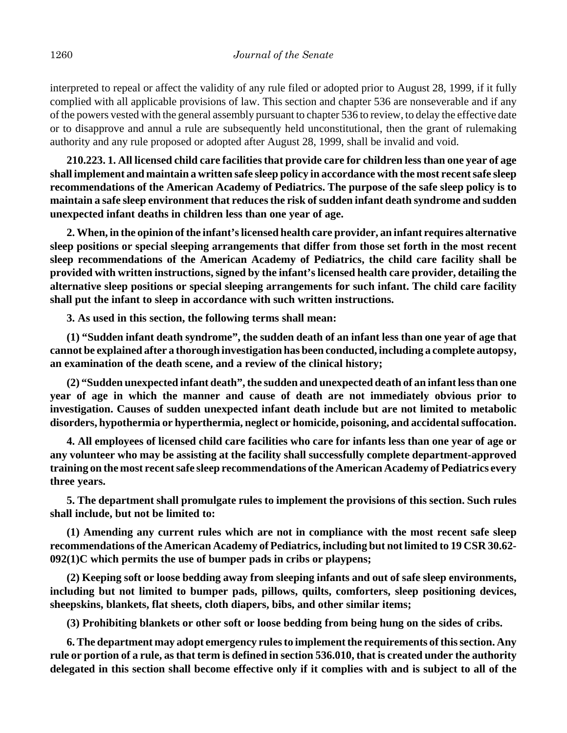interpreted to repeal or affect the validity of any rule filed or adopted prior to August 28, 1999, if it fully complied with all applicable provisions of law. This section and chapter 536 are nonseverable and if any of the powers vested with the general assembly pursuant to chapter 536 to review, to delay the effective date or to disapprove and annul a rule are subsequently held unconstitutional, then the grant of rulemaking authority and any rule proposed or adopted after August 28, 1999, shall be invalid and void.

**210.223. 1. All licensed child care facilities that provide care for children less than one year of age shall implement and maintain a written safe sleep policy in accordance with the most recent safe sleep recommendations of the American Academy of Pediatrics. The purpose of the safe sleep policy is to maintain a safe sleep environment that reduces the risk of sudden infant death syndrome and sudden unexpected infant deaths in children less than one year of age.**

**2. When, in the opinion of the infant's licensed health care provider, an infant requires alternative sleep positions or special sleeping arrangements that differ from those set forth in the most recent sleep recommendations of the American Academy of Pediatrics, the child care facility shall be provided with written instructions, signed by the infant's licensed health care provider, detailing the alternative sleep positions or special sleeping arrangements for such infant. The child care facility shall put the infant to sleep in accordance with such written instructions.**

**3. As used in this section, the following terms shall mean:**

**(1) "Sudden infant death syndrome", the sudden death of an infant less than one year of age that cannot be explained after a thorough investigation has been conducted, including a complete autopsy, an examination of the death scene, and a review of the clinical history;**

**(2) "Sudden unexpected infant death", the sudden and unexpected death of an infant less than one year of age in which the manner and cause of death are not immediately obvious prior to investigation. Causes of sudden unexpected infant death include but are not limited to metabolic disorders, hypothermia or hyperthermia, neglect or homicide, poisoning, and accidental suffocation.**

**4. All employees of licensed child care facilities who care for infants less than one year of age or any volunteer who may be assisting at the facility shall successfully complete department-approved training on the most recent safe sleep recommendations of the American Academy of Pediatrics every three years.**

**5. The department shall promulgate rules to implement the provisions of this section. Such rules shall include, but not be limited to:**

**(1) Amending any current rules which are not in compliance with the most recent safe sleep recommendations of the American Academy of Pediatrics, including but not limited to 19 CSR 30.62- 092(1)C which permits the use of bumper pads in cribs or playpens;**

**(2) Keeping soft or loose bedding away from sleeping infants and out of safe sleep environments, including but not limited to bumper pads, pillows, quilts, comforters, sleep positioning devices, sheepskins, blankets, flat sheets, cloth diapers, bibs, and other similar items;**

**(3) Prohibiting blankets or other soft or loose bedding from being hung on the sides of cribs.**

**6. The department may adopt emergency rules to implement the requirements of this section. Any rule or portion of a rule, as that term is defined in section 536.010, that is created under the authority delegated in this section shall become effective only if it complies with and is subject to all of the**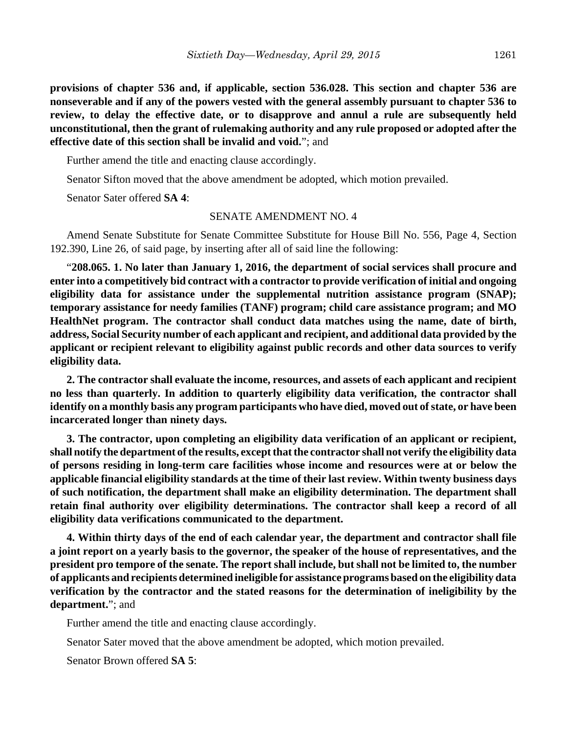**provisions of chapter 536 and, if applicable, section 536.028. This section and chapter 536 are nonseverable and if any of the powers vested with the general assembly pursuant to chapter 536 to review, to delay the effective date, or to disapprove and annul a rule are subsequently held unconstitutional, then the grant of rulemaking authority and any rule proposed or adopted after the effective date of this section shall be invalid and void.**"; and

Further amend the title and enacting clause accordingly.

Senator Sifton moved that the above amendment be adopted, which motion prevailed.

Senator Sater offered **SA 4**:

#### SENATE AMENDMENT NO. 4

Amend Senate Substitute for Senate Committee Substitute for House Bill No. 556, Page 4, Section 192.390, Line 26, of said page, by inserting after all of said line the following:

"**208.065. 1. No later than January 1, 2016, the department of social services shall procure and enter into a competitively bid contract with a contractor to provide verification of initial and ongoing eligibility data for assistance under the supplemental nutrition assistance program (SNAP); temporary assistance for needy families (TANF) program; child care assistance program; and MO HealthNet program. The contractor shall conduct data matches using the name, date of birth, address, Social Security number of each applicant and recipient, and additional data provided by the applicant or recipient relevant to eligibility against public records and other data sources to verify eligibility data.**

**2. The contractor shall evaluate the income, resources, and assets of each applicant and recipient no less than quarterly. In addition to quarterly eligibility data verification, the contractor shall identify on a monthly basis any program participants who have died, moved out of state, or have been incarcerated longer than ninety days.**

**3. The contractor, upon completing an eligibility data verification of an applicant or recipient, shall notify the department of the results, except that the contractor shall not verify the eligibility data of persons residing in long-term care facilities whose income and resources were at or below the applicable financial eligibility standards at the time of their last review. Within twenty business days of such notification, the department shall make an eligibility determination. The department shall retain final authority over eligibility determinations. The contractor shall keep a record of all eligibility data verifications communicated to the department.**

**4. Within thirty days of the end of each calendar year, the department and contractor shall file a joint report on a yearly basis to the governor, the speaker of the house of representatives, and the president pro tempore of the senate. The report shall include, but shall not be limited to, the number of applicants and recipients determined ineligible for assistance programs based on the eligibility data verification by the contractor and the stated reasons for the determination of ineligibility by the department.**"; and

Further amend the title and enacting clause accordingly.

Senator Sater moved that the above amendment be adopted, which motion prevailed.

Senator Brown offered **SA 5**: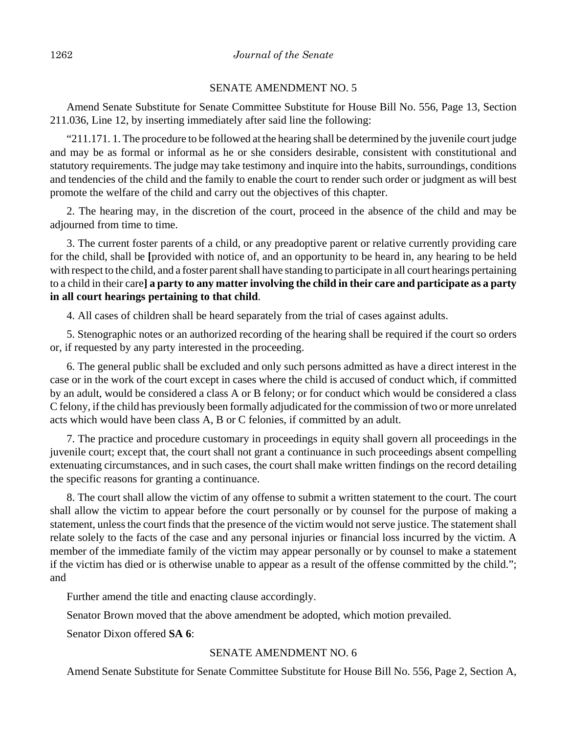### SENATE AMENDMENT NO. 5

Amend Senate Substitute for Senate Committee Substitute for House Bill No. 556, Page 13, Section 211.036, Line 12, by inserting immediately after said line the following:

"211.171. 1. The procedure to be followed at the hearing shall be determined by the juvenile court judge and may be as formal or informal as he or she considers desirable, consistent with constitutional and statutory requirements. The judge may take testimony and inquire into the habits, surroundings, conditions and tendencies of the child and the family to enable the court to render such order or judgment as will best promote the welfare of the child and carry out the objectives of this chapter.

2. The hearing may, in the discretion of the court, proceed in the absence of the child and may be adjourned from time to time.

3. The current foster parents of a child, or any preadoptive parent or relative currently providing care for the child, shall be **[**provided with notice of, and an opportunity to be heard in, any hearing to be held with respect to the child, and a foster parent shall have standing to participate in all court hearings pertaining to a child in their care**] a party to any matter involving the child in their care and participate as a party in all court hearings pertaining to that child**.

4. All cases of children shall be heard separately from the trial of cases against adults.

5. Stenographic notes or an authorized recording of the hearing shall be required if the court so orders or, if requested by any party interested in the proceeding.

6. The general public shall be excluded and only such persons admitted as have a direct interest in the case or in the work of the court except in cases where the child is accused of conduct which, if committed by an adult, would be considered a class A or B felony; or for conduct which would be considered a class C felony, if the child has previously been formally adjudicated for the commission of two or more unrelated acts which would have been class A, B or C felonies, if committed by an adult.

7. The practice and procedure customary in proceedings in equity shall govern all proceedings in the juvenile court; except that, the court shall not grant a continuance in such proceedings absent compelling extenuating circumstances, and in such cases, the court shall make written findings on the record detailing the specific reasons for granting a continuance.

8. The court shall allow the victim of any offense to submit a written statement to the court. The court shall allow the victim to appear before the court personally or by counsel for the purpose of making a statement, unless the court finds that the presence of the victim would not serve justice. The statement shall relate solely to the facts of the case and any personal injuries or financial loss incurred by the victim. A member of the immediate family of the victim may appear personally or by counsel to make a statement if the victim has died or is otherwise unable to appear as a result of the offense committed by the child."; and

Further amend the title and enacting clause accordingly.

Senator Brown moved that the above amendment be adopted, which motion prevailed.

Senator Dixon offered **SA 6**:

## SENATE AMENDMENT NO. 6

Amend Senate Substitute for Senate Committee Substitute for House Bill No. 556, Page 2, Section A,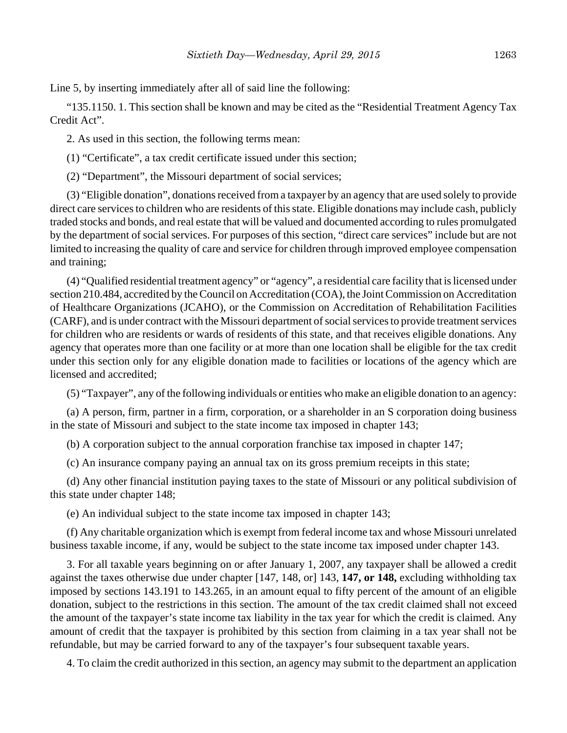Line 5, by inserting immediately after all of said line the following:

"135.1150. 1. This section shall be known and may be cited as the "Residential Treatment Agency Tax Credit Act".

2. As used in this section, the following terms mean:

(1) "Certificate", a tax credit certificate issued under this section;

(2) "Department", the Missouri department of social services;

(3) "Eligible donation", donations received from a taxpayer by an agency that are used solely to provide direct care services to children who are residents of this state. Eligible donations may include cash, publicly traded stocks and bonds, and real estate that will be valued and documented according to rules promulgated by the department of social services. For purposes of this section, "direct care services" include but are not limited to increasing the quality of care and service for children through improved employee compensation and training;

(4) "Qualified residential treatment agency" or "agency", a residential care facility that is licensed under section 210.484, accredited by the Council on Accreditation (COA), the Joint Commission on Accreditation of Healthcare Organizations (JCAHO), or the Commission on Accreditation of Rehabilitation Facilities (CARF), and is under contract with the Missouri department of social services to provide treatment services for children who are residents or wards of residents of this state, and that receives eligible donations. Any agency that operates more than one facility or at more than one location shall be eligible for the tax credit under this section only for any eligible donation made to facilities or locations of the agency which are licensed and accredited;

(5) "Taxpayer", any of the following individuals or entities who make an eligible donation to an agency:

(a) A person, firm, partner in a firm, corporation, or a shareholder in an S corporation doing business in the state of Missouri and subject to the state income tax imposed in chapter 143;

(b) A corporation subject to the annual corporation franchise tax imposed in chapter 147;

(c) An insurance company paying an annual tax on its gross premium receipts in this state;

(d) Any other financial institution paying taxes to the state of Missouri or any political subdivision of this state under chapter 148;

(e) An individual subject to the state income tax imposed in chapter 143;

(f) Any charitable organization which is exempt from federal income tax and whose Missouri unrelated business taxable income, if any, would be subject to the state income tax imposed under chapter 143.

3. For all taxable years beginning on or after January 1, 2007, any taxpayer shall be allowed a credit against the taxes otherwise due under chapter [147, 148, or] 143, **147, or 148,** excluding withholding tax imposed by sections 143.191 to 143.265, in an amount equal to fifty percent of the amount of an eligible donation, subject to the restrictions in this section. The amount of the tax credit claimed shall not exceed the amount of the taxpayer's state income tax liability in the tax year for which the credit is claimed. Any amount of credit that the taxpayer is prohibited by this section from claiming in a tax year shall not be refundable, but may be carried forward to any of the taxpayer's four subsequent taxable years.

4. To claim the credit authorized in this section, an agency may submit to the department an application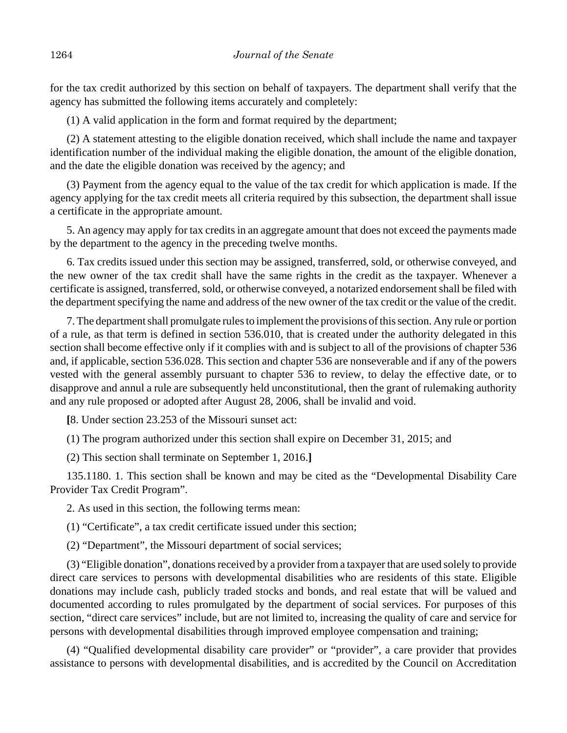for the tax credit authorized by this section on behalf of taxpayers. The department shall verify that the agency has submitted the following items accurately and completely:

(1) A valid application in the form and format required by the department;

(2) A statement attesting to the eligible donation received, which shall include the name and taxpayer identification number of the individual making the eligible donation, the amount of the eligible donation, and the date the eligible donation was received by the agency; and

(3) Payment from the agency equal to the value of the tax credit for which application is made. If the agency applying for the tax credit meets all criteria required by this subsection, the department shall issue a certificate in the appropriate amount.

5. An agency may apply for tax credits in an aggregate amount that does not exceed the payments made by the department to the agency in the preceding twelve months.

6. Tax credits issued under this section may be assigned, transferred, sold, or otherwise conveyed, and the new owner of the tax credit shall have the same rights in the credit as the taxpayer. Whenever a certificate is assigned, transferred, sold, or otherwise conveyed, a notarized endorsement shall be filed with the department specifying the name and address of the new owner of the tax credit or the value of the credit.

7. The department shall promulgate rules to implement the provisions of this section. Any rule or portion of a rule, as that term is defined in section 536.010, that is created under the authority delegated in this section shall become effective only if it complies with and is subject to all of the provisions of chapter 536 and, if applicable, section 536.028. This section and chapter 536 are nonseverable and if any of the powers vested with the general assembly pursuant to chapter 536 to review, to delay the effective date, or to disapprove and annul a rule are subsequently held unconstitutional, then the grant of rulemaking authority and any rule proposed or adopted after August 28, 2006, shall be invalid and void.

**[**8. Under section 23.253 of the Missouri sunset act:

(1) The program authorized under this section shall expire on December 31, 2015; and

(2) This section shall terminate on September 1, 2016.**]**

135.1180. 1. This section shall be known and may be cited as the "Developmental Disability Care Provider Tax Credit Program".

2. As used in this section, the following terms mean:

(1) "Certificate", a tax credit certificate issued under this section;

(2) "Department", the Missouri department of social services;

(3) "Eligible donation", donations received by a provider from a taxpayer that are used solely to provide direct care services to persons with developmental disabilities who are residents of this state. Eligible donations may include cash, publicly traded stocks and bonds, and real estate that will be valued and documented according to rules promulgated by the department of social services. For purposes of this section, "direct care services" include, but are not limited to, increasing the quality of care and service for persons with developmental disabilities through improved employee compensation and training;

(4) "Qualified developmental disability care provider" or "provider", a care provider that provides assistance to persons with developmental disabilities, and is accredited by the Council on Accreditation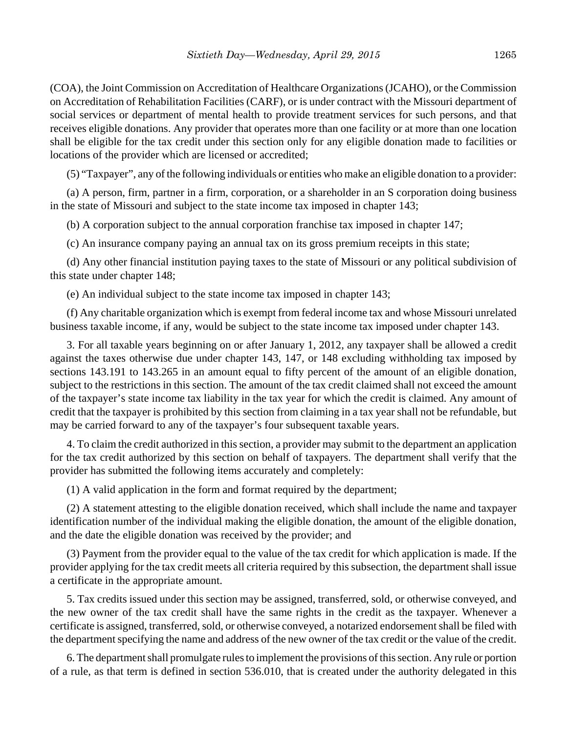(COA), the Joint Commission on Accreditation of Healthcare Organizations (JCAHO), or the Commission on Accreditation of Rehabilitation Facilities (CARF), or is under contract with the Missouri department of social services or department of mental health to provide treatment services for such persons, and that receives eligible donations. Any provider that operates more than one facility or at more than one location shall be eligible for the tax credit under this section only for any eligible donation made to facilities or locations of the provider which are licensed or accredited;

(5) "Taxpayer", any of the following individuals or entities who make an eligible donation to a provider:

(a) A person, firm, partner in a firm, corporation, or a shareholder in an S corporation doing business in the state of Missouri and subject to the state income tax imposed in chapter 143;

(b) A corporation subject to the annual corporation franchise tax imposed in chapter 147;

(c) An insurance company paying an annual tax on its gross premium receipts in this state;

(d) Any other financial institution paying taxes to the state of Missouri or any political subdivision of this state under chapter 148;

(e) An individual subject to the state income tax imposed in chapter 143;

(f) Any charitable organization which is exempt from federal income tax and whose Missouri unrelated business taxable income, if any, would be subject to the state income tax imposed under chapter 143.

3. For all taxable years beginning on or after January 1, 2012, any taxpayer shall be allowed a credit against the taxes otherwise due under chapter 143, 147, or 148 excluding withholding tax imposed by sections 143.191 to 143.265 in an amount equal to fifty percent of the amount of an eligible donation, subject to the restrictions in this section. The amount of the tax credit claimed shall not exceed the amount of the taxpayer's state income tax liability in the tax year for which the credit is claimed. Any amount of credit that the taxpayer is prohibited by this section from claiming in a tax year shall not be refundable, but may be carried forward to any of the taxpayer's four subsequent taxable years.

4. To claim the credit authorized in this section, a provider may submit to the department an application for the tax credit authorized by this section on behalf of taxpayers. The department shall verify that the provider has submitted the following items accurately and completely:

(1) A valid application in the form and format required by the department;

(2) A statement attesting to the eligible donation received, which shall include the name and taxpayer identification number of the individual making the eligible donation, the amount of the eligible donation, and the date the eligible donation was received by the provider; and

(3) Payment from the provider equal to the value of the tax credit for which application is made. If the provider applying for the tax credit meets all criteria required by this subsection, the department shall issue a certificate in the appropriate amount.

5. Tax credits issued under this section may be assigned, transferred, sold, or otherwise conveyed, and the new owner of the tax credit shall have the same rights in the credit as the taxpayer. Whenever a certificate is assigned, transferred, sold, or otherwise conveyed, a notarized endorsement shall be filed with the department specifying the name and address of the new owner of the tax credit or the value of the credit.

6. The department shall promulgate rules to implement the provisions of this section. Any rule or portion of a rule, as that term is defined in section 536.010, that is created under the authority delegated in this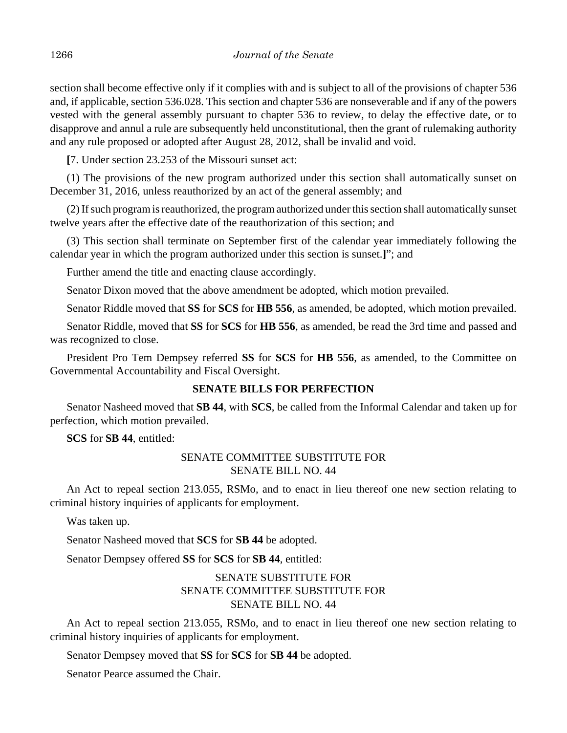section shall become effective only if it complies with and is subject to all of the provisions of chapter 536 and, if applicable, section 536.028. This section and chapter 536 are nonseverable and if any of the powers vested with the general assembly pursuant to chapter 536 to review, to delay the effective date, or to disapprove and annul a rule are subsequently held unconstitutional, then the grant of rulemaking authority and any rule proposed or adopted after August 28, 2012, shall be invalid and void.

**[**7. Under section 23.253 of the Missouri sunset act:

(1) The provisions of the new program authorized under this section shall automatically sunset on December 31, 2016, unless reauthorized by an act of the general assembly; and

(2) If such program is reauthorized, the program authorized under this section shall automatically sunset twelve years after the effective date of the reauthorization of this section; and

(3) This section shall terminate on September first of the calendar year immediately following the calendar year in which the program authorized under this section is sunset.**]**"; and

Further amend the title and enacting clause accordingly.

Senator Dixon moved that the above amendment be adopted, which motion prevailed.

Senator Riddle moved that **SS** for **SCS** for **HB 556**, as amended, be adopted, which motion prevailed.

Senator Riddle, moved that **SS** for **SCS** for **HB 556**, as amended, be read the 3rd time and passed and was recognized to close.

President Pro Tem Dempsey referred **SS** for **SCS** for **HB 556**, as amended, to the Committee on Governmental Accountability and Fiscal Oversight.

### **SENATE BILLS FOR PERFECTION**

Senator Nasheed moved that **SB 44**, with **SCS**, be called from the Informal Calendar and taken up for perfection, which motion prevailed.

**SCS** for **SB 44**, entitled:

### SENATE COMMITTEE SUBSTITUTE FOR SENATE BILL NO. 44

An Act to repeal section 213.055, RSMo, and to enact in lieu thereof one new section relating to criminal history inquiries of applicants for employment.

Was taken up.

Senator Nasheed moved that **SCS** for **SB 44** be adopted.

Senator Dempsey offered **SS** for **SCS** for **SB 44**, entitled:

## SENATE SUBSTITUTE FOR SENATE COMMITTEE SUBSTITUTE FOR SENATE BILL NO. 44

An Act to repeal section 213.055, RSMo, and to enact in lieu thereof one new section relating to criminal history inquiries of applicants for employment.

Senator Dempsey moved that **SS** for **SCS** for **SB 44** be adopted.

Senator Pearce assumed the Chair.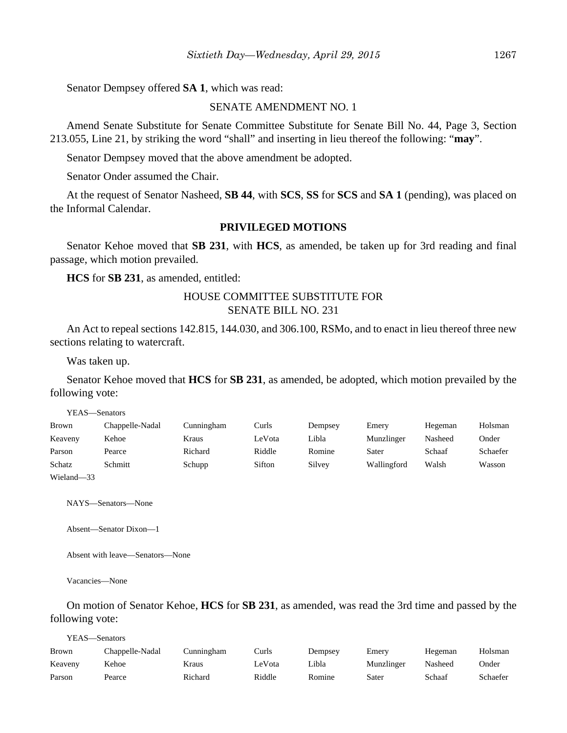Senator Dempsey offered **SA 1**, which was read:

### SENATE AMENDMENT NO. 1

Amend Senate Substitute for Senate Committee Substitute for Senate Bill No. 44, Page 3, Section 213.055, Line 21, by striking the word "shall" and inserting in lieu thereof the following: "**may**".

Senator Dempsey moved that the above amendment be adopted.

Senator Onder assumed the Chair.

At the request of Senator Nasheed, **SB 44**, with **SCS**, **SS** for **SCS** and **SA 1** (pending), was placed on the Informal Calendar.

#### **PRIVILEGED MOTIONS**

Senator Kehoe moved that **SB 231**, with **HCS**, as amended, be taken up for 3rd reading and final passage, which motion prevailed.

**HCS** for **SB 231**, as amended, entitled:

### HOUSE COMMITTEE SUBSTITUTE FOR SENATE BILL NO. 231

An Act to repeal sections 142.815, 144.030, and 306.100, RSMo, and to enact in lieu thereof three new sections relating to watercraft.

Was taken up.

 $Y = \{x, y, z\}$ 

Senator Kehoe moved that **HCS** for **SB 231**, as amended, be adopted, which motion prevailed by the following vote:

| YEAS—Senators |                 |            |        |         |             |         |          |
|---------------|-----------------|------------|--------|---------|-------------|---------|----------|
| <b>Brown</b>  | Chappelle-Nadal | Cunningham | Curls  | Dempsey | Emery       | Hegeman | Holsman  |
| Keaveny       | Kehoe           | Kraus      | LeVota | Libla   | Munzlinger  | Nasheed | Onder    |
| Parson        | Pearce          | Richard    | Riddle | Romine  | Sater       | Schaaf  | Schaefer |
| Schatz        | Schmitt         | Schupp     | Sifton | Silvey  | Wallingford | Walsh   | Wasson   |
| Wieland-33    |                 |            |        |         |             |         |          |

NAYS—Senators—None

Absent—Senator Dixon—1

Absent with leave—Senators—None

Vacancies—None

On motion of Senator Kehoe, **HCS** for **SB 231**, as amended, was read the 3rd time and passed by the following vote:

| YEAS—Senators |                 |            |        |         |            |         |          |  |  |
|---------------|-----------------|------------|--------|---------|------------|---------|----------|--|--|
| <b>Brown</b>  | Chappelle-Nadal | Cunningham | Curls  | Dempsey | Emery      | Hegeman | Holsman  |  |  |
| Keaveny       | Kehoe           | Kraus      | LeVota | Libla   | Munzlinger | Nasheed | Onder    |  |  |
| Parson        | Pearce          | Richard    | Riddle | Romine  | Sater      | Schaaf  | Schaefer |  |  |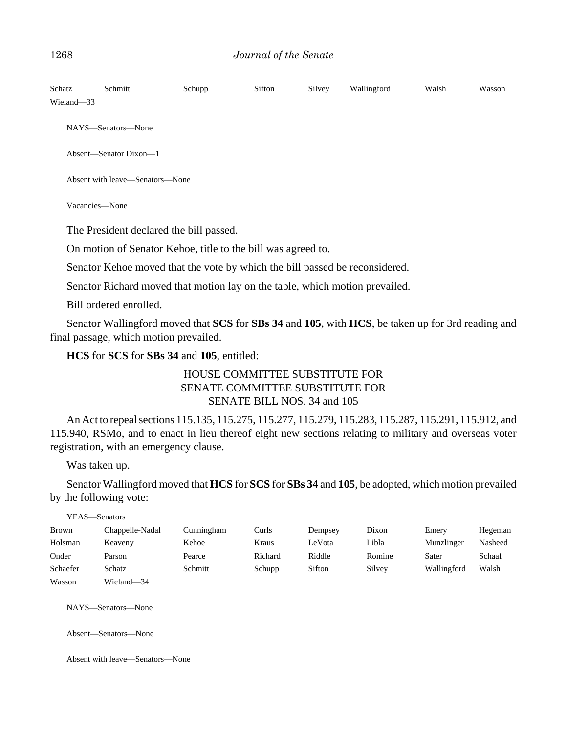| Schatz     | Schmitt                         | Schupp                                                       | Sifton | Silvey | Wallingford | Walsh | Wasson |
|------------|---------------------------------|--------------------------------------------------------------|--------|--------|-------------|-------|--------|
| Wieland—33 |                                 |                                                              |        |        |             |       |        |
|            | NAYS—Senators—None              |                                                              |        |        |             |       |        |
|            | Absent—Senator Dixon—1          |                                                              |        |        |             |       |        |
|            | Absent with leave—Senators—None |                                                              |        |        |             |       |        |
|            | Vacancies-None                  |                                                              |        |        |             |       |        |
|            |                                 | The President declared the bill passed.                      |        |        |             |       |        |
|            |                                 | On motion of Senator Kehoe, title to the bill was agreed to. |        |        |             |       |        |

Senator Kehoe moved that the vote by which the bill passed be reconsidered.

Senator Richard moved that motion lay on the table, which motion prevailed.

Bill ordered enrolled.

Senator Wallingford moved that **SCS** for **SBs 34** and **105**, with **HCS**, be taken up for 3rd reading and final passage, which motion prevailed.

**HCS** for **SCS** for **SBs 34** and **105**, entitled:

## HOUSE COMMITTEE SUBSTITUTE FOR SENATE COMMITTEE SUBSTITUTE FOR SENATE BILL NOS. 34 and 105

An Act to repeal sections 115.135, 115.275, 115.277, 115.279, 115.283, 115.287, 115.291, 115.912, and 115.940, RSMo, and to enact in lieu thereof eight new sections relating to military and overseas voter registration, with an emergency clause.

Was taken up.

Senator Wallingford moved that **HCS** for **SCS** for **SBs 34** and **105**, be adopted, which motion prevailed by the following vote:

|              | YEAS—Senators   |            |         |         |        |             |         |
|--------------|-----------------|------------|---------|---------|--------|-------------|---------|
| <b>Brown</b> | Chappelle-Nadal | Cunningham | Curls   | Dempsey | Dixon  | Emery       | Hegeman |
| Holsman      | Keaveny         | Kehoe      | Kraus   | LeVota  | Libla  | Munzlinger  | Nasheed |
| Onder        | Parson          | Pearce     | Richard | Riddle  | Romine | Sater       | Schaaf  |
| Schaefer     | Schatz          | Schmitt    | Schupp  | Sifton  | Silvey | Wallingford | Walsh   |
| Wasson       | Wieland-34      |            |         |         |        |             |         |

NAYS—Senators—None

Absent—Senators—None

Absent with leave—Senators—None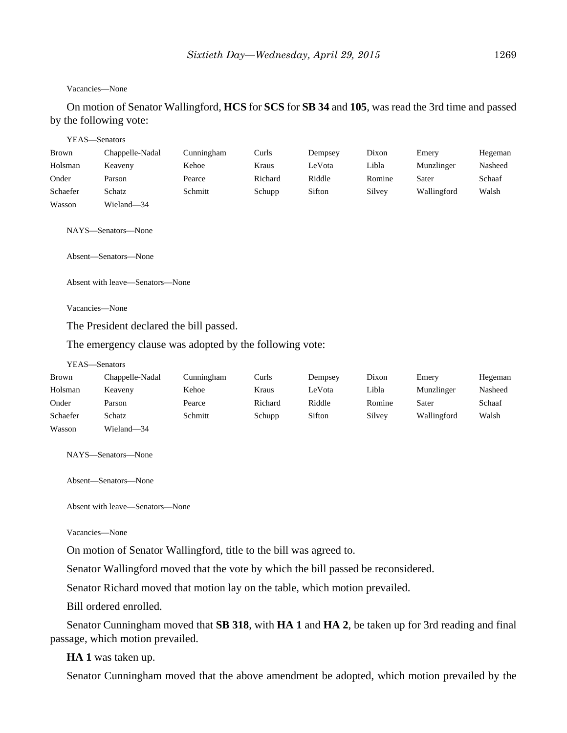#### Vacancies—None

On motion of Senator Wallingford, **HCS** for **SCS** for **SB 34** and **105**, was read the 3rd time and passed by the following vote:

|                                            | YEAS—Senators                   |            |         |         |        |             |         |  |  |  |
|--------------------------------------------|---------------------------------|------------|---------|---------|--------|-------------|---------|--|--|--|
| Brown                                      | Chappelle-Nadal                 | Cunningham | Curls   | Dempsey | Dixon  | Emery       | Hegeman |  |  |  |
| Holsman                                    | Keaveny                         | Kehoe      | Kraus   | LeVota  | Libla  | Munzlinger  | Nasheed |  |  |  |
| Onder                                      | Parson                          | Pearce     | Richard | Riddle  | Romine | Sater       | Schaaf  |  |  |  |
| Schaefer                                   | Schatz                          | Schmitt    | Schupp  | Sifton  | Silvey | Wallingford | Walsh   |  |  |  |
| Wasson                                     | Wieland-34                      |            |         |         |        |             |         |  |  |  |
| NAYS—Senators—None<br>Absent—Senators—None |                                 |            |         |         |        |             |         |  |  |  |
|                                            | Absent with leave—Senators—None |            |         |         |        |             |         |  |  |  |
|                                            |                                 |            |         |         |        |             |         |  |  |  |

Vacancies—None

The President declared the bill passed.

The emergency clause was adopted by the following vote:

```
YEAS—Senators
```

| Brown    | Chappelle-Nadal | Cunningham | Curls   | Dempsey | Dixon  | Emery       | Hegeman |
|----------|-----------------|------------|---------|---------|--------|-------------|---------|
| Holsman  | Keaveny         | Kehoe      | Kraus   | LeVota  | Libla  | Munzlinger  | Nasheed |
| Onder    | Parson          | Pearce     | Richard | Riddle  | Romine | Sater       | Schaaf  |
| Schaefer | Schatz          | Schmitt    | Schupp  | Sifton  | Silvey | Wallingford | Walsh   |
| Wasson   | Wieland-34      |            |         |         |        |             |         |

NAYS—Senators—None

Absent—Senators—None

Absent with leave—Senators—None

Vacancies—None

On motion of Senator Wallingford, title to the bill was agreed to.

Senator Wallingford moved that the vote by which the bill passed be reconsidered.

Senator Richard moved that motion lay on the table, which motion prevailed.

Bill ordered enrolled.

Senator Cunningham moved that **SB 318**, with **HA 1** and **HA 2**, be taken up for 3rd reading and final passage, which motion prevailed.

**HA 1** was taken up.

Senator Cunningham moved that the above amendment be adopted, which motion prevailed by the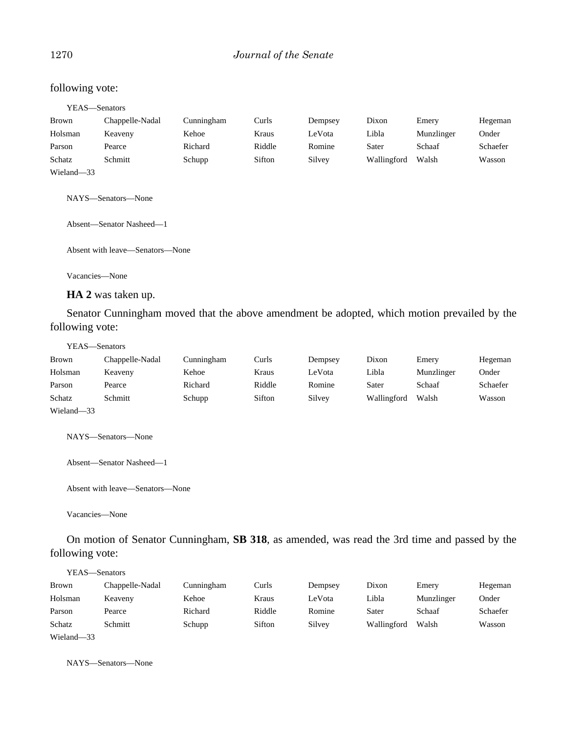#### following vote:

|              | YEAS—Senators      |            |        |         |             |            |          |
|--------------|--------------------|------------|--------|---------|-------------|------------|----------|
| <b>Brown</b> | Chappelle-Nadal    | Cunningham | Curls  | Dempsey | Dixon       | Emery      | Hegeman  |
| Holsman      | Keaveny            | Kehoe      | Kraus  | LeVota  | Libla       | Munzlinger | Onder    |
| Parson       | Pearce             | Richard    | Riddle | Romine  | Sater       | Schaaf     | Schaefer |
| Schatz       | Schmitt            | Schupp     | Sifton | Silvey  | Wallingford | Walsh      | Wasson   |
| Wieland-33   |                    |            |        |         |             |            |          |
|              |                    |            |        |         |             |            |          |
|              | NAYS-Senators-None |            |        |         |             |            |          |

Absent—Senator Nasheed—1

Absent with leave—Senators—None

Vacancies—None

**HA 2** was taken up.

Senator Cunningham moved that the above amendment be adopted, which motion prevailed by the following vote:

YEAS—Senators

| <b>Brown</b> | Chappelle-Nadal | Cunningham | Curls  | Dempsey | Dixon       | Emery      | Hegeman  |
|--------------|-----------------|------------|--------|---------|-------------|------------|----------|
| Holsman      | Keaveny         | Kehoe      | Kraus  | LeVota  | Libla       | Munzlinger | Onder    |
| Parson       | Pearce          | Richard    | Riddle | Romine  | Sater       | Schaaf     | Schaefer |
| Schatz       | Schmitt         | Schupp     | Sifton | Silvey  | Wallingford | Walsh      | Wasson   |
| Wieland-33   |                 |            |        |         |             |            |          |

NAYS—Senators—None

Absent—Senator Nasheed—1

Absent with leave—Senators—None

Vacancies—None

On motion of Senator Cunningham, **SB 318**, as amended, was read the 3rd time and passed by the following vote:

| YEAS—Senators |                 |            |        |         |             |            |          |
|---------------|-----------------|------------|--------|---------|-------------|------------|----------|
| <b>Brown</b>  | Chappelle-Nadal | Cunningham | Curls  | Dempsey | Dixon       | Emery      | Hegeman  |
| Holsman       | Keaveny         | Kehoe      | Kraus  | LeVota  | Libla       | Munzlinger | Onder    |
| Parson        | Pearce          | Richard    | Riddle | Romine  | Sater       | Schaaf     | Schaefer |
| Schatz        | Schmitt         | Schupp     | Sifton | Silvey  | Wallingford | Walsh      | Wasson   |
| Wieland-33    |                 |            |        |         |             |            |          |

NAYS—Senators—None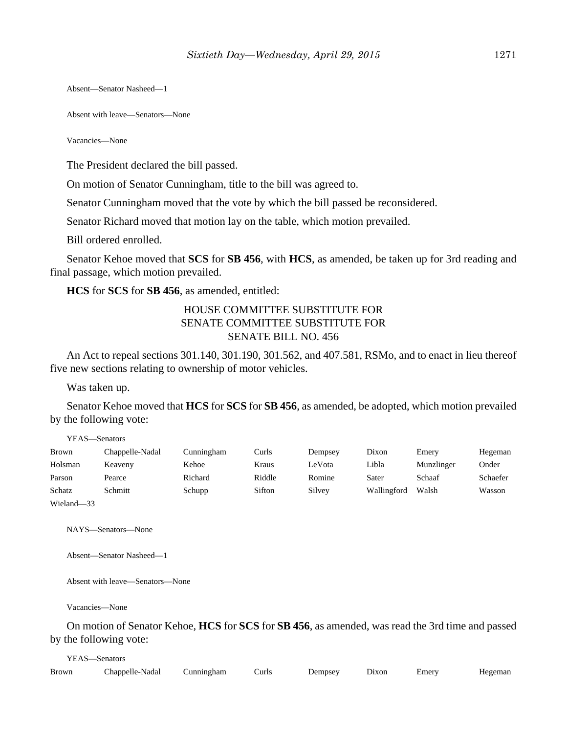Absent—Senator Nasheed—1

Absent with leave—Senators—None

Vacancies—None

The President declared the bill passed.

On motion of Senator Cunningham, title to the bill was agreed to.

Senator Cunningham moved that the vote by which the bill passed be reconsidered.

Senator Richard moved that motion lay on the table, which motion prevailed.

Bill ordered enrolled.

Senator Kehoe moved that **SCS** for **SB 456**, with **HCS**, as amended, be taken up for 3rd reading and final passage, which motion prevailed.

**HCS** for **SCS** for **SB 456**, as amended, entitled:

## HOUSE COMMITTEE SUBSTITUTE FOR SENATE COMMITTEE SUBSTITUTE FOR SENATE BILL NO. 456

An Act to repeal sections 301.140, 301.190, 301.562, and 407.581, RSMo, and to enact in lieu thereof five new sections relating to ownership of motor vehicles.

Was taken up.

Senator Kehoe moved that **HCS** for **SCS** for **SB 456**, as amended, be adopted, which motion prevailed by the following vote:

| YEAS—Senators |                 |            |        |         |             |            |          |  |  |  |
|---------------|-----------------|------------|--------|---------|-------------|------------|----------|--|--|--|
| <b>Brown</b>  | Chappelle-Nadal | Cunningham | Curls  | Dempsey | Dixon       | Emery      | Hegeman  |  |  |  |
| Holsman       | Keaveny         | Kehoe      | Kraus  | LeVota  | Libla       | Munzlinger | Onder    |  |  |  |
| Parson        | Pearce          | Richard    | Riddle | Romine  | Sater       | Schaaf     | Schaefer |  |  |  |
| Schatz        | Schmitt         | Schupp     | Sifton | Silvey  | Wallingford | Walsh      | Wasson   |  |  |  |
| Wieland-33    |                 |            |        |         |             |            |          |  |  |  |

NAYS—Senators—None

Absent—Senator Nasheed—1

Absent with leave—Senators—None

Vacancies—None

On motion of Senator Kehoe, **HCS** for **SCS** for **SB 456**, as amended, was read the 3rd time and passed by the following vote:

| $VEAS$ <sub>--</sub><br>-Senators |                      |                   |       |         |              |       |         |
|-----------------------------------|----------------------|-------------------|-------|---------|--------------|-------|---------|
| <b>Brown</b>                      | Chappelle-Nadal<br>. | <b>Cunningham</b> | Curls | Dempsev | <b>Jixon</b> | Emery | Hegeman |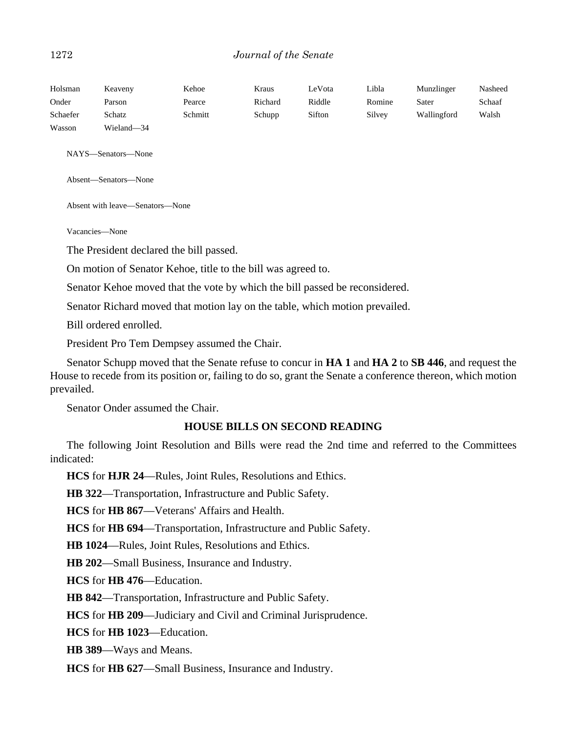| Holsman  | Keaveny    | Kehoe   | Kraus   | LeVota | Libla  | Munzlinger  | Nasheed |
|----------|------------|---------|---------|--------|--------|-------------|---------|
| Onder    | Parson     | Pearce  | Richard | Riddle | Romine | Sater       | Schaaf  |
| Schaefer | Schatz     | Schmitt | Schupp  | Sifton | Silvey | Wallingford | Walsh   |
| Wasson   | Wieland-34 |         |         |        |        |             |         |

NAYS—Senators—None

Absent—Senators—None

Absent with leave—Senators—None

Vacancies—None

The President declared the bill passed.

On motion of Senator Kehoe, title to the bill was agreed to.

Senator Kehoe moved that the vote by which the bill passed be reconsidered.

Senator Richard moved that motion lay on the table, which motion prevailed.

Bill ordered enrolled.

President Pro Tem Dempsey assumed the Chair.

Senator Schupp moved that the Senate refuse to concur in **HA 1** and **HA 2** to **SB 446**, and request the House to recede from its position or, failing to do so, grant the Senate a conference thereon, which motion prevailed.

Senator Onder assumed the Chair.

#### **HOUSE BILLS ON SECOND READING**

The following Joint Resolution and Bills were read the 2nd time and referred to the Committees indicated:

**HCS** for **HJR 24**––Rules, Joint Rules, Resolutions and Ethics.

**HB 322**—Transportation, Infrastructure and Public Safety.

**HCS** for **HB 867**––Veterans' Affairs and Health.

**HCS** for **HB 694**––Transportation, Infrastructure and Public Safety.

**HB 1024**––Rules, Joint Rules, Resolutions and Ethics.

**HB 202**––Small Business, Insurance and Industry.

**HCS** for **HB 476**––Education.

**HB 842**––Transportation, Infrastructure and Public Safety.

**HCS** for **HB 209**––Judiciary and Civil and Criminal Jurisprudence.

**HCS** for **HB 1023**––Education.

**HB 389**––Ways and Means.

**HCS** for **HB 627**––Small Business, Insurance and Industry.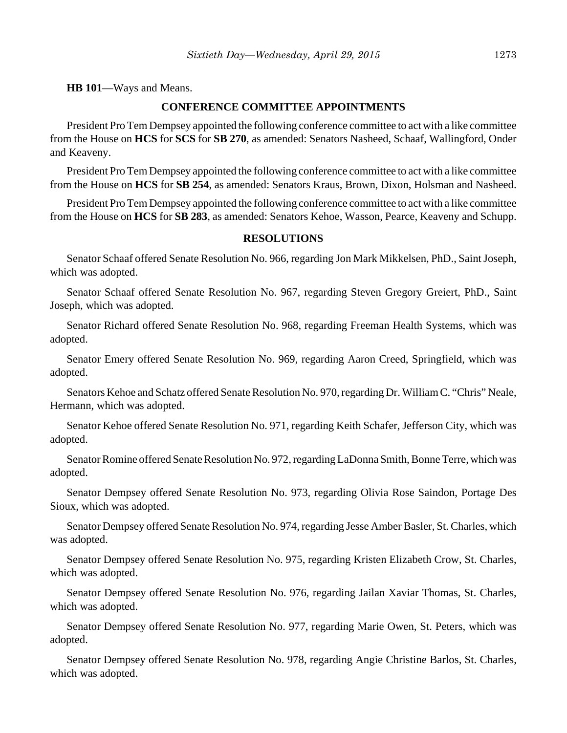**HB 101**––Ways and Means.

### **CONFERENCE COMMITTEE APPOINTMENTS**

President Pro Tem Dempsey appointed the following conference committee to act with a like committee from the House on **HCS** for **SCS** for **SB 270**, as amended: Senators Nasheed, Schaaf, Wallingford, Onder and Keaveny.

President Pro Tem Dempsey appointed the following conference committee to act with a like committee from the House on **HCS** for **SB 254**, as amended: Senators Kraus, Brown, Dixon, Holsman and Nasheed.

President Pro Tem Dempsey appointed the following conference committee to act with a like committee from the House on **HCS** for **SB 283**, as amended: Senators Kehoe, Wasson, Pearce, Keaveny and Schupp.

#### **RESOLUTIONS**

Senator Schaaf offered Senate Resolution No. 966, regarding Jon Mark Mikkelsen, PhD., Saint Joseph, which was adopted.

Senator Schaaf offered Senate Resolution No. 967, regarding Steven Gregory Greiert, PhD., Saint Joseph, which was adopted.

Senator Richard offered Senate Resolution No. 968, regarding Freeman Health Systems, which was adopted.

Senator Emery offered Senate Resolution No. 969, regarding Aaron Creed, Springfield, which was adopted.

Senators Kehoe and Schatz offered Senate Resolution No. 970, regarding Dr. William C. "Chris" Neale, Hermann, which was adopted.

Senator Kehoe offered Senate Resolution No. 971, regarding Keith Schafer, Jefferson City, which was adopted.

Senator Romine offered Senate Resolution No. 972, regarding LaDonna Smith, Bonne Terre, which was adopted.

Senator Dempsey offered Senate Resolution No. 973, regarding Olivia Rose Saindon, Portage Des Sioux, which was adopted.

Senator Dempsey offered Senate Resolution No. 974, regarding Jesse Amber Basler, St. Charles, which was adopted.

Senator Dempsey offered Senate Resolution No. 975, regarding Kristen Elizabeth Crow, St. Charles, which was adopted.

Senator Dempsey offered Senate Resolution No. 976, regarding Jailan Xaviar Thomas, St. Charles, which was adopted.

Senator Dempsey offered Senate Resolution No. 977, regarding Marie Owen, St. Peters, which was adopted.

Senator Dempsey offered Senate Resolution No. 978, regarding Angie Christine Barlos, St. Charles, which was adopted.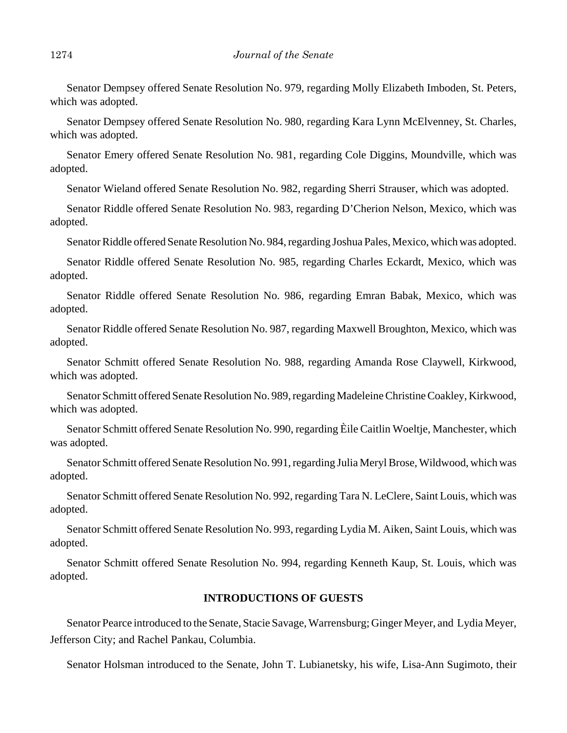Senator Dempsey offered Senate Resolution No. 979, regarding Molly Elizabeth Imboden, St. Peters, which was adopted.

Senator Dempsey offered Senate Resolution No. 980, regarding Kara Lynn McElvenney, St. Charles, which was adopted.

Senator Emery offered Senate Resolution No. 981, regarding Cole Diggins, Moundville, which was adopted.

Senator Wieland offered Senate Resolution No. 982, regarding Sherri Strauser, which was adopted.

Senator Riddle offered Senate Resolution No. 983, regarding D'Cherion Nelson, Mexico, which was adopted.

Senator Riddle offered Senate Resolution No. 984, regarding Joshua Pales, Mexico, which was adopted.

Senator Riddle offered Senate Resolution No. 985, regarding Charles Eckardt, Mexico, which was adopted.

Senator Riddle offered Senate Resolution No. 986, regarding Emran Babak, Mexico, which was adopted.

Senator Riddle offered Senate Resolution No. 987, regarding Maxwell Broughton, Mexico, which was adopted.

Senator Schmitt offered Senate Resolution No. 988, regarding Amanda Rose Claywell, Kirkwood, which was adopted.

Senator Schmitt offered Senate Resolution No. 989, regarding Madeleine Christine Coakley, Kirkwood, which was adopted.

Senator Schmitt offered Senate Resolution No. 990, regarding Èile Caitlin Woeltje, Manchester, which was adopted.

Senator Schmitt offered Senate Resolution No. 991, regarding Julia Meryl Brose, Wildwood, which was adopted.

Senator Schmitt offered Senate Resolution No. 992, regarding Tara N. LeClere, Saint Louis, which was adopted.

Senator Schmitt offered Senate Resolution No. 993, regarding Lydia M. Aiken, Saint Louis, which was adopted.

Senator Schmitt offered Senate Resolution No. 994, regarding Kenneth Kaup, St. Louis, which was adopted.

#### **INTRODUCTIONS OF GUESTS**

Senator Pearce introduced to the Senate, Stacie Savage, Warrensburg; Ginger Meyer, and Lydia Meyer, Jefferson City; and Rachel Pankau, Columbia.

Senator Holsman introduced to the Senate, John T. Lubianetsky, his wife, Lisa-Ann Sugimoto, their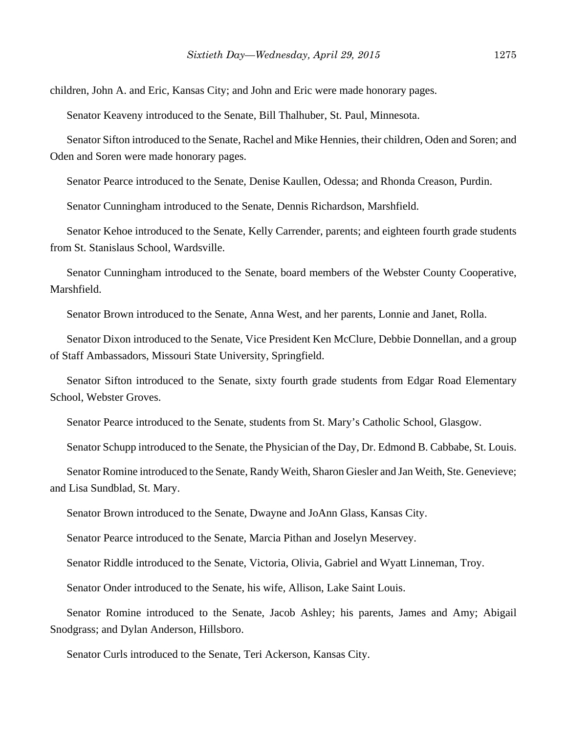children, John A. and Eric, Kansas City; and John and Eric were made honorary pages.

Senator Keaveny introduced to the Senate, Bill Thalhuber, St. Paul, Minnesota.

Senator Sifton introduced to the Senate, Rachel and Mike Hennies, their children, Oden and Soren; and Oden and Soren were made honorary pages.

Senator Pearce introduced to the Senate, Denise Kaullen, Odessa; and Rhonda Creason, Purdin.

Senator Cunningham introduced to the Senate, Dennis Richardson, Marshfield.

Senator Kehoe introduced to the Senate, Kelly Carrender, parents; and eighteen fourth grade students from St. Stanislaus School, Wardsville.

Senator Cunningham introduced to the Senate, board members of the Webster County Cooperative, Marshfield.

Senator Brown introduced to the Senate, Anna West, and her parents, Lonnie and Janet, Rolla.

Senator Dixon introduced to the Senate, Vice President Ken McClure, Debbie Donnellan, and a group of Staff Ambassadors, Missouri State University, Springfield.

Senator Sifton introduced to the Senate, sixty fourth grade students from Edgar Road Elementary School, Webster Groves.

Senator Pearce introduced to the Senate, students from St. Mary's Catholic School, Glasgow.

Senator Schupp introduced to the Senate, the Physician of the Day, Dr. Edmond B. Cabbabe, St. Louis.

Senator Romine introduced to the Senate, Randy Weith, Sharon Giesler and Jan Weith, Ste. Genevieve; and Lisa Sundblad, St. Mary.

Senator Brown introduced to the Senate, Dwayne and JoAnn Glass, Kansas City.

Senator Pearce introduced to the Senate, Marcia Pithan and Joselyn Meservey.

Senator Riddle introduced to the Senate, Victoria, Olivia, Gabriel and Wyatt Linneman, Troy.

Senator Onder introduced to the Senate, his wife, Allison, Lake Saint Louis.

Senator Romine introduced to the Senate, Jacob Ashley; his parents, James and Amy; Abigail Snodgrass; and Dylan Anderson, Hillsboro.

Senator Curls introduced to the Senate, Teri Ackerson, Kansas City.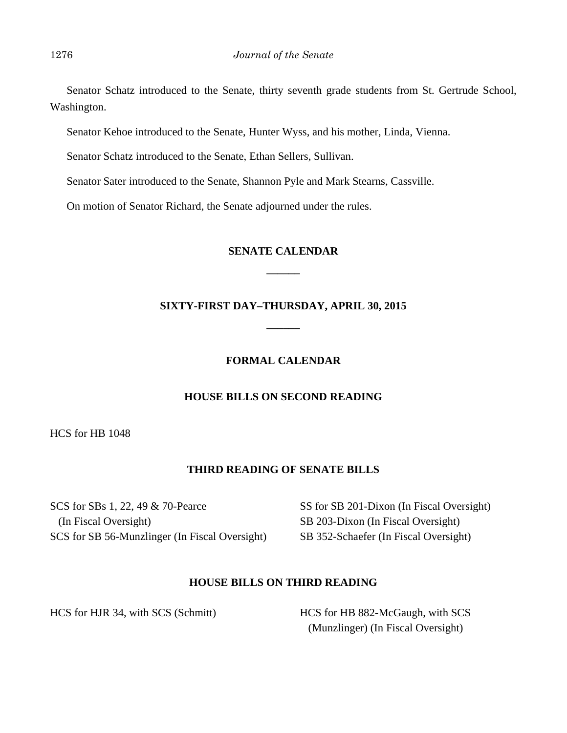Senator Schatz introduced to the Senate, thirty seventh grade students from St. Gertrude School, Washington.

Senator Kehoe introduced to the Senate, Hunter Wyss, and his mother, Linda, Vienna.

Senator Schatz introduced to the Senate, Ethan Sellers, Sullivan.

Senator Sater introduced to the Senate, Shannon Pyle and Mark Stearns, Cassville.

On motion of Senator Richard, the Senate adjourned under the rules.

### **SENATE CALENDAR**

**\_\_\_\_\_\_**

# **SIXTY-FIRST DAY–THURSDAY, APRIL 30, 2015 \_\_\_\_\_\_**

# **FORMAL CALENDAR**

### **HOUSE BILLS ON SECOND READING**

HCS for HB 1048

### **THIRD READING OF SENATE BILLS**

SCS for SBs 1, 22, 49 & 70-Pearce (In Fiscal Oversight) SCS for SB 56-Munzlinger (In Fiscal Oversight) SS for SB 201-Dixon (In Fiscal Oversight) SB 203-Dixon (In Fiscal Oversight) SB 352-Schaefer (In Fiscal Oversight)

### **HOUSE BILLS ON THIRD READING**

HCS for HJR 34, with SCS (Schmitt) HCS for HB 882-McGaugh, with SCS (Munzlinger) (In Fiscal Oversight)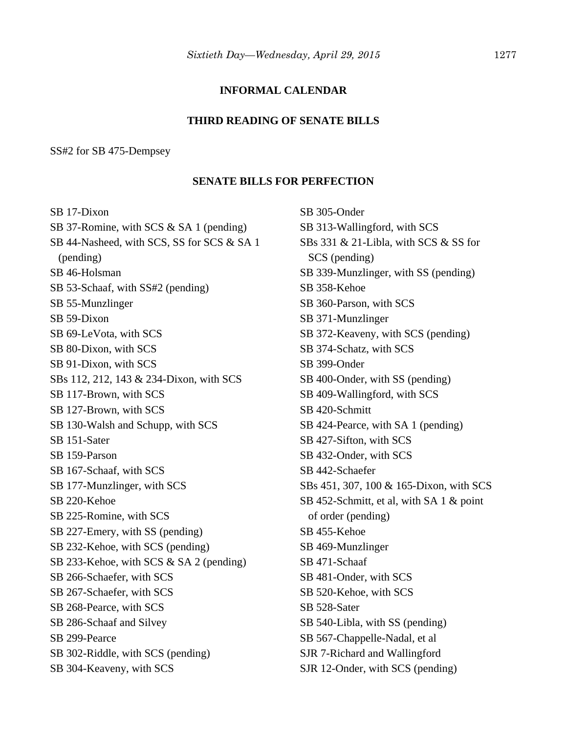#### **INFORMAL CALENDAR**

#### **THIRD READING OF SENATE BILLS**

SS#2 for SB 475-Dempsey

# **SENATE BILLS FOR PERFECTION**

SB 17-Dixon SB 37-Romine, with SCS & SA 1 (pending) SB 44-Nasheed, with SCS, SS for SCS & SA 1 (pending) SB 46-Holsman SB 53-Schaaf, with SS#2 (pending) SB 55-Munzlinger SB 59-Dixon SB 69-LeVota, with SCS SB 80-Dixon, with SCS SB 91-Dixon, with SCS SBs 112, 212, 143 & 234-Dixon, with SCS SB 117-Brown, with SCS SB 127-Brown, with SCS SB 130-Walsh and Schupp, with SCS SB 151-Sater SB 159-Parson SB 167-Schaaf, with SCS SB 177-Munzlinger, with SCS SB 220-Kehoe SB 225-Romine, with SCS SB 227-Emery, with SS (pending) SB 232-Kehoe, with SCS (pending) SB 233-Kehoe, with SCS & SA 2 (pending) SB 266-Schaefer, with SCS SB 267-Schaefer, with SCS SB 268-Pearce, with SCS SB 286-Schaaf and Silvey SB 299-Pearce SB 302-Riddle, with SCS (pending) SB 304-Keaveny, with SCS

SB 305-Onder SB 313-Wallingford, with SCS SBs 331 & 21-Libla, with SCS & SS for SCS (pending) SB 339-Munzlinger, with SS (pending) SB 358-Kehoe SB 360-Parson, with SCS SB 371-Munzlinger SB 372-Keaveny, with SCS (pending) SB 374-Schatz, with SCS SB 399-Onder SB 400-Onder, with SS (pending) SB 409-Wallingford, with SCS SB 420-Schmitt SB 424-Pearce, with SA 1 (pending) SB 427-Sifton, with SCS SB 432-Onder, with SCS SB 442-Schaefer SBs 451, 307, 100 & 165-Dixon, with SCS SB 452-Schmitt, et al, with SA 1 & point of order (pending) SB 455-Kehoe SB 469-Munzlinger SB 471-Schaaf SB 481-Onder, with SCS SB 520-Kehoe, with SCS SB 528-Sater SB 540-Libla, with SS (pending) SB 567-Chappelle-Nadal, et al SJR 7-Richard and Wallingford SJR 12-Onder, with SCS (pending)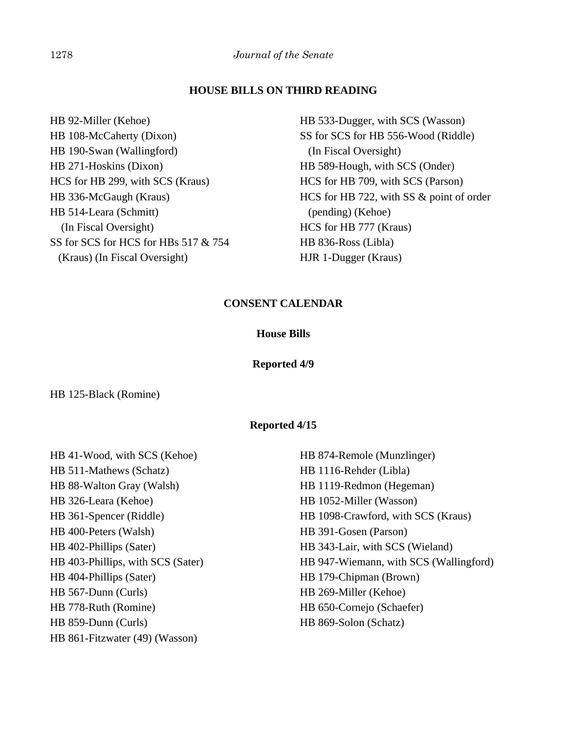### **HOUSE BILLS ON THIRD READING**

HB 92-Miller (Kehoe) HB 108-McCaherty (Dixon) HB 190-Swan (Wallingford) HB 271-Hoskins (Dixon) HCS for HB 299, with SCS (Kraus) HB 336-McGaugh (Kraus) HB 514-Leara (Schmitt) (In Fiscal Oversight) SS for SCS for HCS for HBs 517 & 754 (Kraus) (In Fiscal Oversight)

HB 533-Dugger, with SCS (Wasson) SS for SCS for HB 556-Wood (Riddle) (In Fiscal Oversight) HB 589-Hough, with SCS (Onder) HCS for HB 709, with SCS (Parson) HCS for HB 722, with SS & point of order (pending) (Kehoe) HCS for HB 777 (Kraus) HB 836-Ross (Libla) HJR 1-Dugger (Kraus)

# **CONSENT CALENDAR**

### **House Bills**

#### **Reported 4/9**

HB 125-Black (Romine)

### **Reported 4/15**

HB 41-Wood, with SCS (Kehoe) HB 511-Mathews (Schatz) HB 88-Walton Gray (Walsh) HB 326-Leara (Kehoe) HB 361-Spencer (Riddle) HB 400-Peters (Walsh) HB 402-Phillips (Sater) HB 403-Phillips, with SCS (Sater) HB 404-Phillips (Sater) HB 567-Dunn (Curls) HB 778-Ruth (Romine) HB 859-Dunn (Curls) HB 861-Fitzwater (49) (Wasson)

HB 874-Remole (Munzlinger) HB 1116-Rehder (Libla) HB 1119-Redmon (Hegeman) HB 1052-Miller (Wasson) HB 1098-Crawford, with SCS (Kraus) HB 391-Gosen (Parson) HB 343-Lair, with SCS (Wieland) HB 947-Wiemann, with SCS (Wallingford) HB 179-Chipman (Brown) HB 269-Miller (Kehoe) HB 650-Cornejo (Schaefer) HB 869-Solon (Schatz)